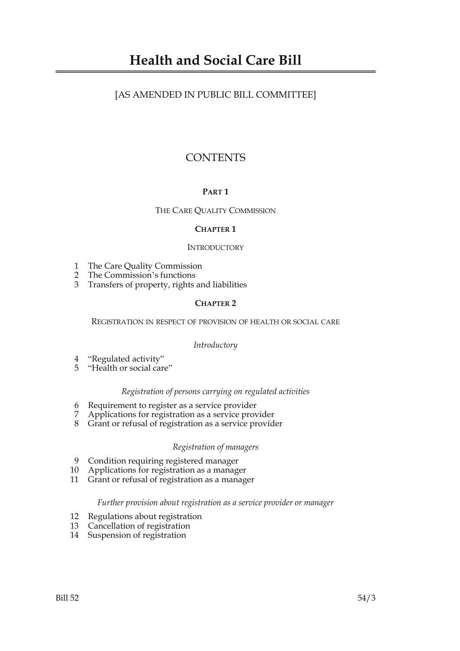## **Health and Social Care Bill**

## [AS AMENDED IN PUBLIC BILL COMMITTEE]

## **CONTENTS**

## **PART 1**

## THE CARE QUALITY COMMISSION

## **CHAPTER 1**

## **INTRODUCTORY**

- 1 The Care Quality Commission
- 2 The Commission's functions
- 3 Transfers of property, rights and liabilities

## **CHAPTER 2**

## REGISTRATION IN RESPECT OF PROVISION OF HEALTH OR SOCIAL CARE

## *Introductory*

- 4 "Regulated activity"
- 5 "Health or social care"

## *Registration of persons carrying on regulated activities*

- 6 Requirement to register as a service provider
- 7 Applications for registration as a service provider
- 8 Grant or refusal of registration as a service provider

## *Registration of managers*

- 9 Condition requiring registered manager
- 10 Applications for registration as a manager
- 11 Grant or refusal of registration as a manager

## *Further provision about registration as a service provider or manager*

- 12 Regulations about registration
- 13 Cancellation of registration
- 14 Suspension of registration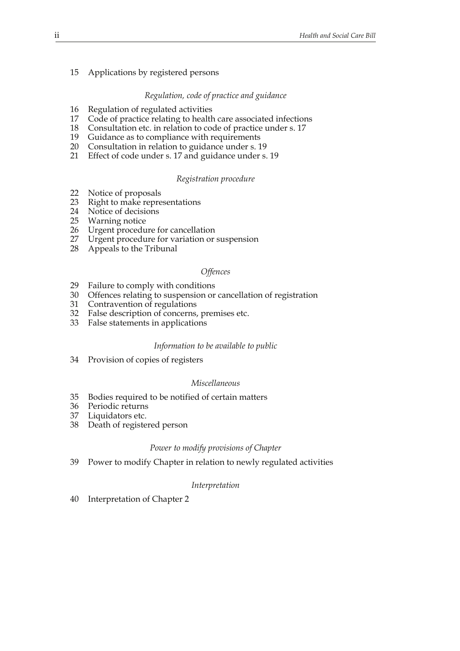## 15 Applications by registered persons

#### *Regulation, code of practice and guidance*

- 16 Regulation of regulated activities
- 17 Code of practice relating to health care associated infections
- 18 Consultation etc. in relation to code of practice under s. 17
- 19 Guidance as to compliance with requirements<br>20 Consultation in relation to guidance under s. 1
- 20 Consultation in relation to guidance under s. 19
- 21 Effect of code under s. 17 and guidance under s. 19

#### *Registration procedure*

- 22 Notice of proposals
- 23 Right to make representations<br>24 Notice of decisions
- 24 Notice of decisions<br>25 Warning notice
- Warning notice
- 26 Urgent procedure for cancellation
- 27 Urgent procedure for variation or suspension
- 28 Appeals to the Tribunal

#### *Offences*

- 29 Failure to comply with conditions
- 30 Offences relating to suspension or cancellation of registration
- 31 Contravention of regulations
- 32 False description of concerns, premises etc.
- 33 False statements in applications

#### *Information to be available to public*

34 Provision of copies of registers

#### *Miscellaneous*

- 35 Bodies required to be notified of certain matters
- 36 Periodic returns
- 37 Liquidators etc.
- 38 Death of registered person

#### *Power to modify provisions of Chapter*

39 Power to modify Chapter in relation to newly regulated activities

#### *Interpretation*

40 Interpretation of Chapter 2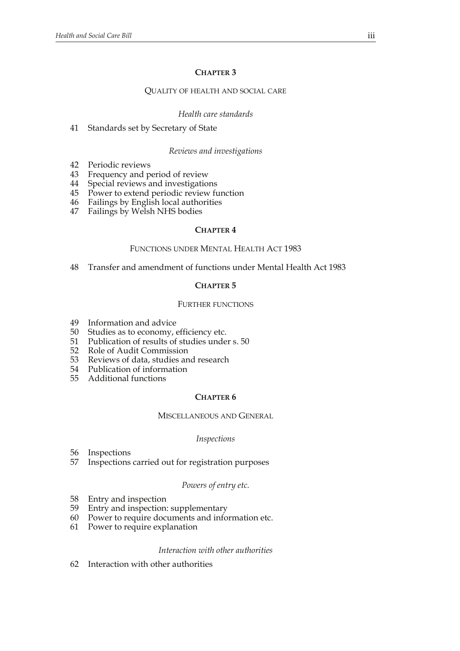## **CHAPTER 3**

## QUALITY OF HEALTH AND SOCIAL CARE

#### *Health care standards*

41 Standards set by Secretary of State

#### *Reviews and investigations*

- 42 Periodic reviews
- 43 Frequency and period of review
- 44 Special reviews and investigations
- 45 Power to extend periodic review function
- 46 Failings by English local authorities
- 47 Failings by Welsh NHS bodies

## **CHAPTER 4**

## FUNCTIONS UNDER MENTAL HEALTH ACT 1983

48 Transfer and amendment of functions under Mental Health Act 1983

## **CHAPTER 5**

#### FURTHER FUNCTIONS

- 49 Information and advice
- 50 Studies as to economy, efficiency etc.
- 51 Publication of results of studies under s. 50
- 52 Role of Audit Commission<br>53 Reviews of data, studies an
- 53 Reviews of data, studies and research<br>54 Publication of information
- 54 Publication of information
- 55 Additional functions

#### **CHAPTER 6**

#### MISCELLANEOUS AND GENERAL

#### *Inspections*

- 56 Inspections
- 57 Inspections carried out for registration purposes

#### *Powers of entry etc.*

- 58 Entry and inspection
- 59 Entry and inspection: supplementary
- 60 Power to require documents and information etc.
- 61 Power to require explanation

#### *Interaction with other authorities*

62 Interaction with other authorities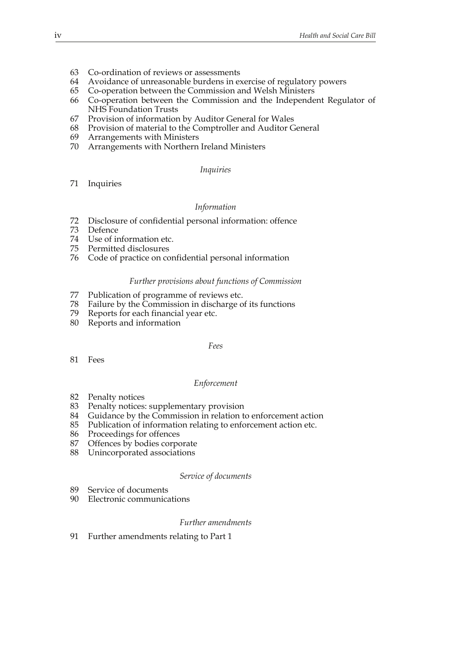- 63 Co-ordination of reviews or assessments
- 64 Avoidance of unreasonable burdens in exercise of regulatory powers
- 65 Co-operation between the Commission and Welsh Ministers
- 66 Co-operation between the Commission and the Independent Regulator of NHS Foundation Trusts
- 67 Provision of information by Auditor General for Wales
- 68 Provision of material to the Comptroller and Auditor General
- 69 Arrangements with Ministers
- 70 Arrangements with Northern Ireland Ministers

#### *Inquiries*

71 Inquiries

#### *Information*

- 72 Disclosure of confidential personal information: offence
- 73 Defence
- 74 Use of information etc.
- 75 Permitted disclosures
- 76 Code of practice on confidential personal information

#### *Further provisions about functions of Commission*

- 77 Publication of programme of reviews etc.
- 78 Failure by the Commission in discharge of its functions
- 79 Reports for each financial year etc.
- 80 Reports and information

#### *Fees*

81 Fees

#### *Enforcement*

- 82 Penalty notices
- 83 Penalty notices: supplementary provision
- 84 Guidance by the Commission in relation to enforcement action
- 85 Publication of information relating to enforcement action etc.
- 86 Proceedings for offences<br>87 Offences by bodies corpo
- Offences by bodies corporate
- 88 Unincorporated associations

#### *Service of documents*

- 89 Service of documents
- 90 Electronic communications

#### *Further amendments*

91 Further amendments relating to Part 1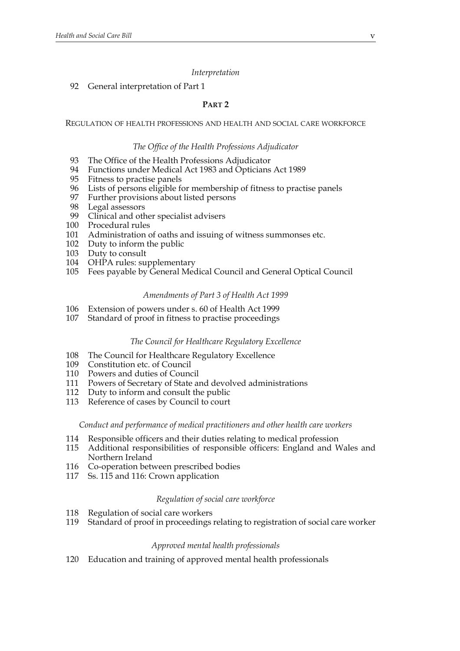## *Interpretation*

## 92 General interpretation of Part 1

## **PART 2**

REGULATION OF HEALTH PROFESSIONS AND HEALTH AND SOCIAL CARE WORKFORCE

## *The Office of the Health Professions Adjudicator*

- 93 The Office of the Health Professions Adjudicator
- 94 Functions under Medical Act 1983 and Opticians Act 1989
- 95 Fitness to practise panels
- 96 Lists of persons eligible for membership of fitness to practise panels
- 97 Further provisions about listed persons
- 98 Legal assessors<br>99 Clinical and oth
- Clinical and other specialist advisers
- 100 Procedural rules
- 101 Administration of oaths and issuing of witness summonses etc.
- 102 Duty to inform the public
- 103 Duty to consult
- 104 OHPA rules: supplementary
- 105 Fees payable by General Medical Council and General Optical Council

#### *Amendments of Part 3 of Health Act 1999*

- 106 Extension of powers under s. 60 of Health Act 1999
- 107 Standard of proof in fitness to practise proceedings

## *The Council for Healthcare Regulatory Excellence*

- 108 The Council for Healthcare Regulatory Excellence
- 109 Constitution etc. of Council
- 110 Powers and duties of Council
- 111 Powers of Secretary of State and devolved administrations
- 112 Duty to inform and consult the public
- 113 Reference of cases by Council to court

#### *Conduct and performance of medical practitioners and other health care workers*

- 114 Responsible officers and their duties relating to medical profession
- 115 Additional responsibilities of responsible officers: England and Wales and Northern Ireland
- 116 Co-operation between prescribed bodies<br>117 Ss. 115 and 116: Crown application
- Ss. 115 and 116: Crown application

#### *Regulation of social care workforce*

- 118 Regulation of social care workers
- 119 Standard of proof in proceedings relating to registration of social care worker

#### *Approved mental health professionals*

120 Education and training of approved mental health professionals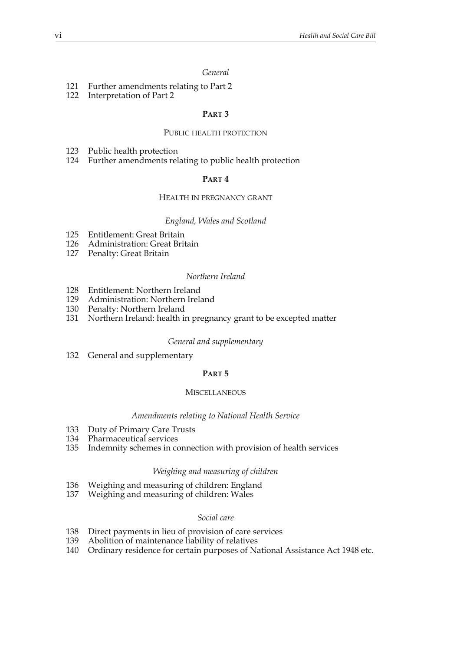## *General*

- 121 Further amendments relating to Part 2
- 122 Interpretation of Part 2

#### **PART 3**

## PUBLIC HEALTH PROTECTION

- 123 Public health protection
- 124 Further amendments relating to public health protection

#### **PART 4**

## HEALTH IN PREGNANCY GRANT

#### *England, Wales and Scotland*

- 125 Entitlement: Great Britain
- 126 Administration: Great Britain
- 127 Penalty: Great Britain

## *Northern Ireland*

- 128 Entitlement: Northern Ireland
- 129 Administration: Northern Ireland
- 130 Penalty: Northern Ireland
- 131 Northern Ireland: health in pregnancy grant to be excepted matter

#### *General and supplementary*

132 General and supplementary

#### **PART 5**

#### **MISCELLANEOUS**

#### *Amendments relating to National Health Service*

- 133 Duty of Primary Care Trusts
- 134 Pharmaceutical services
- 135 Indemnity schemes in connection with provision of health services

#### *Weighing and measuring of children*

- 136 Weighing and measuring of children: England
- 137 Weighing and measuring of children: Wales

#### *Social care*

- 138 Direct payments in lieu of provision of care services
- 139 Abolition of maintenance liability of relatives
- 140 Ordinary residence for certain purposes of National Assistance Act 1948 etc.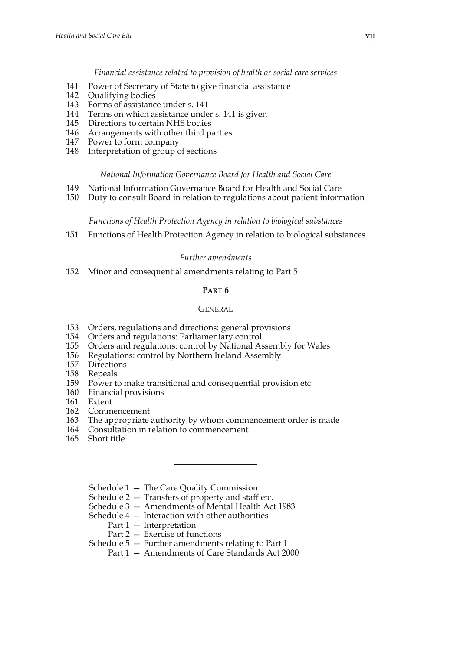## *Financial assistance related to provision of health or social care services*

- 141 Power of Secretary of State to give financial assistance
- 142 Qualifying bodies
- 143 Forms of assistance under s. 141
- 144 Terms on which assistance under s. 141 is given
- 145 Directions to certain NHS bodies
- 146 Arrangements with other third parties
- 147 Power to form company
- 148 Interpretation of group of sections

## *National Information Governance Board for Health and Social Care*

- 149 National Information Governance Board for Health and Social Care
- 150 Duty to consult Board in relation to regulations about patient information

## *Functions of Health Protection Agency in relation to biological substances*

151 Functions of Health Protection Agency in relation to biological substances

## *Further amendments*

152 Minor and consequential amendments relating to Part 5

## **PART 6**

## GENERAL

- 153 Orders, regulations and directions: general provisions
- 154 Orders and regulations: Parliamentary control
- 155 Orders and regulations: control by National Assembly for Wales
- 156 Regulations: control by Northern Ireland Assembly
- 157 Directions
- 158 Repeals
- 159 Power to make transitional and consequential provision etc.
- 160 Financial provisions
- 161 Extent
- 162 Commencement
- 163 The appropriate authority by whom commencement order is made
- 164 Consultation in relation to commencement
- 165 Short title
	- Schedule 1 The Care Quality Commission
	- Schedule 2 Transfers of property and staff etc.
	- Schedule 3 Amendments of Mental Health Act 1983
	- Schedule 4 Interaction with other authorities
		- Part 1 Interpretation
		- Part 2 Exercise of functions
	- Schedule 5 Further amendments relating to Part 1
		- Part 1 Amendments of Care Standards Act 2000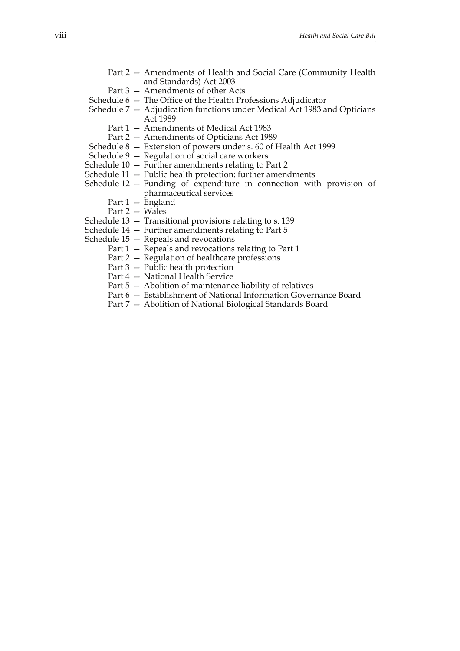- Part 2 Amendments of Health and Social Care (Community Health and Standards) Act 2003
- Part 3 Amendments of other Acts
- Schedule 6 The Office of the Health Professions Adjudicator
- Schedule 7 Adjudication functions under Medical Act 1983 and Opticians Act 1989
	- Part 1 Amendments of Medical Act 1983
	- Part 2 Amendments of Opticians Act 1989
- Schedule 8 Extension of powers under s. 60 of Health Act 1999
- Schedule 9 Regulation of social care workers
- Schedule 10 Further amendments relating to Part 2
- Schedule 11 Public health protection: further amendments
- Schedule 12 Funding of expenditure in connection with provision of pharmaceutical services
	- Part 1 England
	- Part 2 Wales
- Schedule 13 Transitional provisions relating to s. 139
- Schedule 14 Further amendments relating to Part 5
- Schedule 15 Repeals and revocations
	- Part 1 Repeals and revocations relating to Part 1
	- Part 2 Regulation of healthcare professions
	- Part 3 Public health protection
	- Part 4 National Health Service
	- Part 5 Abolition of maintenance liability of relatives
	- Part 6 Establishment of National Information Governance Board
	- Part 7 Abolition of National Biological Standards Board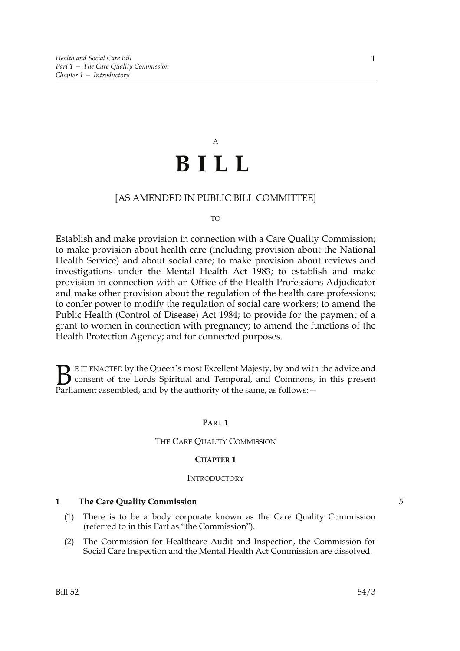# A **BILL**

## [AS AMENDED IN PUBLIC BILL COMMITTEE]

#### TO

Establish and make provision in connection with a Care Quality Commission; to make provision about health care (including provision about the National Health Service) and about social care; to make provision about reviews and investigations under the Mental Health Act 1983; to establish and make provision in connection with an Office of the Health Professions Adjudicator and make other provision about the regulation of the health care professions; to confer power to modify the regulation of social care workers; to amend the Public Health (Control of Disease) Act 1984; to provide for the payment of a grant to women in connection with pregnancy; to amend the functions of the Health Protection Agency; and for connected purposes.

E IT ENACTED by the Queen's most Excellent Majesty, by and with the advice and consent of the Lords Spiritual and Temporal, and Commons, in this present Parliament assembled, and by the authority of the same, as follows: - $B_{\text{p}}$ 

## **PART 1**

#### THE CARE QUALITY COMMISSION

#### **CHAPTER 1**

#### **INTRODUCTORY**

## **1 The Care Quality Commission**

- (1) There is to be a body corporate known as the Care Quality Commission (referred to in this Part as "the Commission").
- (2) The Commission for Healthcare Audit and Inspection, the Commission for Social Care Inspection and the Mental Health Act Commission are dissolved.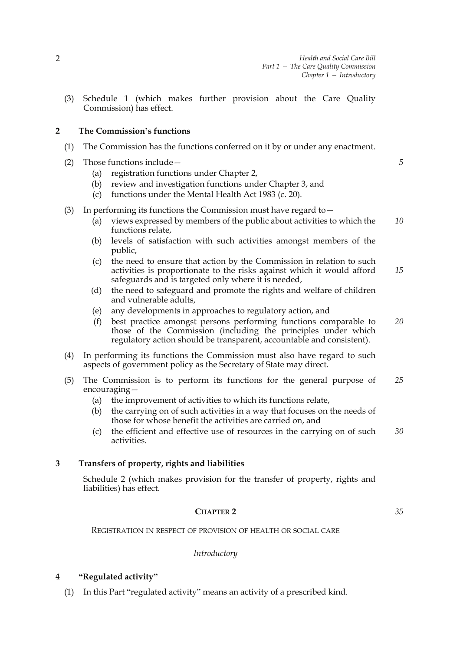(3) Schedule 1 (which makes further provision about the Care Quality Commission) has effect.

## **2 The Commission's functions**

- (1) The Commission has the functions conferred on it by or under any enactment.
- (2) Those functions include—
	- (a) registration functions under Chapter 2,
	- (b) review and investigation functions under Chapter 3, and
	- (c) functions under the Mental Health Act 1983 (c. 20).
- (3) In performing its functions the Commission must have regard to—
	- (a) views expressed by members of the public about activities to which the functions relate, *10*
	- (b) levels of satisfaction with such activities amongst members of the public,
	- (c) the need to ensure that action by the Commission in relation to such activities is proportionate to the risks against which it would afford safeguards and is targeted only where it is needed, *15*
	- (d) the need to safeguard and promote the rights and welfare of children and vulnerable adults,
	- (e) any developments in approaches to regulatory action, and
	- (f) best practice amongst persons performing functions comparable to those of the Commission (including the principles under which regulatory action should be transparent, accountable and consistent). *20*
- (4) In performing its functions the Commission must also have regard to such aspects of government policy as the Secretary of State may direct.
- (5) The Commission is to perform its functions for the general purpose of encouraging— *25*
	- (a) the improvement of activities to which its functions relate,
	- (b) the carrying on of such activities in a way that focuses on the needs of those for whose benefit the activities are carried on, and
	- (c) the efficient and effective use of resources in the carrying on of such activities. *30*

## **3 Transfers of property, rights and liabilities**

Schedule 2 (which makes provision for the transfer of property, rights and liabilities) has effect.

## **CHAPTER 2**

*35*

*5*

REGISTRATION IN RESPECT OF PROVISION OF HEALTH OR SOCIAL CARE

## *Introductory*

## **4 "Regulated activity"**

(1) In this Part "regulated activity" means an activity of a prescribed kind.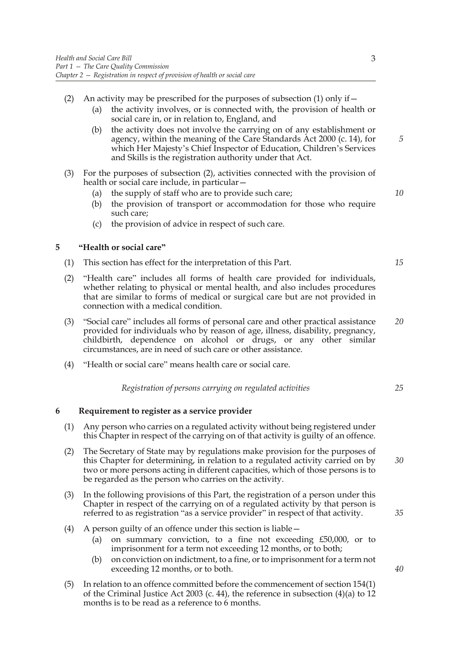- (2) An activity may be prescribed for the purposes of subsection (1) only if  $-$ 
	- (a) the activity involves, or is connected with, the provision of health or social care in, or in relation to, England, and
	- (b) the activity does not involve the carrying on of any establishment or agency, within the meaning of the Care Standards Act 2000 (c. 14), for which Her Majesty's Chief Inspector of Education, Children's Services and Skills is the registration authority under that Act.
- (3) For the purposes of subsection (2), activities connected with the provision of health or social care include, in particular—
	- (a) the supply of staff who are to provide such care;
	- (b) the provision of transport or accommodation for those who require such care;
	- (c) the provision of advice in respect of such care.

## **5 "Health or social care"**

- (1) This section has effect for the interpretation of this Part.
- (2) "Health care" includes all forms of health care provided for individuals, whether relating to physical or mental health, and also includes procedures that are similar to forms of medical or surgical care but are not provided in connection with a medical condition.
- (3) "Social care" includes all forms of personal care and other practical assistance provided for individuals who by reason of age, illness, disability, pregnancy, childbirth, dependence on alcohol or drugs, or any other similar circumstances, are in need of such care or other assistance. *20*
- (4) "Health or social care" means health care or social care.

## *Registration of persons carrying on regulated activities*

**6 Requirement to register as a service provider**

- (1) Any person who carries on a regulated activity without being registered under this Chapter in respect of the carrying on of that activity is guilty of an offence.
- (2) The Secretary of State may by regulations make provision for the purposes of this Chapter for determining, in relation to a regulated activity carried on by two or more persons acting in different capacities, which of those persons is to be regarded as the person who carries on the activity.
- (3) In the following provisions of this Part, the registration of a person under this Chapter in respect of the carrying on of a regulated activity by that person is referred to as registration "as a service provider" in respect of that activity.
- (4) A person guilty of an offence under this section is liable—
	- (a) on summary conviction, to a fine not exceeding £50,000, or to imprisonment for a term not exceeding 12 months, or to both;
	- (b) on conviction on indictment, to a fine, or to imprisonment for a term not exceeding 12 months, or to both.
- (5) In relation to an offence committed before the commencement of section 154(1) of the Criminal Justice Act 2003 (c. 44), the reference in subsection (4)(a) to 12 months is to be read as a reference to 6 months.

*5*

*10*

*15*

*25*

*30*

*40*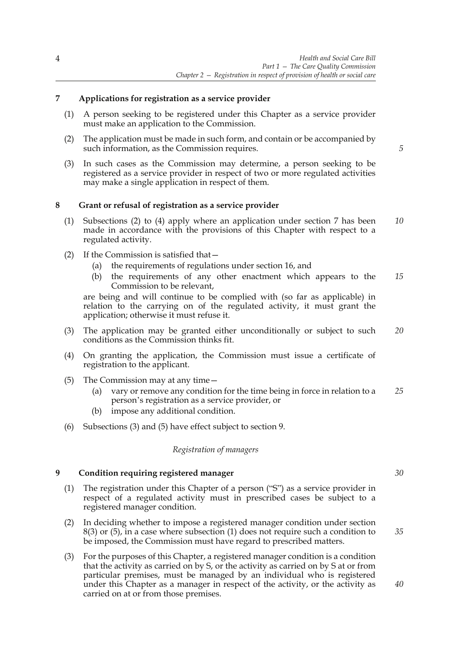## **7 Applications for registration as a service provider**

- (1) A person seeking to be registered under this Chapter as a service provider must make an application to the Commission.
- (2) The application must be made in such form, and contain or be accompanied by such information, as the Commission requires.
- (3) In such cases as the Commission may determine, a person seeking to be registered as a service provider in respect of two or more regulated activities may make a single application in respect of them.

## **8 Grant or refusal of registration as a service provider**

- (1) Subsections (2) to (4) apply where an application under section 7 has been made in accordance with the provisions of this Chapter with respect to a regulated activity. *10*
- (2) If the Commission is satisfied that—
	- (a) the requirements of regulations under section 16, and
	- (b) the requirements of any other enactment which appears to the Commission to be relevant, *15*

are being and will continue to be complied with (so far as applicable) in relation to the carrying on of the regulated activity, it must grant the application; otherwise it must refuse it.

- (3) The application may be granted either unconditionally or subject to such conditions as the Commission thinks fit. *20*
- (4) On granting the application, the Commission must issue a certificate of registration to the applicant.
- (5) The Commission may at any time—
	- (a) vary or remove any condition for the time being in force in relation to a person's registration as a service provider, or *25*
	- (b) impose any additional condition.
- (6) Subsections (3) and (5) have effect subject to section 9.

#### *Registration of managers*

## **9 Condition requiring registered manager**

- (1) The registration under this Chapter of a person ("S") as a service provider in respect of a regulated activity must in prescribed cases be subject to a registered manager condition.
- (2) In deciding whether to impose a registered manager condition under section 8(3) or (5), in a case where subsection (1) does not require such a condition to be imposed, the Commission must have regard to prescribed matters.
- (3) For the purposes of this Chapter, a registered manager condition is a condition that the activity as carried on by S, or the activity as carried on by S at or from particular premises, must be managed by an individual who is registered under this Chapter as a manager in respect of the activity, or the activity as carried on at or from those premises.

*5*

*30*

*35*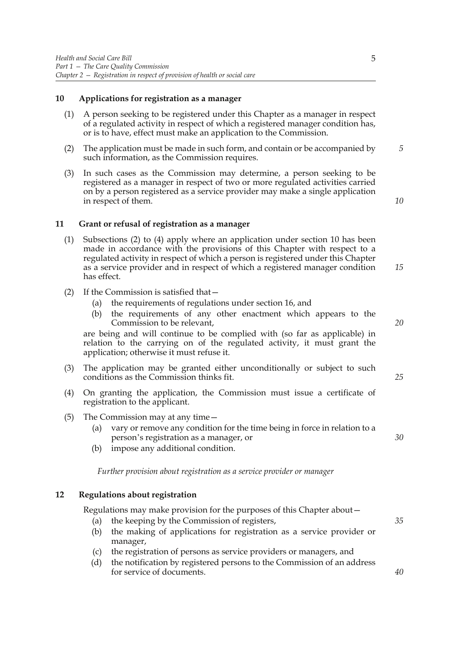## **10 Applications for registration as a manager**

- (1) A person seeking to be registered under this Chapter as a manager in respect of a regulated activity in respect of which a registered manager condition has, or is to have, effect must make an application to the Commission.
- (2) The application must be made in such form, and contain or be accompanied by such information, as the Commission requires.
- (3) In such cases as the Commission may determine, a person seeking to be registered as a manager in respect of two or more regulated activities carried on by a person registered as a service provider may make a single application in respect of them.

*10*

*20*

*25*

*30*

*35*

*40*

*5*

## **11 Grant or refusal of registration as a manager**

- (1) Subsections (2) to (4) apply where an application under section 10 has been made in accordance with the provisions of this Chapter with respect to a regulated activity in respect of which a person is registered under this Chapter as a service provider and in respect of which a registered manager condition has effect. *15*
- (2) If the Commission is satisfied that—
	- (a) the requirements of regulations under section 16, and
	- (b) the requirements of any other enactment which appears to the Commission to be relevant,

are being and will continue to be complied with (so far as applicable) in relation to the carrying on of the regulated activity, it must grant the application; otherwise it must refuse it.

- (3) The application may be granted either unconditionally or subject to such conditions as the Commission thinks fit.
- (4) On granting the application, the Commission must issue a certificate of registration to the applicant.
- (5) The Commission may at any time—
	- (a) vary or remove any condition for the time being in force in relation to a person's registration as a manager, or
	- (b) impose any additional condition.

*Further provision about registration as a service provider or manager*

## **12 Regulations about registration**

Regulations may make provision for the purposes of this Chapter about—

- (a) the keeping by the Commission of registers,
- (b) the making of applications for registration as a service provider or manager,
- (c) the registration of persons as service providers or managers, and
- (d) the notification by registered persons to the Commission of an address for service of documents.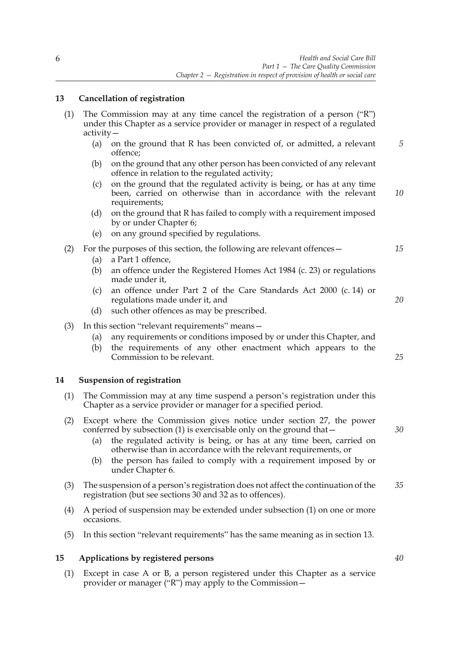## **13 Cancellation of registration**

| (1) | The Commission may at any time cancel the registration of a person ("R")<br>under this Chapter as a service provider or manager in respect of a regulated<br>activity – |                                                                                                                                                                                                                                                                                                                                                                                 |    |  |  |
|-----|-------------------------------------------------------------------------------------------------------------------------------------------------------------------------|---------------------------------------------------------------------------------------------------------------------------------------------------------------------------------------------------------------------------------------------------------------------------------------------------------------------------------------------------------------------------------|----|--|--|
|     | (a)                                                                                                                                                                     | on the ground that R has been convicted of, or admitted, a relevant<br>offence;                                                                                                                                                                                                                                                                                                 |    |  |  |
|     | on the ground that any other person has been convicted of any relevant<br>(b)<br>offence in relation to the regulated activity;                                         |                                                                                                                                                                                                                                                                                                                                                                                 |    |  |  |
|     | (c)                                                                                                                                                                     | on the ground that the regulated activity is being, or has at any time<br>been, carried on otherwise than in accordance with the relevant<br>requirements;                                                                                                                                                                                                                      | 10 |  |  |
|     | (d)                                                                                                                                                                     | on the ground that R has failed to comply with a requirement imposed<br>by or under Chapter 6;                                                                                                                                                                                                                                                                                  |    |  |  |
|     | (e)                                                                                                                                                                     | on any ground specified by regulations.                                                                                                                                                                                                                                                                                                                                         |    |  |  |
| (2) | For the purposes of this section, the following are relevant offences –<br>a Part 1 offence,                                                                            | 15                                                                                                                                                                                                                                                                                                                                                                              |    |  |  |
|     | (b)                                                                                                                                                                     | an offence under the Registered Homes Act 1984 (c. 23) or regulations<br>made under it,                                                                                                                                                                                                                                                                                         |    |  |  |
|     | (c)                                                                                                                                                                     | an offence under Part 2 of the Care Standards Act 2000 (c. 14) or<br>regulations made under it, and                                                                                                                                                                                                                                                                             | 20 |  |  |
|     | (d)                                                                                                                                                                     | such other offences as may be prescribed.                                                                                                                                                                                                                                                                                                                                       |    |  |  |
| (3) | In this section "relevant requirements" means -                                                                                                                         |                                                                                                                                                                                                                                                                                                                                                                                 |    |  |  |
|     | (a)<br>(b)                                                                                                                                                              | any requirements or conditions imposed by or under this Chapter, and<br>the requirements of any other enactment which appears to the<br>Commission to be relevant.                                                                                                                                                                                                              | 25 |  |  |
| 14  |                                                                                                                                                                         | <b>Suspension of registration</b>                                                                                                                                                                                                                                                                                                                                               |    |  |  |
| (1) | The Commission may at any time suspend a person's registration under this<br>Chapter as a service provider or manager for a specified period.                           |                                                                                                                                                                                                                                                                                                                                                                                 |    |  |  |
| (2) | (a)<br>(b)                                                                                                                                                              | Except where the Commission gives notice under section 27, the power<br>conferred by subsection (1) is exercisable only on the ground that -<br>the regulated activity is being, or has at any time been, carried on<br>otherwise than in accordance with the relevant requirements, or<br>the person has failed to comply with a requirement imposed by or<br>under Chapter 6. | 30 |  |  |
|     |                                                                                                                                                                         |                                                                                                                                                                                                                                                                                                                                                                                 |    |  |  |

- (3) The suspension of a person's registration does not affect the continuation of the registration (but see sections 30 and 32 as to offences). *35*
- (4) A period of suspension may be extended under subsection (1) on one or more occasions.
- (5) In this section "relevant requirements" has the same meaning as in section 13.

## **15 Applications by registered persons**

(1) Except in case A or B, a person registered under this Chapter as a service provider or manager ("R") may apply to the Commission—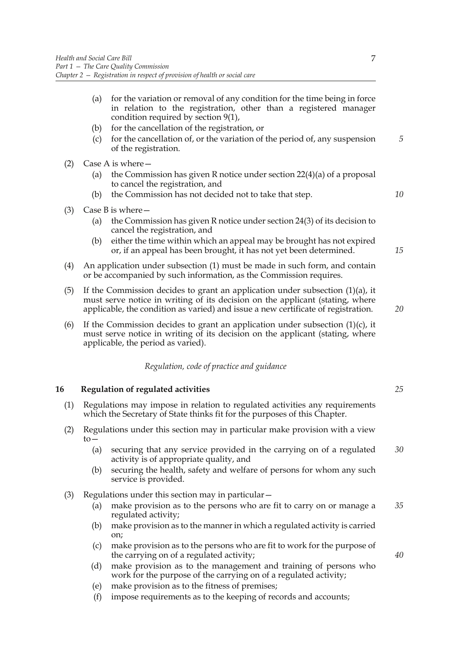- (a) for the variation or removal of any condition for the time being in force in relation to the registration, other than a registered manager condition required by section 9(1),
- (b) for the cancellation of the registration, or
- (c) for the cancellation of, or the variation of the period of, any suspension of the registration.
- (2) Case A is where—
	- (a) the Commission has given R notice under section 22(4)(a) of a proposal to cancel the registration, and
	- (b) the Commission has not decided not to take that step.
- (3) Case B is where—
	- (a) the Commission has given R notice under section 24(3) of its decision to cancel the registration, and
	- (b) either the time within which an appeal may be brought has not expired or, if an appeal has been brought, it has not yet been determined.
- (4) An application under subsection (1) must be made in such form, and contain or be accompanied by such information, as the Commission requires.
- (5) If the Commission decides to grant an application under subsection  $(1)(a)$ , it must serve notice in writing of its decision on the applicant (stating, where applicable, the condition as varied) and issue a new certificate of registration.
- (6) If the Commission decides to grant an application under subsection  $(1)(c)$ , it must serve notice in writing of its decision on the applicant (stating, where applicable, the period as varied).

## *Regulation, code of practice and guidance*

## **16 Regulation of regulated activities**

- (1) Regulations may impose in relation to regulated activities any requirements which the Secretary of State thinks fit for the purposes of this Chapter.
- (2) Regulations under this section may in particular make provision with a view  $to-$ 
	- (a) securing that any service provided in the carrying on of a regulated activity is of appropriate quality, and *30*
	- (b) securing the health, safety and welfare of persons for whom any such service is provided.
- (3) Regulations under this section may in particular—
	- (a) make provision as to the persons who are fit to carry on or manage a regulated activity; *35*
	- (b) make provision as to the manner in which a regulated activity is carried on;
	- (c) make provision as to the persons who are fit to work for the purpose of the carrying on of a regulated activity;
	- (d) make provision as to the management and training of persons who work for the purpose of the carrying on of a regulated activity;
	- (e) make provision as to the fitness of premises;
	- (f) impose requirements as to the keeping of records and accounts;

*5*

*10*

*15*

*20*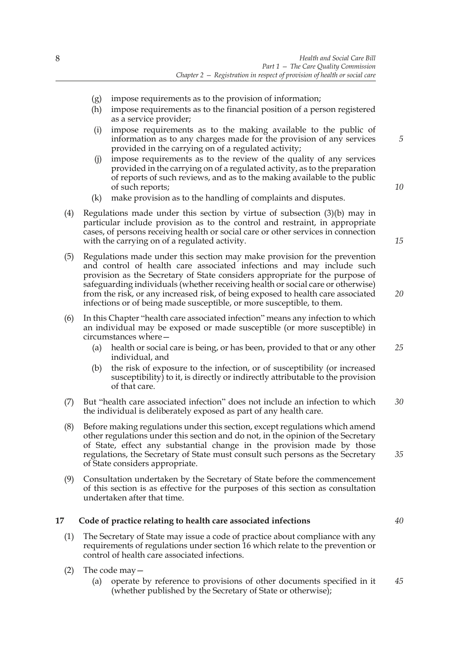- (g) impose requirements as to the provision of information;
- (h) impose requirements as to the financial position of a person registered as a service provider;
- (i) impose requirements as to the making available to the public of information as to any charges made for the provision of any services provided in the carrying on of a regulated activity;
- (j) impose requirements as to the review of the quality of any services provided in the carrying on of a regulated activity, as to the preparation of reports of such reviews, and as to the making available to the public of such reports;
- (k) make provision as to the handling of complaints and disputes.
- (4) Regulations made under this section by virtue of subsection (3)(b) may in particular include provision as to the control and restraint, in appropriate cases, of persons receiving health or social care or other services in connection with the carrying on of a regulated activity.
- (5) Regulations made under this section may make provision for the prevention and control of health care associated infections and may include such provision as the Secretary of State considers appropriate for the purpose of safeguarding individuals (whether receiving health or social care or otherwise) from the risk, or any increased risk, of being exposed to health care associated infections or of being made susceptible, or more susceptible, to them.
- (6) In this Chapter "health care associated infection" means any infection to which an individual may be exposed or made susceptible (or more susceptible) in circumstances where—
	- (a) health or social care is being, or has been, provided to that or any other individual, and *25*
	- (b) the risk of exposure to the infection, or of susceptibility (or increased susceptibility) to it, is directly or indirectly attributable to the provision of that care.
- (7) But "health care associated infection" does not include an infection to which the individual is deliberately exposed as part of any health care. *30*
- (8) Before making regulations under this section, except regulations which amend other regulations under this section and do not, in the opinion of the Secretary of State, effect any substantial change in the provision made by those regulations, the Secretary of State must consult such persons as the Secretary of State considers appropriate.
- (9) Consultation undertaken by the Secretary of State before the commencement of this section is as effective for the purposes of this section as consultation undertaken after that time.

## **17 Code of practice relating to health care associated infections**

- (1) The Secretary of State may issue a code of practice about compliance with any requirements of regulations under section 16 which relate to the prevention or control of health care associated infections.
- (2) The code may—
	- (a) operate by reference to provisions of other documents specified in it (whether published by the Secretary of State or otherwise); *45*

*10*

*15*

*20*

*35*

*40*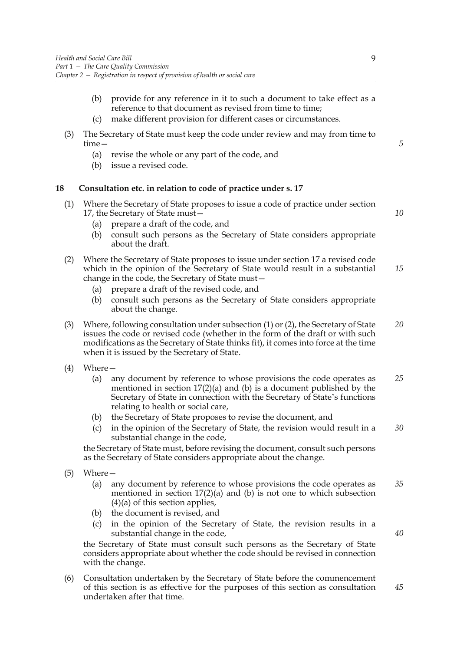- (b) provide for any reference in it to such a document to take effect as a reference to that document as revised from time to time;
- (c) make different provision for different cases or circumstances.
- (3) The Secretary of State must keep the code under review and may from time to time—
	- (a) revise the whole or any part of the code, and
	- (b) issue a revised code.

## **18 Consultation etc. in relation to code of practice under s. 17**

| (1) | Where the Secretary of State proposes to issue a code of practice under section |                                                                                          |    |  |
|-----|---------------------------------------------------------------------------------|------------------------------------------------------------------------------------------|----|--|
|     |                                                                                 | 17, the Secretary of State must-                                                         | 10 |  |
|     | (a)                                                                             | prepare a draft of the code, and                                                         |    |  |
|     | (b)                                                                             | consult such persons as the Secretary of State considers appropriate<br>about the draft. |    |  |
|     |                                                                                 |                                                                                          |    |  |

- (2) Where the Secretary of State proposes to issue under section 17 a revised code which in the opinion of the Secretary of State would result in a substantial change in the code, the Secretary of State must— *15*
	- (a) prepare a draft of the revised code, and
	- (b) consult such persons as the Secretary of State considers appropriate about the change.
- (3) Where, following consultation under subsection (1) or (2), the Secretary of State issues the code or revised code (whether in the form of the draft or with such modifications as the Secretary of State thinks fit), it comes into force at the time when it is issued by the Secretary of State. *20*
- (4) Where—
	- (a) any document by reference to whose provisions the code operates as mentioned in section 17(2)(a) and (b) is a document published by the Secretary of State in connection with the Secretary of State's functions relating to health or social care, *25*
	- (b) the Secretary of State proposes to revise the document, and
	- (c) in the opinion of the Secretary of State, the revision would result in a substantial change in the code, *30*

the Secretary of State must, before revising the document, consult such persons as the Secretary of State considers appropriate about the change.

- (5) Where—
	- (a) any document by reference to whose provisions the code operates as mentioned in section  $17(2)(a)$  and (b) is not one to which subsection (4)(a) of this section applies, *35*
	- (b) the document is revised, and
	- (c) in the opinion of the Secretary of State, the revision results in a substantial change in the code,

the Secretary of State must consult such persons as the Secretary of State considers appropriate about whether the code should be revised in connection with the change.

(6) Consultation undertaken by the Secretary of State before the commencement of this section is as effective for the purposes of this section as consultation undertaken after that time. *45*

*5*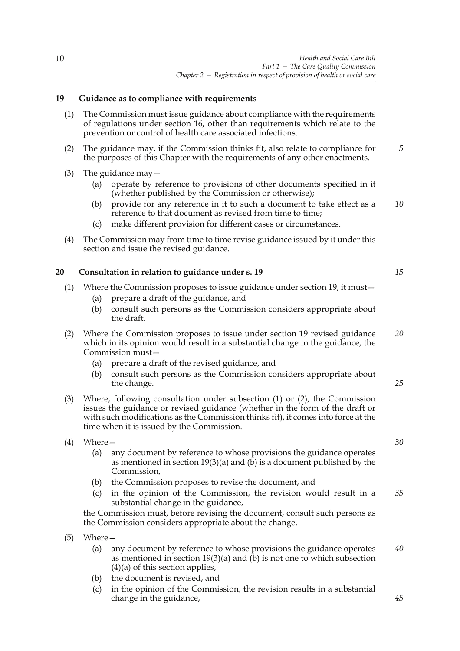## **19 Guidance as to compliance with requirements**

- (1) The Commission must issue guidance about compliance with the requirements of regulations under section 16, other than requirements which relate to the prevention or control of health care associated infections.
- (2) The guidance may, if the Commission thinks fit, also relate to compliance for the purposes of this Chapter with the requirements of any other enactments. *5*
- (3) The guidance may—
	- (a) operate by reference to provisions of other documents specified in it (whether published by the Commission or otherwise);
	- (b) provide for any reference in it to such a document to take effect as a reference to that document as revised from time to time; *10*
	- (c) make different provision for different cases or circumstances.
- (4) The Commission may from time to time revise guidance issued by it under this section and issue the revised guidance.

## **20 Consultation in relation to guidance under s. 19**

- (1) Where the Commission proposes to issue guidance under section 19, it must—
	- (a) prepare a draft of the guidance, and
	- (b) consult such persons as the Commission considers appropriate about the draft.
- (2) Where the Commission proposes to issue under section 19 revised guidance which in its opinion would result in a substantial change in the guidance, the Commission must— *20*
	- (a) prepare a draft of the revised guidance, and
	- (b) consult such persons as the Commission considers appropriate about the change.
- (3) Where, following consultation under subsection (1) or (2), the Commission issues the guidance or revised guidance (whether in the form of the draft or with such modifications as the Commission thinks fit), it comes into force at the time when it is issued by the Commission.
- (4) Where—
	- (a) any document by reference to whose provisions the guidance operates as mentioned in section  $19(3)(a)$  and  $(b)$  is a document published by the Commission,
	- (b) the Commission proposes to revise the document, and
	- (c) in the opinion of the Commission, the revision would result in a substantial change in the guidance, *35*

the Commission must, before revising the document, consult such persons as the Commission considers appropriate about the change.

- (5) Where—
	- (a) any document by reference to whose provisions the guidance operates as mentioned in section  $19(3)(a)$  and  $(b)$  is not one to which subsection  $(4)(a)$  of this section applies, *40*
	- (b) the document is revised, and
	- (c) in the opinion of the Commission, the revision results in a substantial change in the guidance,

*30*

*45*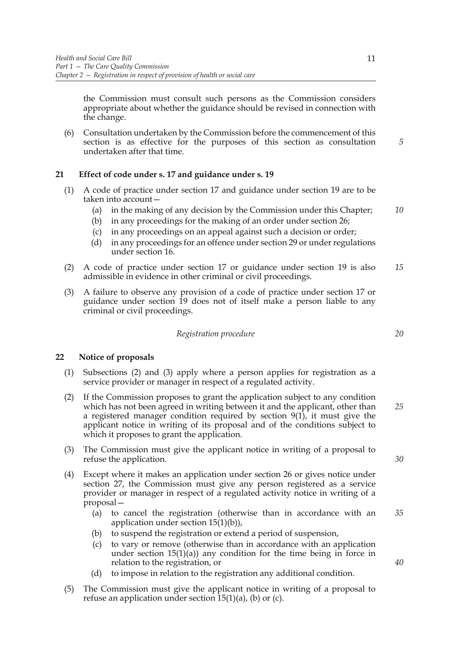the Commission must consult such persons as the Commission considers appropriate about whether the guidance should be revised in connection with the change.

(6) Consultation undertaken by the Commission before the commencement of this section is as effective for the purposes of this section as consultation undertaken after that time.

## **21 Effect of code under s. 17 and guidance under s. 19**

- (1) A code of practice under section 17 and guidance under section 19 are to be taken into account—
	- (a) in the making of any decision by the Commission under this Chapter;
	- (b) in any proceedings for the making of an order under section 26;
	- (c) in any proceedings on an appeal against such a decision or order;
	- (d) in any proceedings for an offence under section 29 or under regulations under section 16.
- (2) A code of practice under section 17 or guidance under section 19 is also admissible in evidence in other criminal or civil proceedings. *15*
- (3) A failure to observe any provision of a code of practice under section 17 or guidance under section 19 does not of itself make a person liable to any criminal or civil proceedings.

*Registration procedure*

## **22 Notice of proposals**

- (1) Subsections (2) and (3) apply where a person applies for registration as a service provider or manager in respect of a regulated activity.
- (2) If the Commission proposes to grant the application subject to any condition which has not been agreed in writing between it and the applicant, other than a registered manager condition required by section 9(1), it must give the applicant notice in writing of its proposal and of the conditions subject to which it proposes to grant the application.
- (3) The Commission must give the applicant notice in writing of a proposal to refuse the application.
- (4) Except where it makes an application under section 26 or gives notice under section 27, the Commission must give any person registered as a service provider or manager in respect of a regulated activity notice in writing of a proposal—
	- (a) to cancel the registration (otherwise than in accordance with an application under section 15(1)(b)), *35*
	- (b) to suspend the registration or extend a period of suspension,
	- (c) to vary or remove (otherwise than in accordance with an application under section  $15(1)(a)$  any condition for the time being in force in relation to the registration, or
	- (d) to impose in relation to the registration any additional condition.
- (5) The Commission must give the applicant notice in writing of a proposal to refuse an application under section  $15(1)(a)$ , (b) or (c).

*30*

*25*

*20*

*5*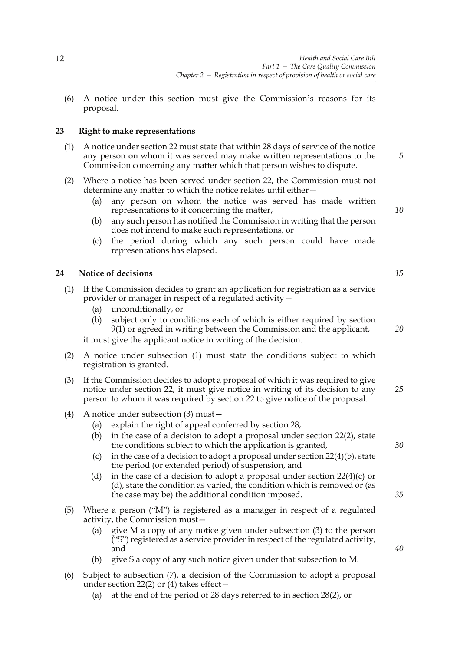(6) A notice under this section must give the Commission's reasons for its proposal.

## **23 Right to make representations**

- (1) A notice under section 22 must state that within 28 days of service of the notice any person on whom it was served may make written representations to the Commission concerning any matter which that person wishes to dispute.
- (2) Where a notice has been served under section 22, the Commission must not determine any matter to which the notice relates until either—
	- (a) any person on whom the notice was served has made written representations to it concerning the matter,
	- (b) any such person has notified the Commission in writing that the person does not intend to make such representations, or
	- (c) the period during which any such person could have made representations has elapsed.

## **24 Notice of decisions**

- (1) If the Commission decides to grant an application for registration as a service provider or manager in respect of a regulated activity—
	- (a) unconditionally, or
	- (b) subject only to conditions each of which is either required by section 9(1) or agreed in writing between the Commission and the applicant,

it must give the applicant notice in writing of the decision.

- (2) A notice under subsection (1) must state the conditions subject to which registration is granted.
- (3) If the Commission decides to adopt a proposal of which it was required to give notice under section 22, it must give notice in writing of its decision to any person to whom it was required by section 22 to give notice of the proposal.
- (4) A notice under subsection (3) must—
	- (a) explain the right of appeal conferred by section 28,
	- (b) in the case of a decision to adopt a proposal under section 22(2), state the conditions subject to which the application is granted,
	- (c) in the case of a decision to adopt a proposal under section 22(4)(b), state the period (or extended period) of suspension, and
	- (d) in the case of a decision to adopt a proposal under section  $22(4)(c)$  or (d), state the condition as varied, the condition which is removed or (as the case may be) the additional condition imposed.
- (5) Where a person ("M") is registered as a manager in respect of a regulated activity, the Commission must—
	- (a) give M a copy of any notice given under subsection (3) to the person ("S") registered as a service provider in respect of the regulated activity, and
	- (b) give S a copy of any such notice given under that subsection to M.
- (6) Subject to subsection (7), a decision of the Commission to adopt a proposal under section 22(2) or (4) takes effect—
	- (a) at the end of the period of 28 days referred to in section 28(2), or

*10*

*5*

*20*

*15*

*25*

*30*

*35*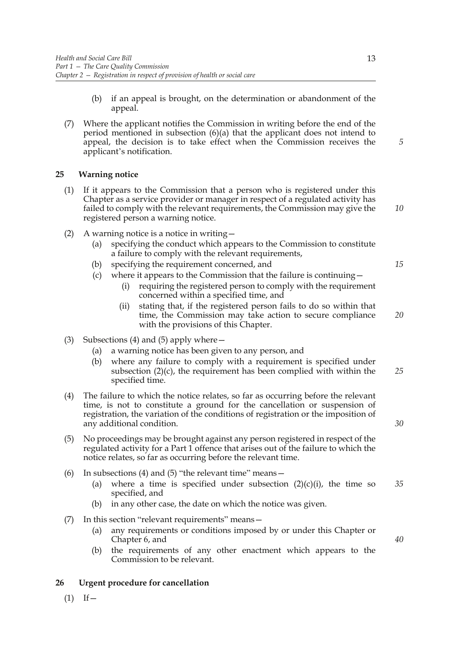- (b) if an appeal is brought, on the determination or abandonment of the appeal.
- (7) Where the applicant notifies the Commission in writing before the end of the period mentioned in subsection (6)(a) that the applicant does not intend to appeal, the decision is to take effect when the Commission receives the applicant's notification.

## **25 Warning notice**

- (1) If it appears to the Commission that a person who is registered under this Chapter as a service provider or manager in respect of a regulated activity has failed to comply with the relevant requirements, the Commission may give the registered person a warning notice.
- (2) A warning notice is a notice in writing—
	- (a) specifying the conduct which appears to the Commission to constitute a failure to comply with the relevant requirements,
	- (b) specifying the requirement concerned, and
	- (c) where it appears to the Commission that the failure is continuing—
		- (i) requiring the registered person to comply with the requirement concerned within a specified time, and
		- (ii) stating that, if the registered person fails to do so within that time, the Commission may take action to secure compliance with the provisions of this Chapter. *20*
- (3) Subsections (4) and (5) apply where  $-$ 
	- (a) a warning notice has been given to any person, and
	- (b) where any failure to comply with a requirement is specified under subsection (2)(c), the requirement has been complied with within the specified time. *25*
- (4) The failure to which the notice relates, so far as occurring before the relevant time, is not to constitute a ground for the cancellation or suspension of registration, the variation of the conditions of registration or the imposition of any additional condition.
- (5) No proceedings may be brought against any person registered in respect of the regulated activity for a Part 1 offence that arises out of the failure to which the notice relates, so far as occurring before the relevant time.
- (6) In subsections (4) and (5) "the relevant time" means  $-$ 
	- (a) where a time is specified under subsection  $(2)(c)(i)$ , the time so specified, and *35*
	- (b) in any other case, the date on which the notice was given.
- (7) In this section "relevant requirements" means—
	- (a) any requirements or conditions imposed by or under this Chapter or Chapter 6, and
	- (b) the requirements of any other enactment which appears to the Commission to be relevant.

## **26 Urgent procedure for cancellation**

 $(1)$  If  $-$ 

*5*

*10*

*15*

*30*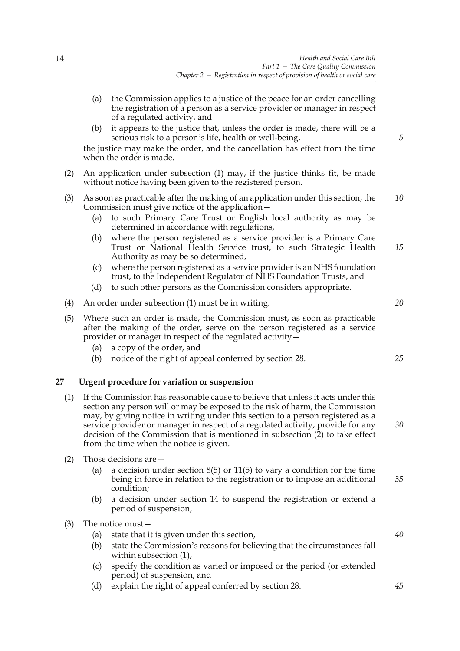- (a) the Commission applies to a justice of the peace for an order cancelling the registration of a person as a service provider or manager in respect of a regulated activity, and
- (b) it appears to the justice that, unless the order is made, there will be a serious risk to a person's life, health or well-being,

the justice may make the order, and the cancellation has effect from the time when the order is made.

- (2) An application under subsection (1) may, if the justice thinks fit, be made without notice having been given to the registered person.
- (3) As soon as practicable after the making of an application under this section, the Commission must give notice of the application— *10*
	- (a) to such Primary Care Trust or English local authority as may be determined in accordance with regulations,
	- (b) where the person registered as a service provider is a Primary Care Trust or National Health Service trust, to such Strategic Health Authority as may be so determined,
	- (c) where the person registered as a service provider is an NHS foundation trust, to the Independent Regulator of NHS Foundation Trusts, and
	- (d) to such other persons as the Commission considers appropriate.
- (4) An order under subsection (1) must be in writing.
- (5) Where such an order is made, the Commission must, as soon as practicable after the making of the order, serve on the person registered as a service provider or manager in respect of the regulated activity—
	- (a) a copy of the order, and
	- (b) notice of the right of appeal conferred by section 28.

## **27 Urgent procedure for variation or suspension**

- (1) If the Commission has reasonable cause to believe that unless it acts under this section any person will or may be exposed to the risk of harm, the Commission may, by giving notice in writing under this section to a person registered as a service provider or manager in respect of a regulated activity, provide for any decision of the Commission that is mentioned in subsection (2) to take effect from the time when the notice is given. *30*
- (2) Those decisions are—
	- (a) a decision under section  $8(5)$  or  $11(5)$  to vary a condition for the time being in force in relation to the registration or to impose an additional condition; *35*
	- (b) a decision under section 14 to suspend the registration or extend a period of suspension,
- (3) The notice must—
	- (a) state that it is given under this section,
	- (b) state the Commission's reasons for believing that the circumstances fall within subsection (1),
	- (c) specify the condition as varied or imposed or the period (or extended period) of suspension, and
	- (d) explain the right of appeal conferred by section 28.

*20*

*15*

*5*

*25*

*40*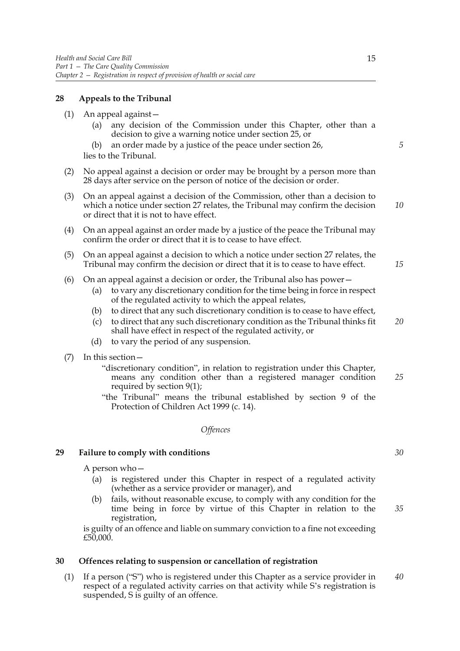## **28 Appeals to the Tribunal**

| (1) | An appeal against — |
|-----|---------------------|
|-----|---------------------|

- (a) any decision of the Commission under this Chapter, other than a decision to give a warning notice under section 25, or
- an order made by a justice of the peace under section 26, lies to the Tribunal.
- (2) No appeal against a decision or order may be brought by a person more than 28 days after service on the person of notice of the decision or order.
- (3) On an appeal against a decision of the Commission, other than a decision to which a notice under section 27 relates, the Tribunal may confirm the decision or direct that it is not to have effect. *10*
- (4) On an appeal against an order made by a justice of the peace the Tribunal may confirm the order or direct that it is to cease to have effect.
- (5) On an appeal against a decision to which a notice under section 27 relates, the Tribunal may confirm the decision or direct that it is to cease to have effect.
- (6) On an appeal against a decision or order, the Tribunal also has power—
	- (a) to vary any discretionary condition for the time being in force in respect of the regulated activity to which the appeal relates,
	- (b) to direct that any such discretionary condition is to cease to have effect,
	- (c) to direct that any such discretionary condition as the Tribunal thinks fit shall have effect in respect of the regulated activity, or
	- (d) to vary the period of any suspension.
- (7) In this section—
	- "discretionary condition", in relation to registration under this Chapter, means any condition other than a registered manager condition required by section 9(1); *25*
	- "the Tribunal" means the tribunal established by section 9 of the Protection of Children Act 1999 (c. 14).

#### *Offences*

## **29 Failure to comply with conditions**

A person who—

- (a) is registered under this Chapter in respect of a regulated activity (whether as a service provider or manager), and
- (b) fails, without reasonable excuse, to comply with any condition for the time being in force by virtue of this Chapter in relation to the registration, *35*

is guilty of an offence and liable on summary conviction to a fine not exceeding £50,000.

## **30 Offences relating to suspension or cancellation of registration**

(1) If a person ("S") who is registered under this Chapter as a service provider in respect of a regulated activity carries on that activity while S's registration is suspended, S is guilty of an offence. *40*

*5*

*15*

*20*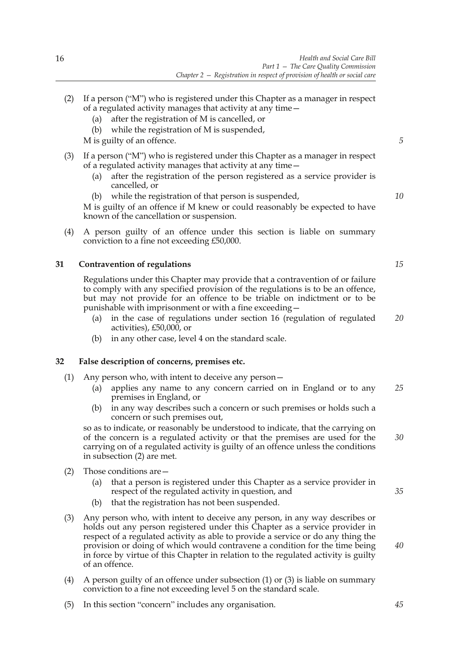- (a) after the registration of M is cancelled, or
- (b) while the registration of M is suspended,

M is guilty of an offence.

## (3) If a person ("M") who is registered under this Chapter as a manager in respect of a regulated activity manages that activity at any time—

- (a) after the registration of the person registered as a service provider is cancelled, or
- (b) while the registration of that person is suspended,

M is guilty of an offence if M knew or could reasonably be expected to have known of the cancellation or suspension.

(4) A person guilty of an offence under this section is liable on summary conviction to a fine not exceeding £50,000.

## **31 Contravention of regulations**

Regulations under this Chapter may provide that a contravention of or failure to comply with any specified provision of the regulations is to be an offence, but may not provide for an offence to be triable on indictment or to be punishable with imprisonment or with a fine exceeding—

- (a) in the case of regulations under section 16 (regulation of regulated activities), £50,000, or *20*
- (b) in any other case, level 4 on the standard scale.

## **32 False description of concerns, premises etc.**

- (1) Any person who, with intent to deceive any person—
	- (a) applies any name to any concern carried on in England or to any premises in England, or *25*
	- (b) in any way describes such a concern or such premises or holds such a concern or such premises out,

so as to indicate, or reasonably be understood to indicate, that the carrying on of the concern is a regulated activity or that the premises are used for the carrying on of a regulated activity is guilty of an offence unless the conditions in subsection (2) are met. *30*

- (2) Those conditions are—
	- (a) that a person is registered under this Chapter as a service provider in respect of the regulated activity in question, and
	- (b) that the registration has not been suspended.
- (3) Any person who, with intent to deceive any person, in any way describes or holds out any person registered under this Chapter as a service provider in respect of a regulated activity as able to provide a service or do any thing the provision or doing of which would contravene a condition for the time being in force by virtue of this Chapter in relation to the regulated activity is guilty of an offence.
- (4) A person guilty of an offence under subsection (1) or (3) is liable on summary conviction to a fine not exceeding level 5 on the standard scale.
- (5) In this section "concern" includes any organisation.

*10*

*5*

*15*

*35*

*40*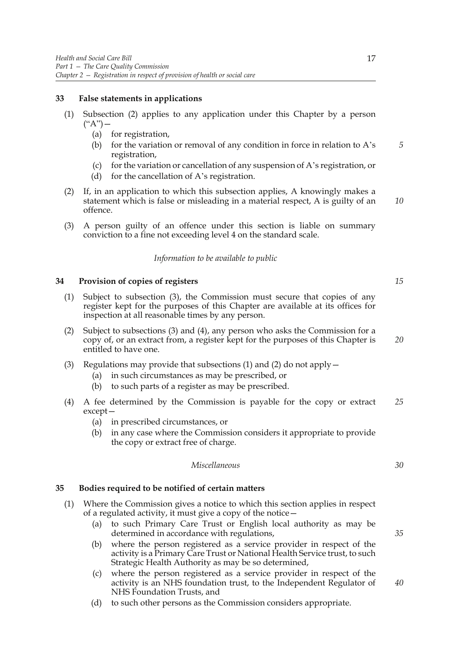## **33 False statements in applications**

- (1) Subsection (2) applies to any application under this Chapter by a person  $(*A") -$ 
	- (a) for registration,
	- (b) for the variation or removal of any condition in force in relation to A's registration, *5*
	- (c) for the variation or cancellation of any suspension of A's registration, or
	- (d) for the cancellation of A's registration.
- (2) If, in an application to which this subsection applies, A knowingly makes a statement which is false or misleading in a material respect, A is guilty of an offence. *10*
- (3) A person guilty of an offence under this section is liable on summary conviction to a fine not exceeding level 4 on the standard scale.

## *Information to be available to public*

#### **34 Provision of copies of registers**

- (1) Subject to subsection (3), the Commission must secure that copies of any register kept for the purposes of this Chapter are available at its offices for inspection at all reasonable times by any person.
- (2) Subject to subsections (3) and (4), any person who asks the Commission for a copy of, or an extract from, a register kept for the purposes of this Chapter is entitled to have one. *20*
- (3) Regulations may provide that subsections (1) and (2) do not apply  $-$ 
	- (a) in such circumstances as may be prescribed, or
		- (b) to such parts of a register as may be prescribed.
- (4) A fee determined by the Commission is payable for the copy or extract except— *25*
	- (a) in prescribed circumstances, or
	- (b) in any case where the Commission considers it appropriate to provide the copy or extract free of charge.

## *Miscellaneous*

## **35 Bodies required to be notified of certain matters**

- (1) Where the Commission gives a notice to which this section applies in respect of a regulated activity, it must give a copy of the notice—
	- (a) to such Primary Care Trust or English local authority as may be determined in accordance with regulations,
	- (b) where the person registered as a service provider in respect of the activity is a Primary Care Trust or National Health Service trust, to such Strategic Health Authority as may be so determined,
	- (c) where the person registered as a service provider in respect of the activity is an NHS foundation trust, to the Independent Regulator of NHS Foundation Trusts, and
	- (d) to such other persons as the Commission considers appropriate.

*35*

*40*

*30*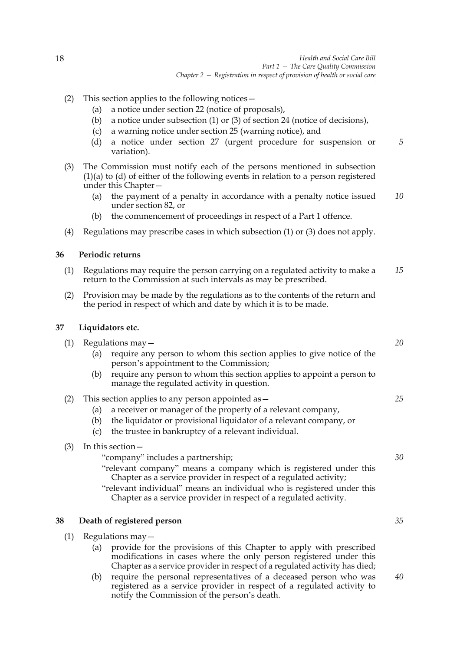- (2) This section applies to the following notices—
	- (a) a notice under section 22 (notice of proposals),
	- (b) a notice under subsection (1) or (3) of section 24 (notice of decisions),
	- (c) a warning notice under section 25 (warning notice), and
	- (d) a notice under section 27 (urgent procedure for suspension or variation). *5*
- (3) The Commission must notify each of the persons mentioned in subsection (1)(a) to (d) of either of the following events in relation to a person registered under this Chapter—
	- (a) the payment of a penalty in accordance with a penalty notice issued under section 82, or *10*
	- (b) the commencement of proceedings in respect of a Part 1 offence.
- (4) Regulations may prescribe cases in which subsection (1) or (3) does not apply.

## **36 Periodic returns**

- (1) Regulations may require the person carrying on a regulated activity to make a return to the Commission at such intervals as may be prescribed. *15*
- (2) Provision may be made by the regulations as to the contents of the return and the period in respect of which and date by which it is to be made.

## **37 Liquidators etc.**

| (1) | Regulations $may -$ |                                                                                                                                             |    |
|-----|---------------------|---------------------------------------------------------------------------------------------------------------------------------------------|----|
|     | (a)                 | require any person to whom this section applies to give notice of the<br>person's appointment to the Commission;                            |    |
|     | (b)                 | require any person to whom this section applies to appoint a person to<br>manage the regulated activity in question.                        |    |
| (2) |                     | This section applies to any person appointed as $-$                                                                                         | 25 |
|     | (a)                 | a receiver or manager of the property of a relevant company,                                                                                |    |
|     | (b)                 | the liquidator or provisional liquidator of a relevant company, or                                                                          |    |
|     | (c)                 | the trustee in bankruptcy of a relevant individual.                                                                                         |    |
| (3) |                     | In this section $-$                                                                                                                         |    |
|     |                     | "company" includes a partnership;                                                                                                           | 30 |
|     |                     | "relevant company" means a company which is registered under this<br>Chapter as a service provider in respect of a regulated activity;      |    |
|     |                     | "relevant individual" means an individual who is registered under this<br>Chapter as a service provider in respect of a regulated activity. |    |

## **38 Death of registered person**

- (1) Regulations may—
	- (a) provide for the provisions of this Chapter to apply with prescribed modifications in cases where the only person registered under this Chapter as a service provider in respect of a regulated activity has died;
	- (b) require the personal representatives of a deceased person who was registered as a service provider in respect of a regulated activity to notify the Commission of the person's death.

*35*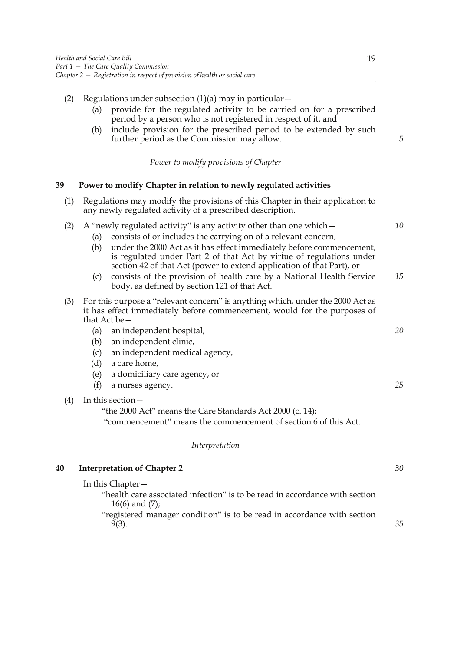(2) Regulations under subsection  $(1)(a)$  may in particular  $-$ (a) provide for the regulated activity to be carried on for a prescribed period by a person who is not registered in respect of it, and (b) include provision for the prescribed period to be extended by such further period as the Commission may allow. *Power to modify provisions of Chapter* **39 Power to modify Chapter in relation to newly regulated activities** (1) Regulations may modify the provisions of this Chapter in their application to any newly regulated activity of a prescribed description. (2) A "newly regulated activity" is any activity other than one which— (a) consists of or includes the carrying on of a relevant concern, (b) under the 2000 Act as it has effect immediately before commencement, is regulated under Part 2 of that Act by virtue of regulations under section 42 of that Act (power to extend application of that Part), or (c) consists of the provision of health care by a National Health Service body, as defined by section 121 of that Act. (3) For this purpose a "relevant concern" is anything which, under the 2000 Act as it has effect immediately before commencement, would for the purposes of that Act be— (a) an independent hospital, (b) an independent clinic, (c) an independent medical agency, (d) a care home, (e) a domiciliary care agency, or (f) a nurses agency. (4) In this section— "the 2000 Act" means the Care Standards Act 2000 (c. 14); "commencement" means the commencement of section 6 of this Act. *Interpretation* **40 Interpretation of Chapter 2** In this Chapter— "health care associated infection" is to be read in accordance with section 16(6) and (7); "registered manager condition" is to be read in accordance with section 9(3). *5 10 15 20 25 30 35*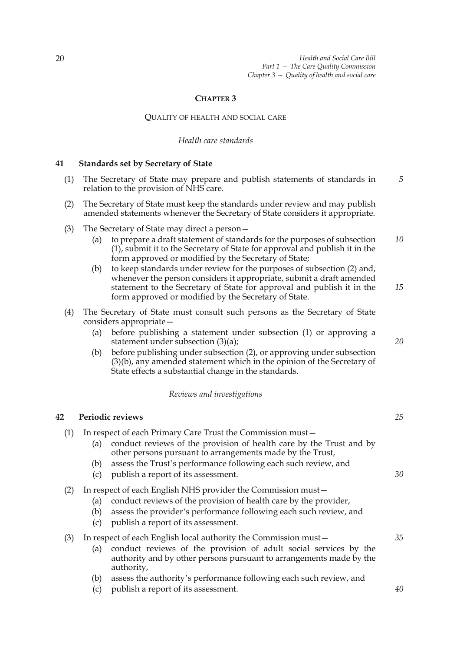## **CHAPTER 3**

#### QUALITY OF HEALTH AND SOCIAL CARE

*Health care standards*

#### **41 Standards set by Secretary of State**

- (1) The Secretary of State may prepare and publish statements of standards in relation to the provision of NHS care. *5*
- (2) The Secretary of State must keep the standards under review and may publish amended statements whenever the Secretary of State considers it appropriate.
- (3) The Secretary of State may direct a person—
	- (a) to prepare a draft statement of standards for the purposes of subsection (1), submit it to the Secretary of State for approval and publish it in the form approved or modified by the Secretary of State; *10*
	- (b) to keep standards under review for the purposes of subsection (2) and, whenever the person considers it appropriate, submit a draft amended statement to the Secretary of State for approval and publish it in the form approved or modified by the Secretary of State. *15*
- (4) The Secretary of State must consult such persons as the Secretary of State considers appropriate—
	- (a) before publishing a statement under subsection (1) or approving a statement under subsection (3)(a);
	- (b) before publishing under subsection (2), or approving under subsection (3)(b), any amended statement which in the opinion of the Secretary of State effects a substantial change in the standards.

#### *Reviews and investigations*

#### **42 Periodic reviews**

| (1) | In respect of each Primary Care Trust the Commission must - |                                                                                                                                                                                                                                              |    |  |
|-----|-------------------------------------------------------------|----------------------------------------------------------------------------------------------------------------------------------------------------------------------------------------------------------------------------------------------|----|--|
|     | (a)                                                         | conduct reviews of the provision of health care by the Trust and by<br>other persons pursuant to arrangements made by the Trust,<br>assess the Trust's performance following each such review, and                                           |    |  |
|     | (b)<br>(c)                                                  | publish a report of its assessment.                                                                                                                                                                                                          | 30 |  |
| (2) | (a)<br>(b)<br>(c)                                           | In respect of each English NHS provider the Commission must-<br>conduct reviews of the provision of health care by the provider,<br>assess the provider's performance following each such review, and<br>publish a report of its assessment. |    |  |
| (3) | (a)                                                         | In respect of each English local authority the Commission must -<br>conduct reviews of the provision of adult social services by the<br>authority and by other persons pursuant to arrangements made by the<br>authority,                    | 35 |  |
|     | (b)                                                         | assess the authority's performance following each such review, and                                                                                                                                                                           |    |  |
|     | (c)                                                         | publish a report of its assessment.                                                                                                                                                                                                          | 40 |  |

*20*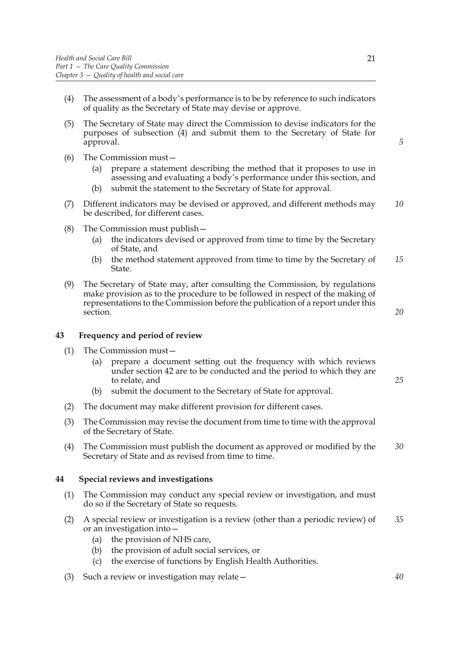- (4) The assessment of a body's performance is to be by reference to such indicators of quality as the Secretary of State may devise or approve.
- (5) The Secretary of State may direct the Commission to devise indicators for the purposes of subsection (4) and submit them to the Secretary of State for approval.
- (6) The Commission must—
	- (a) prepare a statement describing the method that it proposes to use in assessing and evaluating a body's performance under this section, and
	- (b) submit the statement to the Secretary of State for approval.
- (7) Different indicators may be devised or approved, and different methods may be described, for different cases. *10*
- (8) The Commission must publish—
	- (a) the indicators devised or approved from time to time by the Secretary of State, and
	- (b) the method statement approved from time to time by the Secretary of State. *15*
- (9) The Secretary of State may, after consulting the Commission, by regulations make provision as to the procedure to be followed in respect of the making of representations to the Commission before the publication of a report under this section.

## **43 Frequency and period of review**

- (1) The Commission must—
	- (a) prepare a document setting out the frequency with which reviews under section 42 are to be conducted and the period to which they are to relate, and
	- (b) submit the document to the Secretary of State for approval.
- (2) The document may make different provision for different cases.
- (3) The Commission may revise the document from time to time with the approval of the Secretary of State.
- (4) The Commission must publish the document as approved or modified by the Secretary of State and as revised from time to time. *30*

## **44 Special reviews and investigations**

- (1) The Commission may conduct any special review or investigation, and must do so if the Secretary of State so requests.
- (2) A special review or investigation is a review (other than a periodic review) of or an investigation into— *35*
	- (a) the provision of NHS care,
	- (b) the provision of adult social services, or
	- (c) the exercise of functions by English Health Authorities.
- (3) Such a review or investigation may relate—

*20*

*25*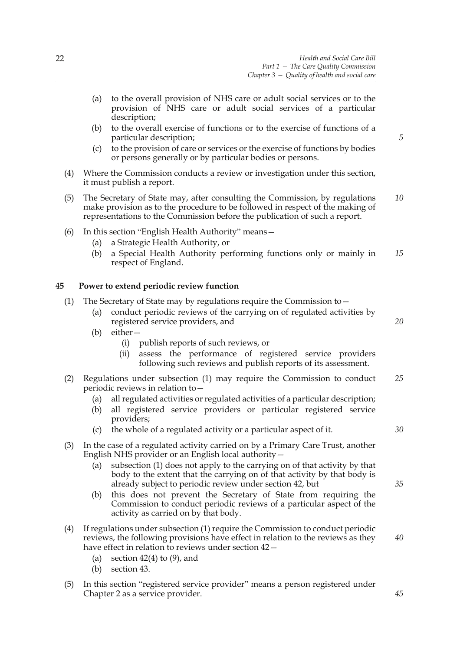- (a) to the overall provision of NHS care or adult social services or to the provision of NHS care or adult social services of a particular description;
- (b) to the overall exercise of functions or to the exercise of functions of a particular description;
- (c) to the provision of care or services or the exercise of functions by bodies or persons generally or by particular bodies or persons.
- (4) Where the Commission conducts a review or investigation under this section, it must publish a report.
- (5) The Secretary of State may, after consulting the Commission, by regulations make provision as to the procedure to be followed in respect of the making of representations to the Commission before the publication of such a report. *10*
- (6) In this section "English Health Authority" means—
	- (a) a Strategic Health Authority, or
	- (b) a Special Health Authority performing functions only or mainly in respect of England. *15*

## **45 Power to extend periodic review function**

|  |  |  | (1) The Secretary of State may by regulations require the Commission to $-$ |
|--|--|--|-----------------------------------------------------------------------------|
|  |  |  |                                                                             |

- (a) conduct periodic reviews of the carrying on of regulated activities by registered service providers, and
- (b) either—
	- (i) publish reports of such reviews, or
	- (ii) assess the performance of registered service providers following such reviews and publish reports of its assessment.
- (2) Regulations under subsection (1) may require the Commission to conduct periodic reviews in relation to— *25*
	- (a) all regulated activities or regulated activities of a particular description;
	- (b) all registered service providers or particular registered service providers;
	- (c) the whole of a regulated activity or a particular aspect of it.
- (3) In the case of a regulated activity carried on by a Primary Care Trust, another English NHS provider or an English local authority—
	- (a) subsection (1) does not apply to the carrying on of that activity by that body to the extent that the carrying on of that activity by that body is already subject to periodic review under section 42, but
	- (b) this does not prevent the Secretary of State from requiring the Commission to conduct periodic reviews of a particular aspect of the activity as carried on by that body.
- (4) If regulations under subsection (1) require the Commission to conduct periodic reviews, the following provisions have effect in relation to the reviews as they have effect in relation to reviews under section 42—
	- (a) section  $42(4)$  to  $(9)$ , and
	- (b) section 43.
- (5) In this section "registered service provider" means a person registered under Chapter 2 as a service provider.

*45*

*5*

*20*

*30*

*35*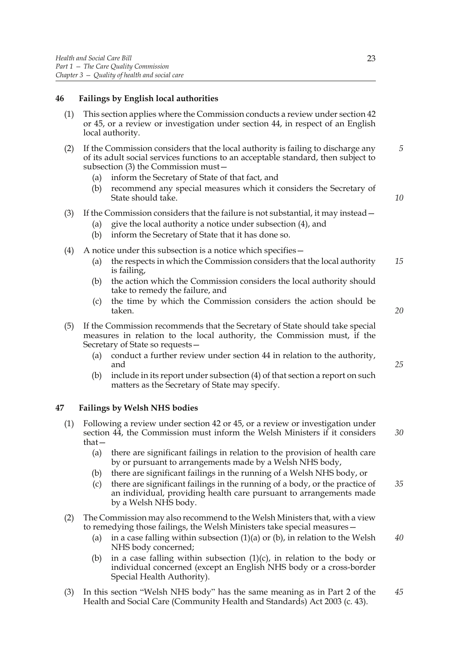## **46 Failings by English local authorities**

- (1) This section applies where the Commission conducts a review under section 42 or 45, or a review or investigation under section 44, in respect of an English local authority.
- (2) If the Commission considers that the local authority is failing to discharge any of its adult social services functions to an acceptable standard, then subject to subsection (3) the Commission must— *5*
	- (a) inform the Secretary of State of that fact, and
	- (b) recommend any special measures which it considers the Secretary of State should take.

*10*

- (3) If the Commission considers that the failure is not substantial, it may instead—
	- (a) give the local authority a notice under subsection (4), and
	- (b) inform the Secretary of State that it has done so.
- (4) A notice under this subsection is a notice which specifies—
	- (a) the respects in which the Commission considers that the local authority is failing, *15*
	- (b) the action which the Commission considers the local authority should take to remedy the failure, and
	- (c) the time by which the Commission considers the action should be taken.

*20*

*25*

*30*

- (5) If the Commission recommends that the Secretary of State should take special measures in relation to the local authority, the Commission must, if the Secretary of State so requests—
	- (a) conduct a further review under section 44 in relation to the authority, and
	- (b) include in its report under subsection (4) of that section a report on such matters as the Secretary of State may specify.

## **47 Failings by Welsh NHS bodies**

- (1) Following a review under section 42 or 45, or a review or investigation under section 44, the Commission must inform the Welsh Ministers if it considers that—
	- (a) there are significant failings in relation to the provision of health care by or pursuant to arrangements made by a Welsh NHS body,
	- (b) there are significant failings in the running of a Welsh NHS body, or
	- (c) there are significant failings in the running of a body, or the practice of an individual, providing health care pursuant to arrangements made by a Welsh NHS body. *35*
- (2) The Commission may also recommend to the Welsh Ministers that, with a view to remedying those failings, the Welsh Ministers take special measures—
	- (a) in a case falling within subsection  $(1)(a)$  or  $(b)$ , in relation to the Welsh NHS body concerned; *40*
	- (b) in a case falling within subsection  $(1)(c)$ , in relation to the body or individual concerned (except an English NHS body or a cross-border Special Health Authority).
- (3) In this section "Welsh NHS body" has the same meaning as in Part 2 of the Health and Social Care (Community Health and Standards) Act 2003 (c. 43). *45*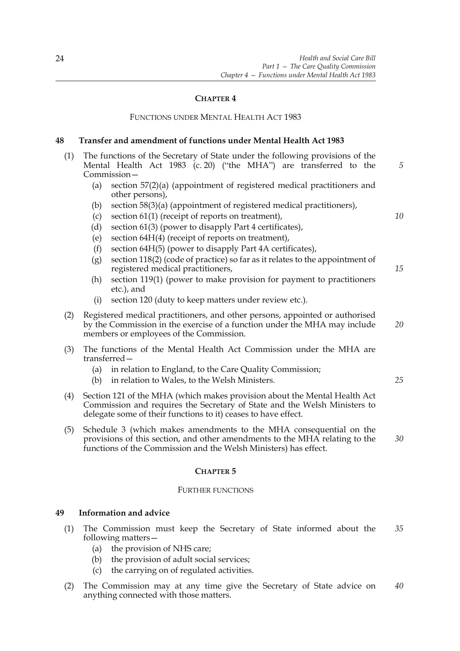## **CHAPTER 4**

## FUNCTIONS UNDER MENTAL HEALTH ACT 1983

## **48 Transfer and amendment of functions under Mental Health Act 1983**

- (1) The functions of the Secretary of State under the following provisions of the Mental Health Act 1983 (c. 20) ("the MHA") are transferred to the Commission—
	- (a) section 57(2)(a) (appointment of registered medical practitioners and other persons),
	- (b) section 58(3)(a) (appointment of registered medical practitioners),
	- (c) section 61(1) (receipt of reports on treatment),
	- (d) section 61(3) (power to disapply Part 4 certificates),
	- (e) section 64H(4) (receipt of reports on treatment),
	- (f) section 64H(5) (power to disapply Part 4A certificates),
	- (g) section 118(2) (code of practice) so far as it relates to the appointment of registered medical practitioners,
	- (h) section 119(1) (power to make provision for payment to practitioners etc.), and
	- (i) section 120 (duty to keep matters under review etc.).
- (2) Registered medical practitioners, and other persons, appointed or authorised by the Commission in the exercise of a function under the MHA may include members or employees of the Commission. *20*
- (3) The functions of the Mental Health Act Commission under the MHA are transferred—
	- (a) in relation to England, to the Care Quality Commission;
	- (b) in relation to Wales, to the Welsh Ministers.
- (4) Section 121 of the MHA (which makes provision about the Mental Health Act Commission and requires the Secretary of State and the Welsh Ministers to delegate some of their functions to it) ceases to have effect.
- (5) Schedule 3 (which makes amendments to the MHA consequential on the provisions of this section, and other amendments to the MHA relating to the functions of the Commission and the Welsh Ministers) has effect. *30*

#### **CHAPTER 5**

#### FURTHER FUNCTIONS

## **49 Information and advice**

- (1) The Commission must keep the Secretary of State informed about the following matters— *35*
	- (a) the provision of NHS care;
	- (b) the provision of adult social services;
	- (c) the carrying on of regulated activities.
- (2) The Commission may at any time give the Secretary of State advice on anything connected with those matters. *40*

*25*

*5*

*10*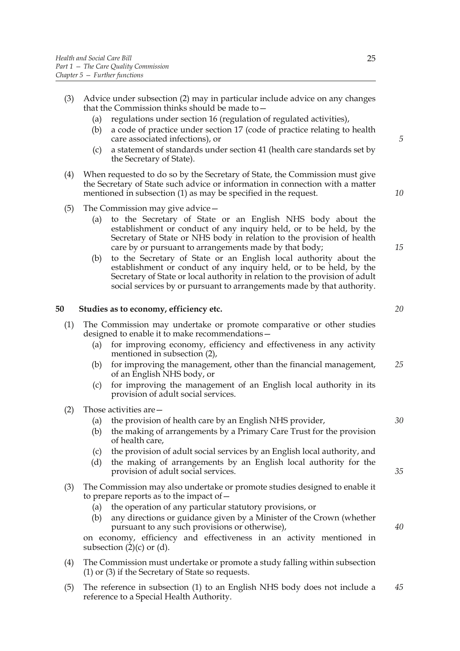- (3) Advice under subsection (2) may in particular include advice on any changes that the Commission thinks should be made to—
	- (a) regulations under section 16 (regulation of regulated activities),
	- (b) a code of practice under section 17 (code of practice relating to health care associated infections), or
	- (c) a statement of standards under section 41 (health care standards set by the Secretary of State).
- (4) When requested to do so by the Secretary of State, the Commission must give the Secretary of State such advice or information in connection with a matter mentioned in subsection (1) as may be specified in the request.
- (5) The Commission may give advice—
	- (a) to the Secretary of State or an English NHS body about the establishment or conduct of any inquiry held, or to be held, by the Secretary of State or NHS body in relation to the provision of health care by or pursuant to arrangements made by that body;
	- (b) to the Secretary of State or an English local authority about the establishment or conduct of any inquiry held, or to be held, by the Secretary of State or local authority in relation to the provision of adult social services by or pursuant to arrangements made by that authority.

## **50 Studies as to economy, efficiency etc.**

- (1) The Commission may undertake or promote comparative or other studies designed to enable it to make recommendations—
	- (a) for improving economy, efficiency and effectiveness in any activity mentioned in subsection (2),
	- (b) for improving the management, other than the financial management, of an English NHS body, or *25*
	- (c) for improving the management of an English local authority in its provision of adult social services.
- (2) Those activities are—
	- (a) the provision of health care by an English NHS provider,
	- (b) the making of arrangements by a Primary Care Trust for the provision of health care,
	- (c) the provision of adult social services by an English local authority, and
	- (d) the making of arrangements by an English local authority for the provision of adult social services.
- (3) The Commission may also undertake or promote studies designed to enable it to prepare reports as to the impact of—
	- (a) the operation of any particular statutory provisions, or
	- (b) any directions or guidance given by a Minister of the Crown (whether pursuant to any such provisions or otherwise),

on economy, efficiency and effectiveness in an activity mentioned in subsection  $(2)(c)$  or  $(d)$ .

- (4) The Commission must undertake or promote a study falling within subsection (1) or (3) if the Secretary of State so requests.
- (5) The reference in subsection (1) to an English NHS body does not include a reference to a Special Health Authority. *45*

*20*

*15*

*5*

*10*

*30*

*35*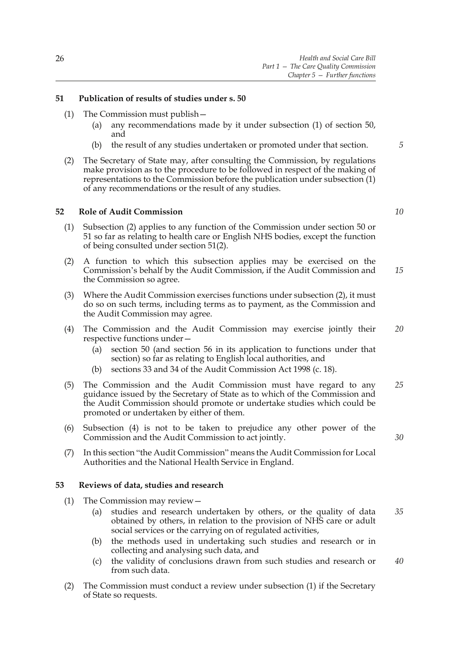## **51 Publication of results of studies under s. 50**

- (1) The Commission must publish—
	- (a) any recommendations made by it under subsection (1) of section 50, and
	- (b) the result of any studies undertaken or promoted under that section.
- (2) The Secretary of State may, after consulting the Commission, by regulations make provision as to the procedure to be followed in respect of the making of representations to the Commission before the publication under subsection (1) of any recommendations or the result of any studies.

## **52 Role of Audit Commission**

- (1) Subsection (2) applies to any function of the Commission under section 50 or 51 so far as relating to health care or English NHS bodies, except the function of being consulted under section 51(2).
- (2) A function to which this subsection applies may be exercised on the Commission's behalf by the Audit Commission, if the Audit Commission and the Commission so agree. *15*
- (3) Where the Audit Commission exercises functions under subsection (2), it must do so on such terms, including terms as to payment, as the Commission and the Audit Commission may agree.
- (4) The Commission and the Audit Commission may exercise jointly their respective functions under—
	- (a) section 50 (and section 56 in its application to functions under that section) so far as relating to English local authorities, and
	- (b) sections 33 and 34 of the Audit Commission Act 1998 (c. 18).
- (5) The Commission and the Audit Commission must have regard to any guidance issued by the Secretary of State as to which of the Commission and the Audit Commission should promote or undertake studies which could be promoted or undertaken by either of them. *25*
- (6) Subsection (4) is not to be taken to prejudice any other power of the Commission and the Audit Commission to act jointly.
- (7) In this section "the Audit Commission" means the Audit Commission for Local Authorities and the National Health Service in England.

#### **53 Reviews of data, studies and research**

- (1) The Commission may review—
	- (a) studies and research undertaken by others, or the quality of data obtained by others, in relation to the provision of NHS care or adult social services or the carrying on of regulated activities, *35*
	- (b) the methods used in undertaking such studies and research or in collecting and analysing such data, and
	- (c) the validity of conclusions drawn from such studies and research or from such data. *40*
- (2) The Commission must conduct a review under subsection (1) if the Secretary of State so requests.

*10*

*20*

*30*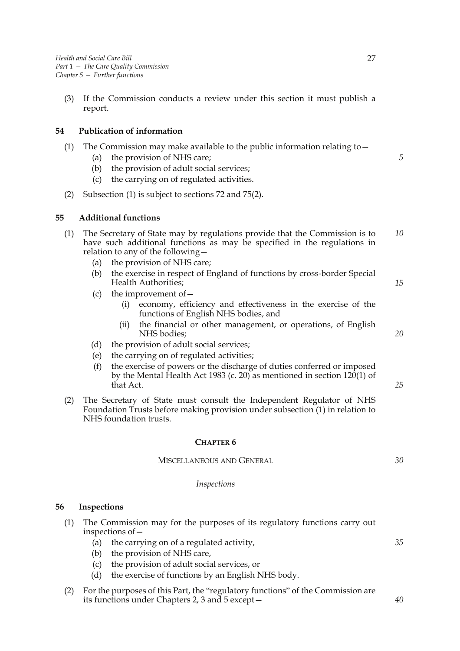(3) If the Commission conducts a review under this section it must publish a report.

## **54 Publication of information**

- (1) The Commission may make available to the public information relating to—
	- (a) the provision of NHS care;
	- (b) the provision of adult social services;
	- (c) the carrying on of regulated activities.
- (2) Subsection (1) is subject to sections 72 and 75(2).

## **55 Additional functions**

- (1) The Secretary of State may by regulations provide that the Commission is to have such additional functions as may be specified in the regulations in relation to any of the following— *10*
	- (a) the provision of NHS care;
	- (b) the exercise in respect of England of functions by cross-border Special Health Authorities;
	- (c) the improvement of  $-$ 
		- (i) economy, efficiency and effectiveness in the exercise of the functions of English NHS bodies, and
		- (ii) the financial or other management, or operations, of English NHS bodies;
	- (d) the provision of adult social services;
	- (e) the carrying on of regulated activities;
	- (f) the exercise of powers or the discharge of duties conferred or imposed by the Mental Health Act 1983 (c. 20) as mentioned in section 120(1) of that Act.
- (2) The Secretary of State must consult the Independent Regulator of NHS Foundation Trusts before making provision under subsection (1) in relation to NHS foundation trusts.

## **CHAPTER 6**

MISCELLANEOUS AND GENERAL

*30*

## *Inspections*

## **56 Inspections**

- (1) The Commission may for the purposes of its regulatory functions carry out inspections of—
	- (a) the carrying on of a regulated activity,
	- (b) the provision of NHS care,
	- (c) the provision of adult social services, or
	- (d) the exercise of functions by an English NHS body.
- (2) For the purposes of this Part, the "regulatory functions" of the Commission are its functions under Chapters 2, 3 and 5 except—

*5*

*15*

*20*

*25*

*40*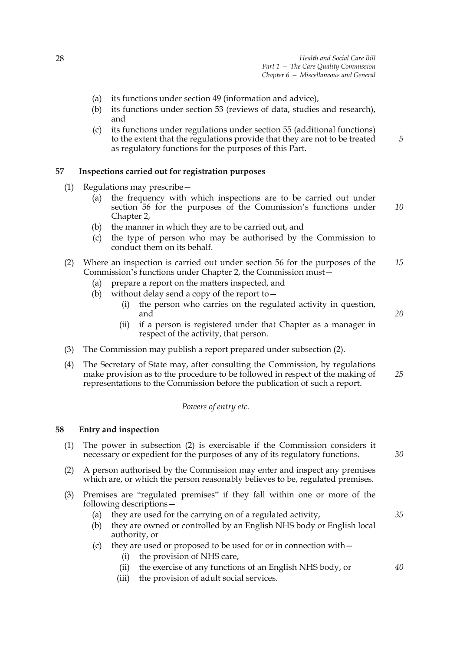- (a) its functions under section 49 (information and advice),
- (b) its functions under section 53 (reviews of data, studies and research), and
- (c) its functions under regulations under section 55 (additional functions) to the extent that the regulations provide that they are not to be treated as regulatory functions for the purposes of this Part.

## **57 Inspections carried out for registration purposes**

- (1) Regulations may prescribe—
	- (a) the frequency with which inspections are to be carried out under section 56 for the purposes of the Commission's functions under Chapter 2, *10*
	- (b) the manner in which they are to be carried out, and
	- (c) the type of person who may be authorised by the Commission to conduct them on its behalf.
- (2) Where an inspection is carried out under section 56 for the purposes of the Commission's functions under Chapter 2, the Commission must— *15*
	- (a) prepare a report on the matters inspected, and
	- (b) without delay send a copy of the report to  $-$ 
		- (i) the person who carries on the regulated activity in question, and
		- (ii) if a person is registered under that Chapter as a manager in respect of the activity, that person.
- (3) The Commission may publish a report prepared under subsection (2).
- (4) The Secretary of State may, after consulting the Commission, by regulations make provision as to the procedure to be followed in respect of the making of representations to the Commission before the publication of such a report. *25*

## *Powers of entry etc.*

#### **58 Entry and inspection**

- (1) The power in subsection (2) is exercisable if the Commission considers it necessary or expedient for the purposes of any of its regulatory functions.
- (2) A person authorised by the Commission may enter and inspect any premises which are, or which the person reasonably believes to be, regulated premises.
- (3) Premises are "regulated premises" if they fall within one or more of the following descriptions—
	- (a) they are used for the carrying on of a regulated activity,
	- (b) they are owned or controlled by an English NHS body or English local authority, or
	- (c) they are used or proposed to be used for or in connection with—
		- (i) the provision of NHS care,
		- (ii) the exercise of any functions of an English NHS body, or
		- (iii) the provision of adult social services.

*30*

*20*

*5*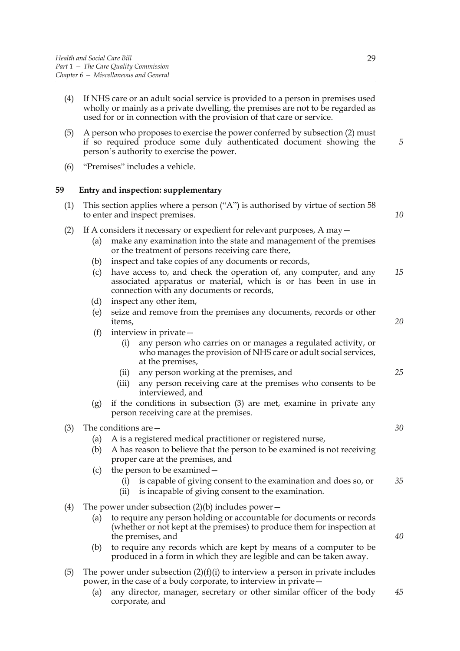- (4) If NHS care or an adult social service is provided to a person in premises used wholly or mainly as a private dwelling, the premises are not to be regarded as used for or in connection with the provision of that care or service.
- (5) A person who proposes to exercise the power conferred by subsection (2) must if so required produce some duly authenticated document showing the person's authority to exercise the power.
- (6) "Premises" includes a vehicle.

# **59 Entry and inspection: supplementary**

corporate, and

| (1) |                                                      | This section applies where a person ("A") is authorised by virtue of section $58$<br>to enter and inspect premises.                                                                                | 10 |
|-----|------------------------------------------------------|----------------------------------------------------------------------------------------------------------------------------------------------------------------------------------------------------|----|
| (2) | (a)                                                  | If A considers it necessary or expedient for relevant purposes, A may –<br>make any examination into the state and management of the premises<br>or the treatment of persons receiving care there, |    |
|     | (b)                                                  | inspect and take copies of any documents or records,                                                                                                                                               |    |
|     | (c)                                                  | have access to, and check the operation of, any computer, and any<br>associated apparatus or material, which is or has been in use in<br>connection with any documents or records,                 | 15 |
|     | (d)                                                  | inspect any other item,                                                                                                                                                                            |    |
|     | (e)                                                  | seize and remove from the premises any documents, records or other<br>items,                                                                                                                       | 20 |
|     | (f)                                                  | interview in private-                                                                                                                                                                              |    |
|     |                                                      | any person who carries on or manages a regulated activity, or<br>(i)<br>who manages the provision of NHS care or adult social services,<br>at the premises,                                        |    |
|     |                                                      | any person working at the premises, and<br>(ii)                                                                                                                                                    | 25 |
|     |                                                      | any person receiving care at the premises who consents to be<br>(iii)<br>interviewed, and                                                                                                          |    |
|     | (g)                                                  | if the conditions in subsection $(3)$ are met, examine in private any<br>person receiving care at the premises.                                                                                    |    |
| (3) | The conditions are -                                 |                                                                                                                                                                                                    | 30 |
|     | (a)                                                  | A is a registered medical practitioner or registered nurse,                                                                                                                                        |    |
|     | (b)                                                  | A has reason to believe that the person to be examined is not receiving<br>proper care at the premises, and                                                                                        |    |
|     | (c)                                                  | the person to be examined -                                                                                                                                                                        |    |
|     |                                                      | is capable of giving consent to the examination and does so, or<br>(i)<br>(ii)<br>is incapable of giving consent to the examination.                                                               | 35 |
| (4) | The power under subsection $(2)(b)$ includes power – |                                                                                                                                                                                                    |    |
|     | (a)                                                  | to require any person holding or accountable for documents or records<br>(whether or not kept at the premises) to produce them for inspection at<br>the premises, and                              | 40 |
|     | (b)                                                  | to require any records which are kept by means of a computer to be<br>produced in a form in which they are legible and can be taken away.                                                          |    |
| (5) |                                                      | The power under subsection $(2)(f)(i)$ to interview a person in private includes<br>power, in the case of a body corporate, to interview in private -                                              |    |
|     | (a)                                                  | any director, manager, secretary or other similar officer of the body                                                                                                                              | 45 |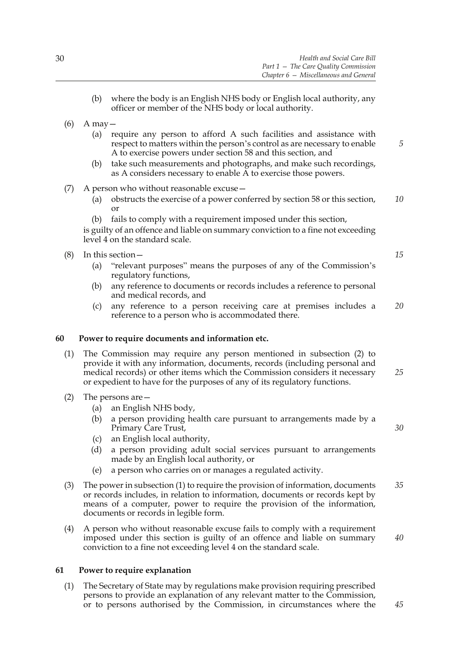- (b) where the body is an English NHS body or English local authority, any officer or member of the NHS body or local authority.
- $(6)$  A may
	- (a) require any person to afford A such facilities and assistance with respect to matters within the person's control as are necessary to enable A to exercise powers under section 58 and this section, and
	- (b) take such measurements and photographs, and make such recordings, as A considers necessary to enable A to exercise those powers.
- (7) A person who without reasonable excuse—
	- (a) obstructs the exercise of a power conferred by section 58 or this section, or *10*
	- (b) fails to comply with a requirement imposed under this section,

is guilty of an offence and liable on summary conviction to a fine not exceeding level 4 on the standard scale.

- (8) In this section—
	- (a) "relevant purposes" means the purposes of any of the Commission's regulatory functions,
	- (b) any reference to documents or records includes a reference to personal and medical records, and
	- (c) any reference to a person receiving care at premises includes a reference to a person who is accommodated there. *20*

#### **60 Power to require documents and information etc.**

- (1) The Commission may require any person mentioned in subsection (2) to provide it with any information, documents, records (including personal and medical records) or other items which the Commission considers it necessary or expedient to have for the purposes of any of its regulatory functions. *25*
- (2) The persons are—
	- (a) an English NHS body,
	- (b) a person providing health care pursuant to arrangements made by a Primary Care Trust,
	- (c) an English local authority,
	- (d) a person providing adult social services pursuant to arrangements made by an English local authority, or
	- (e) a person who carries on or manages a regulated activity.
- (3) The power in subsection (1) to require the provision of information, documents or records includes, in relation to information, documents or records kept by means of a computer, power to require the provision of the information, documents or records in legible form. *35*
- (4) A person who without reasonable excuse fails to comply with a requirement imposed under this section is guilty of an offence and liable on summary conviction to a fine not exceeding level 4 on the standard scale.

#### **61 Power to require explanation**

(1) The Secretary of State may by regulations make provision requiring prescribed persons to provide an explanation of any relevant matter to the Commission, or to persons authorised by the Commission, in circumstances where the

*30*

*40*

*45*

*5*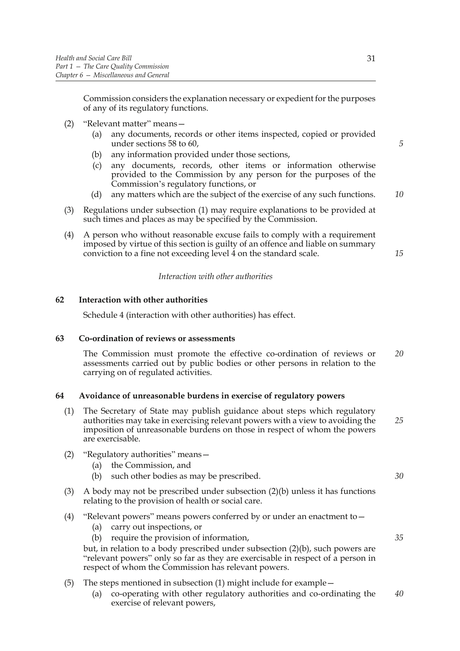Commission considers the explanation necessary or expedient for the purposes of any of its regulatory functions.

- (2) "Relevant matter" means—
	- (a) any documents, records or other items inspected, copied or provided under sections 58 to 60,
	- (b) any information provided under those sections,
	- (c) any documents, records, other items or information otherwise provided to the Commission by any person for the purposes of the Commission's regulatory functions, or
	- (d) any matters which are the subject of the exercise of any such functions. *10*
- (3) Regulations under subsection (1) may require explanations to be provided at such times and places as may be specified by the Commission.
- (4) A person who without reasonable excuse fails to comply with a requirement imposed by virtue of this section is guilty of an offence and liable on summary conviction to a fine not exceeding level 4 on the standard scale.

#### *Interaction with other authorities*

## **62 Interaction with other authorities**

Schedule 4 (interaction with other authorities) has effect.

#### **63 Co-ordination of reviews or assessments**

The Commission must promote the effective co-ordination of reviews or assessments carried out by public bodies or other persons in relation to the carrying on of regulated activities. *20*

#### **64 Avoidance of unreasonable burdens in exercise of regulatory powers**

- (1) The Secretary of State may publish guidance about steps which regulatory authorities may take in exercising relevant powers with a view to avoiding the imposition of unreasonable burdens on those in respect of whom the powers are exercisable.
- (2) "Regulatory authorities" means—
	- (a) the Commission, and
	- (b) such other bodies as may be prescribed.
- (3) A body may not be prescribed under subsection (2)(b) unless it has functions relating to the provision of health or social care.
- (4) "Relevant powers" means powers conferred by or under an enactment to—
	- (a) carry out inspections, or
	- (b) require the provision of information,

but, in relation to a body prescribed under subsection (2)(b), such powers are "relevant powers" only so far as they are exercisable in respect of a person in respect of whom the Commission has relevant powers.

- (5) The steps mentioned in subsection (1) might include for example—
	- (a) co-operating with other regulatory authorities and co-ordinating the exercise of relevant powers, *40*

*5*

*15*

*30*

*25*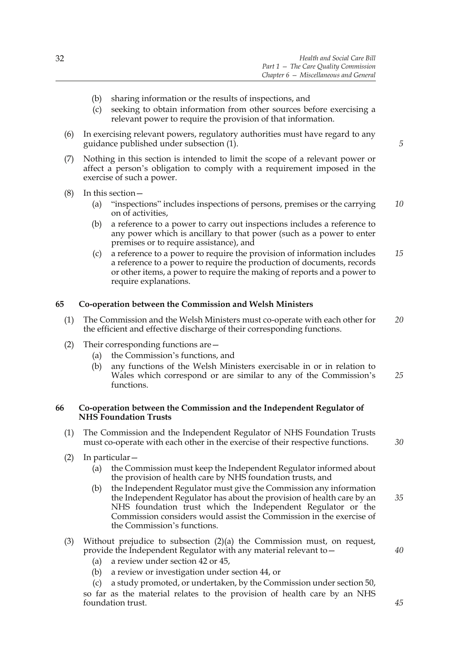- (b) sharing information or the results of inspections, and
- (c) seeking to obtain information from other sources before exercising a relevant power to require the provision of that information.
- (6) In exercising relevant powers, regulatory authorities must have regard to any guidance published under subsection (1).
- (7) Nothing in this section is intended to limit the scope of a relevant power or affect a person's obligation to comply with a requirement imposed in the exercise of such a power.
- (8) In this section—
	- (a) "inspections" includes inspections of persons, premises or the carrying on of activities, *10*
	- (b) a reference to a power to carry out inspections includes a reference to any power which is ancillary to that power (such as a power to enter premises or to require assistance), and
	- (c) a reference to a power to require the provision of information includes a reference to a power to require the production of documents, records or other items, a power to require the making of reports and a power to require explanations. *15*

### **65 Co-operation between the Commission and Welsh Ministers**

- (1) The Commission and the Welsh Ministers must co-operate with each other for the efficient and effective discharge of their corresponding functions. *20*
- (2) Their corresponding functions are—
	- (a) the Commission's functions, and
	- (b) any functions of the Welsh Ministers exercisable in or in relation to Wales which correspond or are similar to any of the Commission's functions. *25*

#### **66 Co-operation between the Commission and the Independent Regulator of NHS Foundation Trusts**

- (1) The Commission and the Independent Regulator of NHS Foundation Trusts must co-operate with each other in the exercise of their respective functions.
- (2) In particular—
	- (a) the Commission must keep the Independent Regulator informed about the provision of health care by NHS foundation trusts, and
	- (b) the Independent Regulator must give the Commission any information the Independent Regulator has about the provision of health care by an NHS foundation trust which the Independent Regulator or the Commission considers would assist the Commission in the exercise of the Commission's functions. *35*
- (3) Without prejudice to subsection (2)(a) the Commission must, on request, provide the Independent Regulator with any material relevant to—
	- (a) a review under section 42 or 45,
	- (b) a review or investigation under section 44, or
	- a study promoted, or undertaken, by the Commission under section 50,
	- so far as the material relates to the provision of health care by an NHS foundation trust.

*45*

*40*

*30*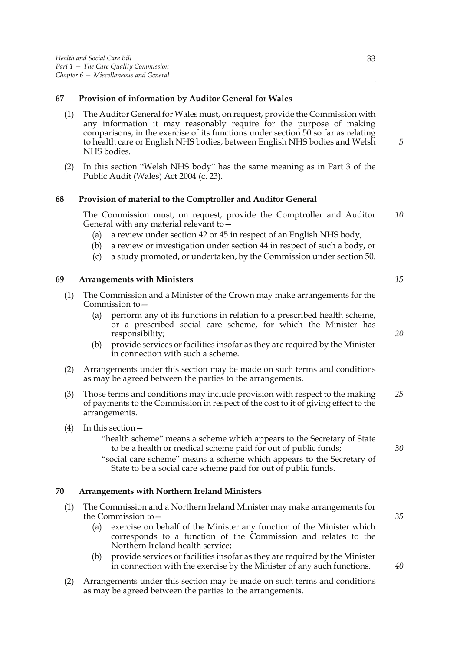## **67 Provision of information by Auditor General for Wales**

- (1) The Auditor General for Wales must, on request, provide the Commission with any information it may reasonably require for the purpose of making comparisons, in the exercise of its functions under section 50 so far as relating to health care or English NHS bodies, between English NHS bodies and Welsh NHS bodies.
- (2) In this section "Welsh NHS body" has the same meaning as in Part 3 of the Public Audit (Wales) Act 2004 (c. 23).

## **68 Provision of material to the Comptroller and Auditor General**

The Commission must, on request, provide the Comptroller and Auditor General with any material relevant to— *10*

- (a) a review under section 42 or 45 in respect of an English NHS body,
- (b) a review or investigation under section 44 in respect of such a body, or
- (c) a study promoted, or undertaken, by the Commission under section 50.

## **69 Arrangements with Ministers**

- (1) The Commission and a Minister of the Crown may make arrangements for the Commission to—
	- (a) perform any of its functions in relation to a prescribed health scheme, or a prescribed social care scheme, for which the Minister has responsibility;
	- (b) provide services or facilities insofar as they are required by the Minister in connection with such a scheme.
- (2) Arrangements under this section may be made on such terms and conditions as may be agreed between the parties to the arrangements.
- (3) Those terms and conditions may include provision with respect to the making of payments to the Commission in respect of the cost to it of giving effect to the arrangements. *25*
- (4) In this section—

"health scheme" means a scheme which appears to the Secretary of State to be a health or medical scheme paid for out of public funds;

"social care scheme" means a scheme which appears to the Secretary of State to be a social care scheme paid for out of public funds.

## **70 Arrangements with Northern Ireland Ministers**

- (1) The Commission and a Northern Ireland Minister may make arrangements for the Commission to—
	- (a) exercise on behalf of the Minister any function of the Minister which corresponds to a function of the Commission and relates to the Northern Ireland health service;
	- (b) provide services or facilities insofar as they are required by the Minister in connection with the exercise by the Minister of any such functions.
- (2) Arrangements under this section may be made on such terms and conditions as may be agreed between the parties to the arrangements.

*5*

*15*

*20*

*30*

*35*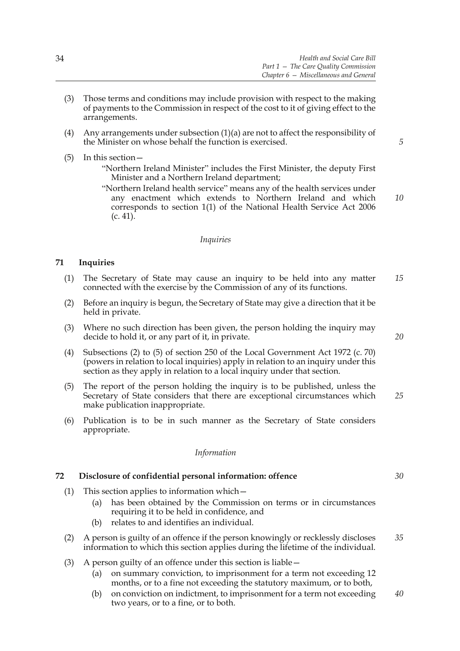- (3) Those terms and conditions may include provision with respect to the making of payments to the Commission in respect of the cost to it of giving effect to the arrangements.
- (4) Any arrangements under subsection  $(1)(a)$  are not to affect the responsibility of the Minister on whose behalf the function is exercised.
- (5) In this section—
	- "Northern Ireland Minister" includes the First Minister, the deputy First Minister and a Northern Ireland department;
	- "Northern Ireland health service" means any of the health services under any enactment which extends to Northern Ireland and which corresponds to section 1(1) of the National Health Service Act 2006  $(c. 41)$ .

#### *Inquiries*

#### **71 Inquiries**

- (1) The Secretary of State may cause an inquiry to be held into any matter connected with the exercise by the Commission of any of its functions. *15*
- (2) Before an inquiry is begun, the Secretary of State may give a direction that it be held in private.
- (3) Where no such direction has been given, the person holding the inquiry may decide to hold it, or any part of it, in private.
- (4) Subsections (2) to (5) of section 250 of the Local Government Act 1972 (c. 70) (powers in relation to local inquiries) apply in relation to an inquiry under this section as they apply in relation to a local inquiry under that section.
- (5) The report of the person holding the inquiry is to be published, unless the Secretary of State considers that there are exceptional circumstances which make publication inappropriate. *25*
- (6) Publication is to be in such manner as the Secretary of State considers appropriate.

#### *Information*

#### **72 Disclosure of confidential personal information: offence**

- (1) This section applies to information which—
	- (a) has been obtained by the Commission on terms or in circumstances requiring it to be held in confidence, and
	- (b) relates to and identifies an individual.
- (2) A person is guilty of an offence if the person knowingly or recklessly discloses information to which this section applies during the lifetime of the individual. *35*
- (3) A person guilty of an offence under this section is liable—
	- (a) on summary conviction, to imprisonment for a term not exceeding 12 months, or to a fine not exceeding the statutory maximum, or to both,
	- (b) on conviction on indictment, to imprisonment for a term not exceeding two years, or to a fine, or to both. *40*

*20*

*5*

*10*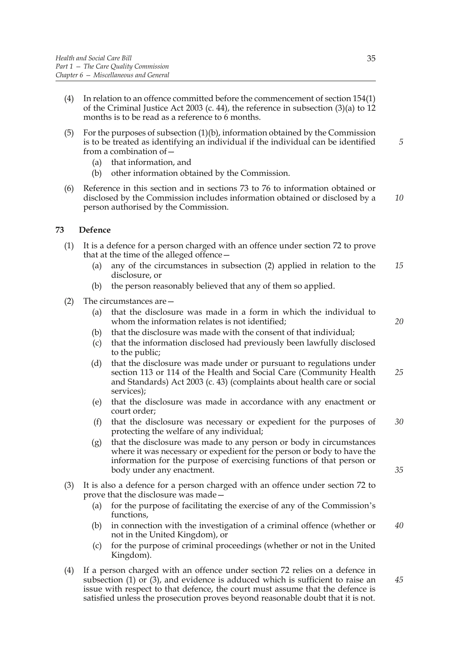- (4) In relation to an offence committed before the commencement of section 154(1) of the Criminal Justice Act 2003 (c. 44), the reference in subsection (3)(a) to 12 months is to be read as a reference to 6 months.
- (5) For the purposes of subsection (1)(b), information obtained by the Commission is to be treated as identifying an individual if the individual can be identified from a combination of—
	- (a) that information, and
	- (b) other information obtained by the Commission.
- (6) Reference in this section and in sections 73 to 76 to information obtained or disclosed by the Commission includes information obtained or disclosed by a person authorised by the Commission. *10*

### **73 Defence**

- (1) It is a defence for a person charged with an offence under section 72 to prove that at the time of the alleged offence—
	- (a) any of the circumstances in subsection (2) applied in relation to the disclosure, or *15*
	- (b) the person reasonably believed that any of them so applied.
- (2) The circumstances are—
	- (a) that the disclosure was made in a form in which the individual to whom the information relates is not identified;
	- (b) that the disclosure was made with the consent of that individual;
	- (c) that the information disclosed had previously been lawfully disclosed to the public;
	- (d) that the disclosure was made under or pursuant to regulations under section 113 or 114 of the Health and Social Care (Community Health and Standards) Act 2003 (c. 43) (complaints about health care or social services); *25*
	- (e) that the disclosure was made in accordance with any enactment or court order;
	- (f) that the disclosure was necessary or expedient for the purposes of protecting the welfare of any individual; *30*
	- (g) that the disclosure was made to any person or body in circumstances where it was necessary or expedient for the person or body to have the information for the purpose of exercising functions of that person or body under any enactment.
- (3) It is also a defence for a person charged with an offence under section 72 to prove that the disclosure was made—
	- (a) for the purpose of facilitating the exercise of any of the Commission's functions,
	- (b) in connection with the investigation of a criminal offence (whether or not in the United Kingdom), or *40*
	- (c) for the purpose of criminal proceedings (whether or not in the United Kingdom).
- (4) If a person charged with an offence under section 72 relies on a defence in subsection (1) or (3), and evidence is adduced which is sufficient to raise an issue with respect to that defence, the court must assume that the defence is satisfied unless the prosecution proves beyond reasonable doubt that it is not. *45*

*5*

*35*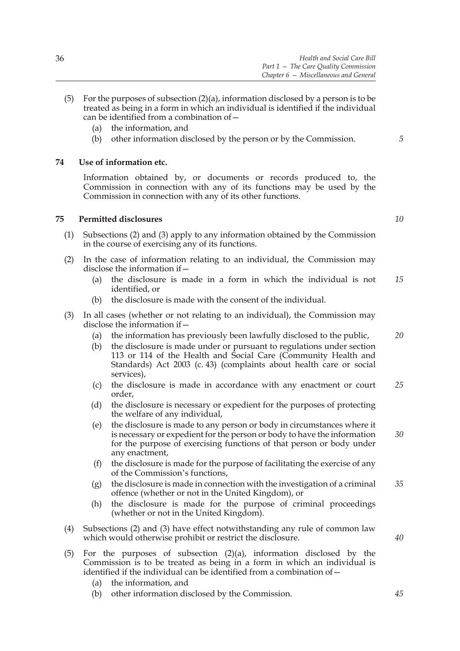- (5) For the purposes of subsection (2)(a), information disclosed by a person is to be treated as being in a form in which an individual is identified if the individual can be identified from a combination of—
	- (a) the information, and
	- (b) other information disclosed by the person or by the Commission.

## **74 Use of information etc.**

Information obtained by, or documents or records produced to, the Commission in connection with any of its functions may be used by the Commission in connection with any of its other functions.

### **75 Permitted disclosures**

- (1) Subsections (2) and (3) apply to any information obtained by the Commission in the course of exercising any of its functions.
- (2) In the case of information relating to an individual, the Commission may disclose the information if—
	- (a) the disclosure is made in a form in which the individual is not identified, or *15*
	- (b) the disclosure is made with the consent of the individual.
- (3) In all cases (whether or not relating to an individual), the Commission may disclose the information if—
	- (a) the information has previously been lawfully disclosed to the public, *20*
	- (b) the disclosure is made under or pursuant to regulations under section 113 or 114 of the Health and Social Care (Community Health and Standards) Act 2003 (c. 43) (complaints about health care or social services),
	- (c) the disclosure is made in accordance with any enactment or court order, *25*
	- (d) the disclosure is necessary or expedient for the purposes of protecting the welfare of any individual,
	- (e) the disclosure is made to any person or body in circumstances where it is necessary or expedient for the person or body to have the information for the purpose of exercising functions of that person or body under any enactment, *30*
	- (f) the disclosure is made for the purpose of facilitating the exercise of any of the Commission's functions,
	- (g) the disclosure is made in connection with the investigation of a criminal offence (whether or not in the United Kingdom), or *35*
	- (h) the disclosure is made for the purpose of criminal proceedings (whether or not in the United Kingdom).
- (4) Subsections (2) and (3) have effect notwithstanding any rule of common law which would otherwise prohibit or restrict the disclosure.
- (5) For the purposes of subsection (2)(a), information disclosed by the Commission is to be treated as being in a form in which an individual is identified if the individual can be identified from a combination of—
	- (a) the information, and
	- (b) other information disclosed by the Commission.

*10*

*5*

*40*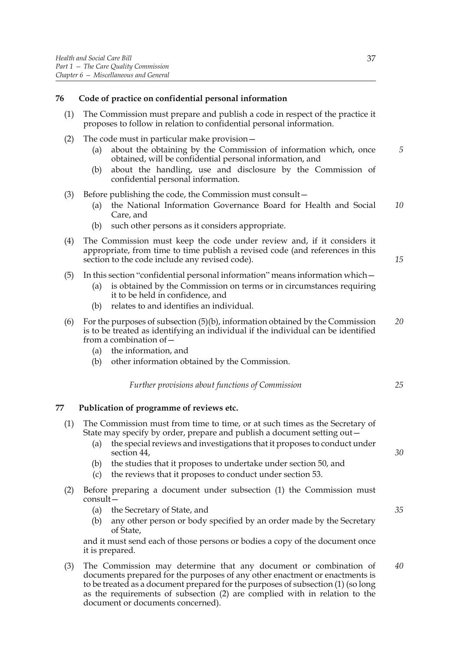# **76 Code of practice on confidential personal information**

- (1) The Commission must prepare and publish a code in respect of the practice it proposes to follow in relation to confidential personal information.
- (2) The code must in particular make provision—
	- (a) about the obtaining by the Commission of information which, once obtained, will be confidential personal information, and *5*
	- (b) about the handling, use and disclosure by the Commission of confidential personal information.
- (3) Before publishing the code, the Commission must consult—
	- (a) the National Information Governance Board for Health and Social Care, and *10*
	- (b) such other persons as it considers appropriate.
- (4) The Commission must keep the code under review and, if it considers it appropriate, from time to time publish a revised code (and references in this section to the code include any revised code).
- (5) In this section "confidential personal information" means information which—
	- (a) is obtained by the Commission on terms or in circumstances requiring it to be held in confidence, and
	- (b) relates to and identifies an individual.
- (6) For the purposes of subsection (5)(b), information obtained by the Commission is to be treated as identifying an individual if the individual can be identified from a combination of— *20*
	- (a) the information, and
	- (b) other information obtained by the Commission.
		- *Further provisions about functions of Commission*

*25*

*30*

*35*

*15*

## **77 Publication of programme of reviews etc.**

- (1) The Commission must from time to time, or at such times as the Secretary of State may specify by order, prepare and publish a document setting out—
	- (a) the special reviews and investigations that it proposes to conduct under section 44,
	- (b) the studies that it proposes to undertake under section 50, and
	- (c) the reviews that it proposes to conduct under section 53.
- (2) Before preparing a document under subsection (1) the Commission must consult—
	- (a) the Secretary of State, and
	- (b) any other person or body specified by an order made by the Secretary of State,

and it must send each of those persons or bodies a copy of the document once it is prepared.

(3) The Commission may determine that any document or combination of documents prepared for the purposes of any other enactment or enactments is to be treated as a document prepared for the purposes of subsection (1) (so long as the requirements of subsection (2) are complied with in relation to the document or documents concerned). *40*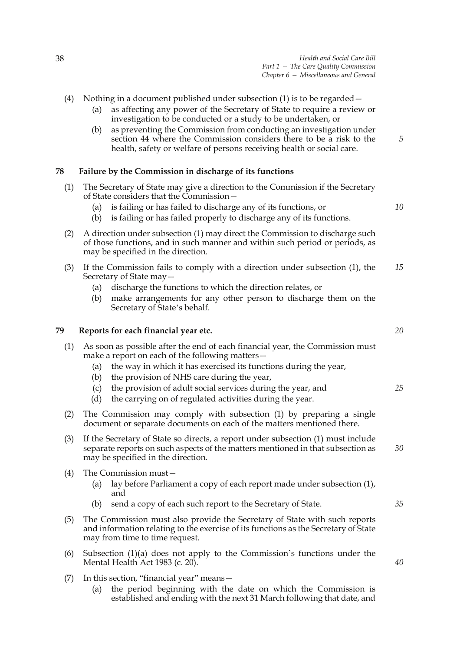| (4) | Nothing in a document published under subsection (1) is to be regarded –<br>as affecting any power of the Secretary of State to require a review or<br>(a)<br>investigation to be conducted or a study to be undertaken, or<br>as preventing the Commission from conducting an investigation under<br>(b)<br>section 44 where the Commission considers there to be a risk to the<br>health, safety or welfare of persons receiving health or social care. | 5  |
|-----|-----------------------------------------------------------------------------------------------------------------------------------------------------------------------------------------------------------------------------------------------------------------------------------------------------------------------------------------------------------------------------------------------------------------------------------------------------------|----|
| 78  | Failure by the Commission in discharge of its functions                                                                                                                                                                                                                                                                                                                                                                                                   |    |
| (1) | The Secretary of State may give a direction to the Commission if the Secretary<br>of State considers that the Commission-<br>is failing or has failed to discharge any of its functions, or<br>(a)<br>is failing or has failed properly to discharge any of its functions.<br>(b)                                                                                                                                                                         | 10 |
| (2) | A direction under subsection (1) may direct the Commission to discharge such<br>of those functions, and in such manner and within such period or periods, as<br>may be specified in the direction.                                                                                                                                                                                                                                                        |    |
| (3) | If the Commission fails to comply with a direction under subsection (1), the<br>Secretary of State may -<br>discharge the functions to which the direction relates, or<br>(a)<br>make arrangements for any other person to discharge them on the<br>(b)<br>Secretary of State's behalf.                                                                                                                                                                   | 15 |
| 79  | Reports for each financial year etc.                                                                                                                                                                                                                                                                                                                                                                                                                      | 20 |
| (1) | As soon as possible after the end of each financial year, the Commission must<br>make a report on each of the following matters -<br>the way in which it has exercised its functions during the year,<br>(a)<br>the provision of NHS care during the year,<br>(b)<br>the provision of adult social services during the year, and<br>(c)<br>the carrying on of regulated activities during the year.<br>(d)                                                | 25 |
| (2) | The Commission may comply with subsection (1) by preparing a single<br>document or separate documents on each of the matters mentioned there.                                                                                                                                                                                                                                                                                                             |    |
| (3) | If the Secretary of State so directs, a report under subsection (1) must include<br>separate reports on such aspects of the matters mentioned in that subsection as<br>may be specified in the direction.                                                                                                                                                                                                                                                 |    |
| (4) | The Commission must-<br>lay before Parliament a copy of each report made under subsection (1),<br>(a)<br>and<br>send a copy of each such report to the Secretary of State.<br>(b)                                                                                                                                                                                                                                                                         | 35 |

- (5) The Commission must also provide the Secretary of State with such reports and information relating to the exercise of its functions as the Secretary of State may from time to time request.
- (6) Subsection (1)(a) does not apply to the Commission's functions under the Mental Health Act 1983 (c. 20).
- (7) In this section, "financial year" means—
	- (a) the period beginning with the date on which the Commission is established and ending with the next 31 March following that date, and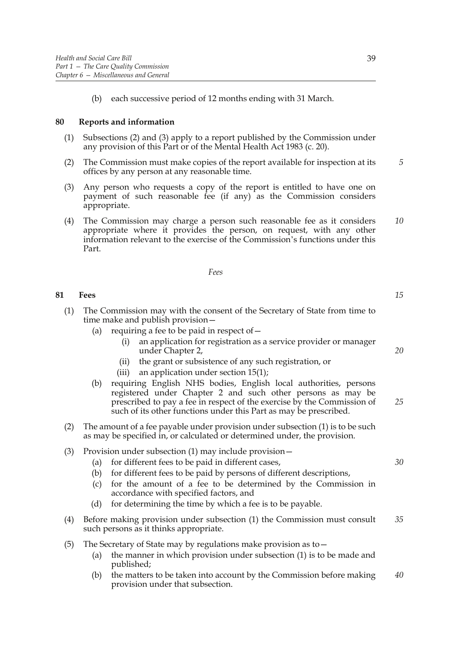(b) each successive period of 12 months ending with 31 March.

### **80 Reports and information**

- (1) Subsections (2) and (3) apply to a report published by the Commission under any provision of this Part or of the Mental Health Act 1983 (c. 20).
- (2) The Commission must make copies of the report available for inspection at its offices by any person at any reasonable time. *5*
- (3) Any person who requests a copy of the report is entitled to have one on payment of such reasonable fee (if any) as the Commission considers appropriate.
- (4) The Commission may charge a person such reasonable fee as it considers appropriate where it provides the person, on request, with any other information relevant to the exercise of the Commission's functions under this Part. *10*

*Fees*

#### **81 Fees**

- (1) The Commission may with the consent of the Secretary of State from time to time make and publish provision—
	- (a) requiring a fee to be paid in respect of  $-$ 
		- (i) an application for registration as a service provider or manager under Chapter 2,
		- (ii) the grant or subsistence of any such registration, or
		- (iii) an application under section  $15(1)$ ;
	- (b) requiring English NHS bodies, English local authorities, persons registered under Chapter 2 and such other persons as may be prescribed to pay a fee in respect of the exercise by the Commission of such of its other functions under this Part as may be prescribed. *25*
- (2) The amount of a fee payable under provision under subsection (1) is to be such as may be specified in, or calculated or determined under, the provision.
- (3) Provision under subsection (1) may include provision—
	- (a) for different fees to be paid in different cases,
	- (b) for different fees to be paid by persons of different descriptions,
	- (c) for the amount of a fee to be determined by the Commission in accordance with specified factors, and
	- (d) for determining the time by which a fee is to be payable.
- (4) Before making provision under subsection (1) the Commission must consult such persons as it thinks appropriate. *35*
- (5) The Secretary of State may by regulations make provision as to  $-$ 
	- (a) the manner in which provision under subsection (1) is to be made and published;
	- (b) the matters to be taken into account by the Commission before making provision under that subsection. *40*

*15*

*20*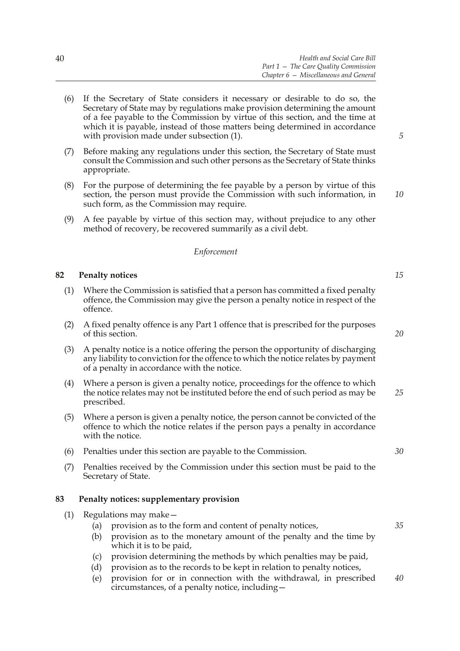- (6) If the Secretary of State considers it necessary or desirable to do so, the Secretary of State may by regulations make provision determining the amount of a fee payable to the Commission by virtue of this section, and the time at which it is payable, instead of those matters being determined in accordance with provision made under subsection (1).
- (7) Before making any regulations under this section, the Secretary of State must consult the Commission and such other persons as the Secretary of State thinks appropriate.
- (8) For the purpose of determining the fee payable by a person by virtue of this section, the person must provide the Commission with such information, in such form, as the Commission may require.
- (9) A fee payable by virtue of this section may, without prejudice to any other method of recovery, be recovered summarily as a civil debt.

#### *Enforcement*

## **82 Penalty notices**

- (1) Where the Commission is satisfied that a person has committed a fixed penalty offence, the Commission may give the person a penalty notice in respect of the offence.
- (2) A fixed penalty offence is any Part 1 offence that is prescribed for the purposes of this section.
- (3) A penalty notice is a notice offering the person the opportunity of discharging any liability to conviction for the offence to which the notice relates by payment of a penalty in accordance with the notice.
- (4) Where a person is given a penalty notice, proceedings for the offence to which the notice relates may not be instituted before the end of such period as may be prescribed. *25*
- (5) Where a person is given a penalty notice, the person cannot be convicted of the offence to which the notice relates if the person pays a penalty in accordance with the notice.
- (6) Penalties under this section are payable to the Commission.
- (7) Penalties received by the Commission under this section must be paid to the Secretary of State.

#### **83 Penalty notices: supplementary provision**

- (1) Regulations may make—
	- (a) provision as to the form and content of penalty notices,
	- (b) provision as to the monetary amount of the penalty and the time by which it is to be paid,
	- (c) provision determining the methods by which penalties may be paid,
	- (d) provision as to the records to be kept in relation to penalty notices,
	- (e) provision for or in connection with the withdrawal, in prescribed circumstances, of a penalty notice, including— *40*

*20*

*15*

*5*

*10*

*30*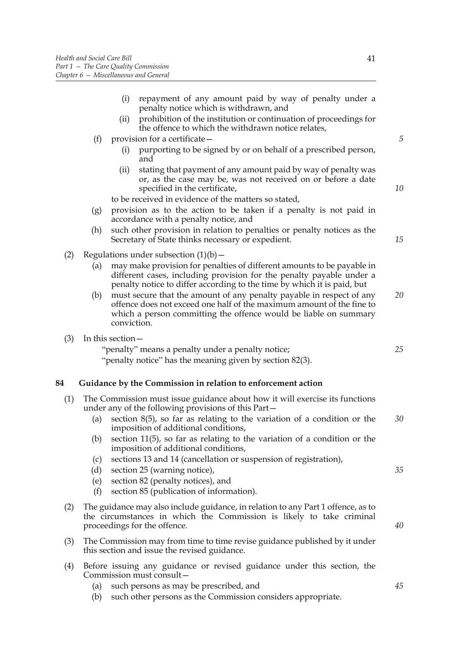|     | repayment of any amount paid by way of penalty under a<br>(i)<br>penalty notice which is withdrawn, and                                                                                                                                 |    |
|-----|-----------------------------------------------------------------------------------------------------------------------------------------------------------------------------------------------------------------------------------------|----|
|     | prohibition of the institution or continuation of proceedings for<br>(ii)<br>the offence to which the withdrawn notice relates,                                                                                                         |    |
|     | (f)<br>provision for a certificate -                                                                                                                                                                                                    | 5  |
|     | purporting to be signed by or on behalf of a prescribed person,<br>(i)<br>and                                                                                                                                                           |    |
|     | stating that payment of any amount paid by way of penalty was<br>(ii)<br>or, as the case may be, was not received on or before a date<br>specified in the certificate,                                                                  | 10 |
|     | to be received in evidence of the matters so stated,                                                                                                                                                                                    |    |
|     | provision as to the action to be taken if a penalty is not paid in<br>(g)<br>accordance with a penalty notice, and                                                                                                                      |    |
|     | such other provision in relation to penalties or penalty notices as the<br>(h)<br>Secretary of State thinks necessary or expedient.                                                                                                     | 15 |
| (2) | Regulations under subsection $(1)(b)$ –                                                                                                                                                                                                 |    |
|     | may make provision for penalties of different amounts to be payable in<br>(a)<br>different cases, including provision for the penalty payable under a<br>penalty notice to differ according to the time by which it is paid, but        |    |
|     | must secure that the amount of any penalty payable in respect of any<br>(b)<br>offence does not exceed one half of the maximum amount of the fine to<br>which a person committing the offence would be liable on summary<br>conviction. | 20 |
| (3) | In this section-                                                                                                                                                                                                                        |    |
|     | "penalty" means a penalty under a penalty notice;                                                                                                                                                                                       | 25 |
|     | "penalty notice" has the meaning given by section 82(3).                                                                                                                                                                                |    |
| 84  | Guidance by the Commission in relation to enforcement action                                                                                                                                                                            |    |
| (1) | The Commission must issue guidance about how it will exercise its functions<br>under any of the following provisions of this Part-                                                                                                      |    |
|     | section $8(5)$ , so far as relating to the variation of a condition or the<br>(a)<br>imposition of additional conditions,                                                                                                               | 30 |
|     | (b)<br>section $11(5)$ , so far as relating to the variation of a condition or the<br>imposition of additional conditions,                                                                                                              |    |
|     | sections 13 and 14 (cancellation or suspension of registration),<br>(c)                                                                                                                                                                 |    |
|     | section 25 (warning notice),<br>(d)                                                                                                                                                                                                     | 35 |
|     | section 82 (penalty notices), and<br>(e)<br>section 85 (publication of information).<br>(f)                                                                                                                                             |    |
| (2) | The guidance may also include guidance, in relation to any Part 1 offence, as to<br>the circumstances in which the Commission is likely to take criminal                                                                                |    |
|     | proceedings for the offence.                                                                                                                                                                                                            | 40 |
| (3) | The Commission may from time to time revise guidance published by it under<br>this section and issue the revised guidance.                                                                                                              |    |
| (4) | Before issuing any guidance or revised guidance under this section, the<br>Commission must consult-                                                                                                                                     |    |
|     | such persons as may be prescribed, and<br>(a)                                                                                                                                                                                           | 45 |

(b) such other persons as the Commission considers appropriate.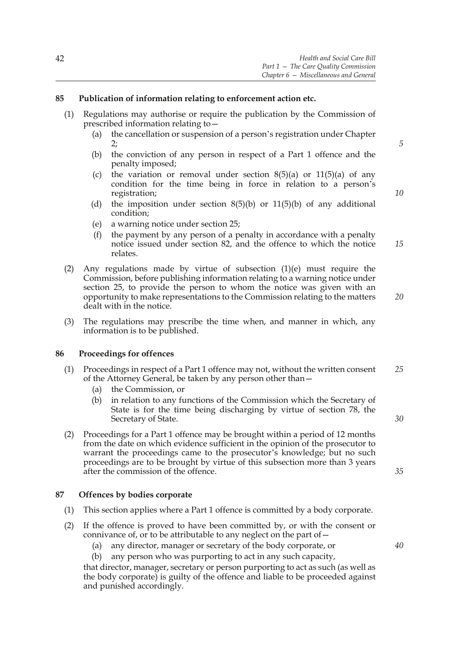# **85 Publication of information relating to enforcement action etc.**

- (1) Regulations may authorise or require the publication by the Commission of prescribed information relating to—
	- (a) the cancellation or suspension of a person's registration under Chapter 2;
	- (b) the conviction of any person in respect of a Part 1 offence and the penalty imposed;
	- (c) the variation or removal under section  $8(5)(a)$  or  $11(5)(a)$  of any condition for the time being in force in relation to a person's registration;
	- (d) the imposition under section  $8(5)(b)$  or  $11(5)(b)$  of any additional condition;
	- (e) a warning notice under section 25;
	- (f) the payment by any person of a penalty in accordance with a penalty notice issued under section 82, and the offence to which the notice relates. *15*
- (2) Any regulations made by virtue of subsection (1)(e) must require the Commission, before publishing information relating to a warning notice under section 25, to provide the person to whom the notice was given with an opportunity to make representations to the Commission relating to the matters dealt with in the notice.
- (3) The regulations may prescribe the time when, and manner in which, any information is to be published.

#### **86 Proceedings for offences**

- (1) Proceedings in respect of a Part 1 offence may not, without the written consent of the Attorney General, be taken by any person other than— *25*
	- (a) the Commission, or
	- (b) in relation to any functions of the Commission which the Secretary of State is for the time being discharging by virtue of section 78, the Secretary of State.
- (2) Proceedings for a Part 1 offence may be brought within a period of 12 months from the date on which evidence sufficient in the opinion of the prosecutor to warrant the proceedings came to the prosecutor's knowledge; but no such proceedings are to be brought by virtue of this subsection more than 3 years after the commission of the offence.

# **87 Offences by bodies corporate**

- (1) This section applies where a Part 1 offence is committed by a body corporate.
- (2) If the offence is proved to have been committed by, or with the consent or connivance of, or to be attributable to any neglect on the part of  $-$ 
	- (a) any director, manager or secretary of the body corporate, or
	- (b) any person who was purporting to act in any such capacity,

that director, manager, secretary or person purporting to act as such (as well as the body corporate) is guilty of the offence and liable to be proceeded against and punished accordingly.

*10*

*5*

*20*

*30*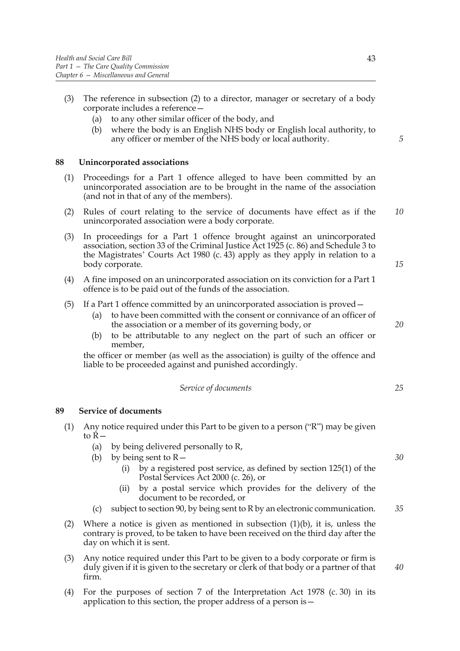- (3) The reference in subsection (2) to a director, manager or secretary of a body corporate includes a reference—
	- (a) to any other similar officer of the body, and
	- (b) where the body is an English NHS body or English local authority, to any officer or member of the NHS body or local authority.

#### **88 Unincorporated associations**

- (1) Proceedings for a Part 1 offence alleged to have been committed by an unincorporated association are to be brought in the name of the association (and not in that of any of the members).
- (2) Rules of court relating to the service of documents have effect as if the unincorporated association were a body corporate. *10*
- (3) In proceedings for a Part 1 offence brought against an unincorporated association, section 33 of the Criminal Justice Act 1925 (c. 86) and Schedule 3 to the Magistrates' Courts Act 1980 (c. 43) apply as they apply in relation to a body corporate.
- (4) A fine imposed on an unincorporated association on its conviction for a Part 1 offence is to be paid out of the funds of the association.
- (5) If a Part 1 offence committed by an unincorporated association is proved—
	- (a) to have been committed with the consent or connivance of an officer of the association or a member of its governing body, or
	- (b) to be attributable to any neglect on the part of such an officer or member,

the officer or member (as well as the association) is guilty of the offence and liable to be proceeded against and punished accordingly.

*Service of documents*

#### **89 Service of documents**

- (1) Any notice required under this Part to be given to a person ("R") may be given to R—
	- (a) by being delivered personally to R,
	- (b) by being sent to  $R-$ 
		- (i) by a registered post service, as defined by section 125(1) of the Postal Services Act 2000 (c. 26), or
		- (ii) by a postal service which provides for the delivery of the document to be recorded, or
	- (c) subject to section 90, by being sent to R by an electronic communication. *35*
- (2) Where a notice is given as mentioned in subsection  $(1)(b)$ , it is, unless the contrary is proved, to be taken to have been received on the third day after the day on which it is sent.
- (3) Any notice required under this Part to be given to a body corporate or firm is duly given if it is given to the secretary or clerk of that body or a partner of that firm.
- (4) For the purposes of section 7 of the Interpretation Act 1978 (c. 30) in its application to this section, the proper address of a person is—

*5*

*15*

*20*

*25*

*30*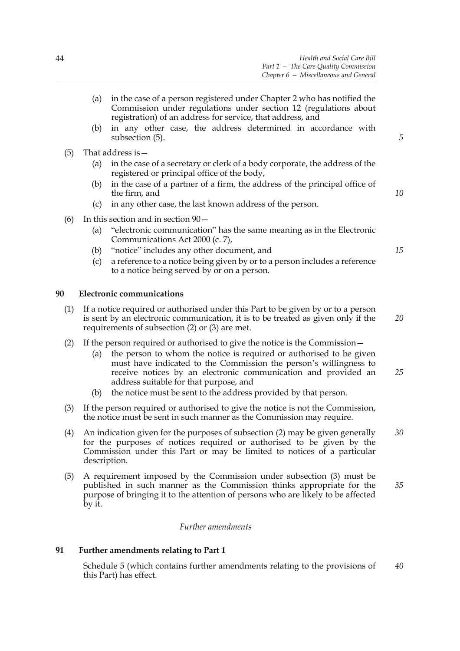- (b) in any other case, the address determined in accordance with subsection (5).
- (5) That address is—
	- (a) in the case of a secretary or clerk of a body corporate, the address of the registered or principal office of the body,
	- (b) in the case of a partner of a firm, the address of the principal office of the firm, and
	- (c) in any other case, the last known address of the person.
- (6) In this section and in section 90—
	- (a) "electronic communication" has the same meaning as in the Electronic Communications Act 2000 (c. 7),
	- (b) "notice" includes any other document, and
	- (c) a reference to a notice being given by or to a person includes a reference to a notice being served by or on a person.

### **90 Electronic communications**

- (1) If a notice required or authorised under this Part to be given by or to a person is sent by an electronic communication, it is to be treated as given only if the requirements of subsection (2) or (3) are met.
- (2) If the person required or authorised to give the notice is the Commission—
	- (a) the person to whom the notice is required or authorised to be given must have indicated to the Commission the person's willingness to receive notices by an electronic communication and provided an address suitable for that purpose, and *25*
	- (b) the notice must be sent to the address provided by that person.
- (3) If the person required or authorised to give the notice is not the Commission, the notice must be sent in such manner as the Commission may require.
- (4) An indication given for the purposes of subsection (2) may be given generally for the purposes of notices required or authorised to be given by the Commission under this Part or may be limited to notices of a particular description. *30*
- (5) A requirement imposed by the Commission under subsection (3) must be published in such manner as the Commission thinks appropriate for the purpose of bringing it to the attention of persons who are likely to be affected by it. *35*

#### *Further amendments*

#### **91 Further amendments relating to Part 1**

Schedule 5 (which contains further amendments relating to the provisions of this Part) has effect. *40*

*15*

*20*

*10*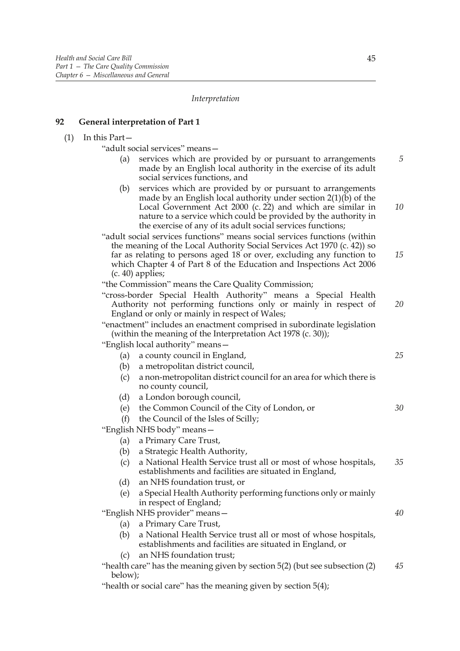#### *Interpretation*

### **92 General interpretation of Part 1**

(1) In this Part—

"adult social services" means—

- (a) services which are provided by or pursuant to arrangements made by an English local authority in the exercise of its adult social services functions, and *5*
- (b) services which are provided by or pursuant to arrangements made by an English local authority under section 2(1)(b) of the Local Government Act 2000 (c. 22) and which are similar in nature to a service which could be provided by the authority in the exercise of any of its adult social services functions; *10*

"adult social services functions" means social services functions (within the meaning of the Local Authority Social Services Act 1970 (c. 42)) so far as relating to persons aged 18 or over, excluding any function to which Chapter 4 of Part 8 of the Education and Inspections Act 2006 (c. 40) applies;

"the Commission" means the Care Quality Commission;

"cross-border Special Health Authority" means a Special Health Authority not performing functions only or mainly in respect of England or only or mainly in respect of Wales; *20*

"enactment" includes an enactment comprised in subordinate legislation (within the meaning of the Interpretation Act 1978 (c. 30));

"English local authority" means—

- (a) a county council in England, (b) a metropolitan district council, (c) a non-metropolitan district council for an area for which there is no county council, *25*
- (d) a London borough council,
- (e) the Common Council of the City of London, or *30*
- (f) the Council of the Isles of Scilly;

"English NHS body" means—

- (a) a Primary Care Trust,
- (b) a Strategic Health Authority,
- (c) a National Health Service trust all or most of whose hospitals, establishments and facilities are situated in England, *35*
- (d) an NHS foundation trust, or
- (e) a Special Health Authority performing functions only or mainly in respect of England;

"English NHS provider" means—

- (a) a Primary Care Trust,
- (b) a National Health Service trust all or most of whose hospitals, establishments and facilities are situated in England, or
- (c) an NHS foundation trust;
- "health care" has the meaning given by section 5(2) (but see subsection (2) below); *45*

"health or social care" has the meaning given by section 5(4);

*15*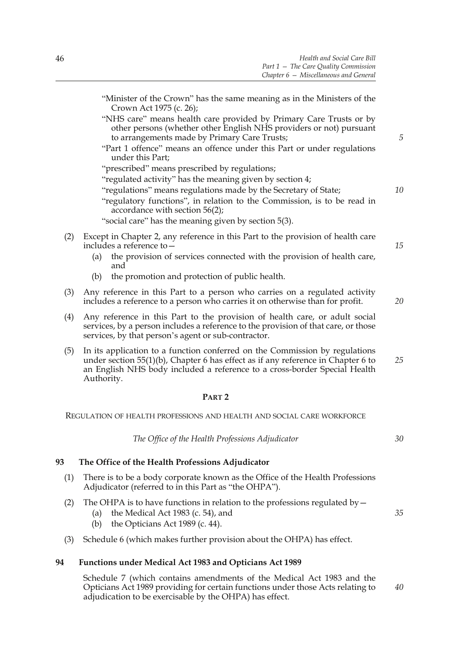|     | "Minister of the Crown" has the same meaning as in the Ministers of the<br>Crown Act 1975 (c. 26);                                                                                                                                                                                                  |    |
|-----|-----------------------------------------------------------------------------------------------------------------------------------------------------------------------------------------------------------------------------------------------------------------------------------------------------|----|
|     | "NHS care" means health care provided by Primary Care Trusts or by<br>other persons (whether other English NHS providers or not) pursuant<br>to arrangements made by Primary Care Trusts;                                                                                                           | 5  |
|     | "Part 1 offence" means an offence under this Part or under regulations<br>under this Part;<br>"prescribed" means prescribed by regulations;                                                                                                                                                         |    |
|     | "regulated activity" has the meaning given by section 4;<br>"regulations" means regulations made by the Secretary of State;<br>"regulatory functions", in relation to the Commission, is to be read in<br>accordance with section $56(2)$ ;<br>"social care" has the meaning given by section 5(3). | 10 |
| (2) | Except in Chapter 2, any reference in this Part to the provision of health care<br>includes a reference to -<br>the provision of services connected with the provision of health care,<br>(a)<br>and                                                                                                | 15 |
|     | the promotion and protection of public health.<br>(b)                                                                                                                                                                                                                                               |    |
| (3) | Any reference in this Part to a person who carries on a regulated activity<br>includes a reference to a person who carries it on otherwise than for profit.                                                                                                                                         | 20 |
| (4) | Any reference in this Part to the provision of health care, or adult social<br>services, by a person includes a reference to the provision of that care, or those<br>services, by that person's agent or sub-contractor.                                                                            |    |
| (5) | In its application to a function conferred on the Commission by regulations<br>under section $55(1)(b)$ , Chapter 6 has effect as if any reference in Chapter 6 to<br>an English NHS body included a reference to a cross-border Special Health<br>Authority.                                       | 25 |
|     | PART <sub>2</sub>                                                                                                                                                                                                                                                                                   |    |
|     | REGULATION OF HEALTH PROFESSIONS AND HEALTH AND SOCIAL CARE WORKFORCE                                                                                                                                                                                                                               |    |
|     | The Office of the Health Professions Adjudicator                                                                                                                                                                                                                                                    | 30 |
| 93  | The Office of the Health Professions Adjudicator                                                                                                                                                                                                                                                    |    |
|     | $(1)$ There is to be a body corporate known as the Office of the Health Professions                                                                                                                                                                                                                 |    |

- (1) There is to be a body corporate known as the Office of the Health Professions Adjudicator (referred to in this Part as "the OHPA").
- (2) The OHPA is to have functions in relation to the professions regulated by  $-$ 
	- (a) the Medical Act 1983 (c. 54), and
	- (b) the Opticians Act 1989 (c. 44).
- (3) Schedule 6 (which makes further provision about the OHPA) has effect.

# **94 Functions under Medical Act 1983 and Opticians Act 1989**

Schedule 7 (which contains amendments of the Medical Act 1983 and the Opticians Act 1989 providing for certain functions under those Acts relating to adjudication to be exercisable by the OHPA) has effect.

*40*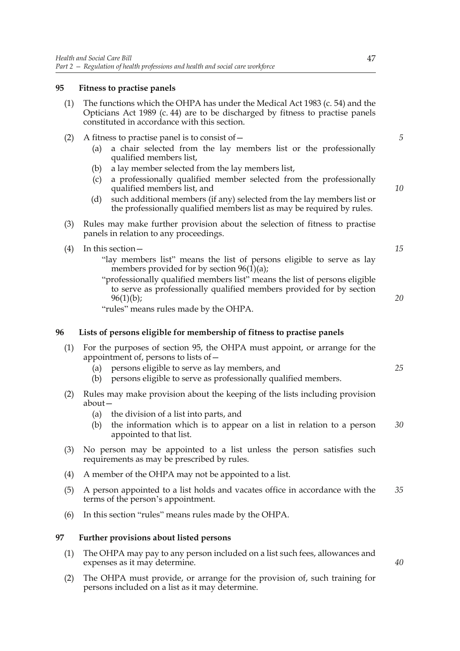### **95 Fitness to practise panels**

- (1) The functions which the OHPA has under the Medical Act 1983 (c. 54) and the Opticians Act 1989 (c. 44) are to be discharged by fitness to practise panels constituted in accordance with this section.
- (2) A fitness to practise panel is to consist of  $-$ 
	- (a) a chair selected from the lay members list or the professionally qualified members list,
	- (b) a lay member selected from the lay members list,
	- (c) a professionally qualified member selected from the professionally qualified members list, and
	- (d) such additional members (if any) selected from the lay members list or the professionally qualified members list as may be required by rules.

"professionally qualified members list" means the list of persons eligible to serve as professionally qualified members provided for by section

(3) Rules may make further provision about the selection of fitness to practise panels in relation to any proceedings.

(4) In this section—

 $96(1)(b)$ ;

- "lay members list" means the list of persons eligible to serve as lay *15*
	-

*5*

*10*

*20*

*25*

"rules" means rules made by the OHPA.

members provided for by section 96(1)(a);

## **96 Lists of persons eligible for membership of fitness to practise panels**

- (1) For the purposes of section 95, the OHPA must appoint, or arrange for the appointment of, persons to lists of—
	- (a) persons eligible to serve as lay members, and
	- (b) persons eligible to serve as professionally qualified members.
- (2) Rules may make provision about the keeping of the lists including provision about—
	- (a) the division of a list into parts, and
	- (b) the information which is to appear on a list in relation to a person appointed to that list. *30*
- (3) No person may be appointed to a list unless the person satisfies such requirements as may be prescribed by rules.
- (4) A member of the OHPA may not be appointed to a list.
- (5) A person appointed to a list holds and vacates office in accordance with the terms of the person's appointment. *35*
- (6) In this section "rules" means rules made by the OHPA.

### **97 Further provisions about listed persons**

- (1) The OHPA may pay to any person included on a list such fees, allowances and expenses as it may determine.
- (2) The OHPA must provide, or arrange for the provision of, such training for persons included on a list as it may determine.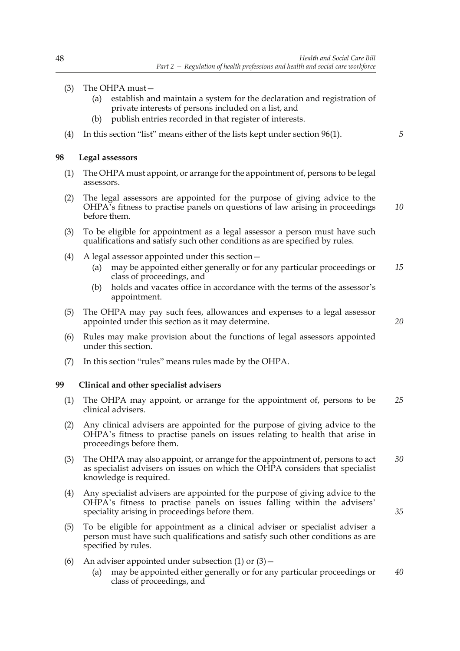- (3) The OHPA must—
	- (a) establish and maintain a system for the declaration and registration of private interests of persons included on a list, and
	- (b) publish entries recorded in that register of interests.
- (4) In this section "list" means either of the lists kept under section 96(1).

### **98 Legal assessors**

- (1) The OHPA must appoint, or arrange for the appointment of, persons to be legal assessors.
- (2) The legal assessors are appointed for the purpose of giving advice to the OHPA's fitness to practise panels on questions of law arising in proceedings before them. *10*
- (3) To be eligible for appointment as a legal assessor a person must have such qualifications and satisfy such other conditions as are specified by rules.
- (4) A legal assessor appointed under this section—
	- (a) may be appointed either generally or for any particular proceedings or class of proceedings, and *15*
	- (b) holds and vacates office in accordance with the terms of the assessor's appointment.
- (5) The OHPA may pay such fees, allowances and expenses to a legal assessor appointed under this section as it may determine.
- (6) Rules may make provision about the functions of legal assessors appointed under this section.
- (7) In this section "rules" means rules made by the OHPA.

### **99 Clinical and other specialist advisers**

- (1) The OHPA may appoint, or arrange for the appointment of, persons to be clinical advisers. *25*
- (2) Any clinical advisers are appointed for the purpose of giving advice to the OHPA's fitness to practise panels on issues relating to health that arise in proceedings before them.
- (3) The OHPA may also appoint, or arrange for the appointment of, persons to act as specialist advisers on issues on which the OHPA considers that specialist knowledge is required. *30*
- (4) Any specialist advisers are appointed for the purpose of giving advice to the OHPA's fitness to practise panels on issues falling within the advisers' speciality arising in proceedings before them.
- (5) To be eligible for appointment as a clinical adviser or specialist adviser a person must have such qualifications and satisfy such other conditions as are specified by rules.
- (6) An adviser appointed under subsection  $(1)$  or  $(3)$  -
	- (a) may be appointed either generally or for any particular proceedings or class of proceedings, and *40*

*20*

*35*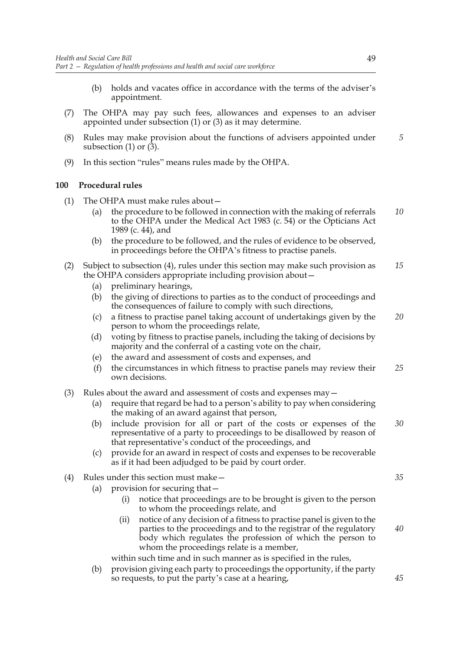- (b) holds and vacates office in accordance with the terms of the adviser's appointment.
- (7) The OHPA may pay such fees, allowances and expenses to an adviser appointed under subsection (1) or (3) as it may determine.
- (8) Rules may make provision about the functions of advisers appointed under subsection  $(1)$  or  $(3)$ . *5*
- (9) In this section "rules" means rules made by the OHPA.

## **100 Procedural rules**

- (1) The OHPA must make rules about—
	- (a) the procedure to be followed in connection with the making of referrals to the OHPA under the Medical Act 1983 (c. 54) or the Opticians Act 1989 (c. 44), and *10*
	- (b) the procedure to be followed, and the rules of evidence to be observed, in proceedings before the OHPA's fitness to practise panels.
- (2) Subject to subsection (4), rules under this section may make such provision as the OHPA considers appropriate including provision about— *15*
	- (a) preliminary hearings,
	- (b) the giving of directions to parties as to the conduct of proceedings and the consequences of failure to comply with such directions,
	- (c) a fitness to practise panel taking account of undertakings given by the person to whom the proceedings relate, *20*
	- (d) voting by fitness to practise panels, including the taking of decisions by majority and the conferral of a casting vote on the chair,
	- (e) the award and assessment of costs and expenses, and
	- (f) the circumstances in which fitness to practise panels may review their own decisions. *25*
- (3) Rules about the award and assessment of costs and expenses may—
	- (a) require that regard be had to a person's ability to pay when considering the making of an award against that person,
	- (b) include provision for all or part of the costs or expenses of the representative of a party to proceedings to be disallowed by reason of that representative's conduct of the proceedings, and *30*
	- (c) provide for an award in respect of costs and expenses to be recoverable as if it had been adjudged to be paid by court order.
- (4) Rules under this section must make—
	- (a) provision for securing that—
		- (i) notice that proceedings are to be brought is given to the person to whom the proceedings relate, and
		- (ii) notice of any decision of a fitness to practise panel is given to the parties to the proceedings and to the registrar of the regulatory body which regulates the profession of which the person to whom the proceedings relate is a member,

within such time and in such manner as is specified in the rules,

(b) provision giving each party to proceedings the opportunity, if the party so requests, to put the party's case at a hearing,

*35*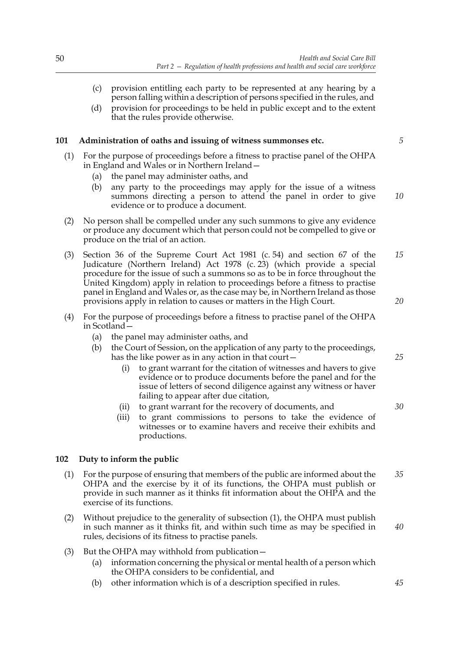- (c) provision entitling each party to be represented at any hearing by a person falling within a description of persons specified in the rules, and
- (d) provision for proceedings to be held in public except and to the extent that the rules provide otherwise.

## **101 Administration of oaths and issuing of witness summonses etc.**

- (1) For the purpose of proceedings before a fitness to practise panel of the OHPA in England and Wales or in Northern Ireland—
	- (a) the panel may administer oaths, and
	- (b) any party to the proceedings may apply for the issue of a witness summons directing a person to attend the panel in order to give evidence or to produce a document.
- (2) No person shall be compelled under any such summons to give any evidence or produce any document which that person could not be compelled to give or produce on the trial of an action.
- (3) Section 36 of the Supreme Court Act 1981 (c. 54) and section 67 of the Judicature (Northern Ireland) Act 1978 (c. 23) (which provide a special procedure for the issue of such a summons so as to be in force throughout the United Kingdom) apply in relation to proceedings before a fitness to practise panel in England and Wales or, as the case may be, in Northern Ireland as those provisions apply in relation to causes or matters in the High Court. *15*
- (4) For the purpose of proceedings before a fitness to practise panel of the OHPA in Scotland—
	- (a) the panel may administer oaths, and
	- (b) the Court of Session, on the application of any party to the proceedings, has the like power as in any action in that court—
		- (i) to grant warrant for the citation of witnesses and havers to give evidence or to produce documents before the panel and for the issue of letters of second diligence against any witness or haver failing to appear after due citation,
		- (ii) to grant warrant for the recovery of documents, and
		- (iii) to grant commissions to persons to take the evidence of witnesses or to examine havers and receive their exhibits and productions.

## **102 Duty to inform the public**

- (1) For the purpose of ensuring that members of the public are informed about the OHPA and the exercise by it of its functions, the OHPA must publish or provide in such manner as it thinks fit information about the OHPA and the exercise of its functions. *35*
- (2) Without prejudice to the generality of subsection (1), the OHPA must publish in such manner as it thinks fit, and within such time as may be specified in rules, decisions of its fitness to practise panels. *40*
- (3) But the OHPA may withhold from publication—
	- (a) information concerning the physical or mental health of a person which the OHPA considers to be confidential, and
	- (b) other information which is of a description specified in rules.

*10*

*5*

*20*

*25*

*30*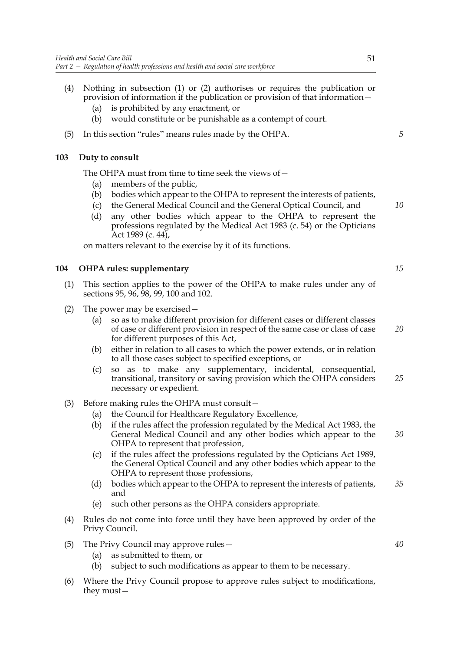- (a) is prohibited by any enactment, or
- (b) would constitute or be punishable as a contempt of court.
- (5) In this section "rules" means rules made by the OHPA.

## **103 Duty to consult**

The OHPA must from time to time seek the views of—

- (a) members of the public,
- (b) bodies which appear to the OHPA to represent the interests of patients,
- (c) the General Medical Council and the General Optical Council, and
- (d) any other bodies which appear to the OHPA to represent the professions regulated by the Medical Act 1983 (c. 54) or the Opticians Act 1989 (c. 44),

on matters relevant to the exercise by it of its functions.

### **104 OHPA rules: supplementary**

- (1) This section applies to the power of the OHPA to make rules under any of sections 95, 96, 98, 99, 100 and 102.
- (2) The power may be exercised—
	- (a) so as to make different provision for different cases or different classes of case or different provision in respect of the same case or class of case for different purposes of this Act,
	- (b) either in relation to all cases to which the power extends, or in relation to all those cases subject to specified exceptions, or
	- (c) so as to make any supplementary, incidental, consequential, transitional, transitory or saving provision which the OHPA considers necessary or expedient. *25*
- (3) Before making rules the OHPA must consult—
	- (a) the Council for Healthcare Regulatory Excellence,
	- (b) if the rules affect the profession regulated by the Medical Act 1983, the General Medical Council and any other bodies which appear to the OHPA to represent that profession, *30*
	- (c) if the rules affect the professions regulated by the Opticians Act 1989, the General Optical Council and any other bodies which appear to the OHPA to represent those professions,
	- (d) bodies which appear to the OHPA to represent the interests of patients, and *35*
	- (e) such other persons as the OHPA considers appropriate.
- (4) Rules do not come into force until they have been approved by order of the Privy Council.
- (5) The Privy Council may approve rules—
	- (a) as submitted to them, or
	- (b) subject to such modifications as appear to them to be necessary.
- (6) Where the Privy Council propose to approve rules subject to modifications, they must—

*15*

*20*

*40*

*10*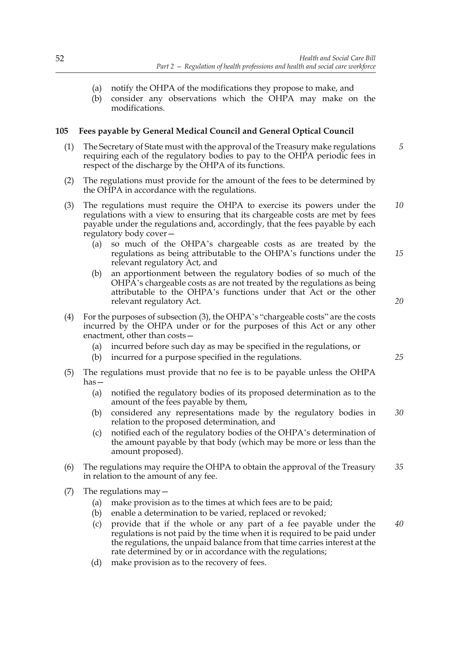- (a) notify the OHPA of the modifications they propose to make, and
- (b) consider any observations which the OHPA may make on the modifications.

# **105 Fees payable by General Medical Council and General Optical Council**

- (1) The Secretary of State must with the approval of the Treasury make regulations requiring each of the regulatory bodies to pay to the OHPA periodic fees in respect of the discharge by the OHPA of its functions. *5*
- (2) The regulations must provide for the amount of the fees to be determined by the OHPA in accordance with the regulations.
- (3) The regulations must require the OHPA to exercise its powers under the regulations with a view to ensuring that its chargeable costs are met by fees payable under the regulations and, accordingly, that the fees payable by each regulatory body cover— *10*
	- (a) so much of the OHPA's chargeable costs as are treated by the regulations as being attributable to the OHPA's functions under the relevant regulatory Act, and *15*
	- (b) an apportionment between the regulatory bodies of so much of the OHPA's chargeable costs as are not treated by the regulations as being attributable to the OHPA's functions under that Act or the other relevant regulatory Act.
- (4) For the purposes of subsection (3), the OHPA's "chargeable costs" are the costs incurred by the OHPA under or for the purposes of this Act or any other enactment, other than costs—
	- (a) incurred before such day as may be specified in the regulations, or
	- (b) incurred for a purpose specified in the regulations.
- (5) The regulations must provide that no fee is to be payable unless the OHPA has—
	- (a) notified the regulatory bodies of its proposed determination as to the amount of the fees payable by them,
	- (b) considered any representations made by the regulatory bodies in relation to the proposed determination, and *30*
	- (c) notified each of the regulatory bodies of the OHPA's determination of the amount payable by that body (which may be more or less than the amount proposed).
- (6) The regulations may require the OHPA to obtain the approval of the Treasury in relation to the amount of any fee. *35*
- (7) The regulations may—
	- (a) make provision as to the times at which fees are to be paid;
	- (b) enable a determination to be varied, replaced or revoked;
	- (c) provide that if the whole or any part of a fee payable under the regulations is not paid by the time when it is required to be paid under the regulations, the unpaid balance from that time carries interest at the rate determined by or in accordance with the regulations; *40*
	- (d) make provision as to the recovery of fees.

*25*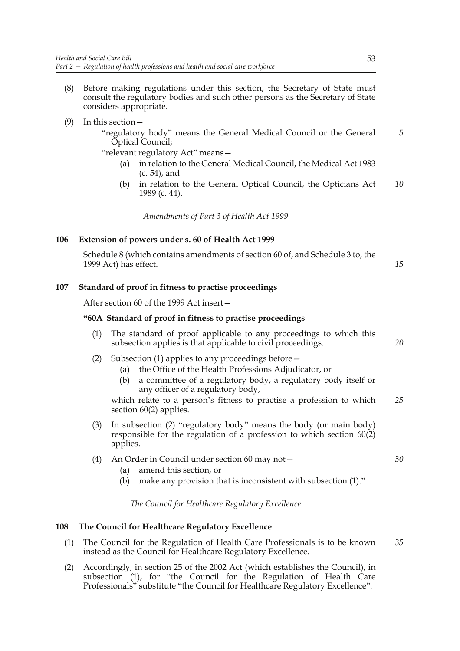- (8) Before making regulations under this section, the Secretary of State must consult the regulatory bodies and such other persons as the Secretary of State considers appropriate.
- (9) In this section—
	- "regulatory body" means the General Medical Council or the General Optical Council; *5*

"relevant regulatory Act" means—

- (a) in relation to the General Medical Council, the Medical Act 1983 (c. 54), and
- (b) in relation to the General Optical Council, the Opticians Act 1989 (c. 44). *10*

*Amendments of Part 3 of Health Act 1999*

## **106 Extension of powers under s. 60 of Health Act 1999**

Schedule 8 (which contains amendments of section 60 of, and Schedule 3 to, the 1999 Act) has effect.

*15*

*20*

*30*

### **107 Standard of proof in fitness to practise proceedings**

After section 60 of the 1999 Act insert—

### **"60A Standard of proof in fitness to practise proceedings**

(1) The standard of proof applicable to any proceedings to which this subsection applies is that applicable to civil proceedings.

### (2) Subsection (1) applies to any proceedings before—

- (a) the Office of the Health Professions Adjudicator, or
- (b) a committee of a regulatory body, a regulatory body itself or any officer of a regulatory body,

which relate to a person's fitness to practise a profession to which section 60(2) applies. *25*

(3) In subsection (2) "regulatory body" means the body (or main body) responsible for the regulation of a profession to which section 60(2) applies.

#### (4) An Order in Council under section 60 may not—

- (a) amend this section, or
- (b) make any provision that is inconsistent with subsection (1)."

*The Council for Healthcare Regulatory Excellence*

#### **108 The Council for Healthcare Regulatory Excellence**

- (1) The Council for the Regulation of Health Care Professionals is to be known instead as the Council for Healthcare Regulatory Excellence. *35*
- (2) Accordingly, in section 25 of the 2002 Act (which establishes the Council), in subsection (1), for "the Council for the Regulation of Health Care Professionals" substitute "the Council for Healthcare Regulatory Excellence".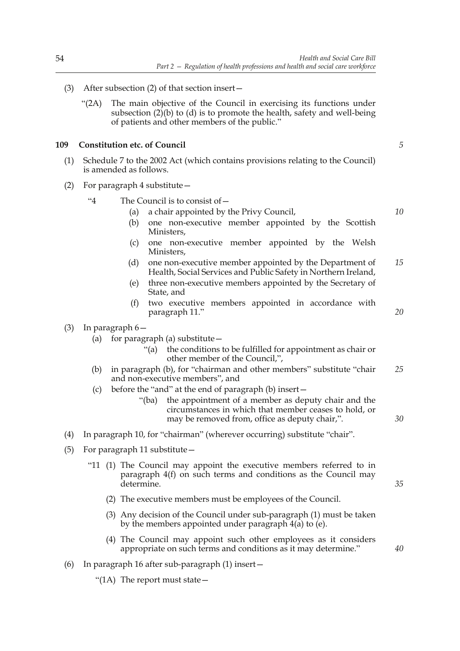- (3) After subsection (2) of that section insert—
	- "(2A) The main objective of the Council in exercising its functions under subsection (2)(b) to (d) is to promote the health, safety and well-being of patients and other members of the public."

#### **109 Constitution etc. of Council**

- (1) Schedule 7 to the 2002 Act (which contains provisions relating to the Council) is amended as follows.
- (2) For paragraph 4 substitute—
	- "4 The Council is to consist of—
		- (a) a chair appointed by the Privy Council,
		- (b) one non-executive member appointed by the Scottish Ministers,
		- (c) one non-executive member appointed by the Welsh Ministers,
		- (d) one non-executive member appointed by the Department of Health, Social Services and Public Safety in Northern Ireland, *15*
		- (e) three non-executive members appointed by the Secretary of State, and
		- (f) two executive members appointed in accordance with paragraph 11."
- (3) In paragraph 6—
	- (a) for paragraph (a) substitute  $-$ 
		- "(a) the conditions to be fulfilled for appointment as chair or other member of the Council,",
	- (b) in paragraph (b), for "chairman and other members" substitute "chair and non-executive members", and *25*
	- (c) before the "and" at the end of paragraph (b) insert—
		- "(ba) the appointment of a member as deputy chair and the circumstances in which that member ceases to hold, or may be removed from, office as deputy chair,".
- (4) In paragraph 10, for "chairman" (wherever occurring) substitute "chair".
- (5) For paragraph 11 substitute—
	- "11 (1) The Council may appoint the executive members referred to in paragraph 4(f) on such terms and conditions as the Council may determine.
		- (2) The executive members must be employees of the Council.
		- (3) Any decision of the Council under sub-paragraph (1) must be taken by the members appointed under paragraph 4(a) to (e).
		- (4) The Council may appoint such other employees as it considers appropriate on such terms and conditions as it may determine."
- (6) In paragraph 16 after sub-paragraph (1) insert—
	- "(1A) The report must state  $-$

*5*

*10*

*20*

*30*

*35*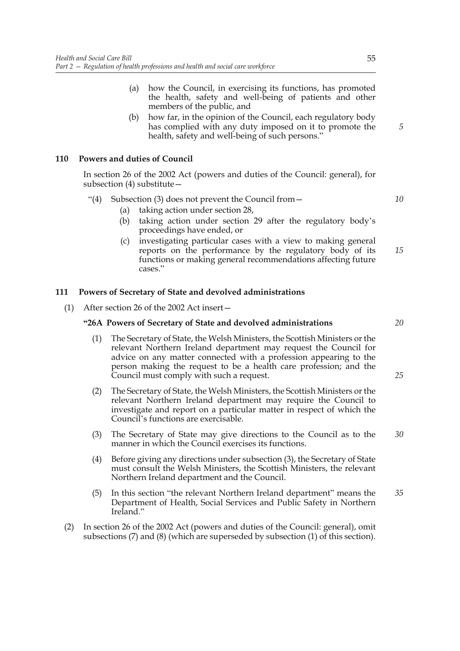- (a) how the Council, in exercising its functions, has promoted the health, safety and well-being of patients and other members of the public, and
- (b) how far, in the opinion of the Council, each regulatory body has complied with any duty imposed on it to promote the health, safety and well-being of such persons."

## **110 Powers and duties of Council**

In section 26 of the 2002 Act (powers and duties of the Council: general), for subsection (4) substitute—

#### "(4) Subsection (3) does not prevent the Council from—

- (a) taking action under section 28,
- (b) taking action under section 29 after the regulatory body's proceedings have ended, or
- (c) investigating particular cases with a view to making general reports on the performance by the regulatory body of its functions or making general recommendations affecting future cases." *15*

#### **111 Powers of Secretary of State and devolved administrations**

(1) After section 26 of the 2002 Act insert—

#### **"26A Powers of Secretary of State and devolved administrations**

- (1) The Secretary of State, the Welsh Ministers, the Scottish Ministers or the relevant Northern Ireland department may request the Council for advice on any matter connected with a profession appearing to the person making the request to be a health care profession; and the Council must comply with such a request.
- (2) The Secretary of State, the Welsh Ministers, the Scottish Ministers or the relevant Northern Ireland department may require the Council to investigate and report on a particular matter in respect of which the Council's functions are exercisable.
- (3) The Secretary of State may give directions to the Council as to the manner in which the Council exercises its functions. *30*
- (4) Before giving any directions under subsection (3), the Secretary of State must consult the Welsh Ministers, the Scottish Ministers, the relevant Northern Ireland department and the Council.
- (5) In this section "the relevant Northern Ireland department" means the Department of Health, Social Services and Public Safety in Northern Ireland." *35*
- (2) In section 26 of the 2002 Act (powers and duties of the Council: general), omit subsections (7) and (8) (which are superseded by subsection (1) of this section).

*5*

*10*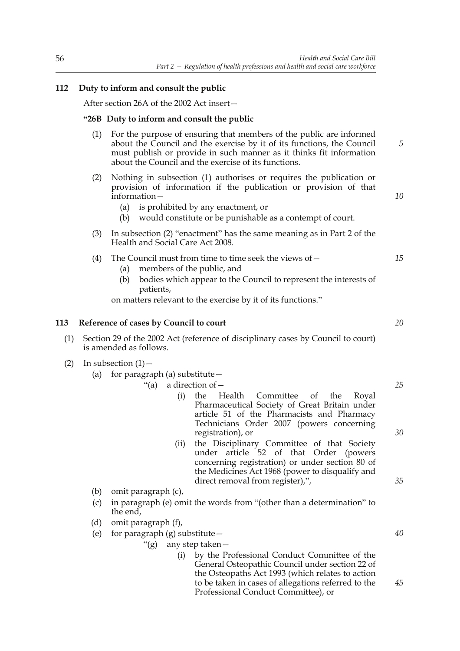### **112 Duty to inform and consult the public**

After section 26A of the 2002 Act insert—

#### **"26B Duty to inform and consult the public**

- (1) For the purpose of ensuring that members of the public are informed about the Council and the exercise by it of its functions, the Council must publish or provide in such manner as it thinks fit information about the Council and the exercise of its functions.
- (2) Nothing in subsection (1) authorises or requires the publication or provision of information if the publication or provision of that information—
	- (a) is prohibited by any enactment, or
	- (b) would constitute or be punishable as a contempt of court.
- (3) In subsection (2) "enactment" has the same meaning as in Part 2 of the Health and Social Care Act 2008.
- (4) The Council must from time to time seek the views of—
	- (a) members of the public, and
	- (b) bodies which appear to the Council to represent the interests of patients,

on matters relevant to the exercise by it of its functions."

#### **113 Reference of cases by Council to court**

- (1) Section 29 of the 2002 Act (reference of disciplinary cases by Council to court) is amended as follows.
- (2) In subsection  $(1)$ 
	- (a) for paragraph (a) substitute—
		- "(a) a direction of—
			- (i) the Health Committee of the Royal Pharmaceutical Society of Great Britain under article 51 of the Pharmacists and Pharmacy Technicians Order 2007 (powers concerning registration), or
			- (ii) the Disciplinary Committee of that Society under article 52 of that Order (powers concerning registration) or under section 80 of the Medicines Act 1968 (power to disqualify and direct removal from register),",
	- (b) omit paragraph (c),
	- (c) in paragraph (e) omit the words from "(other than a determination" to the end,
	- (d) omit paragraph (f),
	- (e) for paragraph (g) substitute—
		- "(g) any step taken—
			- (i) by the Professional Conduct Committee of the General Osteopathic Council under section 22 of the Osteopaths Act 1993 (which relates to action to be taken in cases of allegations referred to the Professional Conduct Committee), or

*40*

*45*

*35*

*30*

*5*

*10*

*15*

*20*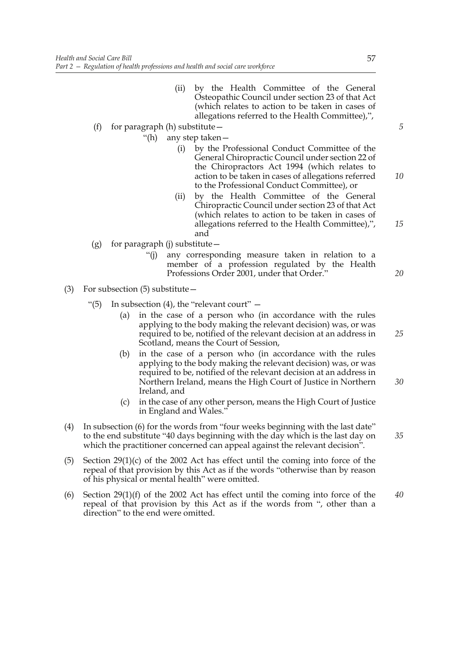- (ii) by the Health Committee of the General Osteopathic Council under section 23 of that Act (which relates to action to be taken in cases of allegations referred to the Health Committee),",
- (f) for paragraph (h) substitute  $-$ 
	- "(h) any step taken—
		- (i) by the Professional Conduct Committee of the General Chiropractic Council under section 22 of the Chiropractors Act 1994 (which relates to action to be taken in cases of allegations referred to the Professional Conduct Committee), or
		- (ii) by the Health Committee of the General Chiropractic Council under section 23 of that Act (which relates to action to be taken in cases of allegations referred to the Health Committee),", and
- (g) for paragraph (j) substitute  $-$ 
	- "(j) any corresponding measure taken in relation to a member of a profession regulated by the Health Professions Order 2001, under that Order."
- (3) For subsection (5) substitute—
	- "(5) In subsection (4), the "relevant court"  $-$ 
		- (a) in the case of a person who (in accordance with the rules applying to the body making the relevant decision) was, or was required to be, notified of the relevant decision at an address in Scotland, means the Court of Session,
		- (b) in the case of a person who (in accordance with the rules applying to the body making the relevant decision) was, or was required to be, notified of the relevant decision at an address in Northern Ireland, means the High Court of Justice in Northern Ireland, and *30*
		- (c) in the case of any other person, means the High Court of Justice in England and Wales."
- (4) In subsection (6) for the words from "four weeks beginning with the last date" to the end substitute "40 days beginning with the day which is the last day on which the practitioner concerned can appeal against the relevant decision".
- (5) Section 29(1)(c) of the 2002 Act has effect until the coming into force of the repeal of that provision by this Act as if the words "otherwise than by reason of his physical or mental health" were omitted.
- (6) Section 29(1)(f) of the 2002 Act has effect until the coming into force of the repeal of that provision by this Act as if the words from ", other than a direction" to the end were omitted. *40*

*5*

*10*

*15*

*20*

*25*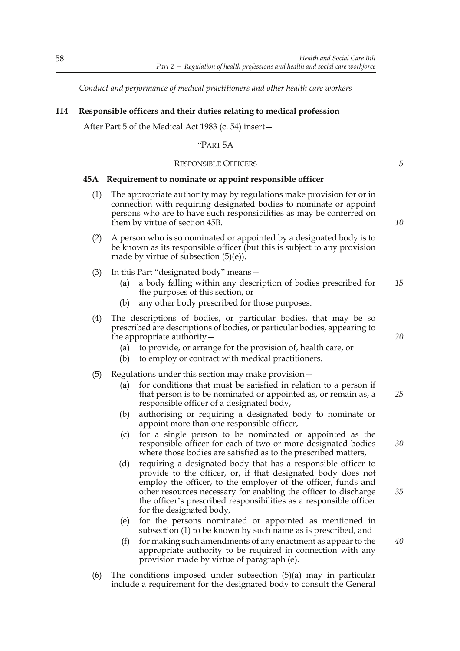*Conduct and performance of medical practitioners and other health care workers*

### **114 Responsible officers and their duties relating to medical profession**

After Part 5 of the Medical Act 1983 (c. 54) insert—

"PART 5A

#### RESPONSIBLE OFFICERS

#### **45A Requirement to nominate or appoint responsible officer**

- (1) The appropriate authority may by regulations make provision for or in connection with requiring designated bodies to nominate or appoint persons who are to have such responsibilities as may be conferred on them by virtue of section 45B.
- (2) A person who is so nominated or appointed by a designated body is to be known as its responsible officer (but this is subject to any provision made by virtue of subsection (5)(e)).
- (3) In this Part "designated body" means—
	- (a) a body falling within any description of bodies prescribed for the purposes of this section, or *15*
	- (b) any other body prescribed for those purposes.
- (4) The descriptions of bodies, or particular bodies, that may be so prescribed are descriptions of bodies, or particular bodies, appearing to the appropriate authority—
	- (a) to provide, or arrange for the provision of, health care, or
	- (b) to employ or contract with medical practitioners.
- (5) Regulations under this section may make provision—
	- (a) for conditions that must be satisfied in relation to a person if that person is to be nominated or appointed as, or remain as, a responsible officer of a designated body, *25*
	- (b) authorising or requiring a designated body to nominate or appoint more than one responsible officer,
	- (c) for a single person to be nominated or appointed as the responsible officer for each of two or more designated bodies where those bodies are satisfied as to the prescribed matters,
	- (d) requiring a designated body that has a responsible officer to provide to the officer, or, if that designated body does not employ the officer, to the employer of the officer, funds and other resources necessary for enabling the officer to discharge the officer's prescribed responsibilities as a responsible officer for the designated body, *35*
	- (e) for the persons nominated or appointed as mentioned in subsection (1) to be known by such name as is prescribed, and
	- $(f)$  for making such amendments of any enactment as appear to the appropriate authority to be required in connection with any provision made by virtue of paragraph (e).
- (6) The conditions imposed under subsection (5)(a) may in particular include a requirement for the designated body to consult the General

*10*

*5*

*20*

*30*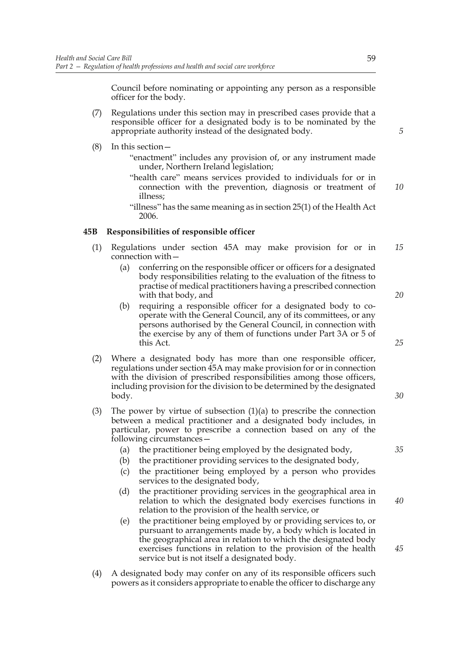Council before nominating or appointing any person as a responsible officer for the body.

- (7) Regulations under this section may in prescribed cases provide that a responsible officer for a designated body is to be nominated by the appropriate authority instead of the designated body.
- (8) In this section—
	- "enactment" includes any provision of, or any instrument made under, Northern Ireland legislation;
	- "health care" means services provided to individuals for or in connection with the prevention, diagnosis or treatment of illness; *10*
	- "illness" has the same meaning as in section 25(1) of the Health Act 2006.

# **45B Responsibilities of responsible officer**

- (1) Regulations under section 45A may make provision for or in connection with— *15*
	- (a) conferring on the responsible officer or officers for a designated body responsibilities relating to the evaluation of the fitness to practise of medical practitioners having a prescribed connection with that body, and
	- (b) requiring a responsible officer for a designated body to cooperate with the General Council, any of its committees, or any persons authorised by the General Council, in connection with the exercise by any of them of functions under Part 3A or 5 of this Act.
- (2) Where a designated body has more than one responsible officer, regulations under section 45A may make provision for or in connection with the division of prescribed responsibilities among those officers, including provision for the division to be determined by the designated body.
- (3) The power by virtue of subsection  $(1)(a)$  to prescribe the connection between a medical practitioner and a designated body includes, in particular, power to prescribe a connection based on any of the following circumstances—
	- (a) the practitioner being employed by the designated body,
	- (b) the practitioner providing services to the designated body,
	- (c) the practitioner being employed by a person who provides services to the designated body,
	- (d) the practitioner providing services in the geographical area in relation to which the designated body exercises functions in relation to the provision of the health service, or
	- (e) the practitioner being employed by or providing services to, or pursuant to arrangements made by, a body which is located in the geographical area in relation to which the designated body exercises functions in relation to the provision of the health service but is not itself a designated body.
- (4) A designated body may confer on any of its responsible officers such powers as it considers appropriate to enable the officer to discharge any

*25*

*20*

*5*

*30*

*35*

*40*

*45*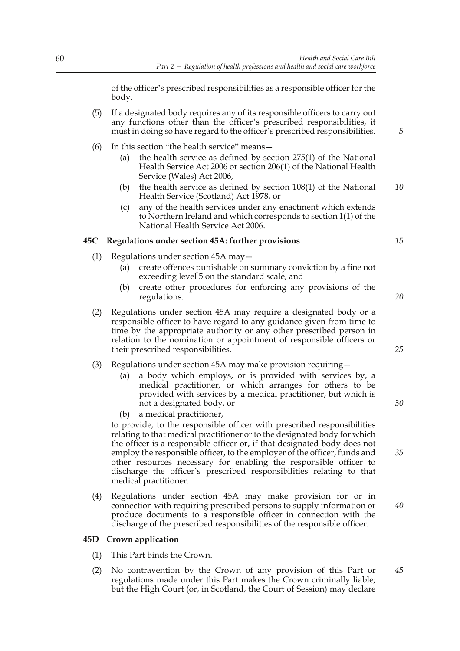of the officer's prescribed responsibilities as a responsible officer for the body.

- (5) If a designated body requires any of its responsible officers to carry out any functions other than the officer's prescribed responsibilities, it must in doing so have regard to the officer's prescribed responsibilities.
- (6) In this section "the health service" means—
	- (a) the health service as defined by section 275(1) of the National Health Service Act 2006 or section 206(1) of the National Health Service (Wales) Act 2006,
	- (b) the health service as defined by section 108(1) of the National Health Service (Scotland) Act 1978, or *10*
	- (c) any of the health services under any enactment which extends to Northern Ireland and which corresponds to section 1(1) of the National Health Service Act 2006.

### **45C Regulations under section 45A: further provisions**

- (1) Regulations under section 45A may—
	- (a) create offences punishable on summary conviction by a fine not exceeding level 5 on the standard scale, and
	- (b) create other procedures for enforcing any provisions of the regulations.
- (2) Regulations under section 45A may require a designated body or a responsible officer to have regard to any guidance given from time to time by the appropriate authority or any other prescribed person in relation to the nomination or appointment of responsible officers or their prescribed responsibilities.

## (3) Regulations under section 45A may make provision requiring—

- (a) a body which employs, or is provided with services by, a medical practitioner, or which arranges for others to be provided with services by a medical practitioner, but which is not a designated body, or
- (b) a medical practitioner,

to provide, to the responsible officer with prescribed responsibilities relating to that medical practitioner or to the designated body for which the officer is a responsible officer or, if that designated body does not employ the responsible officer, to the employer of the officer, funds and other resources necessary for enabling the responsible officer to discharge the officer's prescribed responsibilities relating to that medical practitioner.

(4) Regulations under section 45A may make provision for or in connection with requiring prescribed persons to supply information or produce documents to a responsible officer in connection with the discharge of the prescribed responsibilities of the responsible officer.

#### **45D Crown application**

- (1) This Part binds the Crown.
- (2) No contravention by the Crown of any provision of this Part or regulations made under this Part makes the Crown criminally liable; but the High Court (or, in Scotland, the Court of Session) may declare *45*

*25*

*20*

*15*

*5*

*30*

*35*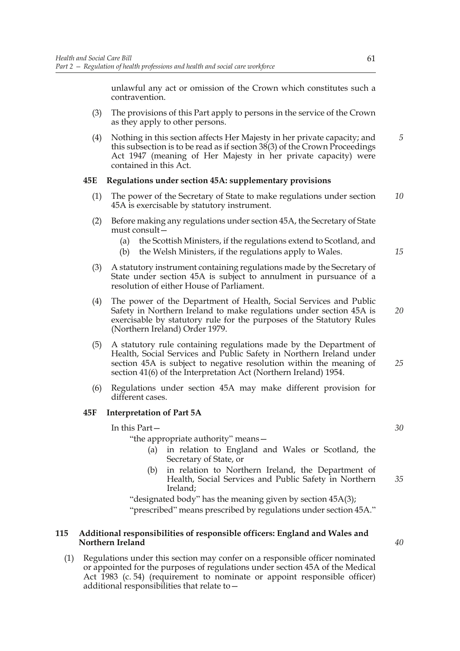unlawful any act or omission of the Crown which constitutes such a contravention.

- (3) The provisions of this Part apply to persons in the service of the Crown as they apply to other persons.
- (4) Nothing in this section affects Her Majesty in her private capacity; and this subsection is to be read as if section 38(3) of the Crown Proceedings Act 1947 (meaning of Her Majesty in her private capacity) were contained in this Act. *5*

### **45E Regulations under section 45A: supplementary provisions**

- (1) The power of the Secretary of State to make regulations under section 45A is exercisable by statutory instrument. *10*
- (2) Before making any regulations under section 45A, the Secretary of State must consult—
	- (a) the Scottish Ministers, if the regulations extend to Scotland, and
	- (b) the Welsh Ministers, if the regulations apply to Wales.
- (3) A statutory instrument containing regulations made by the Secretary of State under section 45A is subject to annulment in pursuance of a resolution of either House of Parliament.
- (4) The power of the Department of Health, Social Services and Public Safety in Northern Ireland to make regulations under section 45A is exercisable by statutory rule for the purposes of the Statutory Rules (Northern Ireland) Order 1979.
- (5) A statutory rule containing regulations made by the Department of Health, Social Services and Public Safety in Northern Ireland under section 45A is subject to negative resolution within the meaning of section 41(6) of the Interpretation Act (Northern Ireland) 1954.
- (6) Regulations under section 45A may make different provision for different cases.

#### **45F Interpretation of Part 5A**

In this Part—

"the appropriate authority" means—

- (a) in relation to England and Wales or Scotland, the Secretary of State, or
- (b) in relation to Northern Ireland, the Department of Health, Social Services and Public Safety in Northern Ireland; *35*

"designated body" has the meaning given by section 45A(3);

"prescribed" means prescribed by regulations under section 45A."

### **115 Additional responsibilities of responsible officers: England and Wales and Northern Ireland**

- *40*
- (1) Regulations under this section may confer on a responsible officer nominated or appointed for the purposes of regulations under section 45A of the Medical Act 1983 (c. 54) (requirement to nominate or appoint responsible officer) additional responsibilities that relate to—

*30*

*15*

*20*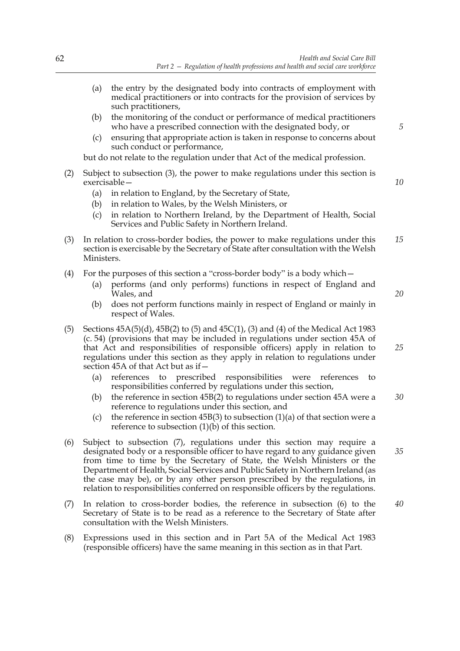- (a) the entry by the designated body into contracts of employment with medical practitioners or into contracts for the provision of services by such practitioners,
- (b) the monitoring of the conduct or performance of medical practitioners who have a prescribed connection with the designated body, or
- (c) ensuring that appropriate action is taken in response to concerns about such conduct or performance,

but do not relate to the regulation under that Act of the medical profession.

- (2) Subject to subsection (3), the power to make regulations under this section is exercisable—
	- (a) in relation to England, by the Secretary of State,
	- (b) in relation to Wales, by the Welsh Ministers, or
	- (c) in relation to Northern Ireland, by the Department of Health, Social Services and Public Safety in Northern Ireland.
- (3) In relation to cross-border bodies, the power to make regulations under this section is exercisable by the Secretary of State after consultation with the Welsh Ministers. *15*
- (4) For the purposes of this section a "cross-border body" is a body which—
	- (a) performs (and only performs) functions in respect of England and Wales, and
	- (b) does not perform functions mainly in respect of England or mainly in respect of Wales.
- (5) Sections 45A(5)(d), 45B(2) to (5) and 45C(1), (3) and (4) of the Medical Act 1983 (c. 54) (provisions that may be included in regulations under section 45A of that Act and responsibilities of responsible officers) apply in relation to regulations under this section as they apply in relation to regulations under section 45A of that Act but as if—
	- (a) references to prescribed responsibilities were references to responsibilities conferred by regulations under this section,
	- (b) the reference in section 45B(2) to regulations under section 45A were a reference to regulations under this section, and *30*
	- (c) the reference in section 45B(3) to subsection  $(1)(a)$  of that section were a reference to subsection (1)(b) of this section.
- (6) Subject to subsection (7), regulations under this section may require a designated body or a responsible officer to have regard to any guidance given from time to time by the Secretary of State, the Welsh Ministers or the Department of Health, Social Services and Public Safety in Northern Ireland (as the case may be), or by any other person prescribed by the regulations, in relation to responsibilities conferred on responsible officers by the regulations. *35*
- (7) In relation to cross-border bodies, the reference in subsection (6) to the Secretary of State is to be read as a reference to the Secretary of State after consultation with the Welsh Ministers. *40*
- (8) Expressions used in this section and in Part 5A of the Medical Act 1983 (responsible officers) have the same meaning in this section as in that Part.

*5*

*10*

*20*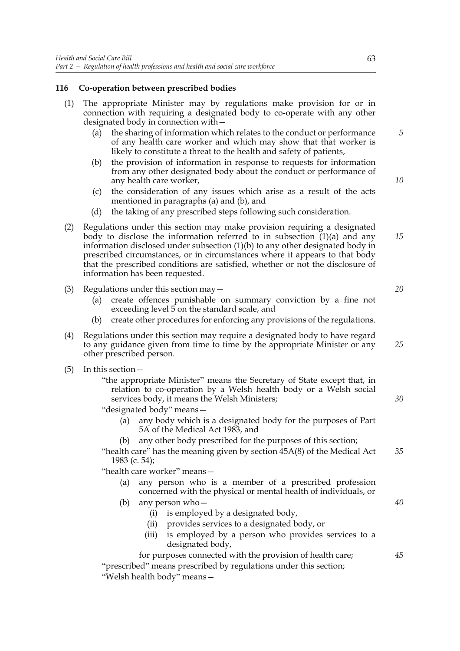### **116 Co-operation between prescribed bodies**

- (1) The appropriate Minister may by regulations make provision for or in connection with requiring a designated body to co-operate with any other designated body in connection with—
	- (a) the sharing of information which relates to the conduct or performance of any health care worker and which may show that that worker is likely to constitute a threat to the health and safety of patients,
	- (b) the provision of information in response to requests for information from any other designated body about the conduct or performance of any health care worker,
	- (c) the consideration of any issues which arise as a result of the acts mentioned in paragraphs (a) and (b), and
	- (d) the taking of any prescribed steps following such consideration.
- (2) Regulations under this section may make provision requiring a designated body to disclose the information referred to in subsection  $(1)(a)$  and any information disclosed under subsection (1)(b) to any other designated body in prescribed circumstances, or in circumstances where it appears to that body that the prescribed conditions are satisfied, whether or not the disclosure of information has been requested. *15*
- (3) Regulations under this section may—
	- (a) create offences punishable on summary conviction by a fine not exceeding level 5 on the standard scale, and
	- (b) create other procedures for enforcing any provisions of the regulations.
- (4) Regulations under this section may require a designated body to have regard to any guidance given from time to time by the appropriate Minister or any other prescribed person. *25*
- (5) In this section—

"the appropriate Minister" means the Secretary of State except that, in relation to co-operation by a Welsh health body or a Welsh social services body, it means the Welsh Ministers;

"designated body" means—

- any body which is a designated body for the purposes of Part 5A of the Medical Act 1983, and
- (b) any other body prescribed for the purposes of this section;

"health care" has the meaning given by section 45A(8) of the Medical Act 1983 (c. 54); *35*

"health care worker" means—

- (a) any person who is a member of a prescribed profession concerned with the physical or mental health of individuals, or
- (b) any person who—
	- (i) is employed by a designated body,
	- (ii) provides services to a designated body, or
	- (iii) is employed by a person who provides services to a designated body,
- for purposes connected with the provision of health care; "prescribed" means prescribed by regulations under this section; "Welsh health body" means—

*10*

*5*

*20*

*30*

*40*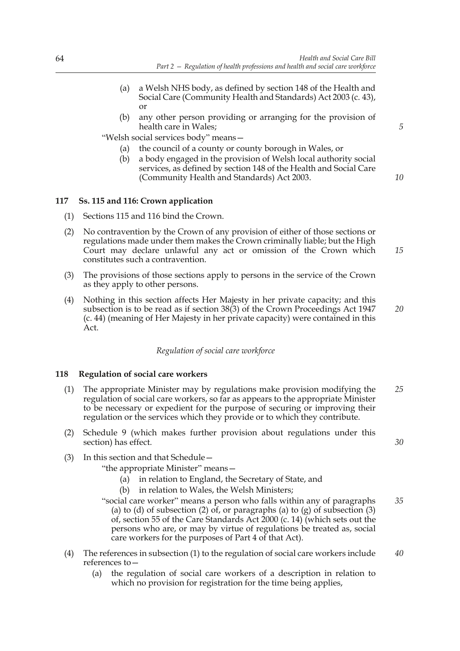- (a) a Welsh NHS body, as defined by section 148 of the Health and Social Care (Community Health and Standards) Act 2003 (c. 43), or
- (b) any other person providing or arranging for the provision of health care in Wales;

"Welsh social services body" means—

- (a) the council of a county or county borough in Wales, or
- (b) a body engaged in the provision of Welsh local authority social services, as defined by section 148 of the Health and Social Care (Community Health and Standards) Act 2003.

### **117 Ss. 115 and 116: Crown application**

- (1) Sections 115 and 116 bind the Crown.
- (2) No contravention by the Crown of any provision of either of those sections or regulations made under them makes the Crown criminally liable; but the High Court may declare unlawful any act or omission of the Crown which constitutes such a contravention. *15*
- (3) The provisions of those sections apply to persons in the service of the Crown as they apply to other persons.
- (4) Nothing in this section affects Her Majesty in her private capacity; and this subsection is to be read as if section 38(3) of the Crown Proceedings Act 1947 (c. 44) (meaning of Her Majesty in her private capacity) were contained in this Act. *20*

#### *Regulation of social care workforce*

#### **118 Regulation of social care workers**

- (1) The appropriate Minister may by regulations make provision modifying the regulation of social care workers, so far as appears to the appropriate Minister to be necessary or expedient for the purpose of securing or improving their regulation or the services which they provide or to which they contribute. *25*
- (2) Schedule 9 (which makes further provision about regulations under this section) has effect.
- (3) In this section and that Schedule—
	- "the appropriate Minister" means—
		- (a) in relation to England, the Secretary of State, and
		- (b) in relation to Wales, the Welsh Ministers;
	- "social care worker" means a person who falls within any of paragraphs (a) to (d) of subsection (2) of, or paragraphs (a) to (g) of subsection  $(3)$ of, section 55 of the Care Standards Act 2000 (c. 14) (which sets out the persons who are, or may by virtue of regulations be treated as, social care workers for the purposes of Part 4 of that Act). *35*
- (4) The references in subsection (1) to the regulation of social care workers include references to— *40*
	- (a) the regulation of social care workers of a description in relation to which no provision for registration for the time being applies,

*5*

*10*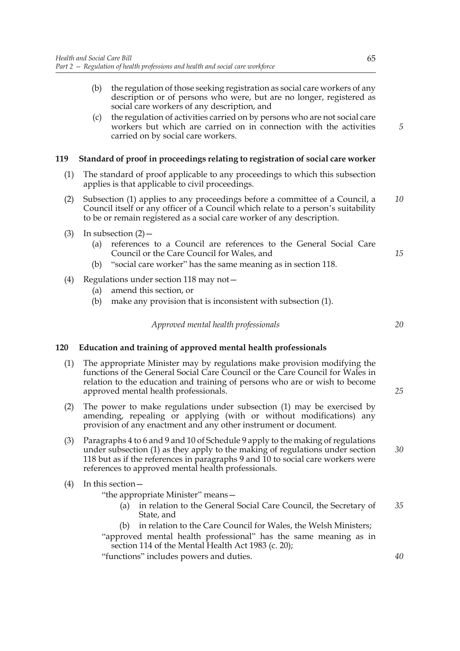- (b) the regulation of those seeking registration as social care workers of any description or of persons who were, but are no longer, registered as social care workers of any description, and
- (c) the regulation of activities carried on by persons who are not social care workers but which are carried on in connection with the activities carried on by social care workers.

# **119 Standard of proof in proceedings relating to registration of social care worker**

- (1) The standard of proof applicable to any proceedings to which this subsection applies is that applicable to civil proceedings.
- (2) Subsection (1) applies to any proceedings before a committee of a Council, a Council itself or any officer of a Council which relate to a person's suitability to be or remain registered as a social care worker of any description. *10*
- (3) In subsection  $(2)$ 
	- (a) references to a Council are references to the General Social Care Council or the Care Council for Wales, and
	- (b) "social care worker" has the same meaning as in section 118.
- (4) Regulations under section 118 may not—
	- (a) amend this section, or
	- (b) make any provision that is inconsistent with subsection (1).

*Approved mental health professionals*

# **120 Education and training of approved mental health professionals**

- (1) The appropriate Minister may by regulations make provision modifying the functions of the General Social Care Council or the Care Council for Wales in relation to the education and training of persons who are or wish to become approved mental health professionals.
- (2) The power to make regulations under subsection (1) may be exercised by amending, repealing or applying (with or without modifications) any provision of any enactment and any other instrument or document.
- (3) Paragraphs 4 to 6 and 9 and 10 of Schedule 9 apply to the making of regulations under subsection (1) as they apply to the making of regulations under section 118 but as if the references in paragraphs 9 and 10 to social care workers were references to approved mental health professionals. *30*

(4) In this section—

"the appropriate Minister" means—

- (a) in relation to the General Social Care Council, the Secretary of State, and *35*
- (b) in relation to the Care Council for Wales, the Welsh Ministers;
- "approved mental health professional" has the same meaning as in section 114 of the Mental Health Act 1983 (c. 20);

"functions" includes powers and duties.

*5*

*20*

*15*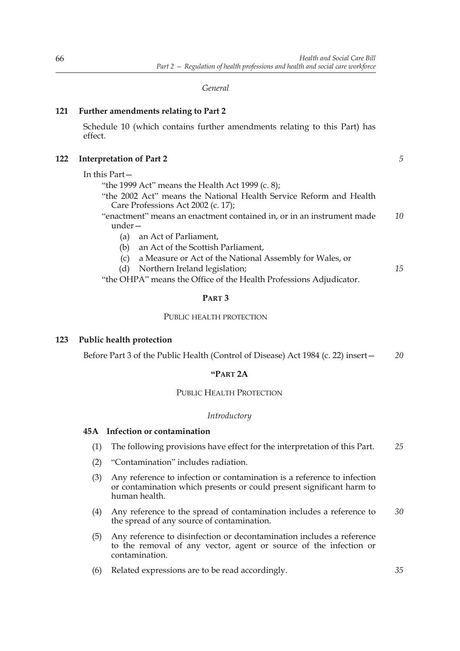### *General*

# **121 Further amendments relating to Part 2**

Schedule 10 (which contains further amendments relating to this Part) has effect.

# **122 Interpretation of Part 2**

In this Part—

"the 1999 Act" means the Health Act 1999 (c. 8);

"the 2002 Act" means the National Health Service Reform and Health Care Professions Act 2002 (c. 17);

"enactment" means an enactment contained in, or in an instrument made under— *10*

- (a) an Act of Parliament,
- (b) an Act of the Scottish Parliament,
- (c) a Measure or Act of the National Assembly for Wales, or
- (d) Northern Ireland legislation;

"the OHPA" means the Office of the Health Professions Adjudicator.

# **PART 3**

### PUBLIC HEALTH PROTECTION

#### **123 Public health protection**

Before Part 3 of the Public Health (Control of Disease) Act 1984 (c. 22) insert— *20*

# **"PART 2A**

# PUBLIC HEALTH PROTECTION

#### *Introductory*

# **45A Infection or contamination**

- (1) The following provisions have effect for the interpretation of this Part. *25*
- (2) "Contamination" includes radiation.
- (3) Any reference to infection or contamination is a reference to infection or contamination which presents or could present significant harm to human health.
- (4) Any reference to the spread of contamination includes a reference to the spread of any source of contamination. *30*
- (5) Any reference to disinfection or decontamination includes a reference to the removal of any vector, agent or source of the infection or contamination.
- (6) Related expressions are to be read accordingly.

*5*

*15*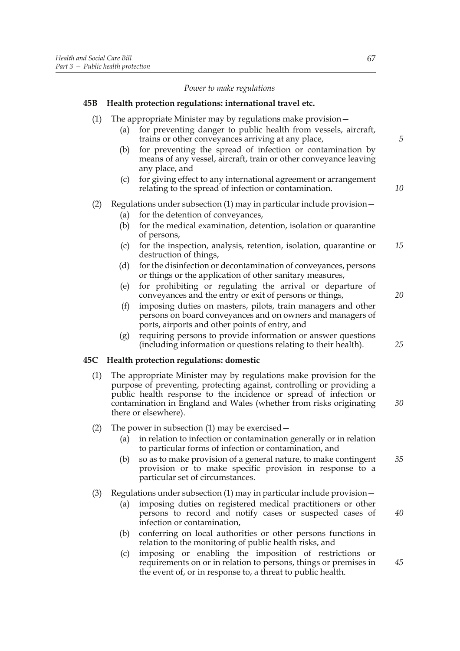# *Power to make regulations*

### **45B Health protection regulations: international travel etc.**

- (1) The appropriate Minister may by regulations make provision—
	- (a) for preventing danger to public health from vessels, aircraft, trains or other conveyances arriving at any place,
	- (b) for preventing the spread of infection or contamination by means of any vessel, aircraft, train or other conveyance leaving any place, and
	- (c) for giving effect to any international agreement or arrangement relating to the spread of infection or contamination.

#### (2) Regulations under subsection (1) may in particular include provision—

- (a) for the detention of conveyances,
- (b) for the medical examination, detention, isolation or quarantine of persons,
- (c) for the inspection, analysis, retention, isolation, quarantine or destruction of things, *15*
- (d) for the disinfection or decontamination of conveyances, persons or things or the application of other sanitary measures,
- (e) for prohibiting or regulating the arrival or departure of conveyances and the entry or exit of persons or things,
- (f) imposing duties on masters, pilots, train managers and other persons on board conveyances and on owners and managers of ports, airports and other points of entry, and
- (g) requiring persons to provide information or answer questions (including information or questions relating to their health).

#### **45C Health protection regulations: domestic**

- (1) The appropriate Minister may by regulations make provision for the purpose of preventing, protecting against, controlling or providing a public health response to the incidence or spread of infection or contamination in England and Wales (whether from risks originating there or elsewhere).
- (2) The power in subsection (1) may be exercised—
	- (a) in relation to infection or contamination generally or in relation to particular forms of infection or contamination, and
	- (b) so as to make provision of a general nature, to make contingent provision or to make specific provision in response to a particular set of circumstances.
- (3) Regulations under subsection (1) may in particular include provision—
	- (a) imposing duties on registered medical practitioners or other persons to record and notify cases or suspected cases of infection or contamination,
	- (b) conferring on local authorities or other persons functions in relation to the monitoring of public health risks, and
	- (c) imposing or enabling the imposition of restrictions or requirements on or in relation to persons, things or premises in the event of, or in response to, a threat to public health.

*5*

*10*

*20*

*25*

*30*

*35*

*45*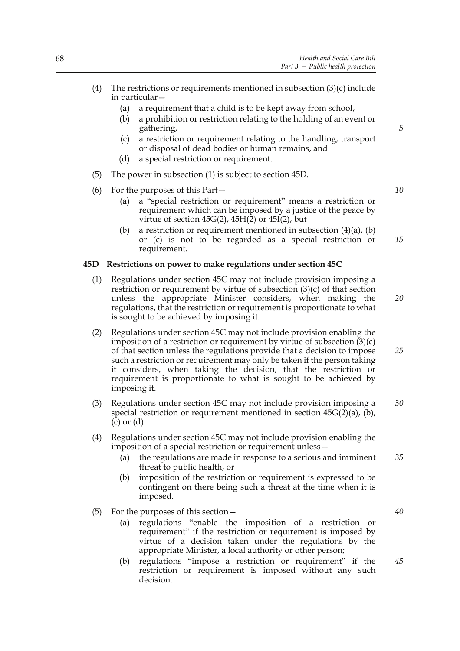- (4) The restrictions or requirements mentioned in subsection (3)(c) include in particular—
	- (a) a requirement that a child is to be kept away from school,
	- (b) a prohibition or restriction relating to the holding of an event or gathering,
	- (c) a restriction or requirement relating to the handling, transport or disposal of dead bodies or human remains, and
	- (d) a special restriction or requirement.
- (5) The power in subsection (1) is subject to section 45D.
- (6) For the purposes of this Part—
	- (a) a "special restriction or requirement" means a restriction or requirement which can be imposed by a justice of the peace by virtue of section  $45G(2)$ ,  $45H(2)$  or  $45I(2)$ , but
	- (b) a restriction or requirement mentioned in subsection  $(4)(a)$ ,  $(b)$ or (c) is not to be regarded as a special restriction or requirement. *15*

### **45D Restrictions on power to make regulations under section 45C**

- (1) Regulations under section 45C may not include provision imposing a restriction or requirement by virtue of subsection (3)(c) of that section unless the appropriate Minister considers, when making the regulations, that the restriction or requirement is proportionate to what is sought to be achieved by imposing it.
- (2) Regulations under section 45C may not include provision enabling the imposition of a restriction or requirement by virtue of subsection  $(3)(c)$ of that section unless the regulations provide that a decision to impose such a restriction or requirement may only be taken if the person taking it considers, when taking the decision, that the restriction or requirement is proportionate to what is sought to be achieved by imposing it. *25*
- (3) Regulations under section 45C may not include provision imposing a special restriction or requirement mentioned in section 45G(2)(a), (b), (c) or (d). *30*
- (4) Regulations under section 45C may not include provision enabling the imposition of a special restriction or requirement unless—
	- (a) the regulations are made in response to a serious and imminent threat to public health, or *35*
	- (b) imposition of the restriction or requirement is expressed to be contingent on there being such a threat at the time when it is imposed.
- (5) For the purposes of this section—
	- (a) regulations "enable the imposition of a restriction or requirement" if the restriction or requirement is imposed by virtue of a decision taken under the regulations by the appropriate Minister, a local authority or other person;
	- (b) regulations "impose a restriction or requirement" if the restriction or requirement is imposed without any such decision.

*5*

*10*

*20*

*40*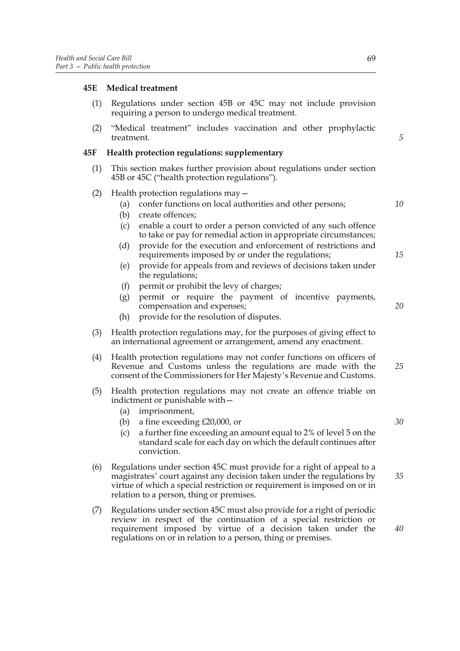# **45E Medical treatment**

- (1) Regulations under section 45B or 45C may not include provision requiring a person to undergo medical treatment.
- (2) "Medical treatment" includes vaccination and other prophylactic treatment.

### **45F Health protection regulations: supplementary**

(1) This section makes further provision about regulations under section 45B or 45C ("health protection regulations").

### (2) Health protection regulations may—

- (a) confer functions on local authorities and other persons;
- (b) create offences;
- (c) enable a court to order a person convicted of any such offence to take or pay for remedial action in appropriate circumstances;
- (d) provide for the execution and enforcement of restrictions and requirements imposed by or under the regulations;
- (e) provide for appeals from and reviews of decisions taken under the regulations;
- (f) permit or prohibit the levy of charges;
- (g) permit or require the payment of incentive payments, compensation and expenses;
- (h) provide for the resolution of disputes.
- (3) Health protection regulations may, for the purposes of giving effect to an international agreement or arrangement, amend any enactment.
- (4) Health protection regulations may not confer functions on officers of Revenue and Customs unless the regulations are made with the consent of the Commissioners for Her Majesty's Revenue and Customs. *25*
- (5) Health protection regulations may not create an offence triable on indictment or punishable with—
	- (a) imprisonment,
	- (b) a fine exceeding £20,000, or
	- (c) a further fine exceeding an amount equal to 2% of level 5 on the standard scale for each day on which the default continues after conviction.
- (6) Regulations under section 45C must provide for a right of appeal to a magistrates' court against any decision taken under the regulations by virtue of which a special restriction or requirement is imposed on or in relation to a person, thing or premises. *35*
- (7) Regulations under section 45C must also provide for a right of periodic review in respect of the continuation of a special restriction or requirement imposed by virtue of a decision taken under the regulations on or in relation to a person, thing or premises.

*5*

*10*

*15*

*20*

*40*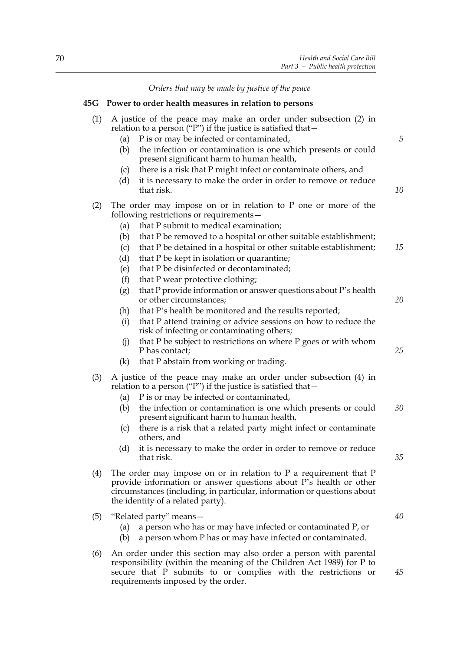*Orders that may be made by justice of the peace*

# **45G Power to order health measures in relation to persons**

| (1) | A justice of the peace may make an order under subsection (2) in<br>relation to a person ("P") if the justice is satisfied that -<br>P is or may be infected or contaminated,                                                                                                                                      | 5  |
|-----|--------------------------------------------------------------------------------------------------------------------------------------------------------------------------------------------------------------------------------------------------------------------------------------------------------------------|----|
|     | (a)<br>the infection or contamination is one which presents or could<br>(b)<br>present significant harm to human health,                                                                                                                                                                                           |    |
|     | there is a risk that P might infect or contaminate others, and<br>(c)<br>it is necessary to make the order in order to remove or reduce<br>(d)<br>that risk.                                                                                                                                                       | 10 |
| (2) | The order may impose on or in relation to $P$ one or more of the<br>following restrictions or requirements-<br>that P submit to medical examination;<br>(a)<br>that P be removed to a hospital or other suitable establishment;<br>(b)<br>that P be detained in a hospital or other suitable establishment;<br>(c) | 15 |
|     | that P be kept in isolation or quarantine;<br>(d)<br>that P be disinfected or decontaminated;<br>(e)<br>(f)<br>that P wear protective clothing;                                                                                                                                                                    |    |
|     | that P provide information or answer questions about P's health<br>(g)<br>or other circumstances;<br>(h)<br>that P's health be monitored and the results reported;                                                                                                                                                 | 20 |
|     | that P attend training or advice sessions on how to reduce the<br>(i)<br>risk of infecting or contaminating others;<br>that P be subject to restrictions on where P goes or with whom<br>(i)<br>P has contact;                                                                                                     | 25 |
|     | that P abstain from working or trading.<br>(k)                                                                                                                                                                                                                                                                     |    |
| (3) | A justice of the peace may make an order under subsection (4) in<br>relation to a person ("P") if the justice is satisfied that $-$                                                                                                                                                                                |    |
|     | P is or may be infected or contaminated,<br>(a)<br>the infection or contamination is one which presents or could<br>(b)<br>present significant harm to human health,<br>there is a risk that a related party might infect or contaminate<br>(c)                                                                    | 30 |
|     | others, and<br>it is necessary to make the order in order to remove or reduce<br>(d)<br>that risk.                                                                                                                                                                                                                 | 35 |
| (4) | The order may impose on or in relation to $P$ a requirement that $P$<br>provide information or answer questions about P's health or other<br>circumstances (including, in particular, information or questions about<br>the identity of a related party).                                                          |    |
| (5) | "Related party" means -<br>a person who has or may have infected or contaminated P, or<br>(a)<br>(b)<br>a person whom P has or may have infected or contaminated.                                                                                                                                                  | 40 |
| (6) | An order under this section may also order a person with parental<br>responsibility (within the meaning of the Children Act 1989) for P to                                                                                                                                                                         |    |

secure that P submits to or complies with the restrictions or

requirements imposed by the order.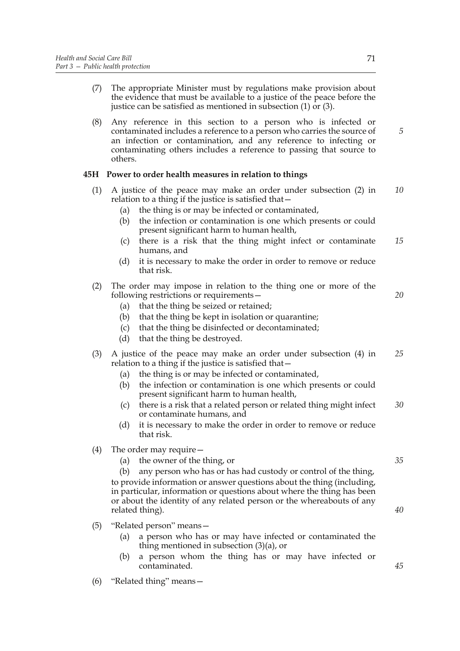- (7) The appropriate Minister must by regulations make provision about the evidence that must be available to a justice of the peace before the justice can be satisfied as mentioned in subsection (1) or (3).
- (8) Any reference in this section to a person who is infected or contaminated includes a reference to a person who carries the source of an infection or contamination, and any reference to infecting or contaminating others includes a reference to passing that source to others.

# **45H Power to order health measures in relation to things**

- (1) A justice of the peace may make an order under subsection (2) in relation to a thing if the justice is satisfied that— *10*
	- (a) the thing is or may be infected or contaminated,
	- (b) the infection or contamination is one which presents or could present significant harm to human health,
	- (c) there is a risk that the thing might infect or contaminate humans, and *15*
	- (d) it is necessary to make the order in order to remove or reduce that risk.
- (2) The order may impose in relation to the thing one or more of the following restrictions or requirements— *20*
	- (a) that the thing be seized or retained;
	- (b) that the thing be kept in isolation or quarantine;
	- (c) that the thing be disinfected or decontaminated;
	- (d) that the thing be destroyed.
- (3) A justice of the peace may make an order under subsection (4) in relation to a thing if the justice is satisfied that— *25*
	- (a) the thing is or may be infected or contaminated,
	- (b) the infection or contamination is one which presents or could present significant harm to human health,
	- (c) there is a risk that a related person or related thing might infect or contaminate humans, and *30*
	- (d) it is necessary to make the order in order to remove or reduce that risk.
- (4) The order may require—
	- (a) the owner of the thing, or

(b) any person who has or has had custody or control of the thing, to provide information or answer questions about the thing (including, in particular, information or questions about where the thing has been or about the identity of any related person or the whereabouts of any related thing).

- (5) "Related person" means—
	- (a) a person who has or may have infected or contaminated the thing mentioned in subsection (3)(a), or
	- (b) a person whom the thing has or may have infected or contaminated.
- (6) "Related thing" means—

*5*

*35*

*40*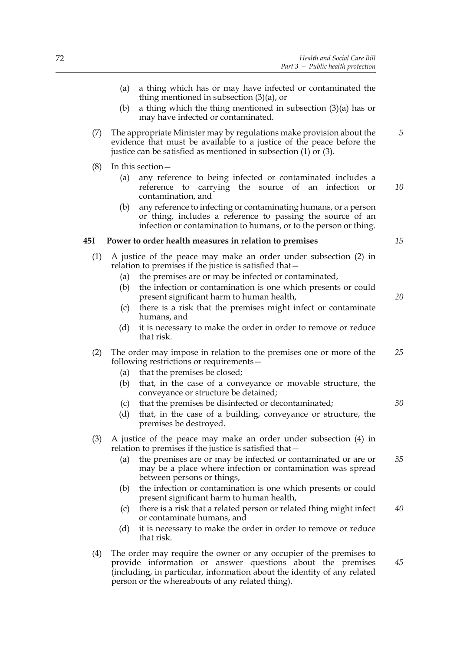|     | (a)<br>(b)                                                                                                                                                                                                      | a thing which has or may have infected or contaminated the<br>thing mentioned in subsection $(3)(a)$ , or<br>a thing which the thing mentioned in subsection $(3)(a)$ has or<br>may have infected or contaminated. |    |  |  |
|-----|-----------------------------------------------------------------------------------------------------------------------------------------------------------------------------------------------------------------|--------------------------------------------------------------------------------------------------------------------------------------------------------------------------------------------------------------------|----|--|--|
| (7) | The appropriate Minister may by regulations make provision about the<br>evidence that must be available to a justice of the peace before the<br>justice can be satisfied as mentioned in subsection (1) or (3). |                                                                                                                                                                                                                    |    |  |  |
| (8) |                                                                                                                                                                                                                 | In this section $-$                                                                                                                                                                                                |    |  |  |
|     | (a)                                                                                                                                                                                                             | any reference to being infected or contaminated includes a<br>reference to carrying the source of an infection or<br>contamination, and                                                                            | 10 |  |  |
|     | (b)                                                                                                                                                                                                             | any reference to infecting or contaminating humans, or a person<br>or thing, includes a reference to passing the source of an<br>infection or contamination to humans, or to the person or thing.                  |    |  |  |
| 45I |                                                                                                                                                                                                                 | Power to order health measures in relation to premises                                                                                                                                                             | 15 |  |  |
| (1) | A justice of the peace may make an order under subsection (2) in<br>relation to premises if the justice is satisfied that-                                                                                      |                                                                                                                                                                                                                    |    |  |  |
|     | (a)                                                                                                                                                                                                             | the premises are or may be infected or contaminated,                                                                                                                                                               |    |  |  |
|     | (b)                                                                                                                                                                                                             | the infection or contamination is one which presents or could<br>present significant harm to human health,                                                                                                         | 20 |  |  |
|     | (c)                                                                                                                                                                                                             | there is a risk that the premises might infect or contaminate<br>humans, and                                                                                                                                       |    |  |  |
|     | (d)                                                                                                                                                                                                             | it is necessary to make the order in order to remove or reduce<br>that risk.                                                                                                                                       |    |  |  |
| (2) | The order may impose in relation to the premises one or more of the<br>following restrictions or requirements-                                                                                                  |                                                                                                                                                                                                                    |    |  |  |
|     | (a)                                                                                                                                                                                                             | that the premises be closed;                                                                                                                                                                                       |    |  |  |
|     | (b)                                                                                                                                                                                                             | that, in the case of a conveyance or movable structure, the<br>conveyance or structure be detained;                                                                                                                |    |  |  |
|     | (c)                                                                                                                                                                                                             | that the premises be disinfected or decontaminated;                                                                                                                                                                | 30 |  |  |
|     | (d)                                                                                                                                                                                                             | that, in the case of a building, conveyance or structure, the<br>premises be destroyed.                                                                                                                            |    |  |  |
| (3) |                                                                                                                                                                                                                 | A justice of the peace may make an order under subsection (4) in<br>relation to premises if the justice is satisfied that-                                                                                         |    |  |  |
|     | (a)                                                                                                                                                                                                             | the premises are or may be infected or contaminated or are or<br>may be a place where infection or contamination was spread<br>between persons or things,                                                          | 35 |  |  |
|     | (b)                                                                                                                                                                                                             | the infection or contamination is one which presents or could<br>present significant harm to human health,                                                                                                         |    |  |  |
|     | (c)                                                                                                                                                                                                             | there is a risk that a related person or related thing might infect<br>or contaminate humans, and                                                                                                                  | 40 |  |  |
|     | (d)                                                                                                                                                                                                             | it is necessary to make the order in order to remove or reduce<br>that risk.                                                                                                                                       |    |  |  |
|     |                                                                                                                                                                                                                 |                                                                                                                                                                                                                    |    |  |  |

(4) The order may require the owner or any occupier of the premises to provide information or answer questions about the premises (including, in particular, information about the identity of any related person or the whereabouts of any related thing). *45*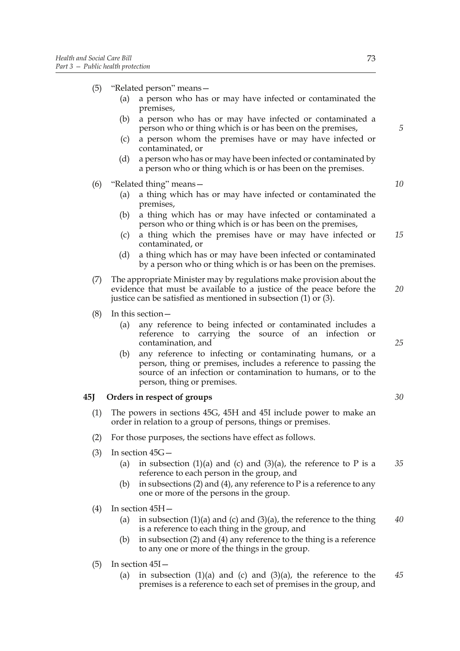- (5) "Related person" means—
	- (a) a person who has or may have infected or contaminated the premises,
	- (b) a person who has or may have infected or contaminated a person who or thing which is or has been on the premises,
	- (c) a person whom the premises have or may have infected or contaminated, or
	- (d) a person who has or may have been infected or contaminated by a person who or thing which is or has been on the premises.
- (6) "Related thing" means—
	- (a) a thing which has or may have infected or contaminated the premises,
	- (b) a thing which has or may have infected or contaminated a person who or thing which is or has been on the premises,
	- (c) a thing which the premises have or may have infected or contaminated, or *15*
	- (d) a thing which has or may have been infected or contaminated by a person who or thing which is or has been on the premises.
- (7) The appropriate Minister may by regulations make provision about the evidence that must be available to a justice of the peace before the justice can be satisfied as mentioned in subsection (1) or (3). *20*
- (8) In this section—
	- (a) any reference to being infected or contaminated includes a reference to carrying the source of an infection or contamination, and
	- (b) any reference to infecting or contaminating humans, or a person, thing or premises, includes a reference to passing the source of an infection or contamination to humans, or to the person, thing or premises.

### **45J Orders in respect of groups**

- (1) The powers in sections 45G, 45H and 45I include power to make an order in relation to a group of persons, things or premises.
- (2) For those purposes, the sections have effect as follows.
- (3) In section 45G—
	- (a) in subsection (1)(a) and (c) and (3)(a), the reference to P is a reference to each person in the group, and *35*
	- (b) in subsections (2) and (4), any reference to P is a reference to any one or more of the persons in the group.
- (4) In section 45H—
	- (a) in subsection  $(1)(a)$  and  $(c)$  and  $(3)(a)$ , the reference to the thing is a reference to each thing in the group, and *40*
	- (b) in subsection (2) and (4) any reference to the thing is a reference to any one or more of the things in the group.
- (5) In section 45I—
	- (a) in subsection  $(1)(a)$  and  $(c)$  and  $(3)(a)$ , the reference to the premises is a reference to each set of premises in the group, and *45*

*5*

*10*

*25*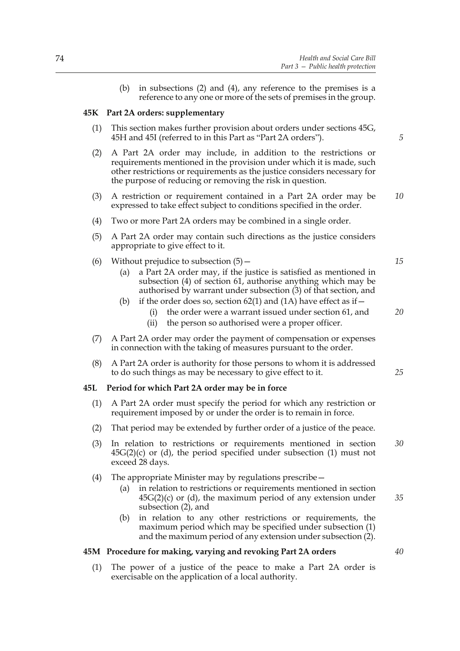(b) in subsections (2) and (4), any reference to the premises is a reference to any one or more of the sets of premises in the group.

### **45K Part 2A orders: supplementary**

- (1) This section makes further provision about orders under sections 45G, 45H and 45I (referred to in this Part as "Part 2A orders").
- (2) A Part 2A order may include, in addition to the restrictions or requirements mentioned in the provision under which it is made, such other restrictions or requirements as the justice considers necessary for the purpose of reducing or removing the risk in question.
- (3) A restriction or requirement contained in a Part 2A order may be expressed to take effect subject to conditions specified in the order. *10*
- (4) Two or more Part 2A orders may be combined in a single order.
- (5) A Part 2A order may contain such directions as the justice considers appropriate to give effect to it.
- (6) Without prejudice to subsection  $(5)$ 
	- (a) a Part 2A order may, if the justice is satisfied as mentioned in subsection (4) of section 61, authorise anything which may be authorised by warrant under subsection (3) of that section, and
	- (b) if the order does so, section  $62(1)$  and  $(1)$  have effect as if  $-$ 
		- (i) the order were a warrant issued under section 61, and
		- (ii) the person so authorised were a proper officer.
- (7) A Part 2A order may order the payment of compensation or expenses in connection with the taking of measures pursuant to the order.
- (8) A Part 2A order is authority for those persons to whom it is addressed to do such things as may be necessary to give effect to it.

#### **45L Period for which Part 2A order may be in force**

- (1) A Part 2A order must specify the period for which any restriction or requirement imposed by or under the order is to remain in force.
- (2) That period may be extended by further order of a justice of the peace.
- (3) In relation to restrictions or requirements mentioned in section  $45G(2)(c)$  or (d), the period specified under subsection (1) must not exceed 28 days. *30*
- (4) The appropriate Minister may by regulations prescribe—
	- (a) in relation to restrictions or requirements mentioned in section  $45G(2)(c)$  or (d), the maximum period of any extension under subsection (2), and *35*
	- (b) in relation to any other restrictions or requirements, the maximum period which may be specified under subsection (1) and the maximum period of any extension under subsection (2).

#### **45M Procedure for making, varying and revoking Part 2A orders**

(1) The power of a justice of the peace to make a Part 2A order is exercisable on the application of a local authority.

*40*

*5*

*15*

*20*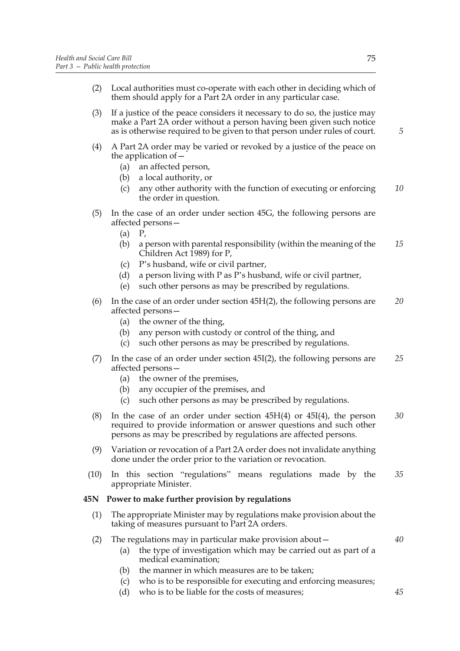- (2) Local authorities must co-operate with each other in deciding which of them should apply for a Part 2A order in any particular case.
- (3) If a justice of the peace considers it necessary to do so, the justice may make a Part 2A order without a person having been given such notice as is otherwise required to be given to that person under rules of court.
- (4) A Part 2A order may be varied or revoked by a justice of the peace on the application of—
	- (a) an affected person,
	- (b) a local authority, or
	- (c) any other authority with the function of executing or enforcing the order in question. *10*
- (5) In the case of an order under section 45G, the following persons are affected persons—
	- $(a)$   $P$ ,
	- (b) a person with parental responsibility (within the meaning of the Children Act 1989) for P, *15*
	- (c) P's husband, wife or civil partner,
	- (d) a person living with P as P's husband, wife or civil partner,
	- (e) such other persons as may be prescribed by regulations.
- (6) In the case of an order under section 45H(2), the following persons are affected persons— *20*
	- (a) the owner of the thing,
	- (b) any person with custody or control of the thing, and
	- (c) such other persons as may be prescribed by regulations.
- (7) In the case of an order under section 45I(2), the following persons are affected persons— *25*
	- (a) the owner of the premises,
	- (b) any occupier of the premises, and
	- (c) such other persons as may be prescribed by regulations.
- (8) In the case of an order under section 45H(4) or 45I(4), the person required to provide information or answer questions and such other persons as may be prescribed by regulations are affected persons. *30*
- (9) Variation or revocation of a Part 2A order does not invalidate anything done under the order prior to the variation or revocation.
- (10) In this section "regulations" means regulations made by the appropriate Minister. *35*

### **45N Power to make further provision by regulations**

- (1) The appropriate Minister may by regulations make provision about the taking of measures pursuant to Part 2A orders.
- (2) The regulations may in particular make provision about—
	- (a) the type of investigation which may be carried out as part of a medical examination;
	- (b) the manner in which measures are to be taken;
	- (c) who is to be responsible for executing and enforcing measures;
	- (d) who is to be liable for the costs of measures;

*5*

*40*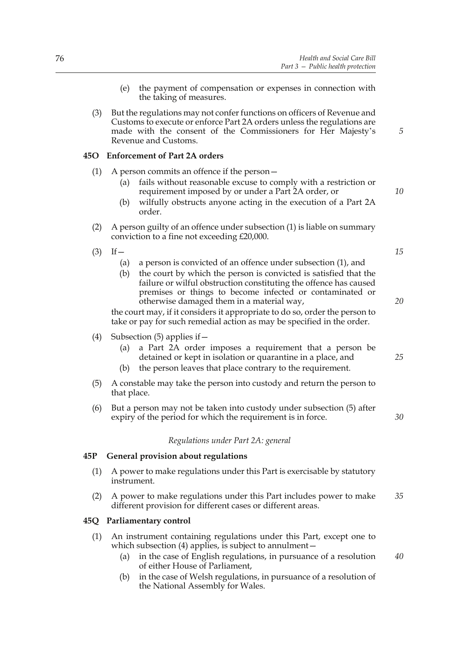- (e) the payment of compensation or expenses in connection with the taking of measures.
- (3) But the regulations may not confer functions on officers of Revenue and Customs to execute or enforce Part 2A orders unless the regulations are made with the consent of the Commissioners for Her Majesty's Revenue and Customs.

### **45O Enforcement of Part 2A orders**

- (1) A person commits an offence if the person—
	- (a) fails without reasonable excuse to comply with a restriction or requirement imposed by or under a Part 2A order, or
	- (b) wilfully obstructs anyone acting in the execution of a Part 2A order.
- (2) A person guilty of an offence under subsection (1) is liable on summary conviction to a fine not exceeding £20,000.
- $(3)$  If
	- (a) a person is convicted of an offence under subsection (1), and
	- (b) the court by which the person is convicted is satisfied that the failure or wilful obstruction constituting the offence has caused premises or things to become infected or contaminated or otherwise damaged them in a material way,

the court may, if it considers it appropriate to do so, order the person to take or pay for such remedial action as may be specified in the order.

- (4) Subsection (5) applies if  $-$ 
	- (a) a Part 2A order imposes a requirement that a person be detained or kept in isolation or quarantine in a place, and
	- (b) the person leaves that place contrary to the requirement.
- (5) A constable may take the person into custody and return the person to that place.
- (6) But a person may not be taken into custody under subsection (5) after expiry of the period for which the requirement is in force.

*Regulations under Part 2A: general*

### **45P General provision about regulations**

- (1) A power to make regulations under this Part is exercisable by statutory instrument.
- (2) A power to make regulations under this Part includes power to make different provision for different cases or different areas. *35*

### **45Q Parliamentary control**

- (1) An instrument containing regulations under this Part, except one to which subsection (4) applies, is subject to annulment—
	- (a) in the case of English regulations, in pursuance of a resolution of either House of Parliament, *40*
	- (b) in the case of Welsh regulations, in pursuance of a resolution of the National Assembly for Wales.

*20*

*25*

*30*

*15*

*5*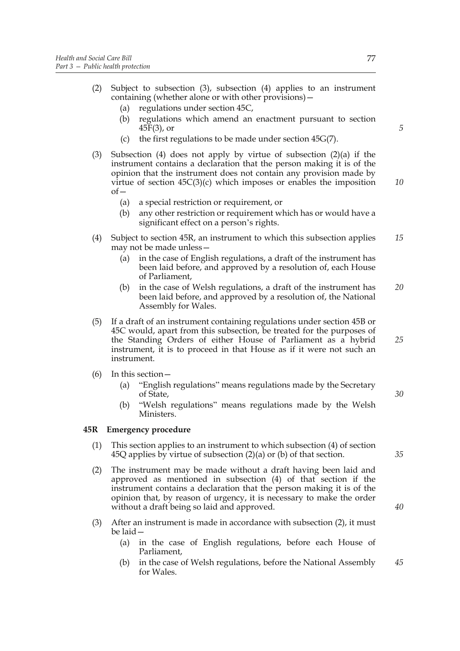- (2) Subject to subsection (3), subsection (4) applies to an instrument containing (whether alone or with other provisions)—
	- (a) regulations under section 45C,
	- (b) regulations which amend an enactment pursuant to section 45F(3), or
	- (c) the first regulations to be made under section 45G(7).
- (3) Subsection (4) does not apply by virtue of subsection (2)(a) if the instrument contains a declaration that the person making it is of the opinion that the instrument does not contain any provision made by virtue of section  $45C(3)(c)$  which imposes or enables the imposition  $of$ *10*
	- (a) a special restriction or requirement, or
	- (b) any other restriction or requirement which has or would have a significant effect on a person's rights.
- (4) Subject to section 45R, an instrument to which this subsection applies may not be made unless— *15*
	- (a) in the case of English regulations, a draft of the instrument has been laid before, and approved by a resolution of, each House of Parliament,
	- (b) in the case of Welsh regulations, a draft of the instrument has been laid before, and approved by a resolution of, the National Assembly for Wales. *20*
- (5) If a draft of an instrument containing regulations under section 45B or 45C would, apart from this subsection, be treated for the purposes of the Standing Orders of either House of Parliament as a hybrid instrument, it is to proceed in that House as if it were not such an instrument.
- (6) In this section—
	- (a) "English regulations" means regulations made by the Secretary of State,
	- (b) "Welsh regulations" means regulations made by the Welsh Ministers.

### **45R Emergency procedure**

- (1) This section applies to an instrument to which subsection (4) of section 45Q applies by virtue of subsection (2)(a) or (b) of that section.
- (2) The instrument may be made without a draft having been laid and approved as mentioned in subsection (4) of that section if the instrument contains a declaration that the person making it is of the opinion that, by reason of urgency, it is necessary to make the order without a draft being so laid and approved.
- (3) After an instrument is made in accordance with subsection (2), it must be laid—
	- (a) in the case of English regulations, before each House of Parliament,
	- (b) in the case of Welsh regulations, before the National Assembly for Wales. *45*

*5*

*35*

*25*

*30*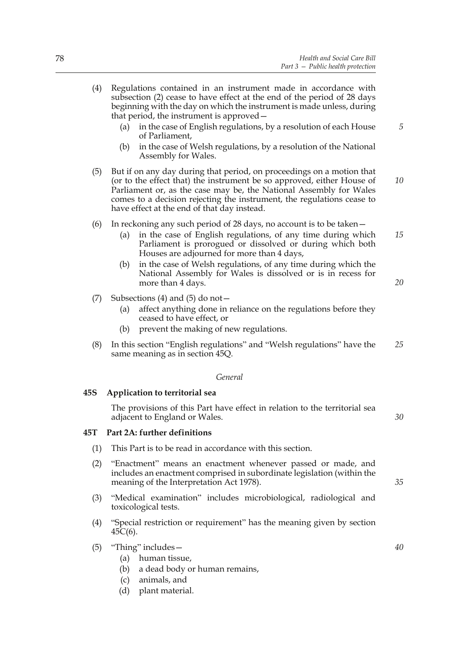| (4) | Regulations contained in an instrument made in accordance with<br>subsection (2) cease to have effect at the end of the period of 28 days<br>beginning with the day on which the instrument is made unless, during<br>that period, the instrument is approved –<br>in the case of English regulations, by a resolution of each House<br>(a)                                                                          |          |  |  |  |
|-----|----------------------------------------------------------------------------------------------------------------------------------------------------------------------------------------------------------------------------------------------------------------------------------------------------------------------------------------------------------------------------------------------------------------------|----------|--|--|--|
|     | of Parliament,<br>in the case of Welsh regulations, by a resolution of the National<br>(b)<br>Assembly for Wales.                                                                                                                                                                                                                                                                                                    |          |  |  |  |
| (5) | But if on any day during that period, on proceedings on a motion that<br>(or to the effect that) the instrument be so approved, either House of<br>Parliament or, as the case may be, the National Assembly for Wales<br>comes to a decision rejecting the instrument, the regulations cease to<br>have effect at the end of that day instead.                                                                       |          |  |  |  |
| (6) | In reckoning any such period of 28 days, no account is to be taken –<br>in the case of English regulations, of any time during which<br>(a)<br>Parliament is prorogued or dissolved or during which both<br>Houses are adjourned for more than 4 days,<br>in the case of Welsh regulations, of any time during which the<br>(b)<br>National Assembly for Wales is dissolved or is in recess for<br>more than 4 days. | 15<br>20 |  |  |  |
| (7) | Subsections $(4)$ and $(5)$ do not $-$<br>affect anything done in reliance on the regulations before they<br>(a)<br>ceased to have effect, or<br>prevent the making of new regulations.<br>(b)                                                                                                                                                                                                                       |          |  |  |  |
| (8) | In this section "English regulations" and "Welsh regulations" have the<br>same meaning as in section 45Q.                                                                                                                                                                                                                                                                                                            |          |  |  |  |
|     | General                                                                                                                                                                                                                                                                                                                                                                                                              |          |  |  |  |
| 45S | Application to territorial sea                                                                                                                                                                                                                                                                                                                                                                                       |          |  |  |  |
|     | The provisions of this Part have effect in relation to the territorial sea<br>adjacent to England or Wales.                                                                                                                                                                                                                                                                                                          | 30       |  |  |  |
| 45T | Part 2A: further definitions                                                                                                                                                                                                                                                                                                                                                                                         |          |  |  |  |
| (1) | This Part is to be read in accordance with this section.                                                                                                                                                                                                                                                                                                                                                             |          |  |  |  |
| (2) | "Enactment" means an enactment whenever passed or made, and<br>includes an enactment comprised in subordinate legislation (within the<br>meaning of the Interpretation Act 1978).                                                                                                                                                                                                                                    |          |  |  |  |
| (3) | "Medical examination" includes microbiological, radiological and<br>toxicological tests.                                                                                                                                                                                                                                                                                                                             |          |  |  |  |
| (4) | "Special restriction or requirement" has the meaning given by section<br>$45C(6)$ .                                                                                                                                                                                                                                                                                                                                  |          |  |  |  |
| (5) | "Thing" includes -<br>human tissue,<br>(a)<br>a dead body or human remains,<br>(b)<br>(c)<br>animals, and                                                                                                                                                                                                                                                                                                            | 40       |  |  |  |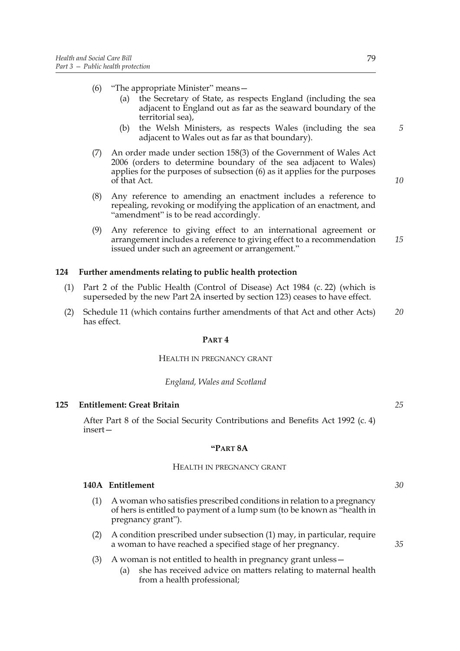- (6) "The appropriate Minister" means—
	- (a) the Secretary of State, as respects England (including the sea adjacent to England out as far as the seaward boundary of the territorial sea),
	- (b) the Welsh Ministers, as respects Wales (including the sea adjacent to Wales out as far as that boundary).
- (7) An order made under section 158(3) of the Government of Wales Act 2006 (orders to determine boundary of the sea adjacent to Wales) applies for the purposes of subsection (6) as it applies for the purposes of that Act.
- (8) Any reference to amending an enactment includes a reference to repealing, revoking or modifying the application of an enactment, and "amendment" is to be read accordingly.
- (9) Any reference to giving effect to an international agreement or arrangement includes a reference to giving effect to a recommendation issued under such an agreement or arrangement." *15*

### **124 Further amendments relating to public health protection**

- (1) Part 2 of the Public Health (Control of Disease) Act 1984 (c. 22) (which is superseded by the new Part 2A inserted by section 123) ceases to have effect.
- (2) Schedule 11 (which contains further amendments of that Act and other Acts) has effect. *20*

# **PART 4**

### HEALTH IN PREGNANCY GRANT

#### *England, Wales and Scotland*

# **125 Entitlement: Great Britain**

After Part 8 of the Social Security Contributions and Benefits Act 1992 (c. 4) insert—

#### **"PART 8A**

#### HEALTH IN PREGNANCY GRANT

### **140A Entitlement**

- (1) A woman who satisfies prescribed conditions in relation to a pregnancy of hers is entitled to payment of a lump sum (to be known as "health in pregnancy grant").
- (2) A condition prescribed under subsection (1) may, in particular, require a woman to have reached a specified stage of her pregnancy.
- (3) A woman is not entitled to health in pregnancy grant unless  $-$ 
	- (a) she has received advice on matters relating to maternal health from a health professional;

*5*

*10*

*30*

*25*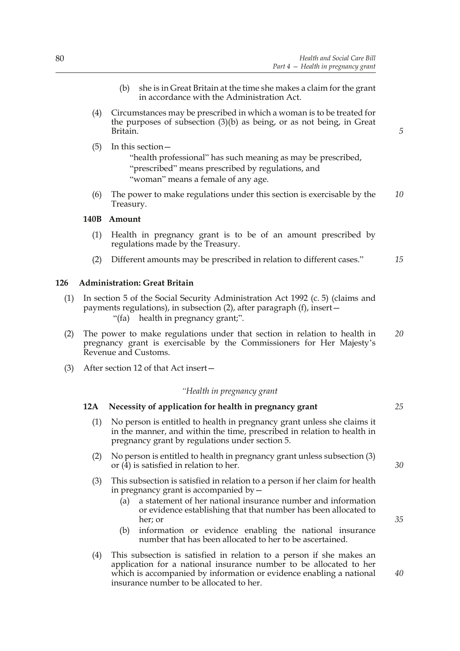- (b) she is in Great Britain at the time she makes a claim for the grant in accordance with the Administration Act.
- (4) Circumstances may be prescribed in which a woman is to be treated for the purposes of subsection (3)(b) as being, or as not being, in Great Britain.
- (5) In this section—

"health professional" has such meaning as may be prescribed, "prescribed" means prescribed by regulations, and "woman" means a female of any age.

(6) The power to make regulations under this section is exercisable by the Treasury. *10*

### **140B Amount**

- (1) Health in pregnancy grant is to be of an amount prescribed by regulations made by the Treasury.
- (2) Different amounts may be prescribed in relation to different cases." *15*

# **126 Administration: Great Britain**

- (1) In section 5 of the Social Security Administration Act 1992 (c. 5) (claims and payments regulations), in subsection (2), after paragraph (f), insert— "(fa) health in pregnancy grant;".
- (2) The power to make regulations under that section in relation to health in pregnancy grant is exercisable by the Commissioners for Her Majesty's Revenue and Customs. *20*
- (3) After section 12 of that Act insert—

### *"Health in pregnancy grant*

### **12A Necessity of application for health in pregnancy grant**

- (1) No person is entitled to health in pregnancy grant unless she claims it in the manner, and within the time, prescribed in relation to health in pregnancy grant by regulations under section 5.
- (2) No person is entitled to health in pregnancy grant unless subsection (3) or  $(\hat{4})$  is satisfied in relation to her.
- (3) This subsection is satisfied in relation to a person if her claim for health in pregnancy grant is accompanied by—
	- (a) a statement of her national insurance number and information or evidence establishing that that number has been allocated to her; or
	- (b) information or evidence enabling the national insurance number that has been allocated to her to be ascertained.
- (4) This subsection is satisfied in relation to a person if she makes an application for a national insurance number to be allocated to her which is accompanied by information or evidence enabling a national insurance number to be allocated to her.

*30*

*25*

*40*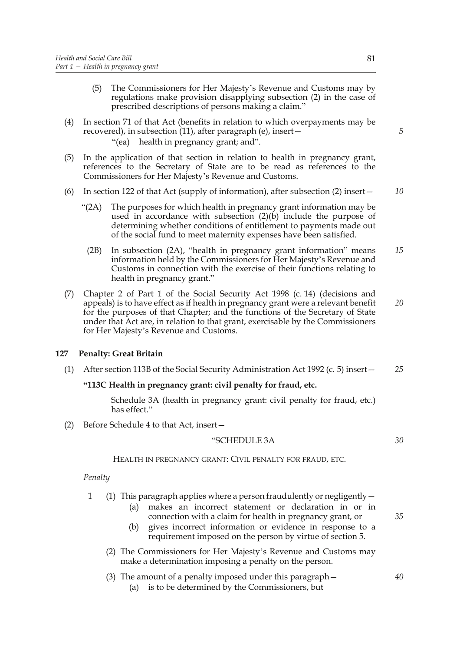- (5) The Commissioners for Her Majesty's Revenue and Customs may by regulations make provision disapplying subsection (2) in the case of prescribed descriptions of persons making a claim."
- (4) In section 71 of that Act (benefits in relation to which overpayments may be recovered), in subsection (11), after paragraph (e), insert— "(ea) health in pregnancy grant; and".
- (5) In the application of that section in relation to health in pregnancy grant, references to the Secretary of State are to be read as references to the Commissioners for Her Majesty's Revenue and Customs.
- (6) In section 122 of that Act (supply of information), after subsection (2) insert— *10*
	- "(2A) The purposes for which health in pregnancy grant information may be used in accordance with subsection  $(2)(b)$  include the purpose of determining whether conditions of entitlement to payments made out of the social fund to meet maternity expenses have been satisfied.
		- (2B) In subsection (2A), "health in pregnancy grant information" means information held by the Commissioners for Her Majesty's Revenue and Customs in connection with the exercise of their functions relating to health in pregnancy grant." *15*
- (7) Chapter 2 of Part 1 of the Social Security Act 1998 (c. 14) (decisions and appeals) is to have effect as if health in pregnancy grant were a relevant benefit for the purposes of that Chapter; and the functions of the Secretary of State under that Act are, in relation to that grant, exercisable by the Commissioners for Her Majesty's Revenue and Customs. *20*

# **127 Penalty: Great Britain**

(1) After section 113B of the Social Security Administration Act 1992 (c. 5) insert— *25*

# **"113C Health in pregnancy grant: civil penalty for fraud, etc.**

Schedule 3A (health in pregnancy grant: civil penalty for fraud, etc.) has effect."

(2) Before Schedule 4 to that Act, insert—

### "SCHEDULE 3A

### HEALTH IN PREGNANCY GRANT: CIVIL PENALTY FOR FRAUD, ETC.

### *Penalty*

- 1 (1) This paragraph applies where a person fraudulently or negligently—
	- (a) makes an incorrect statement or declaration in or in connection with a claim for health in pregnancy grant, or
	- (b) gives incorrect information or evidence in response to a requirement imposed on the person by virtue of section 5.
	- (2) The Commissioners for Her Majesty's Revenue and Customs may make a determination imposing a penalty on the person.
	- (3) The amount of a penalty imposed under this paragraph—
		- (a) is to be determined by the Commissioners, but

*5*

*30*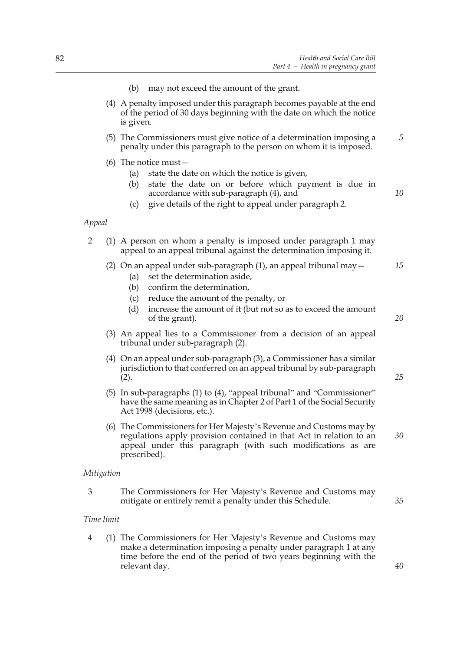- (b) may not exceed the amount of the grant.
- (4) A penalty imposed under this paragraph becomes payable at the end of the period of 30 days beginning with the date on which the notice is given.
- (5) The Commissioners must give notice of a determination imposing a penalty under this paragraph to the person on whom it is imposed. *5*
- (6) The notice must—
	- (a) state the date on which the notice is given,
	- (b) state the date on or before which payment is due in accordance with sub-paragraph (4), and
	- (c) give details of the right to appeal under paragraph 2.

### *Appeal*

- 2 (1) A person on whom a penalty is imposed under paragraph 1 may appeal to an appeal tribunal against the determination imposing it.
	- (2) On an appeal under sub-paragraph (1), an appeal tribunal may— *15*
		- (a) set the determination aside,
		- (b) confirm the determination,
		- (c) reduce the amount of the penalty, or
		- (d) increase the amount of it (but not so as to exceed the amount of the grant).
	- (3) An appeal lies to a Commissioner from a decision of an appeal tribunal under sub-paragraph (2).
	- (4) On an appeal under sub-paragraph (3), a Commissioner has a similar jurisdiction to that conferred on an appeal tribunal by sub-paragraph  $(2).$
	- (5) In sub-paragraphs (1) to (4), "appeal tribunal" and "Commissioner" have the same meaning as in Chapter 2 of Part 1 of the Social Security Act 1998 (decisions, etc.).
	- (6) The Commissioners for Her Majesty's Revenue and Customs may by regulations apply provision contained in that Act in relation to an appeal under this paragraph (with such modifications as are prescribed). *30*

#### *Mitigation*

3 The Commissioners for Her Majesty's Revenue and Customs may mitigate or entirely remit a penalty under this Schedule.

### *Time limit*

4 (1) The Commissioners for Her Majesty's Revenue and Customs may make a determination imposing a penalty under paragraph 1 at any time before the end of the period of two years beginning with the relevant day.

*40*

*35*

*10*

*20*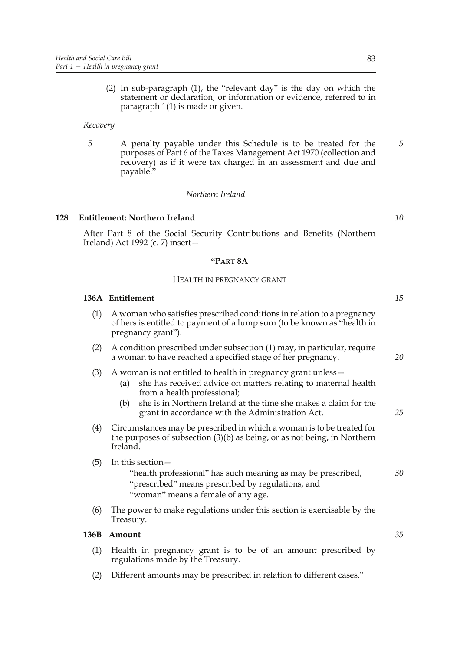(2) In sub-paragraph (1), the "relevant day" is the day on which the statement or declaration, or information or evidence, referred to in paragraph 1(1) is made or given.

### *Recovery*

5 A penalty payable under this Schedule is to be treated for the purposes of Part 6 of the Taxes Management Act 1970 (collection and recovery) as if it were tax charged in an assessment and due and payable." *5*

### *Northern Ireland*

# **128 Entitlement: Northern Ireland**

After Part 8 of the Social Security Contributions and Benefits (Northern Ireland) Act 1992 (c. 7) insert—

# **"PART 8A**

#### HEALTH IN PREGNANCY GRANT

#### **136A Entitlement**

- (1) A woman who satisfies prescribed conditions in relation to a pregnancy of hers is entitled to payment of a lump sum (to be known as "health in pregnancy grant").
- (2) A condition prescribed under subsection (1) may, in particular, require a woman to have reached a specified stage of her pregnancy.
- (3) A woman is not entitled to health in pregnancy grant unless—
	- (a) she has received advice on matters relating to maternal health from a health professional;
	- (b) she is in Northern Ireland at the time she makes a claim for the grant in accordance with the Administration Act.
- (4) Circumstances may be prescribed in which a woman is to be treated for the purposes of subsection (3)(b) as being, or as not being, in Northern Ireland.
- (5) In this section— "health professional" has such meaning as may be prescribed, "prescribed" means prescribed by regulations, and "woman" means a female of any age. *30*
- (6) The power to make regulations under this section is exercisable by the Treasury.

# **136B Amount**

- (1) Health in pregnancy grant is to be of an amount prescribed by regulations made by the Treasury.
- (2) Different amounts may be prescribed in relation to different cases."

*35*

*10*

*15*

*20*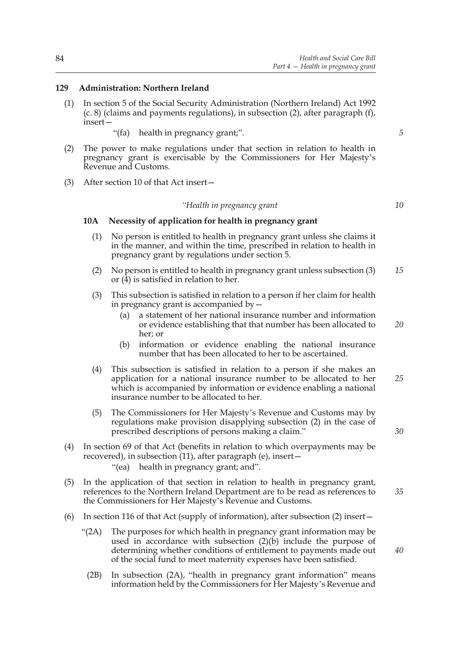# **129 Administration: Northern Ireland**

- (1) In section 5 of the Social Security Administration (Northern Ireland) Act 1992  $(c. 8)$  (claims and payments regulations), in subsection  $(2)$ , after paragraph  $(f)$ , insert—
	- "(fa) health in pregnancy grant;".
- (2) The power to make regulations under that section in relation to health in pregnancy grant is exercisable by the Commissioners for Her Majesty's Revenue and Customs.
- (3) After section 10 of that Act insert—

#### *"Health in pregnancy grant*

*10*

*30*

*40*

*5*

# **10A Necessity of application for health in pregnancy grant**

- (1) No person is entitled to health in pregnancy grant unless she claims it in the manner, and within the time, prescribed in relation to health in pregnancy grant by regulations under section 5.
- (2) No person is entitled to health in pregnancy grant unless subsection (3) or (4) is satisfied in relation to her. *15*
- (3) This subsection is satisfied in relation to a person if her claim for health in pregnancy grant is accompanied by—
	- (a) a statement of her national insurance number and information or evidence establishing that that number has been allocated to her; or *20*
	- (b) information or evidence enabling the national insurance number that has been allocated to her to be ascertained.
- (4) This subsection is satisfied in relation to a person if she makes an application for a national insurance number to be allocated to her which is accompanied by information or evidence enabling a national insurance number to be allocated to her. *25*
- (5) The Commissioners for Her Majesty's Revenue and Customs may by regulations make provision disapplying subsection (2) in the case of prescribed descriptions of persons making a claim."
- (4) In section 69 of that Act (benefits in relation to which overpayments may be recovered), in subsection (11), after paragraph (e), insert—
	- "(ea) health in pregnancy grant; and".
- (5) In the application of that section in relation to health in pregnancy grant, references to the Northern Ireland Department are to be read as references to the Commissioners for Her Majesty's Revenue and Customs. *35*
- (6) In section 116 of that Act (supply of information), after subsection (2) insert—
	- "(2A) The purposes for which health in pregnancy grant information may be used in accordance with subsection (2)(b) include the purpose of determining whether conditions of entitlement to payments made out of the social fund to meet maternity expenses have been satisfied.
		- (2B) In subsection (2A), "health in pregnancy grant information" means information held by the Commissioners for Her Majesty's Revenue and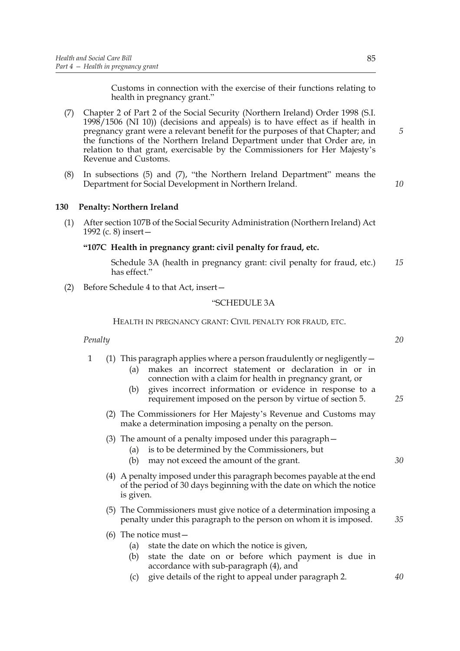Customs in connection with the exercise of their functions relating to health in pregnancy grant."

- (7) Chapter 2 of Part 2 of the Social Security (Northern Ireland) Order 1998 (S.I. 1998/1506 (NI 10)) (decisions and appeals) is to have effect as if health in pregnancy grant were a relevant benefit for the purposes of that Chapter; and the functions of the Northern Ireland Department under that Order are, in relation to that grant, exercisable by the Commissioners for Her Majesty's Revenue and Customs.
- (8) In subsections (5) and (7), "the Northern Ireland Department" means the Department for Social Development in Northern Ireland.

# **130 Penalty: Northern Ireland**

(1) After section 107B of the Social Security Administration (Northern Ireland) Act 1992 (c. 8) insert—

### **"107C Health in pregnancy grant: civil penalty for fraud, etc.**

Schedule 3A (health in pregnancy grant: civil penalty for fraud, etc.) has effect." *15*

(2) Before Schedule 4 to that Act, insert—

# "SCHEDULE 3A

# HEALTH IN PREGNANCY GRANT: CIVIL PENALTY FOR FRAUD, ETC.

#### *Penalty*

- 1 (1) This paragraph applies where a person fraudulently or negligently—
	- (a) makes an incorrect statement or declaration in or in connection with a claim for health in pregnancy grant, or
	- (b) gives incorrect information or evidence in response to a requirement imposed on the person by virtue of section 5.
	- (2) The Commissioners for Her Majesty's Revenue and Customs may make a determination imposing a penalty on the person.
	- (3) The amount of a penalty imposed under this paragraph—
		- (a) is to be determined by the Commissioners, but
		- (b) may not exceed the amount of the grant.
	- (4) A penalty imposed under this paragraph becomes payable at the end of the period of 30 days beginning with the date on which the notice is given.
	- (5) The Commissioners must give notice of a determination imposing a penalty under this paragraph to the person on whom it is imposed.
	- (6) The notice must—
		- (a) state the date on which the notice is given,
		- (b) state the date on or before which payment is due in accordance with sub-paragraph (4), and
		- (c) give details of the right to appeal under paragraph 2.

*5*

*10*

*20*

*25*

*35*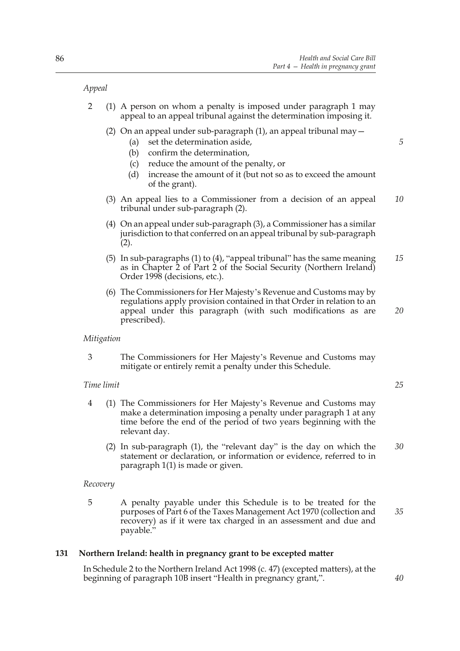### *Appeal*

2 (1) A person on whom a penalty is imposed under paragraph 1 may appeal to an appeal tribunal against the determination imposing it.

# (2) On an appeal under sub-paragraph  $(1)$ , an appeal tribunal may  $-$

- (a) set the determination aside,
- (b) confirm the determination,
- (c) reduce the amount of the penalty, or
- (d) increase the amount of it (but not so as to exceed the amount of the grant).
- (3) An appeal lies to a Commissioner from a decision of an appeal tribunal under sub-paragraph (2). *10*
- (4) On an appeal under sub-paragraph (3), a Commissioner has a similar jurisdiction to that conferred on an appeal tribunal by sub-paragraph  $(2).$
- (5) In sub-paragraphs (1) to (4), "appeal tribunal" has the same meaning as in Chapter 2 of Part 2 of the Social Security (Northern Ireland) Order 1998 (decisions, etc.). *15*
- (6) The Commissioners for Her Majesty's Revenue and Customs may by regulations apply provision contained in that Order in relation to an appeal under this paragraph (with such modifications as are prescribed). *20*

# *Mitigation*

3 The Commissioners for Her Majesty's Revenue and Customs may mitigate or entirely remit a penalty under this Schedule.

### *Time limit*

- 4 (1) The Commissioners for Her Majesty's Revenue and Customs may make a determination imposing a penalty under paragraph 1 at any time before the end of the period of two years beginning with the relevant day.
	- (2) In sub-paragraph (1), the "relevant day" is the day on which the statement or declaration, or information or evidence, referred to in paragraph 1(1) is made or given. *30*

### *Recovery*

5 A penalty payable under this Schedule is to be treated for the purposes of Part 6 of the Taxes Management Act 1970 (collection and recovery) as if it were tax charged in an assessment and due and payable." *35*

### **131 Northern Ireland: health in pregnancy grant to be excepted matter**

In Schedule 2 to the Northern Ireland Act 1998 (c. 47) (excepted matters), at the beginning of paragraph 10B insert "Health in pregnancy grant,".

*25*

*40*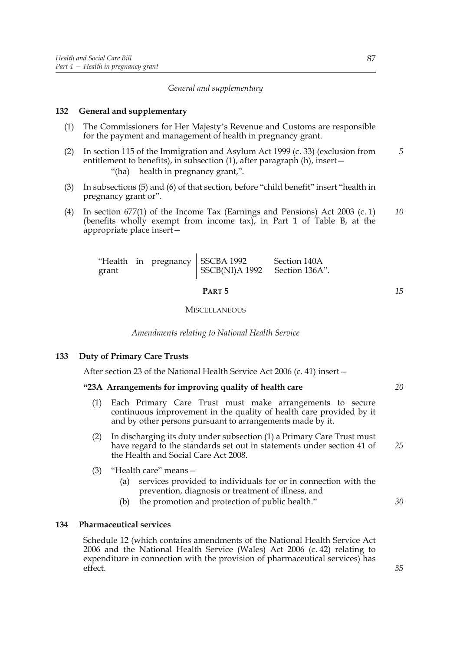# *General and supplementary*

# **132 General and supplementary**

- (1) The Commissioners for Her Majesty's Revenue and Customs are responsible for the payment and management of health in pregnancy grant.
- (2) In section 115 of the Immigration and Asylum Act 1999 (c. 33) (exclusion from entitlement to benefits), in subsection (1), after paragraph (h), insert-"(ha) health in pregnancy grant,". *5*
- (3) In subsections (5) and (6) of that section, before "child benefit" insert "health in pregnancy grant or".
- (4) In section 677(1) of the Income Tax (Earnings and Pensions) Act 2003 (c. 1) (benefits wholly exempt from income tax), in Part 1 of Table B, at the appropriate place insert— *10*

|       |  | "Health in pregnancy SSCBA 1992 | Section 140A |
|-------|--|---------------------------------|--------------|
| grant |  | SSCB(NI)A 1992 Section 136A".   |              |

# **PART 5**

### **MISCELLANEOUS**

*Amendments relating to National Health Service*

# **133 Duty of Primary Care Trusts**

After section 23 of the National Health Service Act 2006 (c. 41) insert—

### **"23A Arrangements for improving quality of health care**

- (1) Each Primary Care Trust must make arrangements to secure continuous improvement in the quality of health care provided by it and by other persons pursuant to arrangements made by it.
- (2) In discharging its duty under subsection (1) a Primary Care Trust must have regard to the standards set out in statements under section 41 of the Health and Social Care Act 2008. *25*
- (3) "Health care" means—
	- (a) services provided to individuals for or in connection with the prevention, diagnosis or treatment of illness, and
	- (b) the promotion and protection of public health."

# **134 Pharmaceutical services**

Schedule 12 (which contains amendments of the National Health Service Act 2006 and the National Health Service (Wales) Act 2006 (c. 42) relating to expenditure in connection with the provision of pharmaceutical services) has effect.

*20*

*15*

*35*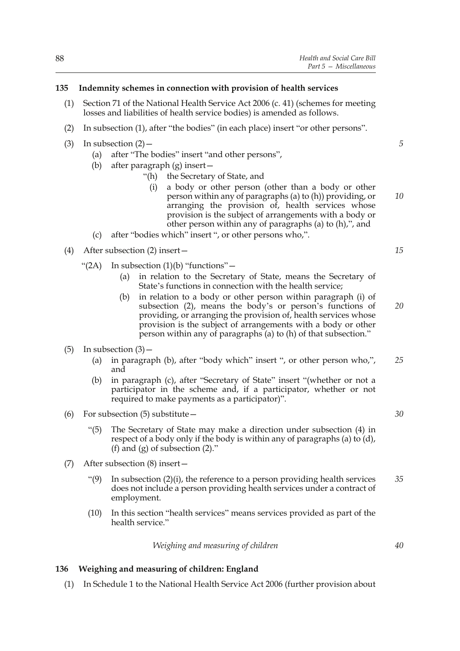# **135 Indemnity schemes in connection with provision of health services**

- (1) Section 71 of the National Health Service Act 2006 (c. 41) (schemes for meeting losses and liabilities of health service bodies) is amended as follows.
- (2) In subsection (1), after "the bodies" (in each place) insert "or other persons".
- (3) In subsection  $(2)$ 
	- (a) after "The bodies" insert "and other persons",
	- (b) after paragraph (g) insert—
		- "(h) the Secretary of State, and
			- (i) a body or other person (other than a body or other person within any of paragraphs (a) to (h)) providing, or arranging the provision of, health services whose provision is the subject of arrangements with a body or other person within any of paragraphs (a) to (h),", and *10*
	- (c) after "bodies which" insert ", or other persons who,".
- (4) After subsection (2) insert—
	- " $(2A)$  In subsection  $(1)(b)$  "functions"
		- (a) in relation to the Secretary of State, means the Secretary of State's functions in connection with the health service;
		- (b) in relation to a body or other person within paragraph (i) of subsection (2), means the body's or person's functions of providing, or arranging the provision of, health services whose provision is the subject of arrangements with a body or other person within any of paragraphs (a) to (h) of that subsection." *20*
- (5) In subsection  $(3)$  -
	- (a) in paragraph (b), after "body which" insert ", or other person who,", and *25*
	- (b) in paragraph (c), after "Secretary of State" insert "(whether or not a participator in the scheme and, if a participator, whether or not required to make payments as a participator)".
- (6) For subsection  $(5)$  substitute  $-$ 
	- "(5) The Secretary of State may make a direction under subsection (4) in respect of a body only if the body is within any of paragraphs (a) to (d), (f) and  $(g)$  of subsection  $(2)$ ."
- (7) After subsection (8) insert—
	- $(9)$  In subsection (2)(i), the reference to a person providing health services does not include a person providing health services under a contract of employment. *35*
	- (10) In this section "health services" means services provided as part of the health service."

*Weighing and measuring of children*

*30*

# **136 Weighing and measuring of children: England**

(1) In Schedule 1 to the National Health Service Act 2006 (further provision about

*15*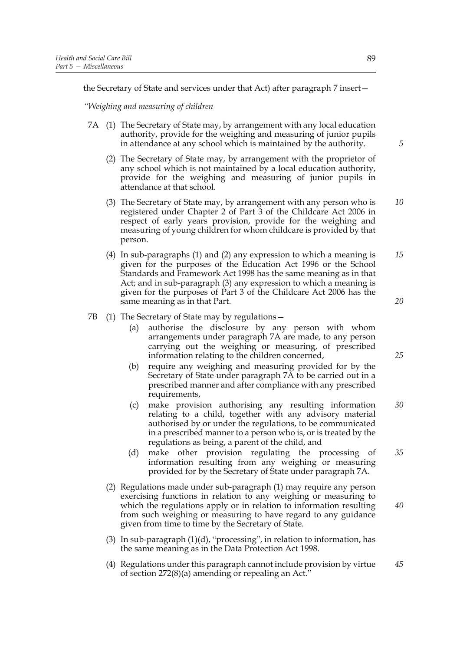the Secretary of State and services under that Act) after paragraph 7 insert—

*"Weighing and measuring of children*

- 7A (1) The Secretary of State may, by arrangement with any local education authority, provide for the weighing and measuring of junior pupils in attendance at any school which is maintained by the authority.
	- (2) The Secretary of State may, by arrangement with the proprietor of any school which is not maintained by a local education authority, provide for the weighing and measuring of junior pupils in attendance at that school.
	- (3) The Secretary of State may, by arrangement with any person who is registered under Chapter 2 of Part 3 of the Childcare Act 2006 in respect of early years provision, provide for the weighing and measuring of young children for whom childcare is provided by that person. *10*
	- (4) In sub-paragraphs (1) and (2) any expression to which a meaning is given for the purposes of the Education Act 1996 or the School Standards and Framework Act 1998 has the same meaning as in that Act; and in sub-paragraph (3) any expression to which a meaning is given for the purposes of Part 3 of the Childcare Act 2006 has the same meaning as in that Part. *15 20*

# 7B (1) The Secretary of State may by regulations—

- (a) authorise the disclosure by any person with whom arrangements under paragraph 7A are made, to any person carrying out the weighing or measuring, of prescribed information relating to the children concerned,
- (b) require any weighing and measuring provided for by the Secretary of State under paragraph 7A to be carried out in a prescribed manner and after compliance with any prescribed requirements,
- (c) make provision authorising any resulting information relating to a child, together with any advisory material authorised by or under the regulations, to be communicated in a prescribed manner to a person who is, or is treated by the regulations as being, a parent of the child, and *30*
- (d) make other provision regulating the processing of information resulting from any weighing or measuring provided for by the Secretary of State under paragraph 7A. *35*
- (2) Regulations made under sub-paragraph (1) may require any person exercising functions in relation to any weighing or measuring to which the regulations apply or in relation to information resulting from such weighing or measuring to have regard to any guidance given from time to time by the Secretary of State.
- (3) In sub-paragraph (1)(d), "processing", in relation to information, has the same meaning as in the Data Protection Act 1998.
- (4) Regulations under this paragraph cannot include provision by virtue of section 272(8)(a) amending or repealing an Act." *45*

89

*5*

*25*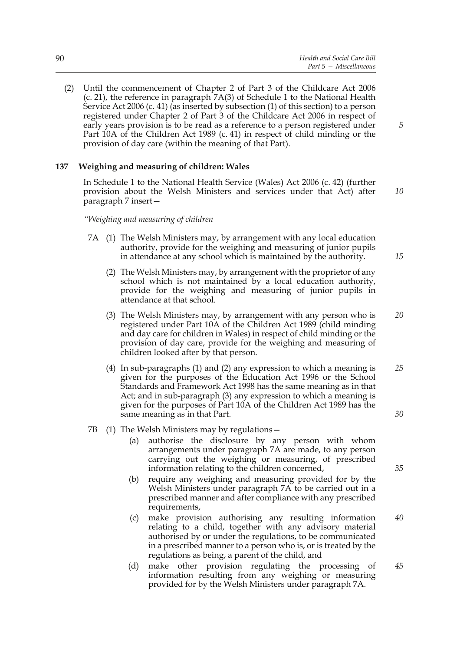(2) Until the commencement of Chapter 2 of Part 3 of the Childcare Act 2006 (c. 21), the reference in paragraph 7A(3) of Schedule 1 to the National Health Service Act 2006 (c. 41) (as inserted by subsection (1) of this section) to a person registered under Chapter 2 of Part 3 of the Childcare Act 2006 in respect of early years provision is to be read as a reference to a person registered under Part 10A of the Children Act 1989 (c. 41) in respect of child minding or the provision of day care (within the meaning of that Part).

# **137 Weighing and measuring of children: Wales**

In Schedule 1 to the National Health Service (Wales) Act 2006 (c. 42) (further provision about the Welsh Ministers and services under that Act) after paragraph 7 insert—

*"Weighing and measuring of children*

- 7A (1) The Welsh Ministers may, by arrangement with any local education authority, provide for the weighing and measuring of junior pupils in attendance at any school which is maintained by the authority.
	- (2) The Welsh Ministers may, by arrangement with the proprietor of any school which is not maintained by a local education authority, provide for the weighing and measuring of junior pupils in attendance at that school.
	- (3) The Welsh Ministers may, by arrangement with any person who is registered under Part 10A of the Children Act 1989 (child minding and day care for children in Wales) in respect of child minding or the provision of day care, provide for the weighing and measuring of children looked after by that person.
	- (4) In sub-paragraphs (1) and (2) any expression to which a meaning is given for the purposes of the Education Act 1996 or the School Standards and Framework Act 1998 has the same meaning as in that Act; and in sub-paragraph (3) any expression to which a meaning is given for the purposes of Part 10A of the Children Act 1989 has the same meaning as in that Part. *25*
- 7B (1) The Welsh Ministers may by regulations—
	- (a) authorise the disclosure by any person with whom arrangements under paragraph 7A are made, to any person carrying out the weighing or measuring, of prescribed information relating to the children concerned,
	- (b) require any weighing and measuring provided for by the Welsh Ministers under paragraph 7A to be carried out in a prescribed manner and after compliance with any prescribed requirements,
	- (c) make provision authorising any resulting information relating to a child, together with any advisory material authorised by or under the regulations, to be communicated in a prescribed manner to a person who is, or is treated by the regulations as being, a parent of the child, and
	- (d) make other provision regulating the processing of information resulting from any weighing or measuring provided for by the Welsh Ministers under paragraph 7A. *45*

*5*

*10*

*15*

*20*

*30*

*40*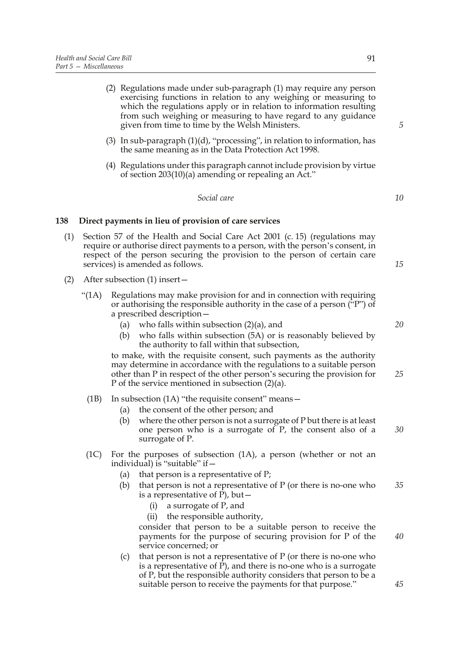- (2) Regulations made under sub-paragraph (1) may require any person exercising functions in relation to any weighing or measuring to which the regulations apply or in relation to information resulting from such weighing or measuring to have regard to any guidance given from time to time by the Welsh Ministers.
- (3) In sub-paragraph (1)(d), "processing", in relation to information, has the same meaning as in the Data Protection Act 1998.
- (4) Regulations under this paragraph cannot include provision by virtue of section 203(10)(a) amending or repealing an Act."

*Social care*

*10*

*15*

*5*

# **138 Direct payments in lieu of provision of care services**

- (1) Section 57 of the Health and Social Care Act 2001 (c. 15) (regulations may require or authorise direct payments to a person, with the person's consent, in respect of the person securing the provision to the person of certain care services) is amended as follows.
- (2) After subsection (1) insert—
	- "(1A) Regulations may make provision for and in connection with requiring or authorising the responsible authority in the case of a person ("P") of a prescribed description—
		- (a) who falls within subsection  $(2)(a)$ , and
		- (b) who falls within subsection (5A) or is reasonably believed by the authority to fall within that subsection,

to make, with the requisite consent, such payments as the authority may determine in accordance with the regulations to a suitable person other than P in respect of the other person's securing the provision for P of the service mentioned in subsection (2)(a). *25*

- (1B) In subsection (1A) "the requisite consent" means  $-$ 
	- (a) the consent of the other person; and
	- (b) where the other person is not a surrogate of P but there is at least one person who is a surrogate of P, the consent also of a surrogate of P.
- (1C) For the purposes of subsection (1A), a person (whether or not an individual) is "suitable" if—
	- (a) that person is a representative of  $P_i$ ;
	- (b) that person is not a representative of  $P$  (or there is no-one who is a representative of  $P$ ), but  $-$ *35*
		- (i) a surrogate of P, and
		- (ii) the responsible authority,

consider that person to be a suitable person to receive the payments for the purpose of securing provision for P of the service concerned; or *40*

(c) that person is not a representative of  $P$  (or there is no-one who is a representative of P), and there is no-one who is a surrogate of P, but the responsible authority considers that person to be a suitable person to receive the payments for that purpose."

*45*

*20*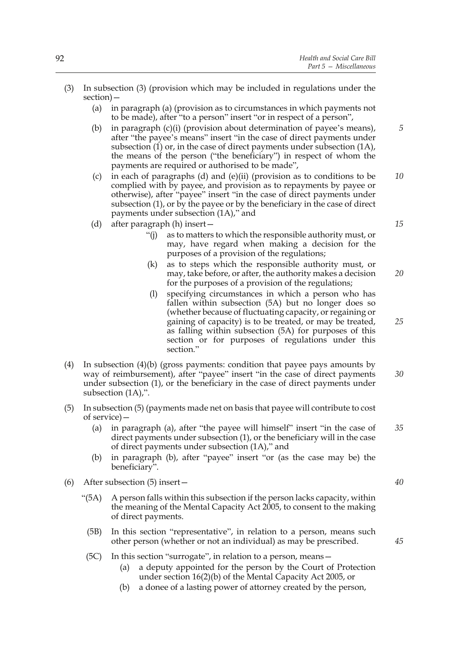- (a) in paragraph (a) (provision as to circumstances in which payments not to be made), after "to a person" insert "or in respect of a person",
- (b) in paragraph (c)(i) (provision about determination of payee's means), after "the payee's means" insert "in the case of direct payments under subsection (1) or, in the case of direct payments under subsection (1A), the means of the person ("the beneficiary") in respect of whom the payments are required or authorised to be made",
- (c) in each of paragraphs (d) and (e)(ii) (provision as to conditions to be complied with by payee, and provision as to repayments by payee or otherwise), after "payee" insert "in the case of direct payments under subsection (1), or by the payee or by the beneficiary in the case of direct payments under subsection (1A)," and *10*
- (d) after paragraph (h) insert—
	- "(j) as to matters to which the responsible authority must, or may, have regard when making a decision for the purposes of a provision of the regulations;
	- (k) as to steps which the responsible authority must, or may, take before, or after, the authority makes a decision for the purposes of a provision of the regulations; *20*
	- (l) specifying circumstances in which a person who has fallen within subsection (5A) but no longer does so (whether because of fluctuating capacity, or regaining or gaining of capacity) is to be treated, or may be treated, as falling within subsection (5A) for purposes of this section or for purposes of regulations under this section."
- (4) In subsection (4)(b) (gross payments: condition that payee pays amounts by way of reimbursement), after "payee" insert "in the case of direct payments under subsection (1), or the beneficiary in the case of direct payments under subsection (1A),". *30*
- (5) In subsection (5) (payments made net on basis that payee will contribute to cost of service)—
	- (a) in paragraph (a), after "the payee will himself" insert "in the case of direct payments under subsection (1), or the beneficiary will in the case of direct payments under subsection (1A)," and *35*
	- (b) in paragraph (b), after "payee" insert "or (as the case may be) the beneficiary".
- (6) After subsection (5) insert—
	- " $(5A)$  A person falls within this subsection if the person lacks capacity, within the meaning of the Mental Capacity Act 2005, to consent to the making of direct payments.
		- (5B) In this section "representative", in relation to a person, means such other person (whether or not an individual) as may be prescribed.
	- (5C) In this section "surrogate", in relation to a person, means—
		- (a) a deputy appointed for the person by the Court of Protection under section 16(2)(b) of the Mental Capacity Act 2005, or
		- (b) a donee of a lasting power of attorney created by the person,

*40*

*45*

*15*

*25*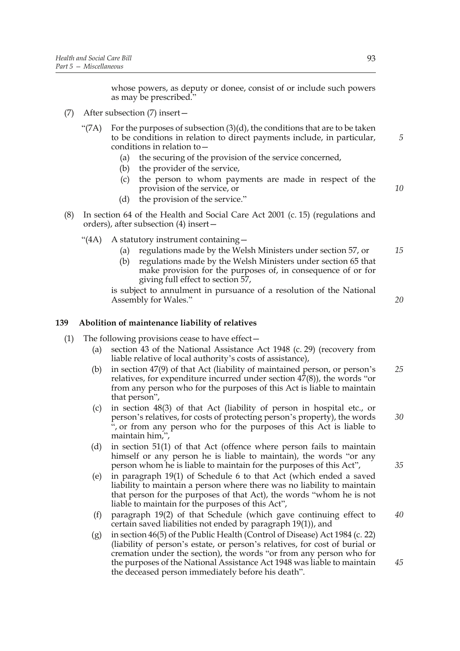whose powers, as deputy or donee, consist of or include such powers as may be prescribed."

- (7) After subsection (7) insert—
	- " $(7A)$  For the purposes of subsection  $(3)(d)$ , the conditions that are to be taken to be conditions in relation to direct payments include, in particular, conditions in relation to—
		- (a) the securing of the provision of the service concerned,
		- (b) the provider of the service,
		- (c) the person to whom payments are made in respect of the provision of the service, or
		- (d) the provision of the service."
- (8) In section 64 of the Health and Social Care Act 2001 (c. 15) (regulations and orders), after subsection (4) insert—

# "(4A) A statutory instrument containing—

- (a) regulations made by the Welsh Ministers under section 57, or *15*
- (b) regulations made by the Welsh Ministers under section 65 that make provision for the purposes of, in consequence of or for giving full effect to section 57,

is subject to annulment in pursuance of a resolution of the National Assembly for Wales."

# **139 Abolition of maintenance liability of relatives**

- (1) The following provisions cease to have effect—
	- (a) section 43 of the National Assistance Act 1948 (c. 29) (recovery from liable relative of local authority's costs of assistance),
	- (b) in section 47(9) of that Act (liability of maintained person, or person's relatives, for expenditure incurred under section  $4\overline{7}(8)$ , the words "or from any person who for the purposes of this Act is liable to maintain that person", *25*
	- (c) in section 48(3) of that Act (liability of person in hospital etc., or person's relatives, for costs of protecting person's property), the words ", or from any person who for the purposes of this Act is liable to maintain him,",
	- (d) in section 51(1) of that Act (offence where person fails to maintain himself or any person he is liable to maintain), the words "or any person whom he is liable to maintain for the purposes of this Act",
	- (e) in paragraph 19(1) of Schedule 6 to that Act (which ended a saved liability to maintain a person where there was no liability to maintain that person for the purposes of that Act), the words "whom he is not liable to maintain for the purposes of this Act",
	- (f) paragraph 19(2) of that Schedule (which gave continuing effect to certain saved liabilities not ended by paragraph 19(1)), and
	- (g) in section 46(5) of the Public Health (Control of Disease) Act 1984 (c. 22) (liability of person's estate, or person's relatives, for cost of burial or cremation under the section), the words "or from any person who for the purposes of the National Assistance Act 1948 was liable to maintain the deceased person immediately before his death".

*5*

*10*

*20*

*35*

*30*

*45*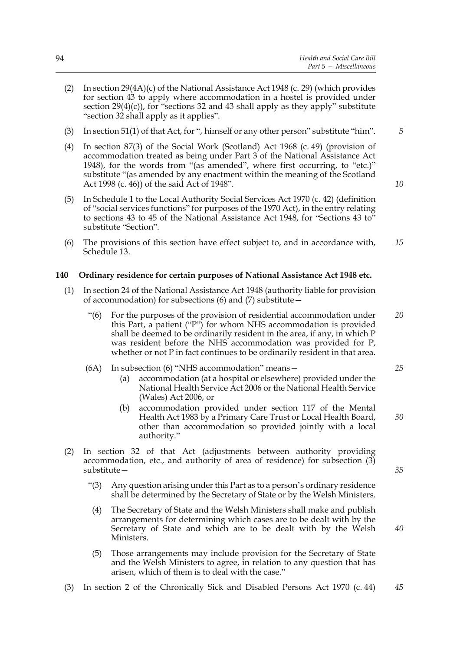- (2) In section 29(4A)(c) of the National Assistance Act 1948 (c. 29) (which provides for section 43 to apply where accommodation in a hostel is provided under section  $29(4)(c)$ , for "sections 32 and 43 shall apply as they apply" substitute "section 32 shall apply as it applies".
- (3) In section 51(1) of that Act, for ", himself or any other person" substitute "him".
- (4) In section 87(3) of the Social Work (Scotland) Act 1968 (c. 49) (provision of accommodation treated as being under Part 3 of the National Assistance Act 1948), for the words from "(as amended", where first occurring, to "etc.)" substitute "(as amended by any enactment within the meaning of the Scotland Act 1998 (c. 46)) of the said Act of 1948".
- (5) In Schedule 1 to the Local Authority Social Services Act 1970 (c. 42) (definition of "social services functions" for purposes of the 1970 Act), in the entry relating to sections 43 to 45 of the National Assistance Act 1948, for "Sections 43 to" substitute "Section".
- (6) The provisions of this section have effect subject to, and in accordance with, Schedule 13. *15*

# **140 Ordinary residence for certain purposes of National Assistance Act 1948 etc.**

- (1) In section 24 of the National Assistance Act 1948 (authority liable for provision of accommodation) for subsections (6) and (7) substitute—
	- "(6) For the purposes of the provision of residential accommodation under this Part, a patient ("P") for whom NHS accommodation is provided shall be deemed to be ordinarily resident in the area, if any, in which P was resident before the NHS accommodation was provided for P, whether or not P in fact continues to be ordinarily resident in that area. *20*
	- (6A) In subsection (6) "NHS accommodation" means—
		- (a) accommodation (at a hospital or elsewhere) provided under the National Health Service Act 2006 or the National Health Service (Wales) Act 2006, or
		- (b) accommodation provided under section 117 of the Mental Health Act 1983 by a Primary Care Trust or Local Health Board, other than accommodation so provided jointly with a local authority."
- (2) In section 32 of that Act (adjustments between authority providing accommodation, etc., and authority of area of residence) for subsection  $(3)$ substitute—
	- "(3) Any question arising under this Part as to a person's ordinary residence shall be determined by the Secretary of State or by the Welsh Ministers.
	- (4) The Secretary of State and the Welsh Ministers shall make and publish arrangements for determining which cases are to be dealt with by the Secretary of State and which are to be dealt with by the Welsh Ministers.
	- (5) Those arrangements may include provision for the Secretary of State and the Welsh Ministers to agree, in relation to any question that has arisen, which of them is to deal with the case."
- (3) In section 2 of the Chronically Sick and Disabled Persons Act 1970 (c. 44) *45*

*10*

*5*

*25*

*30*

*40*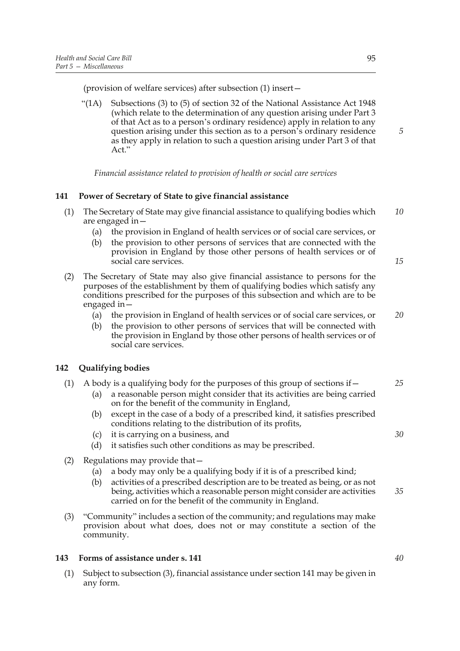(provision of welfare services) after subsection (1) insert—

"(1A) Subsections (3) to (5) of section 32 of the National Assistance Act 1948 (which relate to the determination of any question arising under Part 3 of that Act as to a person's ordinary residence) apply in relation to any question arising under this section as to a person's ordinary residence as they apply in relation to such a question arising under Part 3 of that Act."

*Financial assistance related to provision of health or social care services*

# **141 Power of Secretary of State to give financial assistance**

- (1) The Secretary of State may give financial assistance to qualifying bodies which are engaged in— *10*
	- (a) the provision in England of health services or of social care services, or
	- (b) the provision to other persons of services that are connected with the provision in England by those other persons of health services or of social care services.
- (2) The Secretary of State may also give financial assistance to persons for the purposes of the establishment by them of qualifying bodies which satisfy any conditions prescribed for the purposes of this subsection and which are to be engaged in—
	- (a) the provision in England of health services or of social care services, or *20*
	- (b) the provision to other persons of services that will be connected with the provision in England by those other persons of health services or of social care services.

# **142 Qualifying bodies**

# (1) A body is a qualifying body for the purposes of this group of sections if—

- (a) a reasonable person might consider that its activities are being carried on for the benefit of the community in England,
- (b) except in the case of a body of a prescribed kind, it satisfies prescribed conditions relating to the distribution of its profits,
- (c) it is carrying on a business, and
- (d) it satisfies such other conditions as may be prescribed.
- (2) Regulations may provide that—
	- (a) a body may only be a qualifying body if it is of a prescribed kind;
	- (b) activities of a prescribed description are to be treated as being, or as not being, activities which a reasonable person might consider are activities carried on for the benefit of the community in England. *35*
- (3) "Community" includes a section of the community; and regulations may make provision about what does, does not or may constitute a section of the community.

# **143 Forms of assistance under s. 141**

(1) Subject to subsection (3), financial assistance under section 141 may be given in any form.

*5*

*15*

*25*

*30*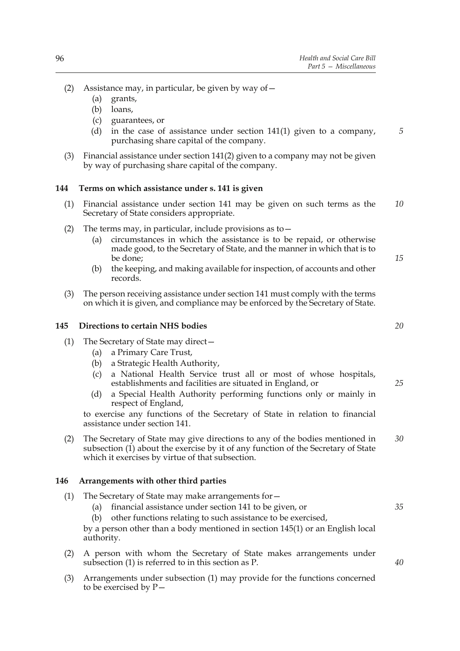- (2) Assistance may, in particular, be given by way of  $-$ 
	- (a) grants,
	- (b) loans,
	- (c) guarantees, or
	- (d) in the case of assistance under section 141(1) given to a company, purchasing share capital of the company.
- (3) Financial assistance under section 141(2) given to a company may not be given by way of purchasing share capital of the company.

# **144 Terms on which assistance under s. 141 is given**

- (1) Financial assistance under section 141 may be given on such terms as the Secretary of State considers appropriate. *10*
- (2) The terms may, in particular, include provisions as to  $-$ 
	- (a) circumstances in which the assistance is to be repaid, or otherwise made good, to the Secretary of State, and the manner in which that is to be done;
	- (b) the keeping, and making available for inspection, of accounts and other records.
- (3) The person receiving assistance under section 141 must comply with the terms on which it is given, and compliance may be enforced by the Secretary of State.

# **145 Directions to certain NHS bodies**

- (1) The Secretary of State may direct—
	- (a) a Primary Care Trust,
	- (b) a Strategic Health Authority,
	- (c) a National Health Service trust all or most of whose hospitals, establishments and facilities are situated in England, or
	- (d) a Special Health Authority performing functions only or mainly in respect of England,

to exercise any functions of the Secretary of State in relation to financial assistance under section 141.

(2) The Secretary of State may give directions to any of the bodies mentioned in subsection (1) about the exercise by it of any function of the Secretary of State which it exercises by virtue of that subsection. *30*

# **146 Arrangements with other third parties**

- (1) The Secretary of State may make arrangements for—
	- (a) financial assistance under section 141 to be given, or
	- (b) other functions relating to such assistance to be exercised,

by a person other than a body mentioned in section 145(1) or an English local authority.

- (2) A person with whom the Secretary of State makes arrangements under subsection (1) is referred to in this section as P.
- (3) Arrangements under subsection (1) may provide for the functions concerned to be exercised by P—

*20*

*15*

*5*

*25*

*35*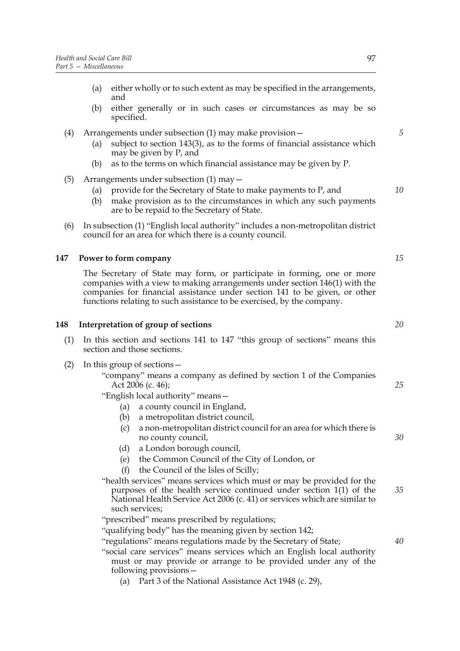- (a) either wholly or to such extent as may be specified in the arrangements, and
- (b) either generally or in such cases or circumstances as may be so specified.
- (4) Arrangements under subsection (1) may make provision—
	- (a) subject to section 143(3), as to the forms of financial assistance which may be given by P, and
	- (b) as to the terms on which financial assistance may be given by P.
- (5) Arrangements under subsection (1) may—
	- (a) provide for the Secretary of State to make payments to P, and
	- (b) make provision as to the circumstances in which any such payments are to be repaid to the Secretary of State.
- (6) In subsection (1) "English local authority" includes a non-metropolitan district council for an area for which there is a county council.

# **147 Power to form company**

The Secretary of State may form, or participate in forming, one or more companies with a view to making arrangements under section 146(1) with the companies for financial assistance under section 141 to be given, or other functions relating to such assistance to be exercised, by the company.

### **148 Interpretation of group of sections**

- (1) In this section and sections 141 to 147 "this group of sections" means this section and those sections.
- (2) In this group of sections—
	- "company" means a company as defined by section 1 of the Companies Act 2006 (c. 46);

"English local authority" means—

- (a) a county council in England,
- (b) a metropolitan district council,
- (c) a non-metropolitan district council for an area for which there is no county council,
- (d) a London borough council,
- (e) the Common Council of the City of London, or
- (f) the Council of the Isles of Scilly;
- "health services" means services which must or may be provided for the purposes of the health service continued under section 1(1) of the National Health Service Act 2006 (c. 41) or services which are similar to such services; *35*
- "prescribed" means prescribed by regulations;

"qualifying body" has the meaning given by section 142;

"regulations" means regulations made by the Secretary of State;

"social care services" means services which an English local authority must or may provide or arrange to be provided under any of the following provisions—

(a) Part 3 of the National Assistance Act 1948 (c. 29),

*20*

*15*

*5*

*10*

*25*

*30*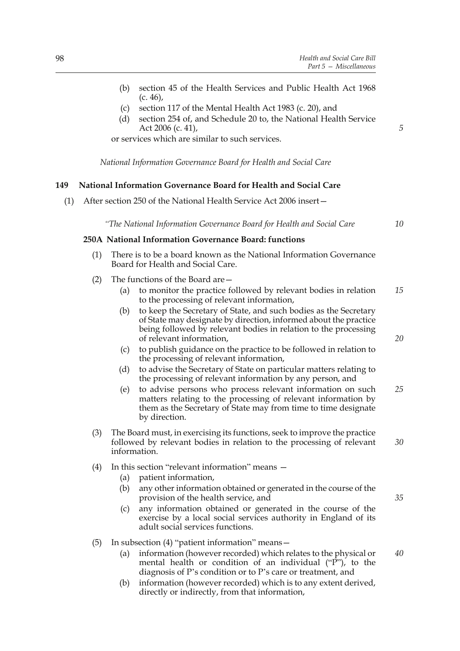- (b) section 45 of the Health Services and Public Health Act 1968 (c. 46),
- (c) section 117 of the Mental Health Act 1983 (c. 20), and
- (d) section 254 of, and Schedule 20 to, the National Health Service Act 2006 (c. 41),

or services which are similar to such services.

*National Information Governance Board for Health and Social Care*

#### **149 National Information Governance Board for Health and Social Care**

(1) After section 250 of the National Health Service Act 2006 insert—

*"The National Information Governance Board for Health and Social Care*

### **250A National Information Governance Board: functions**

- (1) There is to be a board known as the National Information Governance Board for Health and Social Care.
- (2) The functions of the Board are—
	- (a) to monitor the practice followed by relevant bodies in relation to the processing of relevant information, *15*
	- (b) to keep the Secretary of State, and such bodies as the Secretary of State may designate by direction, informed about the practice being followed by relevant bodies in relation to the processing of relevant information,
	- (c) to publish guidance on the practice to be followed in relation to the processing of relevant information,
	- (d) to advise the Secretary of State on particular matters relating to the processing of relevant information by any person, and
	- (e) to advise persons who process relevant information on such matters relating to the processing of relevant information by them as the Secretary of State may from time to time designate by direction. *25*
- (3) The Board must, in exercising its functions, seek to improve the practice followed by relevant bodies in relation to the processing of relevant information. *30*
- (4) In this section "relevant information" means
	- (a) patient information,
	- (b) any other information obtained or generated in the course of the provision of the health service, and
	- (c) any information obtained or generated in the course of the exercise by a local social services authority in England of its adult social services functions.
- (5) In subsection (4) "patient information" means—
	- (a) information (however recorded) which relates to the physical or mental health or condition of an individual ("P"), to the diagnosis of P's condition or to P's care or treatment, and
	- (b) information (however recorded) which is to any extent derived, directly or indirectly, from that information,

*35*

*5*

*10*

*20*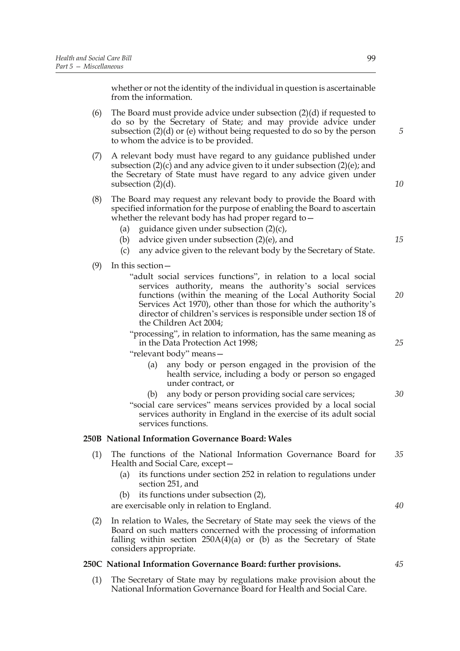whether or not the identity of the individual in question is ascertainable from the information.

- (6) The Board must provide advice under subsection (2)(d) if requested to do so by the Secretary of State; and may provide advice under subsection (2)(d) or (e) without being requested to do so by the person to whom the advice is to be provided.
- (7) A relevant body must have regard to any guidance published under subsection  $(2)(c)$  and any advice given to it under subsection  $(2)(e)$ ; and the Secretary of State must have regard to any advice given under subsection (2)(d).
- (8) The Board may request any relevant body to provide the Board with specified information for the purpose of enabling the Board to ascertain whether the relevant body has had proper regard to—
	- (a) guidance given under subsection  $(2)(c)$ ,
	- (b) advice given under subsection (2)(e), and
	- (c) any advice given to the relevant body by the Secretary of State.
- (9) In this section—
	- "adult social services functions", in relation to a local social services authority, means the authority's social services functions (within the meaning of the Local Authority Social Services Act 1970), other than those for which the authority's director of children's services is responsible under section 18 of the Children Act 2004;
	- "processing", in relation to information, has the same meaning as in the Data Protection Act 1998;

"relevant body" means—

- (a) any body or person engaged in the provision of the health service, including a body or person so engaged under contract, or
- (b) any body or person providing social care services;
- "social care services" means services provided by a local social services authority in England in the exercise of its adult social services functions.

### **250B National Information Governance Board: Wales**

- (1) The functions of the National Information Governance Board for Health and Social Care, except— *35*
	- (a) its functions under section 252 in relation to regulations under section 251, and
	- (b) its functions under subsection (2),

are exercisable only in relation to England.

(2) In relation to Wales, the Secretary of State may seek the views of the Board on such matters concerned with the processing of information falling within section  $250A(4)(a)$  or (b) as the Secretary of State considers appropriate.

# **250C National Information Governance Board: further provisions.**

(1) The Secretary of State may by regulations make provision about the National Information Governance Board for Health and Social Care.

*25*

*20*

*5*

*10*

*15*

*30*

*40*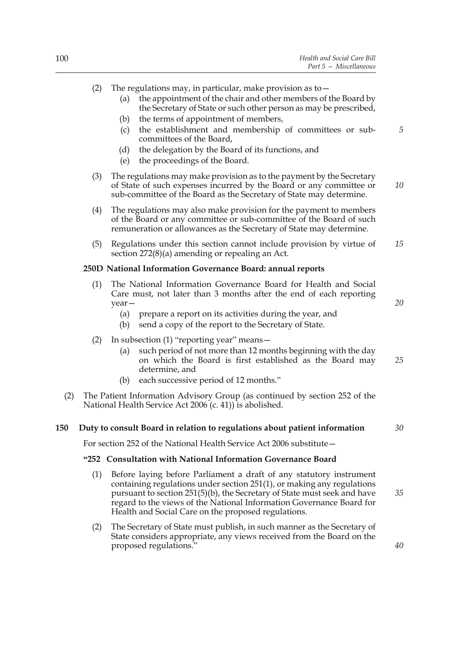|  | (2) The regulations may, in particular, make provision as to $-$ |  |  |  |
|--|------------------------------------------------------------------|--|--|--|
|  |                                                                  |  |  |  |

- (a) the appointment of the chair and other members of the Board by the Secretary of State or such other person as may be prescribed,
- (b) the terms of appointment of members,
- (c) the establishment and membership of committees or subcommittees of the Board,
- (d) the delegation by the Board of its functions, and
- (e) the proceedings of the Board.
- (3) The regulations may make provision as to the payment by the Secretary of State of such expenses incurred by the Board or any committee or sub-committee of the Board as the Secretary of State may determine. *10*
- (4) The regulations may also make provision for the payment to members of the Board or any committee or sub-committee of the Board of such remuneration or allowances as the Secretary of State may determine.
- (5) Regulations under this section cannot include provision by virtue of section 272(8)(a) amending or repealing an Act. *15*

# **250D National Information Governance Board: annual reports**

- (1) The National Information Governance Board for Health and Social Care must, not later than 3 months after the end of each reporting year—
	- (a) prepare a report on its activities during the year, and
	- (b) send a copy of the report to the Secretary of State.
- (2) In subsection (1) "reporting year" means—
	- (a) such period of not more than 12 months beginning with the day on which the Board is first established as the Board may determine, and *25*
	- (b) each successive period of 12 months."
- (2) The Patient Information Advisory Group (as continued by section 252 of the National Health Service Act 2006 (c. 41)) is abolished.

#### **150 Duty to consult Board in relation to regulations about patient information** *30*

For section 252 of the National Health Service Act 2006 substitute—

# **"252 Consultation with National Information Governance Board**

- (1) Before laying before Parliament a draft of any statutory instrument containing regulations under section 251(1), or making any regulations pursuant to section 251(5)(b), the Secretary of State must seek and have regard to the views of the National Information Governance Board for Health and Social Care on the proposed regulations. *35*
- (2) The Secretary of State must publish, in such manner as the Secretary of State considers appropriate, any views received from the Board on the proposed regulations."

*20*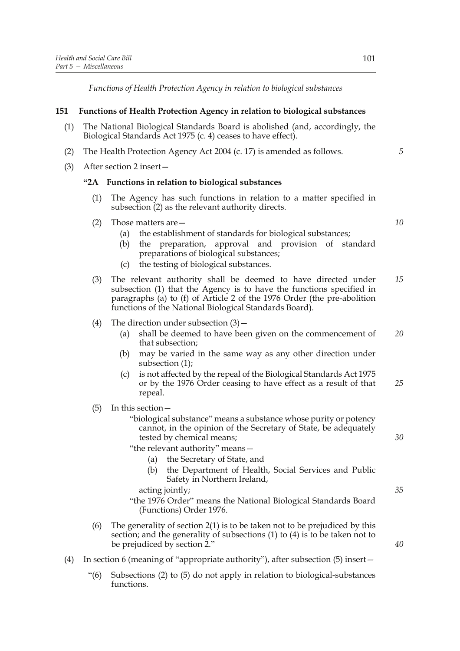*Functions of Health Protection Agency in relation to biological substances*

## **151 Functions of Health Protection Agency in relation to biological substances**

- (1) The National Biological Standards Board is abolished (and, accordingly, the Biological Standards Act 1975 (c. 4) ceases to have effect).
- (2) The Health Protection Agency Act 2004 (c. 17) is amended as follows.
- (3) After section 2 insert—

## **"2A Functions in relation to biological substances**

- (1) The Agency has such functions in relation to a matter specified in subsection (2) as the relevant authority directs.
- (2) Those matters are—
	- (a) the establishment of standards for biological substances;
	- (b) the preparation, approval and provision of standard preparations of biological substances;
	- (c) the testing of biological substances.
- (3) The relevant authority shall be deemed to have directed under subsection (1) that the Agency is to have the functions specified in paragraphs (a) to (f) of Article 2 of the 1976 Order (the pre-abolition functions of the National Biological Standards Board). *15*
- (4) The direction under subsection  $(3)$ 
	- (a) shall be deemed to have been given on the commencement of that subsection; *20*
	- (b) may be varied in the same way as any other direction under subsection (1);
	- (c) is not affected by the repeal of the Biological Standards Act 1975 or by the 1976 Order ceasing to have effect as a result of that repeal. *25*
- (5) In this section—
	- "biological substance" means a substance whose purity or potency cannot, in the opinion of the Secretary of State, be adequately tested by chemical means;

"the relevant authority" means—

- (a) the Secretary of State, and
- (b) the Department of Health, Social Services and Public Safety in Northern Ireland,

acting jointly;

- "the 1976 Order" means the National Biological Standards Board (Functions) Order 1976.
- (6) The generality of section 2(1) is to be taken not to be prejudiced by this section; and the generality of subsections (1) to (4) is to be taken not to be prejudiced by section 2."
- (4) In section 6 (meaning of "appropriate authority"), after subsection (5) insert—
	- "(6) Subsections (2) to (5) do not apply in relation to biological-substances functions.

*5*

*10*

*35*

*30*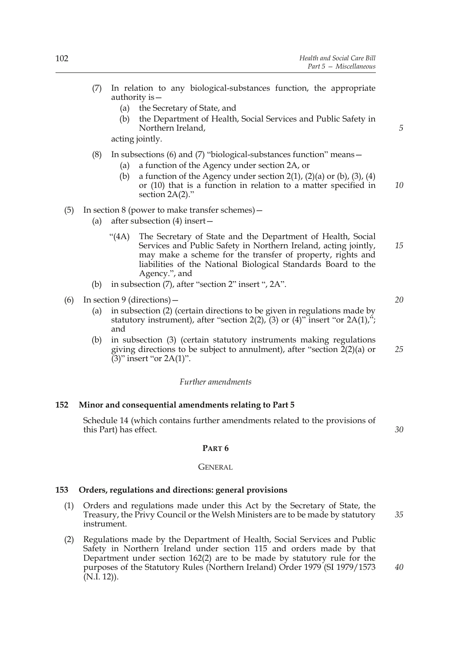- (7) In relation to any biological-substances function, the appropriate authority is— (a) the Secretary of State, and (b) the Department of Health, Social Services and Public Safety in Northern Ireland, acting jointly. (8) In subsections (6) and (7) "biological-substances function" means— (a) a function of the Agency under section 2A, or (b) a function of the Agency under section  $2(1)$ ,  $(2)(a)$  or  $(b)$ ,  $(3)$ ,  $(4)$ or (10) that is a function in relation to a matter specified in section 2A(2)." *10*
- (5) In section 8 (power to make transfer schemes)—
	- (a) after subsection (4) insert—
		- "(4A) The Secretary of State and the Department of Health, Social Services and Public Safety in Northern Ireland, acting jointly, may make a scheme for the transfer of property, rights and liabilities of the National Biological Standards Board to the Agency.", and *15*
	- (b) in subsection (7), after "section 2" insert ", 2A".
- (6) In section 9 (directions)—
	- (a) in subsection (2) (certain directions to be given in regulations made by statutory instrument), after "section  $2(2)$ ,  $(3)$  or  $(4)$ " insert "or  $2A(1)$ ,"; and
	- (b) in subsection (3) (certain statutory instruments making regulations giving directions to be subject to annulment), after "section 2(2)(a) or  $(3)$ " insert "or 2A(1)". *25*

## *Further amendments*

## **152 Minor and consequential amendments relating to Part 5**

Schedule 14 (which contains further amendments related to the provisions of this Part) has effect.

#### **PART 6**

### GENERAL

## **153 Orders, regulations and directions: general provisions**

- (1) Orders and regulations made under this Act by the Secretary of State, the Treasury, the Privy Council or the Welsh Ministers are to be made by statutory instrument.
- (2) Regulations made by the Department of Health, Social Services and Public Safety in Northern Ireland under section 115 and orders made by that Department under section 162(2) are to be made by statutory rule for the purposes of the Statutory Rules (Northern Ireland) Order 1979 (SI 1979/1573 (N.I. 12)).

*35*

*20*

*30*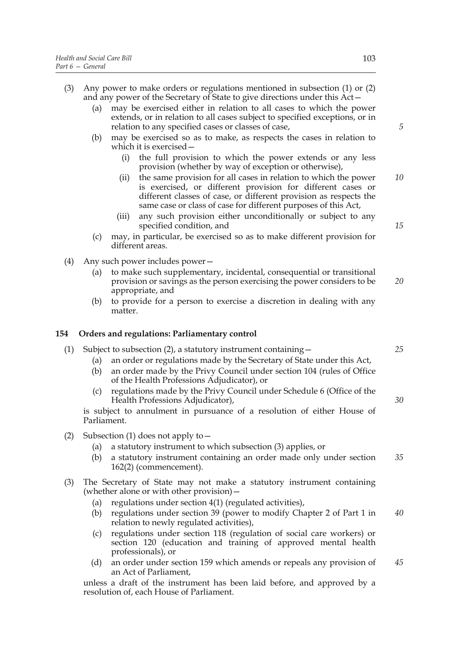- (a) may be exercised either in relation to all cases to which the power extends, or in relation to all cases subject to specified exceptions, or in relation to any specified cases or classes of case,
- (b) may be exercised so as to make, as respects the cases in relation to which it is exercised—
	- (i) the full provision to which the power extends or any less provision (whether by way of exception or otherwise),
	- (ii) the same provision for all cases in relation to which the power is exercised, or different provision for different cases or different classes of case, or different provision as respects the same case or class of case for different purposes of this Act, *10*
	- (iii) any such provision either unconditionally or subject to any specified condition, and
- (c) may, in particular, be exercised so as to make different provision for different areas.
- (4) Any such power includes power—
	- (a) to make such supplementary, incidental, consequential or transitional provision or savings as the person exercising the power considers to be appropriate, and *20*
	- (b) to provide for a person to exercise a discretion in dealing with any matter.

# **154 Orders and regulations: Parliamentary control**

- (1) Subject to subsection (2), a statutory instrument containing—
	- (a) an order or regulations made by the Secretary of State under this Act, (b) an order made by the Privy Council under section 104 (rules of Office of the Health Professions Adjudicator), or
	- (c) regulations made by the Privy Council under Schedule 6 (Office of the Health Professions Adjudicator),

is subject to annulment in pursuance of a resolution of either House of Parliament.

- (2) Subsection (1) does not apply to—
	- (a) a statutory instrument to which subsection (3) applies, or
	- (b) a statutory instrument containing an order made only under section 162(2) (commencement). *35*
- (3) The Secretary of State may not make a statutory instrument containing (whether alone or with other provision)—
	- (a) regulations under section 4(1) (regulated activities),
	- (b) regulations under section 39 (power to modify Chapter 2 of Part 1 in relation to newly regulated activities), *40*
	- (c) regulations under section 118 (regulation of social care workers) or section 120 (education and training of approved mental health professionals), or
	- (d) an order under section 159 which amends or repeals any provision of an Act of Parliament, *45*

unless a draft of the instrument has been laid before, and approved by a resolution of, each House of Parliament.

*15*

*5*

*25*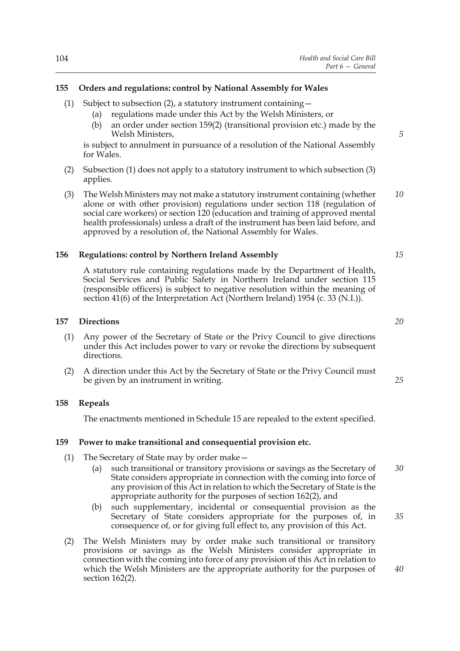## **155 Orders and regulations: control by National Assembly for Wales**

- (1) Subject to subsection (2), a statutory instrument containing—
	- (a) regulations made under this Act by the Welsh Ministers, or
	- (b) an order under section 159(2) (transitional provision etc.) made by the Welsh Ministers,

is subject to annulment in pursuance of a resolution of the National Assembly for Wales.

- (2) Subsection (1) does not apply to a statutory instrument to which subsection (3) applies.
- (3) The Welsh Ministers may not make a statutory instrument containing (whether alone or with other provision) regulations under section 118 (regulation of social care workers) or section 120 (education and training of approved mental health professionals) unless a draft of the instrument has been laid before, and approved by a resolution of, the National Assembly for Wales. *10*

## **156 Regulations: control by Northern Ireland Assembly**

A statutory rule containing regulations made by the Department of Health, Social Services and Public Safety in Northern Ireland under section 115 (responsible officers) is subject to negative resolution within the meaning of section 41(6) of the Interpretation Act (Northern Ireland) 1954 (c. 33 (N.I.)).

## **157 Directions**

- (1) Any power of the Secretary of State or the Privy Council to give directions under this Act includes power to vary or revoke the directions by subsequent directions.
- (2) A direction under this Act by the Secretary of State or the Privy Council must be given by an instrument in writing.

## **158 Repeals**

The enactments mentioned in Schedule 15 are repealed to the extent specified.

## **159 Power to make transitional and consequential provision etc.**

- (1) The Secretary of State may by order make—
	- (a) such transitional or transitory provisions or savings as the Secretary of State considers appropriate in connection with the coming into force of any provision of this Act in relation to which the Secretary of State is the appropriate authority for the purposes of section 162(2), and *30*
	- (b) such supplementary, incidental or consequential provision as the Secretary of State considers appropriate for the purposes of, in consequence of, or for giving full effect to, any provision of this Act.
- (2) The Welsh Ministers may by order make such transitional or transitory provisions or savings as the Welsh Ministers consider appropriate in connection with the coming into force of any provision of this Act in relation to which the Welsh Ministers are the appropriate authority for the purposes of section 162(2).

*15*

*5*

*20*

*35*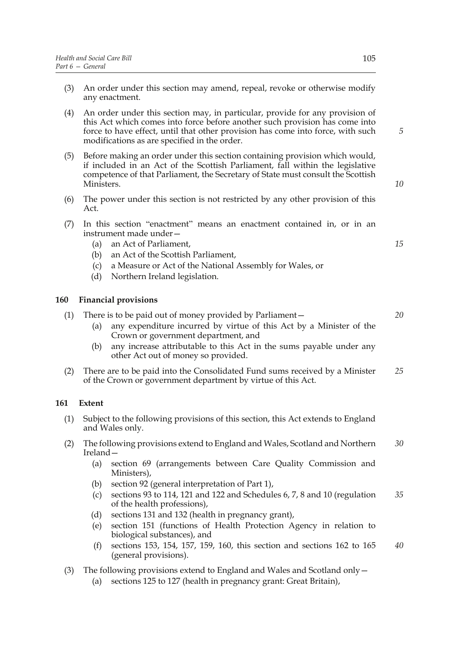- (3) An order under this section may amend, repeal, revoke or otherwise modify any enactment.
- (4) An order under this section may, in particular, provide for any provision of this Act which comes into force before another such provision has come into force to have effect, until that other provision has come into force, with such modifications as are specified in the order.
- (5) Before making an order under this section containing provision which would, if included in an Act of the Scottish Parliament, fall within the legislative competence of that Parliament, the Secretary of State must consult the Scottish Ministers.
- (6) The power under this section is not restricted by any other provision of this Act.
- (7) In this section "enactment" means an enactment contained in, or in an instrument made under—
	- (a) an Act of Parliament,
	- (b) an Act of the Scottish Parliament,
	- (c) a Measure or Act of the National Assembly for Wales, or
	- (d) Northern Ireland legislation.

## **160 Financial provisions**

- (1) There is to be paid out of money provided by Parliament—
	- (a) any expenditure incurred by virtue of this Act by a Minister of the Crown or government department, and
	- (b) any increase attributable to this Act in the sums payable under any other Act out of money so provided.
- (2) There are to be paid into the Consolidated Fund sums received by a Minister of the Crown or government department by virtue of this Act. *25*

## **161 Extent**

- (1) Subject to the following provisions of this section, this Act extends to England and Wales only.
- (2) The following provisions extend to England and Wales, Scotland and Northern Ireland— *30*
	- (a) section 69 (arrangements between Care Quality Commission and Ministers),
	- (b) section 92 (general interpretation of Part 1),
	- (c) sections 93 to 114, 121 and 122 and Schedules 6, 7, 8 and 10 (regulation of the health professions), *35*
	- (d) sections 131 and 132 (health in pregnancy grant),
	- (e) section 151 (functions of Health Protection Agency in relation to biological substances), and
	- (f) sections 153, 154, 157, 159, 160, this section and sections 162 to 165 (general provisions). *40*
- (3) The following provisions extend to England and Wales and Scotland only  $-$ 
	- (a) sections 125 to 127 (health in pregnancy grant: Great Britain),

*15*

*5*

*10*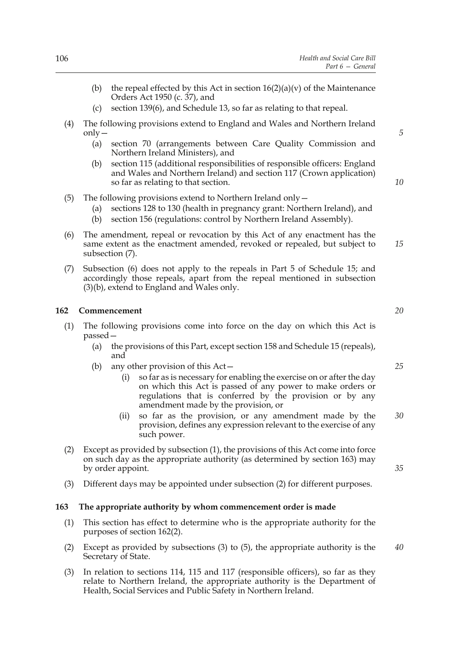- (b) the repeal effected by this Act in section  $16(2)(a)(v)$  of the Maintenance Orders Act 1950 (c. 37), and
- (c) section 139(6), and Schedule 13, so far as relating to that repeal.
- (4) The following provisions extend to England and Wales and Northern Ireland only—
	- (a) section 70 (arrangements between Care Quality Commission and Northern Ireland Ministers), and
	- (b) section 115 (additional responsibilities of responsible officers: England and Wales and Northern Ireland) and section 117 (Crown application) so far as relating to that section.
- (5) The following provisions extend to Northern Ireland only—
	- (a) sections 128 to 130 (health in pregnancy grant: Northern Ireland), and
	- (b) section 156 (regulations: control by Northern Ireland Assembly).
- (6) The amendment, repeal or revocation by this Act of any enactment has the same extent as the enactment amended, revoked or repealed, but subject to subsection (7).
- (7) Subsection (6) does not apply to the repeals in Part 5 of Schedule 15; and accordingly those repeals, apart from the repeal mentioned in subsection (3)(b), extend to England and Wales only.

## **162 Commencement**

- (1) The following provisions come into force on the day on which this Act is passed—
	- (a) the provisions of this Part, except section 158 and Schedule 15 (repeals), and
	- (b) any other provision of this Act—
		- (i) so far as is necessary for enabling the exercise on or after the day on which this Act is passed of any power to make orders or regulations that is conferred by the provision or by any amendment made by the provision, or
		- (ii) so far as the provision, or any amendment made by the provision, defines any expression relevant to the exercise of any such power. *30*
- (2) Except as provided by subsection (1), the provisions of this Act come into force on such day as the appropriate authority (as determined by section 163) may by order appoint.
- (3) Different days may be appointed under subsection (2) for different purposes.

## **163 The appropriate authority by whom commencement order is made**

- (1) This section has effect to determine who is the appropriate authority for the purposes of section 162(2).
- (2) Except as provided by subsections (3) to (5), the appropriate authority is the Secretary of State. *40*
- (3) In relation to sections 114, 115 and 117 (responsible officers), so far as they relate to Northern Ireland, the appropriate authority is the Department of Health, Social Services and Public Safety in Northern Ireland.

*20*

*5*

*10*

*15*

*25*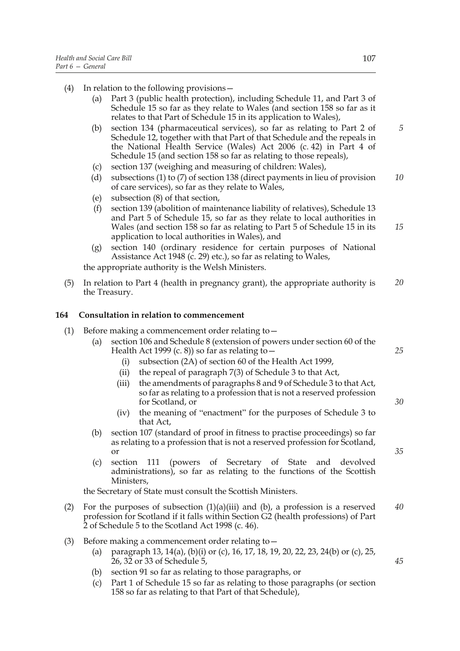- (4) In relation to the following provisions—
	- (a) Part 3 (public health protection), including Schedule 11, and Part 3 of Schedule 15 so far as they relate to Wales (and section 158 so far as it relates to that Part of Schedule 15 in its application to Wales),
	- (b) section 134 (pharmaceutical services), so far as relating to Part 2 of Schedule 12, together with that Part of that Schedule and the repeals in the National Health Service (Wales) Act 2006 (c. 42) in Part 4 of Schedule 15 (and section 158 so far as relating to those repeals),
	- (c) section 137 (weighing and measuring of children: Wales),
	- (d) subsections (1) to (7) of section 138 (direct payments in lieu of provision of care services), so far as they relate to Wales, *10*
	- (e) subsection (8) of that section,
	- (f) section 139 (abolition of maintenance liability of relatives), Schedule 13 and Part 5 of Schedule 15, so far as they relate to local authorities in Wales (and section 158 so far as relating to Part 5 of Schedule 15 in its application to local authorities in Wales), and *15*
	- (g) section 140 (ordinary residence for certain purposes of National Assistance Act 1948 (c. 29) etc.), so far as relating to Wales,

the appropriate authority is the Welsh Ministers.

(5) In relation to Part 4 (health in pregnancy grant), the appropriate authority is the Treasury. *20*

## **164 Consultation in relation to commencement**

- (1) Before making a commencement order relating to—
	- (a) section 106 and Schedule 8 (extension of powers under section 60 of the Health Act 1999 (c. 8)) so far as relating to  $-$ 
		- (i) subsection (2A) of section 60 of the Health Act 1999,
		- (ii) the repeal of paragraph 7(3) of Schedule 3 to that Act,
		- (iii) the amendments of paragraphs 8 and 9 of Schedule 3 to that Act, so far as relating to a profession that is not a reserved profession for Scotland, or
		- (iv) the meaning of "enactment" for the purposes of Schedule 3 to that Act,
	- (b) section 107 (standard of proof in fitness to practise proceedings) so far as relating to a profession that is not a reserved profession for Scotland, or
	- (c) section 111 (powers of Secretary of State and devolved administrations), so far as relating to the functions of the Scottish Ministers,

the Secretary of State must consult the Scottish Ministers.

- (2) For the purposes of subsection  $(1)(a)(iii)$  and  $(b)$ , a profession is a reserved profession for Scotland if it falls within Section G2 (health professions) of Part 2 of Schedule 5 to the Scotland Act 1998 (c. 46). *40*
- (3) Before making a commencement order relating to—
	- (a) paragraph 13, 14(a), (b)(i) or (c), 16, 17, 18, 19, 20, 22, 23, 24(b) or (c), 25, 26, 32 or 33 of Schedule 5,
	- (b) section 91 so far as relating to those paragraphs, or
	- (c) Part 1 of Schedule 15 so far as relating to those paragraphs (or section 158 so far as relating to that Part of that Schedule),

*5*

*35*

*25*

*30*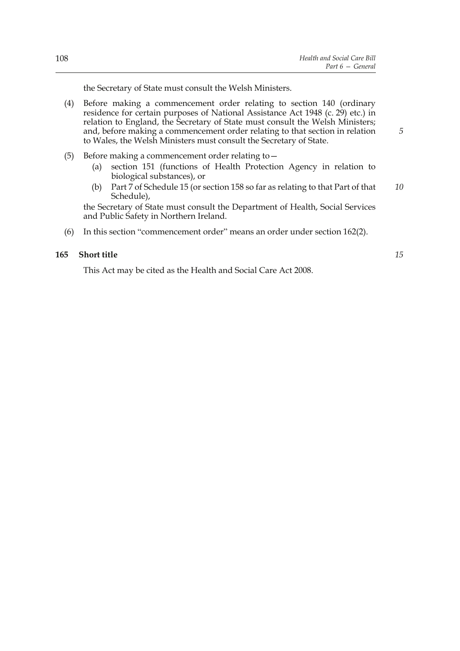the Secretary of State must consult the Welsh Ministers.

- (4) Before making a commencement order relating to section 140 (ordinary residence for certain purposes of National Assistance Act 1948 (c. 29) etc.) in relation to England, the Secretary of State must consult the Welsh Ministers; and, before making a commencement order relating to that section in relation to Wales, the Welsh Ministers must consult the Secretary of State.
- (5) Before making a commencement order relating to—
	- (a) section 151 (functions of Health Protection Agency in relation to biological substances), or
	- (b) Part 7 of Schedule 15 (or section 158 so far as relating to that Part of that Schedule), *10*

the Secretary of State must consult the Department of Health, Social Services and Public Safety in Northern Ireland.

(6) In this section "commencement order" means an order under section 162(2).

## **165 Short title**

This Act may be cited as the Health and Social Care Act 2008.

*15*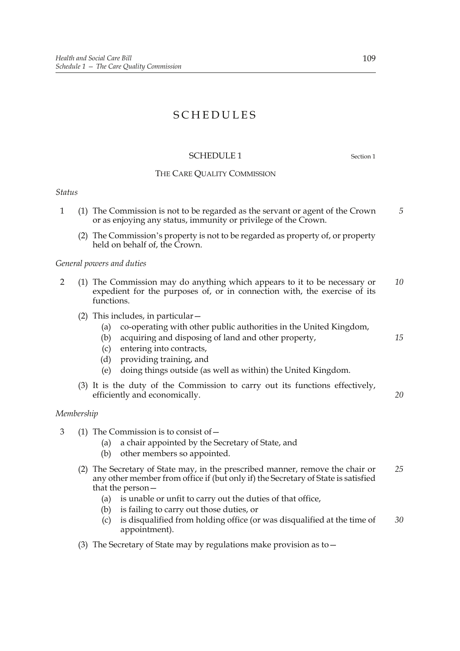# SCHEDULES

# SCHEDULE 1 Section 1

# THE CARE QUALITY COMMISSION

# *Status*

| $\mathbf{1}$   | (1) The Commission is not to be regarded as the servant or agent of the Crown<br>or as enjoying any status, immunity or privilege of the Crown.                                                                                                                                                                                                                                                                      | 5        |
|----------------|----------------------------------------------------------------------------------------------------------------------------------------------------------------------------------------------------------------------------------------------------------------------------------------------------------------------------------------------------------------------------------------------------------------------|----------|
|                | (2) The Commission's property is not to be regarded as property of, or property<br>held on behalf of, the Crown.                                                                                                                                                                                                                                                                                                     |          |
|                | General powers and duties                                                                                                                                                                                                                                                                                                                                                                                            |          |
| $\overline{2}$ | (1) The Commission may do anything which appears to it to be necessary or<br>expedient for the purposes of, or in connection with, the exercise of its<br>functions.                                                                                                                                                                                                                                                 | 10       |
|                | $(2)$ This includes, in particular $-$<br>co-operating with other public authorities in the United Kingdom,<br>(a)<br>acquiring and disposing of land and other property,<br>(b)<br>entering into contracts,<br>(c)<br>providing training, and<br>(d)<br>doing things outside (as well as within) the United Kingdom.<br>(e)                                                                                         | 15       |
|                | (3) It is the duty of the Commission to carry out its functions effectively,<br>efficiently and economically.                                                                                                                                                                                                                                                                                                        | 20       |
| Membership     |                                                                                                                                                                                                                                                                                                                                                                                                                      |          |
| 3              | (1) The Commission is to consist of $-$<br>a chair appointed by the Secretary of State, and<br>(a)<br>other members so appointed.<br>(b)                                                                                                                                                                                                                                                                             |          |
|                | (2) The Secretary of State may, in the prescribed manner, remove the chair or<br>any other member from office if (but only if) the Secretary of State is satisfied<br>that the person $-$<br>is unable or unfit to carry out the duties of that office,<br>(a)<br>is failing to carry out those duties, or<br>(b)<br>is disqualified from holding office (or was disqualified at the time of<br>(c)<br>appointment). | 25<br>30 |
|                | (3) The Secretary of State may by regulations make provision as to $-$                                                                                                                                                                                                                                                                                                                                               |          |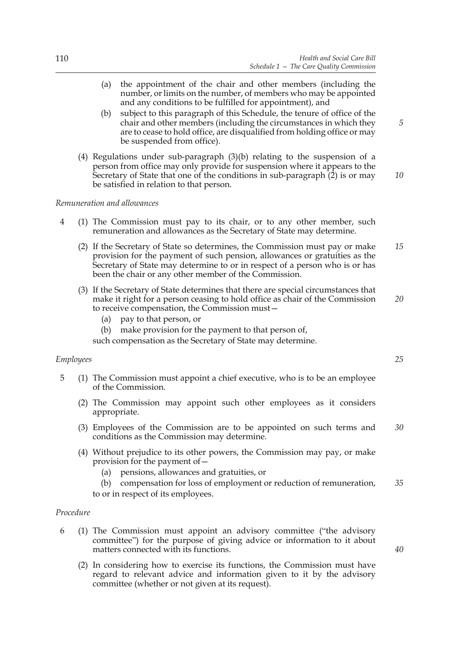- (a) the appointment of the chair and other members (including the number, or limits on the number, of members who may be appointed and any conditions to be fulfilled for appointment), and
- (b) subject to this paragraph of this Schedule, the tenure of office of the chair and other members (including the circumstances in which they are to cease to hold office, are disqualified from holding office or may be suspended from office).
- (4) Regulations under sub-paragraph (3)(b) relating to the suspension of a person from office may only provide for suspension where it appears to the Secretary of State that one of the conditions in sub-paragraph  $(2)$  is or may be satisfied in relation to that person.

## *Remuneration and allowances*

- 4 (1) The Commission must pay to its chair, or to any other member, such remuneration and allowances as the Secretary of State may determine.
	- (2) If the Secretary of State so determines, the Commission must pay or make provision for the payment of such pension, allowances or gratuities as the Secretary of State may determine to or in respect of a person who is or has been the chair or any other member of the Commission. *15*
	- (3) If the Secretary of State determines that there are special circumstances that make it right for a person ceasing to hold office as chair of the Commission to receive compensation, the Commission must— *20*
		- (a) pay to that person, or
		- (b) make provision for the payment to that person of,

such compensation as the Secretary of State may determine.

## *Employees*

- 5 (1) The Commission must appoint a chief executive, who is to be an employee of the Commission.
	- (2) The Commission may appoint such other employees as it considers appropriate.
	- (3) Employees of the Commission are to be appointed on such terms and conditions as the Commission may determine. *30*
	- (4) Without prejudice to its other powers, the Commission may pay, or make provision for the payment of—
		- (a) pensions, allowances and gratuities, or
		- (b) compensation for loss of employment or reduction of remuneration, to or in respect of its employees. *35*

## *Procedure*

- 6 (1) The Commission must appoint an advisory committee ("the advisory committee") for the purpose of giving advice or information to it about matters connected with its functions.
	- (2) In considering how to exercise its functions, the Commission must have regard to relevant advice and information given to it by the advisory committee (whether or not given at its request).

*25*

*5*

*10*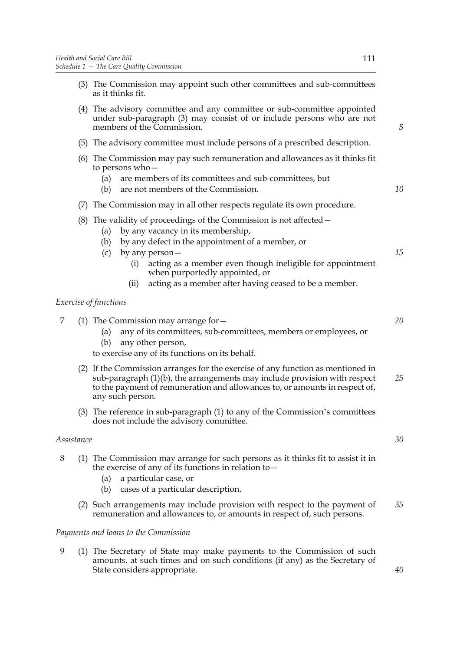- (3) The Commission may appoint such other committees and sub-committees as it thinks fit.
- (4) The advisory committee and any committee or sub-committee appointed under sub-paragraph (3) may consist of or include persons who are not members of the Commission.
- (5) The advisory committee must include persons of a prescribed description.
- (6) The Commission may pay such remuneration and allowances as it thinks fit to persons who—
	- (a) are members of its committees and sub-committees, but
	- (b) are not members of the Commission.
- (7) The Commission may in all other respects regulate its own procedure.
- (8) The validity of proceedings of the Commission is not affected—
	- (a) by any vacancy in its membership,
	- (b) by any defect in the appointment of a member, or
	- (c) by any person—
		- (i) acting as a member even though ineligible for appointment when purportedly appointed, or
		- (ii) acting as a member after having ceased to be a member.

## *Exercise of functions*

|            |     | (1) The Commission may arrange for $-$                                                                                                                                                                                                                             | 20 |
|------------|-----|--------------------------------------------------------------------------------------------------------------------------------------------------------------------------------------------------------------------------------------------------------------------|----|
|            |     | any of its committees, sub-committees, members or employees, or<br>(a)                                                                                                                                                                                             |    |
|            |     | any other person,<br>(b)                                                                                                                                                                                                                                           |    |
|            |     | to exercise any of its functions on its behalf.                                                                                                                                                                                                                    |    |
|            |     | (2) If the Commission arranges for the exercise of any function as mentioned in<br>sub-paragraph $(1)(b)$ , the arrangements may include provision with respect<br>to the payment of remuneration and allowances to, or amounts in respect of,<br>any such person. | 25 |
|            |     | (3) The reference in sub-paragraph (1) to any of the Commission's committees<br>does not include the advisory committee.                                                                                                                                           |    |
| Assistance |     |                                                                                                                                                                                                                                                                    | 30 |
|            | (1) | The Commission may arrange for such persons as it thinks fit to assist it in                                                                                                                                                                                       |    |

- the exercise of any of its functions in relation to—
	- (a) a particular case, or
	- (b) cases of a particular description.
	- (2) Such arrangements may include provision with respect to the payment of remuneration and allowances to, or amounts in respect of, such persons. *35*

## *Payments and loans to the Commission*

9 (1) The Secretary of State may make payments to the Commission of such amounts, at such times and on such conditions (if any) as the Secretary of State considers appropriate.

*5*

*10*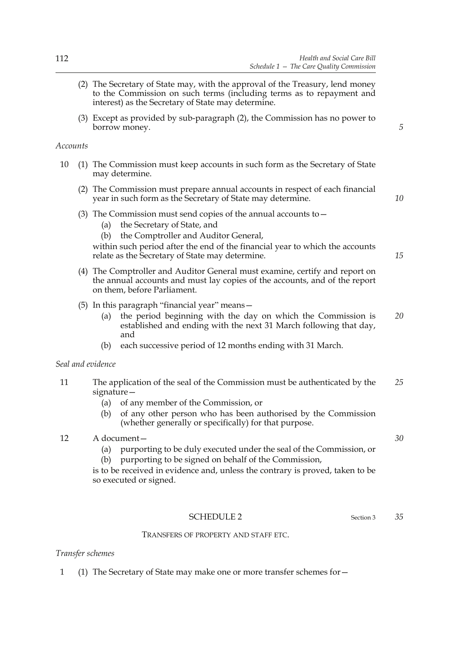- (2) The Secretary of State may, with the approval of the Treasury, lend money to the Commission on such terms (including terms as to repayment and interest) as the Secretary of State may determine.
- (3) Except as provided by sub-paragraph (2), the Commission has no power to borrow money.

## *5*

*10*

*15*

## *Accounts*

- 10 (1) The Commission must keep accounts in such form as the Secretary of State may determine.
	- (2) The Commission must prepare annual accounts in respect of each financial year in such form as the Secretary of State may determine.
	- (3) The Commission must send copies of the annual accounts to—
		- (a) the Secretary of State, and
		- (b) the Comptroller and Auditor General,

within such period after the end of the financial year to which the accounts relate as the Secretary of State may determine.

- (4) The Comptroller and Auditor General must examine, certify and report on the annual accounts and must lay copies of the accounts, and of the report on them, before Parliament.
- (5) In this paragraph "financial year" means—
	- (a) the period beginning with the day on which the Commission is established and ending with the next 31 March following that day, and *20*
	- (b) each successive period of 12 months ending with 31 March.

## *Seal and evidence*

- 11 The application of the seal of the Commission must be authenticated by the signature— *25*
	- (a) of any member of the Commission, or
	- (b) of any other person who has been authorised by the Commission (whether generally or specifically) for that purpose.

## 12 A document—

- (a) purporting to be duly executed under the seal of the Commission, or
- (b) purporting to be signed on behalf of the Commission,

is to be received in evidence and, unless the contrary is proved, taken to be so executed or signed.

## SCHEDULE 2 Section 3

## TRANSFERS OF PROPERTY AND STAFF ETC.

## *Transfer schemes*

1 (1) The Secretary of State may make one or more transfer schemes for—

*30*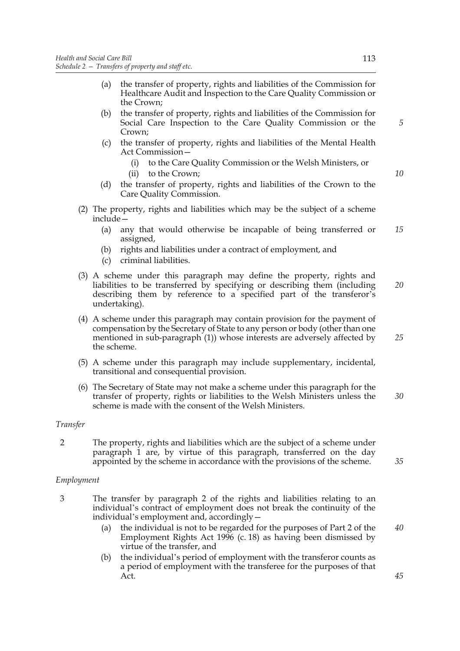- (a) the transfer of property, rights and liabilities of the Commission for Healthcare Audit and Inspection to the Care Quality Commission or the Crown;
- (b) the transfer of property, rights and liabilities of the Commission for Social Care Inspection to the Care Quality Commission or the Crown;
- (c) the transfer of property, rights and liabilities of the Mental Health Act Commission—
	- (i) to the Care Quality Commission or the Welsh Ministers, or
	- (ii) to the Crown;
- (d) the transfer of property, rights and liabilities of the Crown to the Care Quality Commission.
- (2) The property, rights and liabilities which may be the subject of a scheme include—
	- (a) any that would otherwise be incapable of being transferred or assigned,
	- (b) rights and liabilities under a contract of employment, and
	- (c) criminal liabilities.
- (3) A scheme under this paragraph may define the property, rights and liabilities to be transferred by specifying or describing them (including describing them by reference to a specified part of the transferor's undertaking). *20*
- (4) A scheme under this paragraph may contain provision for the payment of compensation by the Secretary of State to any person or body (other than one mentioned in sub-paragraph (1)) whose interests are adversely affected by the scheme.
- (5) A scheme under this paragraph may include supplementary, incidental, transitional and consequential provision.
- (6) The Secretary of State may not make a scheme under this paragraph for the transfer of property, rights or liabilities to the Welsh Ministers unless the scheme is made with the consent of the Welsh Ministers. *30*

## *Transfer*

2 The property, rights and liabilities which are the subject of a scheme under paragraph 1 are, by virtue of this paragraph, transferred on the day appointed by the scheme in accordance with the provisions of the scheme.

## *Employment*

- 3 The transfer by paragraph 2 of the rights and liabilities relating to an individual's contract of employment does not break the continuity of the individual's employment and, accordingly—
	- (a) the individual is not to be regarded for the purposes of Part 2 of the Employment Rights Act 1996 (c. 18) as having been dismissed by virtue of the transfer, and
	- (b) the individual's period of employment with the transferor counts as a period of employment with the transferee for the purposes of that Act.

*10*

*5*

*25*

*35*

*40*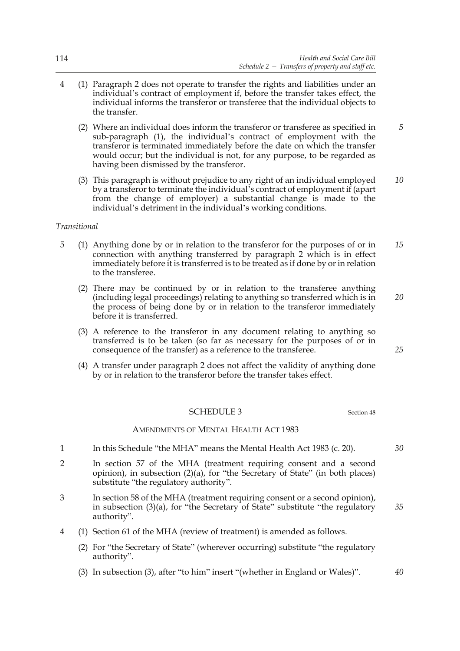- 4 (1) Paragraph 2 does not operate to transfer the rights and liabilities under an individual's contract of employment if, before the transfer takes effect, the individual informs the transferor or transferee that the individual objects to the transfer.
	- (2) Where an individual does inform the transferor or transferee as specified in sub-paragraph (1), the individual's contract of employment with the transferor is terminated immediately before the date on which the transfer would occur; but the individual is not, for any purpose, to be regarded as having been dismissed by the transferor. *5*
	- (3) This paragraph is without prejudice to any right of an individual employed by a transferor to terminate the individual's contract of employment if (apart from the change of employer) a substantial change is made to the individual's detriment in the individual's working conditions. *10*

## *Transitional*

- 5 (1) Anything done by or in relation to the transferor for the purposes of or in connection with anything transferred by paragraph 2 which is in effect immediately before it is transferred is to be treated as if done by or in relation to the transferee. *15*
	- (2) There may be continued by or in relation to the transferee anything (including legal proceedings) relating to anything so transferred which is in the process of being done by or in relation to the transferor immediately before it is transferred.
	- (3) A reference to the transferor in any document relating to anything so transferred is to be taken (so far as necessary for the purposes of or in consequence of the transfer) as a reference to the transferee.
	- (4) A transfer under paragraph 2 does not affect the validity of anything done by or in relation to the transferor before the transfer takes effect.

## SCHEDULE 3 Section 48

## AMENDMENTS OF MENTAL HEALTH ACT 1983

- 1 In this Schedule "the MHA" means the Mental Health Act 1983 (c. 20).
- 2 In section 57 of the MHA (treatment requiring consent and a second opinion), in subsection (2)(a), for "the Secretary of State" (in both places) substitute "the regulatory authority".
- 3 In section 58 of the MHA (treatment requiring consent or a second opinion), in subsection (3)(a), for "the Secretary of State" substitute "the regulatory authority". *35*
- 4 (1) Section 61 of the MHA (review of treatment) is amended as follows.
	- (2) For "the Secretary of State" (wherever occurring) substitute "the regulatory authority".
	- (3) In subsection (3), after "to him" insert "(whether in England or Wales)".

*25*

*20*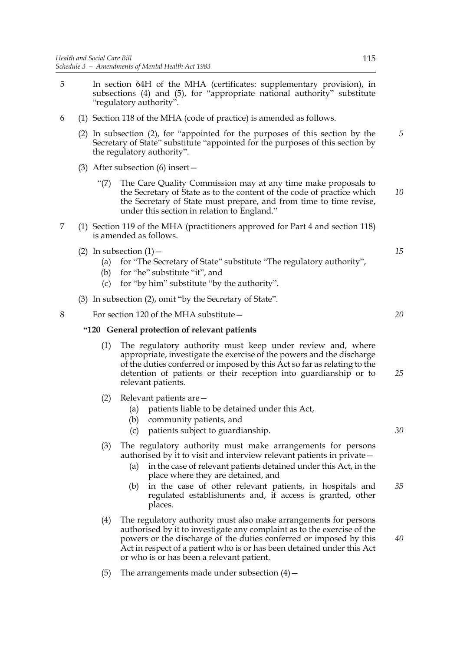- 5 In section 64H of the MHA (certificates: supplementary provision), in subsections (4) and (5), for "appropriate national authority" substitute "regulatory authority".
- 6 (1) Section 118 of the MHA (code of practice) is amended as follows.
	- (2) In subsection (2), for "appointed for the purposes of this section by the Secretary of State" substitute "appointed for the purposes of this section by the regulatory authority".
	- (3) After subsection (6) insert—
		- "(7) The Care Quality Commission may at any time make proposals to the Secretary of State as to the content of the code of practice which the Secretary of State must prepare, and from time to time revise, under this section in relation to England." *10*
- 7 (1) Section 119 of the MHA (practitioners approved for Part 4 and section 118) is amended as follows.
	- (2) In subsection  $(1)$  -
		- (a) for "The Secretary of State" substitute "The regulatory authority",
		- (b) for "he" substitute "it", and
		- (c) for "by him" substitute "by the authority".
	- (3) In subsection (2), omit "by the Secretary of State".

## 8 For section 120 of the MHA substitute—

## **"120 General protection of relevant patients**

- (1) The regulatory authority must keep under review and, where appropriate, investigate the exercise of the powers and the discharge of the duties conferred or imposed by this Act so far as relating to the detention of patients or their reception into guardianship or to relevant patients. *25*
- (2) Relevant patients are—
	- (a) patients liable to be detained under this Act,
	- (b) community patients, and
	- (c) patients subject to guardianship.
- (3) The regulatory authority must make arrangements for persons authorised by it to visit and interview relevant patients in private—
	- (a) in the case of relevant patients detained under this Act, in the place where they are detained, and
	- (b) in the case of other relevant patients, in hospitals and regulated establishments and, if access is granted, other places. *35*
- (4) The regulatory authority must also make arrangements for persons authorised by it to investigate any complaint as to the exercise of the powers or the discharge of the duties conferred or imposed by this Act in respect of a patient who is or has been detained under this Act or who is or has been a relevant patient.
- (5) The arrangements made under subsection  $(4)$  -

*40*

*15*

*5*

*20*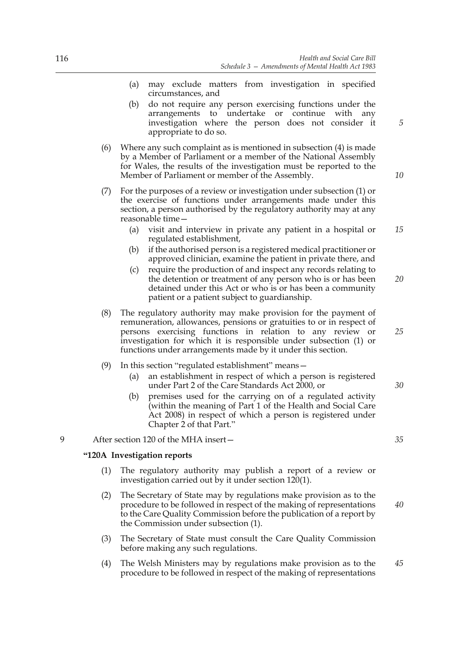- (a) may exclude matters from investigation in specified circumstances, and
- (b) do not require any person exercising functions under the arrangements to undertake or continue with any investigation where the person does not consider it appropriate to do so.
- (6) Where any such complaint as is mentioned in subsection (4) is made by a Member of Parliament or a member of the National Assembly for Wales, the results of the investigation must be reported to the Member of Parliament or member of the Assembly.
- (7) For the purposes of a review or investigation under subsection (1) or the exercise of functions under arrangements made under this section, a person authorised by the regulatory authority may at any reasonable time—
	- (a) visit and interview in private any patient in a hospital or regulated establishment, *15*
	- (b) if the authorised person is a registered medical practitioner or approved clinician, examine the patient in private there, and
	- (c) require the production of and inspect any records relating to the detention or treatment of any person who is or has been detained under this Act or who is or has been a community patient or a patient subject to guardianship.
- (8) The regulatory authority may make provision for the payment of remuneration, allowances, pensions or gratuities to or in respect of persons exercising functions in relation to any review or investigation for which it is responsible under subsection (1) or functions under arrangements made by it under this section.
- (9) In this section "regulated establishment" means—
	- (a) an establishment in respect of which a person is registered under Part 2 of the Care Standards Act 2000, or
	- (b) premises used for the carrying on of a regulated activity (within the meaning of Part 1 of the Health and Social Care Act 2008) in respect of which a person is registered under Chapter 2 of that Part."

9 After section 120 of the MHA insert—

## **"120A Investigation reports**

- (1) The regulatory authority may publish a report of a review or investigation carried out by it under section 120(1).
- (2) The Secretary of State may by regulations make provision as to the procedure to be followed in respect of the making of representations to the Care Quality Commission before the publication of a report by the Commission under subsection (1).
- (3) The Secretary of State must consult the Care Quality Commission before making any such regulations.
- (4) The Welsh Ministers may by regulations make provision as to the procedure to be followed in respect of the making of representations *45*

*10*

*5*

*20*

*25*

*30*

*35*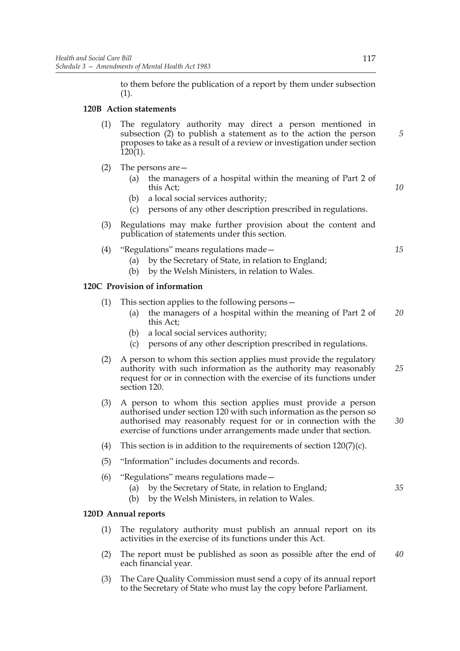to them before the publication of a report by them under subsection (1).

## **120B Action statements**

- (1) The regulatory authority may direct a person mentioned in subsection (2) to publish a statement as to the action the person proposes to take as a result of a review or investigation under section  $\overline{1}20(1)$ .
- (2) The persons are—
	- (a) the managers of a hospital within the meaning of Part 2 of this Act;
	- (b) a local social services authority;
	- (c) persons of any other description prescribed in regulations.
- (3) Regulations may make further provision about the content and publication of statements under this section.
- (4) "Regulations" means regulations made—
	- (a) by the Secretary of State, in relation to England;
	- (b) by the Welsh Ministers, in relation to Wales.

## **120C Provision of information**

- (1) This section applies to the following persons—
	- (a) the managers of a hospital within the meaning of Part 2 of this Act; *20*
	- (b) a local social services authority;
	- (c) persons of any other description prescribed in regulations.
- (2) A person to whom this section applies must provide the regulatory authority with such information as the authority may reasonably request for or in connection with the exercise of its functions under section 120. *25*
- (3) A person to whom this section applies must provide a person authorised under section 120 with such information as the person so authorised may reasonably request for or in connection with the exercise of functions under arrangements made under that section.
- (4) This section is in addition to the requirements of section  $120(7)(c)$ .
- (5) "Information" includes documents and records.
- (6) "Regulations" means regulations made—
	- (a) by the Secretary of State, in relation to England;
	- (b) by the Welsh Ministers, in relation to Wales.

## **120D Annual reports**

- (1) The regulatory authority must publish an annual report on its activities in the exercise of its functions under this Act.
- (2) The report must be published as soon as possible after the end of each financial year. *40*
- (3) The Care Quality Commission must send a copy of its annual report to the Secretary of State who must lay the copy before Parliament.

*5*

*10*

*15*

*30*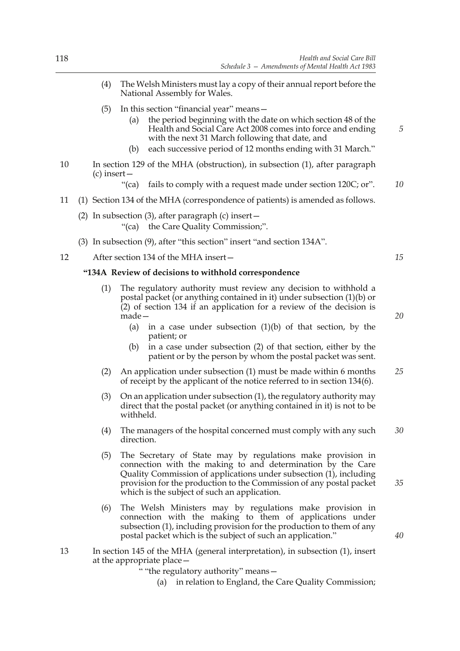- (4) The Welsh Ministers must lay a copy of their annual report before the National Assembly for Wales.
- (5) In this section "financial year" means—
	- (a) the period beginning with the date on which section 48 of the Health and Social Care Act 2008 comes into force and ending with the next 31 March following that date, and
	- (b) each successive period of 12 months ending with 31 March."
- 10 In section 129 of the MHA (obstruction), in subsection (1), after paragraph (c) insert—
	- "(ca) fails to comply with a request made under section 120C; or". *10*
- 11 (1) Section 134 of the MHA (correspondence of patients) is amended as follows.
	- (2) In subsection (3), after paragraph (c) insert— "(ca) the Care Quality Commission;".
	- (3) In subsection (9), after "this section" insert "and section 134A".
- 12 After section 134 of the MHA insert—

## **"134A Review of decisions to withhold correspondence**

- (1) The regulatory authority must review any decision to withhold a postal packet (or anything contained in it) under subsection (1)(b) or (2) of section 134 if an application for a review of the decision is made—
	- (a) in a case under subsection  $(1)(b)$  of that section, by the patient; or
	- (b) in a case under subsection (2) of that section, either by the patient or by the person by whom the postal packet was sent.
- (2) An application under subsection (1) must be made within 6 months of receipt by the applicant of the notice referred to in section 134(6). *25*
- (3) On an application under subsection (1), the regulatory authority may direct that the postal packet (or anything contained in it) is not to be withheld.
- (4) The managers of the hospital concerned must comply with any such direction. *30*
- (5) The Secretary of State may by regulations make provision in connection with the making to and determination by the Care Quality Commission of applications under subsection (1), including provision for the production to the Commission of any postal packet which is the subject of such an application.
- (6) The Welsh Ministers may by regulations make provision in connection with the making to them of applications under subsection (1), including provision for the production to them of any postal packet which is the subject of such an application."
- 13 In section 145 of the MHA (general interpretation), in subsection (1), insert at the appropriate place—

" "the regulatory authority" means—

(a) in relation to England, the Care Quality Commission;

*20*

*15*

*5*

*35*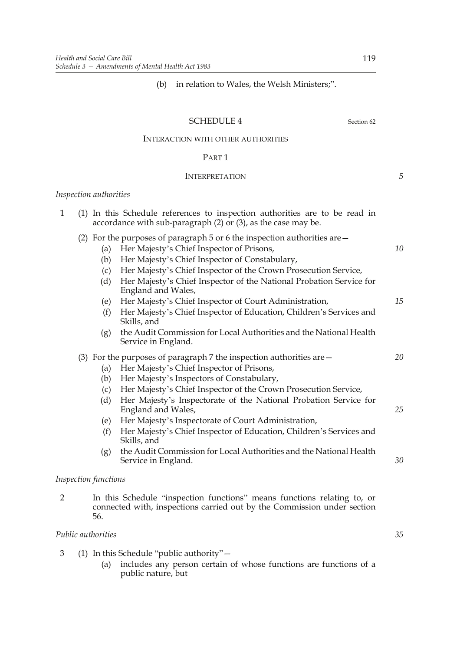(b) in relation to Wales, the Welsh Ministers;".

|                |                          | <b>SCHEDULE 4</b>                                                                                                                                                                                                                                                                                                    | Section 62 |  |
|----------------|--------------------------|----------------------------------------------------------------------------------------------------------------------------------------------------------------------------------------------------------------------------------------------------------------------------------------------------------------------|------------|--|
|                |                          | INTERACTION WITH OTHER AUTHORITIES                                                                                                                                                                                                                                                                                   |            |  |
|                |                          | PART <sub>1</sub>                                                                                                                                                                                                                                                                                                    |            |  |
|                |                          | <b>INTERPRETATION</b>                                                                                                                                                                                                                                                                                                | 5          |  |
|                | Inspection authorities   |                                                                                                                                                                                                                                                                                                                      |            |  |
| $\mathbf{1}$   |                          | (1) In this Schedule references to inspection authorities are to be read in<br>accordance with sub-paragraph $(2)$ or $(3)$ , as the case may be.                                                                                                                                                                    |            |  |
|                | (a)<br>(b)<br>(c)<br>(d) | (2) For the purposes of paragraph 5 or 6 the inspection authorities are $-$<br>Her Majesty's Chief Inspector of Prisons,<br>Her Majesty's Chief Inspector of Constabulary,<br>Her Majesty's Chief Inspector of the Crown Prosecution Service,<br>Her Majesty's Chief Inspector of the National Probation Service for | 10         |  |
|                | (e)<br>(f)<br>(g)        | England and Wales,<br>Her Majesty's Chief Inspector of Court Administration,<br>Her Majesty's Chief Inspector of Education, Children's Services and<br>Skills, and<br>the Audit Commission for Local Authorities and the National Health<br>Service in England.                                                      | 15         |  |
|                | (a)<br>(b)               | (3) For the purposes of paragraph 7 the inspection authorities are $-$<br>Her Majesty's Chief Inspector of Prisons,<br>Her Majesty's Inspectors of Constabulary,                                                                                                                                                     | 20         |  |
|                | (c)<br>(d)               | Her Majesty's Chief Inspector of the Crown Prosecution Service,<br>Her Majesty's Inspectorate of the National Probation Service for<br>England and Wales,                                                                                                                                                            | 25         |  |
|                | (e)<br>(f)               | Her Majesty's Inspectorate of Court Administration,<br>Her Majesty's Chief Inspector of Education, Children's Services and<br>Skills, and                                                                                                                                                                            |            |  |
|                | (g)                      | the Audit Commission for Local Authorities and the National Health<br>Service in England.                                                                                                                                                                                                                            | 30         |  |
|                | Inspection functions     |                                                                                                                                                                                                                                                                                                                      |            |  |
| $\overline{2}$ | 56.                      | In this Schedule "inspection functions" means functions relating to, or<br>connected with, inspections carried out by the Commission under section                                                                                                                                                                   |            |  |
|                | Public authorities       |                                                                                                                                                                                                                                                                                                                      | 35         |  |

- 3 (1) In this Schedule "public authority"—
	- (a) includes any person certain of whose functions are functions of a public nature, but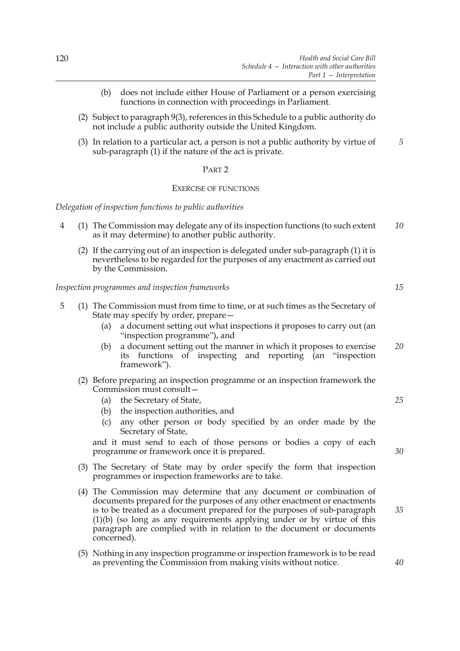- (b) does not include either House of Parliament or a person exercising functions in connection with proceedings in Parliament.
- (2) Subject to paragraph 9(3), references in this Schedule to a public authority do not include a public authority outside the United Kingdom.
- (3) In relation to a particular act, a person is not a public authority by virtue of sub-paragraph  $(1)$  if the nature of the act is private. *5*

## PART 2

## EXERCISE OF FUNCTIONS

*Delegation of inspection functions to public authorities*

- 4 (1) The Commission may delegate any of its inspection functions (to such extent as it may determine) to another public authority. *10*
	- (2) If the carrying out of an inspection is delegated under sub-paragraph (1) it is nevertheless to be regarded for the purposes of any enactment as carried out by the Commission.

## *Inspection programmes and inspection frameworks*

- 5 (1) The Commission must from time to time, or at such times as the Secretary of State may specify by order, prepare—
	- (a) a document setting out what inspections it proposes to carry out (an "inspection programme"), and
	- (b) a document setting out the manner in which it proposes to exercise its functions of inspecting and reporting (an "inspection framework"). *20*
	- (2) Before preparing an inspection programme or an inspection framework the Commission must consult—
		- (a) the Secretary of State,
		- (b) the inspection authorities, and
		- (c) any other person or body specified by an order made by the Secretary of State,

and it must send to each of those persons or bodies a copy of each programme or framework once it is prepared.

- (3) The Secretary of State may by order specify the form that inspection programmes or inspection frameworks are to take.
- (4) The Commission may determine that any document or combination of documents prepared for the purposes of any other enactment or enactments is to be treated as a document prepared for the purposes of sub-paragraph (1)(b) (so long as any requirements applying under or by virtue of this paragraph are complied with in relation to the document or documents concerned).
- (5) Nothing in any inspection programme or inspection framework is to be read as preventing the Commission from making visits without notice.

*30*

*25*

*35*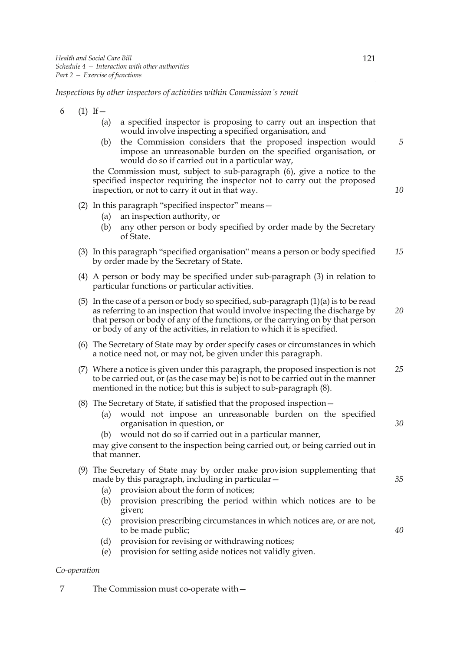*Inspections by other inspectors of activities within Commission's remit*

- 6 (1) If  $-$ 
	- (a) a specified inspector is proposing to carry out an inspection that would involve inspecting a specified organisation, and
	- (b) the Commission considers that the proposed inspection would impose an unreasonable burden on the specified organisation, or would do so if carried out in a particular way, *5*

the Commission must, subject to sub-paragraph (6), give a notice to the specified inspector requiring the inspector not to carry out the proposed inspection, or not to carry it out in that way.

- (2) In this paragraph "specified inspector" means—
	- (a) an inspection authority, or
	- (b) any other person or body specified by order made by the Secretary of State.
- (3) In this paragraph "specified organisation" means a person or body specified by order made by the Secretary of State. *15*
- (4) A person or body may be specified under sub-paragraph (3) in relation to particular functions or particular activities.
- (5) In the case of a person or body so specified, sub-paragraph  $(1)(a)$  is to be read as referring to an inspection that would involve inspecting the discharge by that person or body of any of the functions, or the carrying on by that person or body of any of the activities, in relation to which it is specified.
- (6) The Secretary of State may by order specify cases or circumstances in which a notice need not, or may not, be given under this paragraph.
- (7) Where a notice is given under this paragraph, the proposed inspection is not to be carried out, or (as the case may be) is not to be carried out in the manner mentioned in the notice; but this is subject to sub-paragraph (8). *25*
- (8) The Secretary of State, if satisfied that the proposed inspection—
	- (a) would not impose an unreasonable burden on the specified organisation in question, or
	- would not do so if carried out in a particular manner,

may give consent to the inspection being carried out, or being carried out in that manner.

## (9) The Secretary of State may by order make provision supplementing that made by this paragraph, including in particular—

- (a) provision about the form of notices;
- (b) provision prescribing the period within which notices are to be given;
- (c) provision prescribing circumstances in which notices are, or are not, to be made public;
- (d) provision for revising or withdrawing notices;
- (e) provision for setting aside notices not validly given.

## *Co-operation*

7 The Commission must co-operate with—

*10*

*20*

*30*

*35*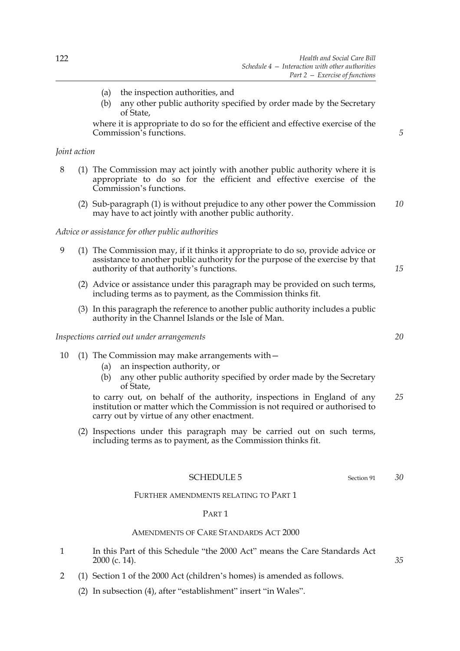- (a) the inspection authorities, and
- (b) any other public authority specified by order made by the Secretary of State,

where it is appropriate to do so for the efficient and effective exercise of the Commission's functions.

## *Joint action*

- 8 (1) The Commission may act jointly with another public authority where it is appropriate to do so for the efficient and effective exercise of the Commission's functions.
	- (2) Sub-paragraph (1) is without prejudice to any other power the Commission may have to act jointly with another public authority. *10*

## *Advice or assistance for other public authorities*

- 9 (1) The Commission may, if it thinks it appropriate to do so, provide advice or assistance to another public authority for the purpose of the exercise by that authority of that authority's functions.
	- (2) Advice or assistance under this paragraph may be provided on such terms, including terms as to payment, as the Commission thinks fit.
	- (3) In this paragraph the reference to another public authority includes a public authority in the Channel Islands or the Isle of Man.

## *Inspections carried out under arrangements*

- 10 (1) The Commission may make arrangements with—
	- (a) an inspection authority, or
	- (b) any other public authority specified by order made by the Secretary of State,

to carry out, on behalf of the authority, inspections in England of any institution or matter which the Commission is not required or authorised to carry out by virtue of any other enactment. *25*

(2) Inspections under this paragraph may be carried out on such terms, including terms as to payment, as the Commission thinks fit.

## SCHEDULE 5 Section 91

## FURTHER AMENDMENTS RELATING TO PART 1

## PART 1

## AMENDMENTS OF CARE STANDARDS ACT 2000

- 1 In this Part of this Schedule "the 2000 Act" means the Care Standards Act 2000 (c. 14).
- 2 (1) Section 1 of the 2000 Act (children's homes) is amended as follows.
	- (2) In subsection (4), after "establishment" insert "in Wales".

*20*

*15*

*5*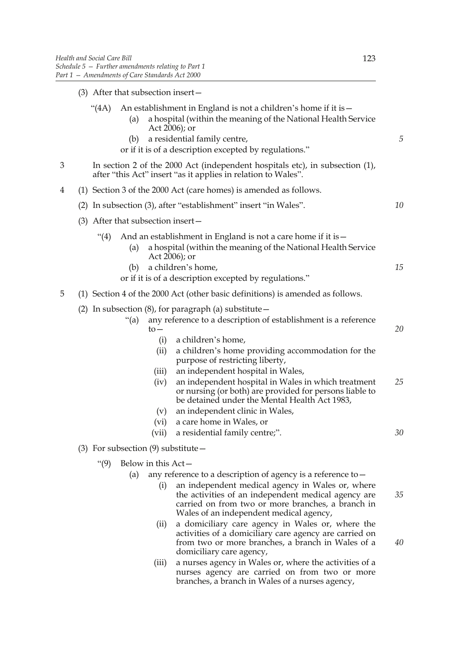|   | $(3)$ After that subsection insert $-$                                                                                                                                                                                                                                                                                                                                               |    |
|---|--------------------------------------------------------------------------------------------------------------------------------------------------------------------------------------------------------------------------------------------------------------------------------------------------------------------------------------------------------------------------------------|----|
|   | An establishment in England is not a children's home if it is -<br>"(4A)<br>a hospital (within the meaning of the National Health Service<br>(a)<br>Act 2006); or                                                                                                                                                                                                                    |    |
|   | a residential family centre,<br>(b)<br>or if it is of a description excepted by regulations."                                                                                                                                                                                                                                                                                        | 5  |
| 3 | In section 2 of the 2000 Act (independent hospitals etc), in subsection (1),<br>after "this Act" insert "as it applies in relation to Wales".                                                                                                                                                                                                                                        |    |
| 4 | (1) Section 3 of the 2000 Act (care homes) is amended as follows.                                                                                                                                                                                                                                                                                                                    |    |
|   | (2) In subsection (3), after "establishment" insert "in Wales".                                                                                                                                                                                                                                                                                                                      | 10 |
|   | $(3)$ After that subsection insert $-$                                                                                                                                                                                                                                                                                                                                               |    |
|   | And an establishment in England is not a care home if it is -<br>(4)<br>a hospital (within the meaning of the National Health Service<br>(a)<br>Act 2006); or<br>a children's home,<br>(b)<br>or if it is of a description excepted by regulations."                                                                                                                                 | 15 |
| 5 | (1) Section 4 of the 2000 Act (other basic definitions) is amended as follows.                                                                                                                                                                                                                                                                                                       |    |
|   | (2) In subsection (8), for paragraph (a) substitute $-$<br>any reference to a description of establishment is a reference<br>"(a)<br>$to-$<br>a children's home,<br>(i)<br>(ii)<br>a children's home providing accommodation for the<br>purpose of restricting liberty,<br>an independent hospital in Wales,<br>(iii)                                                                | 20 |
|   | an independent hospital in Wales in which treatment<br>(iv)<br>or nursing (or both) are provided for persons liable to<br>be detained under the Mental Health Act 1983,<br>an independent clinic in Wales,<br>(v)<br>a care home in Wales, or<br>(vi)                                                                                                                                | 25 |
|   | (vii) a residential family centre;".                                                                                                                                                                                                                                                                                                                                                 | 30 |
|   | (3) For subsection $(9)$ substitute $-$                                                                                                                                                                                                                                                                                                                                              |    |
|   | ``(9)<br>Below in this $Act-$<br>any reference to a description of agency is a reference to $-$<br>(a)<br>an independent medical agency in Wales or, where<br>(i)<br>the activities of an independent medical agency are<br>carried on from two or more branches, a branch in<br>Wales of an independent medical agency,<br>a domiciliary care agency in Wales or, where the<br>(ii) | 35 |

- activities of a domiciliary care agency are carried on from two or more branches, a branch in Wales of a domiciliary care agency, (iii) a nurses agency in Wales or, where the activities of a
- nurses agency are carried on from two or more branches, a branch in Wales of a nurses agency,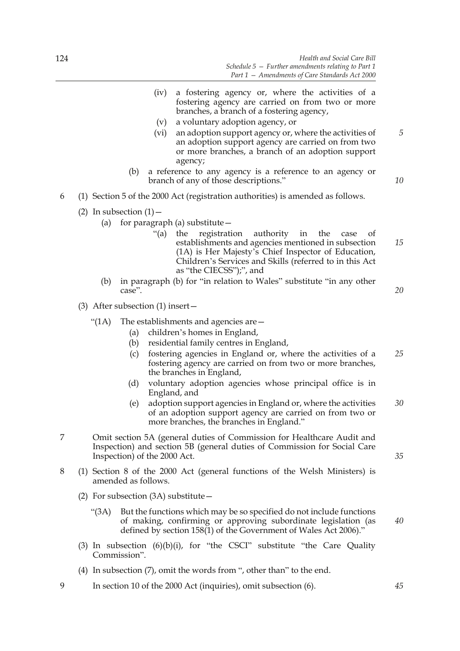- (iv) a fostering agency or, where the activities of a fostering agency are carried on from two or more branches, a branch of a fostering agency,
- (v) a voluntary adoption agency, or
- (vi) an adoption support agency or, where the activities of an adoption support agency are carried on from two or more branches, a branch of an adoption support agency;
- (b) a reference to any agency is a reference to an agency or branch of any of those descriptions."
- 6 (1) Section 5 of the 2000 Act (registration authorities) is amended as follows.
	- (2) In subsection  $(1)$ 
		- (a) for paragraph (a) substitute  $-$ 
			- "(a) the registration authority in the case of establishments and agencies mentioned in subsection (1A) is Her Majesty's Chief Inspector of Education, Children's Services and Skills (referred to in this Act as "the CIECSS");", and *15*
		- (b) in paragraph (b) for "in relation to Wales" substitute "in any other case".
	- (3) After subsection (1) insert—
		- " $(1)$  The establishments and agencies are  $-$ 
			- (a) children's homes in England,
			- (b) residential family centres in England,
			- (c) fostering agencies in England or, where the activities of a fostering agency are carried on from two or more branches, the branches in England, *25*
			- (d) voluntary adoption agencies whose principal office is in England, and
			- (e) adoption support agencies in England or, where the activities of an adoption support agency are carried on from two or more branches, the branches in England." *30*
- 7 Omit section 5A (general duties of Commission for Healthcare Audit and Inspection) and section 5B (general duties of Commission for Social Care Inspection) of the 2000 Act.
- 8 (1) Section 8 of the 2000 Act (general functions of the Welsh Ministers) is amended as follows.
	- (2) For subsection (3A) substitute—
		- "(3A) But the functions which may be so specified do not include functions of making, confirming or approving subordinate legislation (as defined by section 158(1) of the Government of Wales Act 2006)."
	- (3) In subsection  $(6)(b)(i)$ , for "the CSCI" substitute "the Care Quality" Commission".
	- (4) In subsection (7), omit the words from ", other than" to the end.
- 9 In section 10 of the 2000 Act (inquiries), omit subsection (6).

*35*

*5*

*10*

*20*

*45*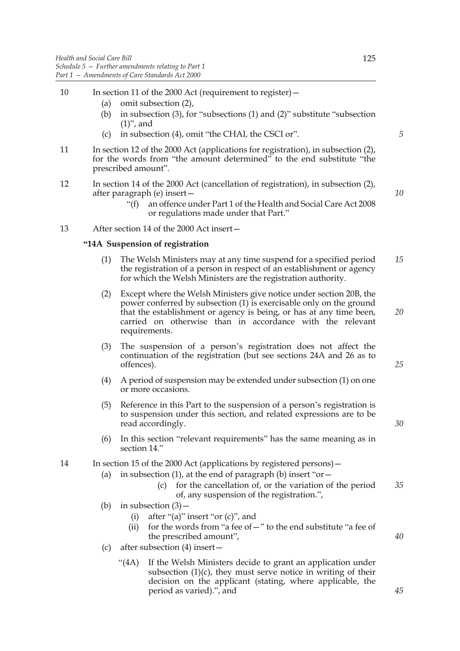- 10 In section 11 of the 2000 Act (requirement to register)
	- (a) omit subsection (2),
	- (b) in subsection (3), for "subsections (1) and (2)" substitute "subsection (1)", and
	- (c) in subsection (4), omit "the CHAI, the CSCI or".
- 11 In section 12 of the 2000 Act (applications for registration), in subsection (2), for the words from "the amount determined" to the end substitute "the prescribed amount".
- 12 In section 14 of the 2000 Act (cancellation of registration), in subsection (2), after paragraph (e) insert—
	- "(f) an offence under Part 1 of the Health and Social Care Act 2008 or regulations made under that Part."
- 13 After section 14 of the 2000 Act insert—

## **"14A Suspension of registration**

- (1) The Welsh Ministers may at any time suspend for a specified period the registration of a person in respect of an establishment or agency for which the Welsh Ministers are the registration authority. *15*
- (2) Except where the Welsh Ministers give notice under section 20B, the power conferred by subsection (1) is exercisable only on the ground that the establishment or agency is being, or has at any time been, carried on otherwise than in accordance with the relevant requirements.
- (3) The suspension of a person's registration does not affect the continuation of the registration (but see sections 24A and 26 as to offences).
- (4) A period of suspension may be extended under subsection (1) on one or more occasions.
- (5) Reference in this Part to the suspension of a person's registration is to suspension under this section, and related expressions are to be read accordingly.
- (6) In this section "relevant requirements" has the same meaning as in section 14."

14 In section 15 of the 2000 Act (applications by registered persons)—

- (a) in subsection (1), at the end of paragraph (b) insert "or  $-$ 
	- (c) for the cancellation of, or the variation of the period of, any suspension of the registration.", *35*
- (b) in subsection  $(3)$ 
	- (i) after "(a)" insert "or (c)", and
	- (ii) for the words from "a fee of  $-$ " to the end substitute "a fee of the prescribed amount",
- (c) after subsection (4) insert—
	- "(4A) If the Welsh Ministers decide to grant an application under subsection  $(1)(c)$ , they must serve notice in writing of their decision on the applicant (stating, where applicable, the period as varied).", and

*5*

*10*

*30*

*20*

*25*

*40*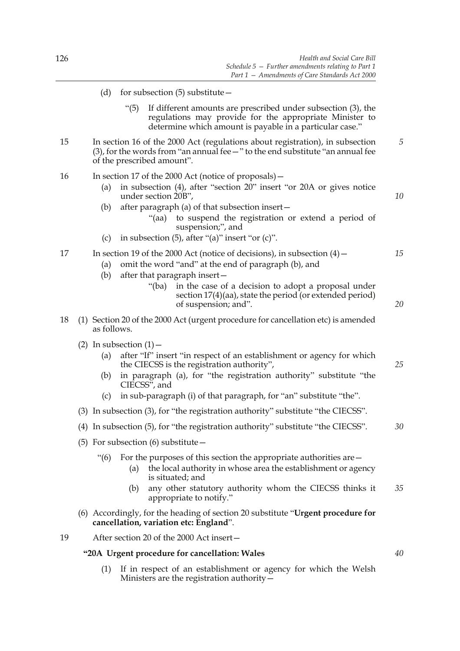- (d) for subsection  $(5)$  substitute  $-$ 
	- "(5) If different amounts are prescribed under subsection (3), the regulations may provide for the appropriate Minister to determine which amount is payable in a particular case."
- 15 In section 16 of the 2000 Act (regulations about registration), in subsection (3), for the words from "an annual fee—" to the end substitute "an annual fee of the prescribed amount". *5*
- 16 In section 17 of the 2000 Act (notice of proposals)
	- (a) in subsection (4), after "section 20" insert "or 20A or gives notice under section 20B",
	- (b) after paragraph (a) of that subsection insert—
		- "(aa) to suspend the registration or extend a period of suspension;", and
	- (c) in subsection  $(5)$ , after " $(a)$ " insert "or  $(c)$ ".

#### 17 In section 19 of the 2000 Act (notice of decisions), in subsection (4) – *15*

- (a) omit the word "and" at the end of paragraph (b), and
- (b) after that paragraph insert—
	- "(ba) in the case of a decision to adopt a proposal under section 17(4)(aa), state the period (or extended period) of suspension; and".
- 18 (1) Section 20 of the 2000 Act (urgent procedure for cancellation etc) is amended as follows.
	- (2) In subsection  $(1)$  -
		- (a) after "If" insert "in respect of an establishment or agency for which the CIECSS is the registration authority",
		- (b) in paragraph (a), for "the registration authority" substitute "the CIECSS", and
		- (c) in sub-paragraph (i) of that paragraph, for "an" substitute "the".
	- (3) In subsection (3), for "the registration authority" substitute "the CIECSS".
	- (4) In subsection (5), for "the registration authority" substitute "the CIECSS". *30*
	- (5) For subsection (6) substitute—
		- "(6) For the purposes of this section the appropriate authorities are  $-$ 
			- (a) the local authority in whose area the establishment or agency is situated; and
			- (b) any other statutory authority whom the CIECSS thinks it appropriate to notify." *35*
	- (6) Accordingly, for the heading of section 20 substitute "**Urgent procedure for cancellation, variation etc: England**".
- 19 After section 20 of the 2000 Act insert—

## **"20A Urgent procedure for cancellation: Wales**

- *40*
- (1) If in respect of an establishment or agency for which the Welsh Ministers are the registration authority—

*25*

*20*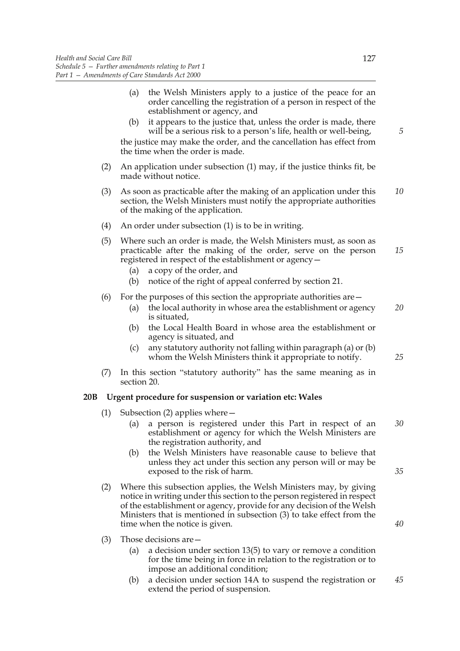- (a) the Welsh Ministers apply to a justice of the peace for an order cancelling the registration of a person in respect of the establishment or agency, and
- (b) it appears to the justice that, unless the order is made, there will be a serious risk to a person's life, health or well-being, the justice may make the order, and the cancellation has effect from

the time when the order is made.

- (2) An application under subsection (1) may, if the justice thinks fit, be made without notice.
- (3) As soon as practicable after the making of an application under this section, the Welsh Ministers must notify the appropriate authorities of the making of the application. *10*
- (4) An order under subsection (1) is to be in writing.
- (5) Where such an order is made, the Welsh Ministers must, as soon as practicable after the making of the order, serve on the person registered in respect of the establishment or agency— *15*
	- (a) a copy of the order, and
	- (b) notice of the right of appeal conferred by section 21.
- (6) For the purposes of this section the appropriate authorities are  $-$ 
	- (a) the local authority in whose area the establishment or agency is situated, *20*
	- (b) the Local Health Board in whose area the establishment or agency is situated, and
	- (c) any statutory authority not falling within paragraph (a) or (b) whom the Welsh Ministers think it appropriate to notify.
- (7) In this section "statutory authority" has the same meaning as in section 20.

## **20B Urgent procedure for suspension or variation etc: Wales**

- (1) Subsection (2) applies where—
	- (a) a person is registered under this Part in respect of an establishment or agency for which the Welsh Ministers are the registration authority, and *30*
	- (b) the Welsh Ministers have reasonable cause to believe that unless they act under this section any person will or may be exposed to the risk of harm.
- (2) Where this subsection applies, the Welsh Ministers may, by giving notice in writing under this section to the person registered in respect of the establishment or agency, provide for any decision of the Welsh Ministers that is mentioned in subsection (3) to take effect from the time when the notice is given.
- (3) Those decisions are—
	- (a) a decision under section 13(5) to vary or remove a condition for the time being in force in relation to the registration or to impose an additional condition;
	- (b) a decision under section 14A to suspend the registration or extend the period of suspension. *45*

*5*

*25*

*40*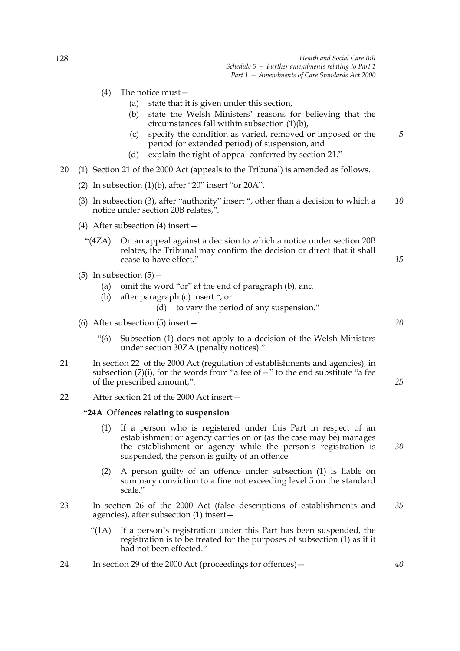- (4) The notice must—
	- (a) state that it is given under this section,
	- (b) state the Welsh Ministers' reasons for believing that the circumstances fall within subsection (1)(b),
	- (c) specify the condition as varied, removed or imposed or the period (or extended period) of suspension, and *5*
	- (d) explain the right of appeal conferred by section 21."
- 20 (1) Section 21 of the 2000 Act (appeals to the Tribunal) is amended as follows.
	- (2) In subsection  $(1)(b)$ , after "20" insert "or 20A".
	- (3) In subsection (3), after "authority" insert ", other than a decision to which a notice under section 20B relates,". *10*
	- (4) After subsection (4) insert—
		- "(4ZA) On an appeal against a decision to which a notice under section 20B relates, the Tribunal may confirm the decision or direct that it shall cease to have effect."
	- (5) In subsection  $(5)$  -
		- (a) omit the word "or" at the end of paragraph (b), and
		- (b) after paragraph (c) insert "; or (d) to vary the period of any suspension."
	- (6) After subsection (5) insert—
		- "(6) Subsection (1) does not apply to a decision of the Welsh Ministers under section 30ZA (penalty notices)."
- 21 In section 22 of the 2000 Act (regulation of establishments and agencies), in subsection  $(7)(i)$ , for the words from "a fee of  $-$ " to the end substitute "a fee of the prescribed amount;".

## 22 After section 24 of the 2000 Act insert—

## **"24A Offences relating to suspension**

- (1) If a person who is registered under this Part in respect of an establishment or agency carries on or (as the case may be) manages the establishment or agency while the person's registration is suspended, the person is guilty of an offence.
- (2) A person guilty of an offence under subsection (1) is liable on summary conviction to a fine not exceeding level 5 on the standard scale."
- 23 In section 26 of the 2000 Act (false descriptions of establishments and agencies), after subsection (1) insert— *35*
	- "(1A) If a person's registration under this Part has been suspended, the registration is to be treated for the purposes of subsection (1) as if it had not been effected."
- 24 In section 29 of the 2000 Act (proceedings for offences)—

*20*

*15*

*25*

*30*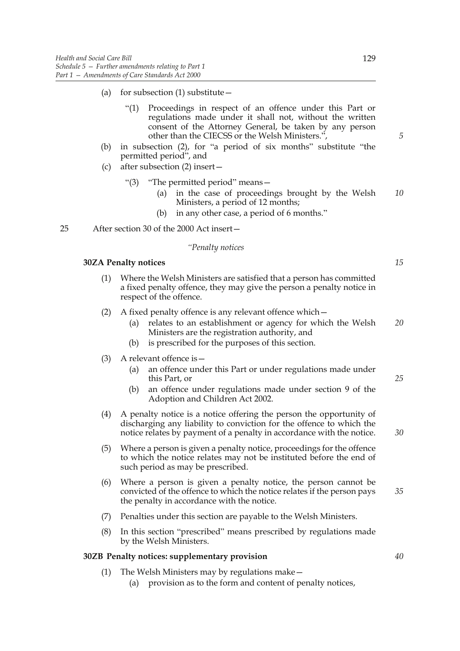- (a) for subsection  $(1)$  substitute  $-$ 
	- "(1) Proceedings in respect of an offence under this Part or regulations made under it shall not, without the written consent of the Attorney General, be taken by any person other than the CIECSS or the Welsh Ministers.",
- (b) in subsection (2), for "a period of six months" substitute "the permitted period", and
- (c) after subsection (2) insert—
	- "(3) "The permitted period" means—
		- (a) in the case of proceedings brought by the Welsh Ministers, a period of 12 months; *10*
		- (b) in any other case, a period of 6 months."
- 25 After section 30 of the 2000 Act insert—

#### *"Penalty notices*

## **30ZA Penalty notices**

- (1) Where the Welsh Ministers are satisfied that a person has committed a fixed penalty offence, they may give the person a penalty notice in respect of the offence.
- (2) A fixed penalty offence is any relevant offence which—
	- (a) relates to an establishment or agency for which the Welsh Ministers are the registration authority, and *20*
	- (b) is prescribed for the purposes of this section.
- (3) A relevant offence is—
	- (a) an offence under this Part or under regulations made under this Part, or
	- (b) an offence under regulations made under section 9 of the Adoption and Children Act 2002.
- (4) A penalty notice is a notice offering the person the opportunity of discharging any liability to conviction for the offence to which the notice relates by payment of a penalty in accordance with the notice.
- (5) Where a person is given a penalty notice, proceedings for the offence to which the notice relates may not be instituted before the end of such period as may be prescribed.
- (6) Where a person is given a penalty notice, the person cannot be convicted of the offence to which the notice relates if the person pays the penalty in accordance with the notice. *35*
- (7) Penalties under this section are payable to the Welsh Ministers.
- (8) In this section "prescribed" means prescribed by regulations made by the Welsh Ministers.

## **30ZB Penalty notices: supplementary provision**

- (1) The Welsh Ministers may by regulations make—
	- (a) provision as to the form and content of penalty notices,

*15*

*25*

*30*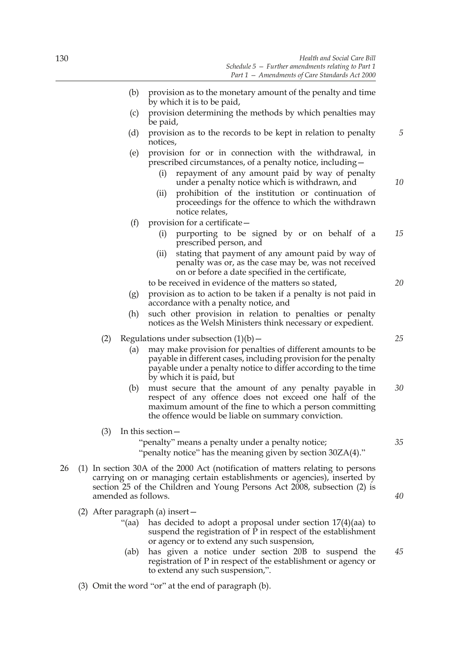- (b) provision as to the monetary amount of the penalty and time by which it is to be paid, (c) provision determining the methods by which penalties may be paid, (d) provision as to the records to be kept in relation to penalty notices, (e) provision for or in connection with the withdrawal, in prescribed circumstances, of a penalty notice, including— (i) repayment of any amount paid by way of penalty under a penalty notice which is withdrawn, and (ii) prohibition of the institution or continuation of proceedings for the offence to which the withdrawn notice relates, (f) provision for a certificate— (i) purporting to be signed by or on behalf of a prescribed person, and (ii) stating that payment of any amount paid by way of penalty was or, as the case may be, was not received on or before a date specified in the certificate, to be received in evidence of the matters so stated, (g) provision as to action to be taken if a penalty is not paid in accordance with a penalty notice, and (h) such other provision in relation to penalties or penalty notices as the Welsh Ministers think necessary or expedient. (2) Regulations under subsection  $(1)(b)$  – (a) may make provision for penalties of different amounts to be payable in different cases, including provision for the penalty payable under a penalty notice to differ according to the time by which it is paid, but (b) must secure that the amount of any penalty payable in respect of any offence does not exceed one half of the maximum amount of the fine to which a person committing the offence would be liable on summary conviction. (3) In this section— "penalty" means a penalty under a penalty notice; "penalty notice" has the meaning given by section 30ZA(4)." 26 (1) In section 30A of the 2000 Act (notification of matters relating to persons carrying on or managing certain establishments or agencies), inserted by section 25 of the Children and Young Persons Act 2008, subsection (2) is amended as follows. (2) After paragraph (a) insert— "(aa) has decided to adopt a proposal under section 17(4)(aa) to suspend the registration of  $\overline{P}$  in respect of the establishment or agency or to extend any such suspension, (ab) has given a notice under section 20B to suspend the registration of P in respect of the establishment or agency or *5 10 15 20 30 35 40 45*
	- (3) Omit the word "or" at the end of paragraph (b).

to extend any such suspension,".

- 
- *25*
-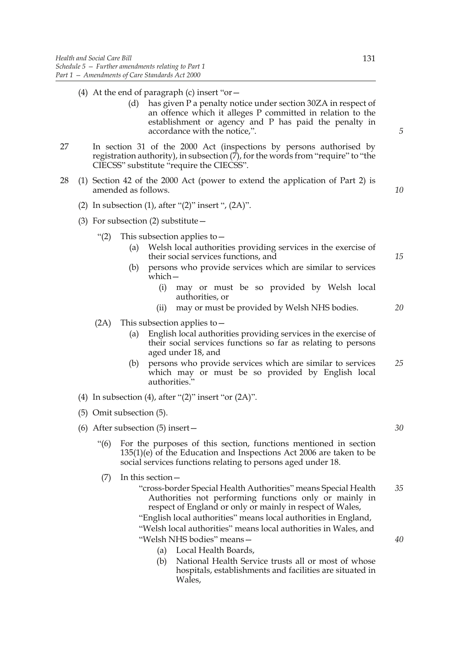- (4) At the end of paragraph (c) insert "or  $-$ 
	- (d) has given P a penalty notice under section 30ZA in respect of an offence which it alleges P committed in relation to the establishment or agency and P has paid the penalty in accordance with the notice,".
- 27 In section 31 of the 2000 Act (inspections by persons authorised by registration authority), in subsection (7), for the words from "require" to "the CIECSS" substitute "require the CIECSS".
- 28 (1) Section 42 of the 2000 Act (power to extend the application of Part 2) is amended as follows.
	- (2) In subsection (1), after " $(2)$ " insert ",  $(2A)$ ".
	- (3) For subsection (2) substitute—
		- "(2) This subsection applies to  $-$ 
			- (a) Welsh local authorities providing services in the exercise of their social services functions, and
			- (b) persons who provide services which are similar to services which—
				- (i) may or must be so provided by Welsh local authorities, or
				- (ii) may or must be provided by Welsh NHS bodies.
		- $(2A)$  This subsection applies to  $-$ 
			- (a) English local authorities providing services in the exercise of their social services functions so far as relating to persons aged under 18, and
			- (b) persons who provide services which are similar to services which may or must be so provided by English local authorities." *25*
	- (4) In subsection (4), after " $(2)$ " insert "or  $(2A)$ ".
	- (5) Omit subsection (5).
	- (6) After subsection (5) insert—
		- "(6) For the purposes of this section, functions mentioned in section 135(1)(e) of the Education and Inspections Act 2006 are taken to be social services functions relating to persons aged under 18.
		- (7) In this section—
			- "cross-border Special Health Authorities" means Special Health Authorities not performing functions only or mainly in respect of England or only or mainly in respect of Wales, "English local authorities" means local authorities in England, "Welsh local authorities" means local authorities in Wales, and "Welsh NHS bodies" means— *35 40*
				- (a) Local Health Boards,
				- (b) National Health Service trusts all or most of whose hospitals, establishments and facilities are situated in Wales,

*5*

*10*

*15*

*20*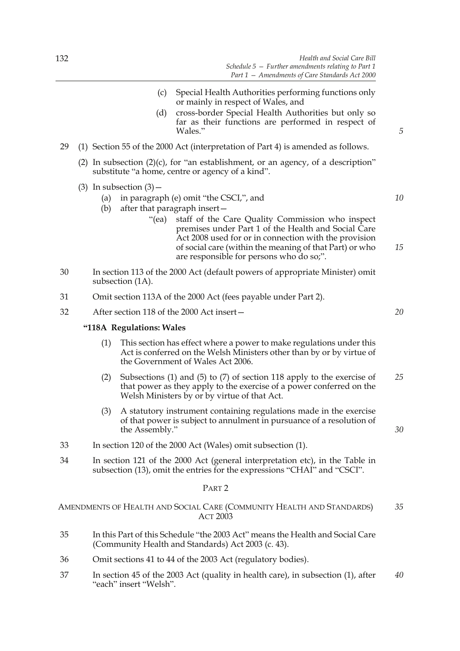- (c) Special Health Authorities performing functions only or mainly in respect of Wales, and
- (d) cross-border Special Health Authorities but only so far as their functions are performed in respect of Wales."
- 29 (1) Section 55 of the 2000 Act (interpretation of Part 4) is amended as follows.
	- (2) In subsection  $(2)(c)$ , for "an establishment, or an agency, of a description" substitute "a home, centre or agency of a kind".
	- (3) In subsection  $(3)$ 
		- (a) in paragraph (e) omit "the CSCI,", and
		- (b) after that paragraph insert—
			- "(ea) staff of the Care Quality Commission who inspect premises under Part 1 of the Health and Social Care Act 2008 used for or in connection with the provision of social care (within the meaning of that Part) or who are responsible for persons who do so;". *15*
- 30 In section 113 of the 2000 Act (default powers of appropriate Minister) omit subsection (1A).
- 31 Omit section 113A of the 2000 Act (fees payable under Part 2).
- 32 After section 118 of the 2000 Act insert—

## **"118A Regulations: Wales**

- (1) This section has effect where a power to make regulations under this Act is conferred on the Welsh Ministers other than by or by virtue of the Government of Wales Act 2006.
- (2) Subsections (1) and (5) to (7) of section 118 apply to the exercise of that power as they apply to the exercise of a power conferred on the Welsh Ministers by or by virtue of that Act. *25*
- (3) A statutory instrument containing regulations made in the exercise of that power is subject to annulment in pursuance of a resolution of the Assembly."
- 33 In section 120 of the 2000 Act (Wales) omit subsection (1).
- 34 In section 121 of the 2000 Act (general interpretation etc), in the Table in subsection (13), omit the entries for the expressions "CHAI" and "CSCI".

## PART 2

#### AMENDMENTS OF HEALTH AND SOCIAL CARE (COMMUNITY HEALTH AND STANDARDS) ACT 2003 *35*

- 35 In this Part of this Schedule "the 2003 Act" means the Health and Social Care (Community Health and Standards) Act 2003 (c. 43).
- 36 Omit sections 41 to 44 of the 2003 Act (regulatory bodies).
- 37 In section 45 of the 2003 Act (quality in health care), in subsection (1), after "each" insert "Welsh". *40*

*20*

*5*

*10*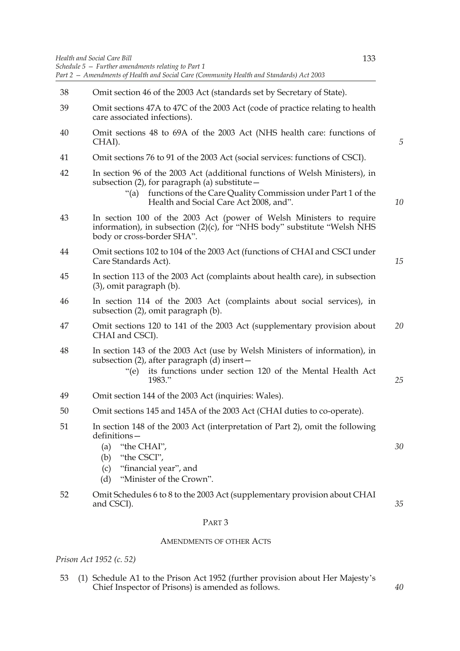| 38                | Omit section 46 of the 2003 Act (standards set by Secretary of State).                                                                                                                                                                                 |            |  |
|-------------------|--------------------------------------------------------------------------------------------------------------------------------------------------------------------------------------------------------------------------------------------------------|------------|--|
| 39                | Omit sections 47A to 47C of the 2003 Act (code of practice relating to health<br>care associated infections).                                                                                                                                          |            |  |
| 40                | Omit sections 48 to 69A of the 2003 Act (NHS health care: functions of<br>CHAI).                                                                                                                                                                       | $\sqrt{5}$ |  |
| 41                | Omit sections 76 to 91 of the 2003 Act (social services: functions of CSCI).                                                                                                                                                                           |            |  |
| 42                | In section 96 of the 2003 Act (additional functions of Welsh Ministers), in<br>subsection $(2)$ , for paragraph $(a)$ substitute $-$<br>functions of the Care Quality Commission under Part 1 of the<br>"(a)<br>Health and Social Care Act 2008, and". | 10         |  |
| 43                | In section 100 of the 2003 Act (power of Welsh Ministers to require<br>information), in subsection $(2)(c)$ , for "NHS body" substitute "Welsh NHS<br>body or cross-border SHA".                                                                       |            |  |
| 44                | Omit sections 102 to 104 of the 2003 Act (functions of CHAI and CSCI under<br>Care Standards Act).                                                                                                                                                     | 15         |  |
| 45                | In section 113 of the 2003 Act (complaints about health care), in subsection<br>$(3)$ , omit paragraph $(b)$ .                                                                                                                                         |            |  |
| 46                | In section 114 of the 2003 Act (complaints about social services), in<br>subsection (2), omit paragraph (b).                                                                                                                                           |            |  |
| 47                | Omit sections 120 to 141 of the 2003 Act (supplementary provision about<br>CHAI and CSCI).                                                                                                                                                             | 20         |  |
| 48                | In section 143 of the 2003 Act (use by Welsh Ministers of information), in<br>subsection $(2)$ , after paragraph $(d)$ insert $-$<br>its functions under section 120 of the Mental Health Act<br>" $(e)$<br>1983."                                     | 25         |  |
| 49                | Omit section 144 of the 2003 Act (inquiries: Wales).                                                                                                                                                                                                   |            |  |
| 50                | Omit sections 145 and 145A of the 2003 Act (CHAI duties to co-operate).                                                                                                                                                                                |            |  |
| 51                | In section 148 of the 2003 Act (interpretation of Part 2), omit the following<br>definitions-<br>"the CHAI",<br>(a)<br>"the CSCI",<br>(b)<br>"financial year", and<br>(c)<br>"Minister of the Crown".<br>(d)                                           | 30         |  |
| 52                | Omit Schedules 6 to 8 to the 2003 Act (supplementary provision about CHAI<br>and CSCI).                                                                                                                                                                | 35         |  |
| PART <sub>3</sub> |                                                                                                                                                                                                                                                        |            |  |

# AMENDMENTS OF OTHER ACTS

*Prison Act 1952 (c. 52)*

53 (1) Schedule A1 to the Prison Act 1952 (further provision about Her Majesty's Chief Inspector of Prisons) is amended as follows.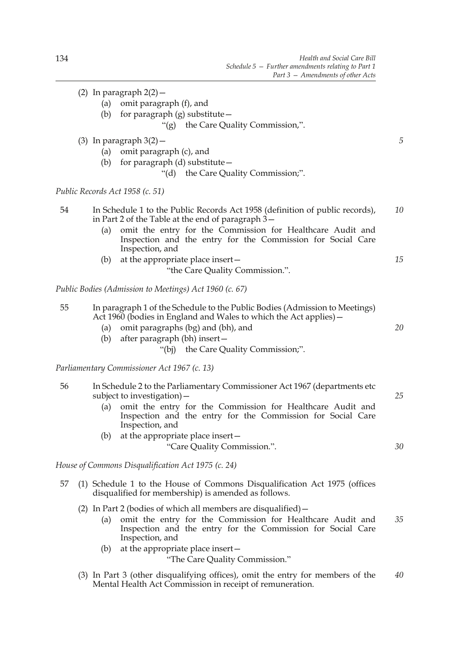- (2) In paragraph  $2(2)$  -
	- (a) omit paragraph (f), and
	- (b) for paragraph  $(g)$  substitute  $-$ 
		- "(g) the Care Quality Commission,".
- (3) In paragraph  $3(2)$  -
	- (a) omit paragraph (c), and
	- (b) for paragraph (d) substitute—
		- "(d) the Care Quality Commission;".

*Public Records Act 1958 (c. 51)*

- 54 In Schedule 1 to the Public Records Act 1958 (definition of public records), in Part 2 of the Table at the end of paragraph 3— *10*
	- (a) omit the entry for the Commission for Healthcare Audit and Inspection and the entry for the Commission for Social Care Inspection, and
	- (b) at the appropriate place insert— "the Care Quality Commission.".

*Public Bodies (Admission to Meetings) Act 1960 (c. 67)*

- 55 In paragraph 1 of the Schedule to the Public Bodies (Admission to Meetings) Act 1960 (bodies in England and Wales to which the Act applies)—
	- (a) omit paragraphs (bg) and (bh), and
	- (b) after paragraph (bh) insert—
		- "(bj) the Care Quality Commission;".

*Parliamentary Commissioner Act 1967 (c. 13)*

| 56 | In Schedule 2 to the Parliamentary Commissioner Act 1967 (departments etc. |
|----|----------------------------------------------------------------------------|
|    | subject to investigation) $-$                                              |

- (a) omit the entry for the Commission for Healthcare Audit and Inspection and the entry for the Commission for Social Care Inspection, and
- (b) at the appropriate place insert— "Care Quality Commission.".

*House of Commons Disqualification Act 1975 (c. 24)*

- 57 (1) Schedule 1 to the House of Commons Disqualification Act 1975 (offices disqualified for membership) is amended as follows.
	- (2) In Part 2 (bodies of which all members are disqualified)—
		- (a) omit the entry for the Commission for Healthcare Audit and Inspection and the entry for the Commission for Social Care Inspection, and *35*
		- (b) at the appropriate place insert—

"The Care Quality Commission."

(3) In Part 3 (other disqualifying offices), omit the entry for members of the Mental Health Act Commission in receipt of remuneration. *40*

*5*

*15*

*20*

*25*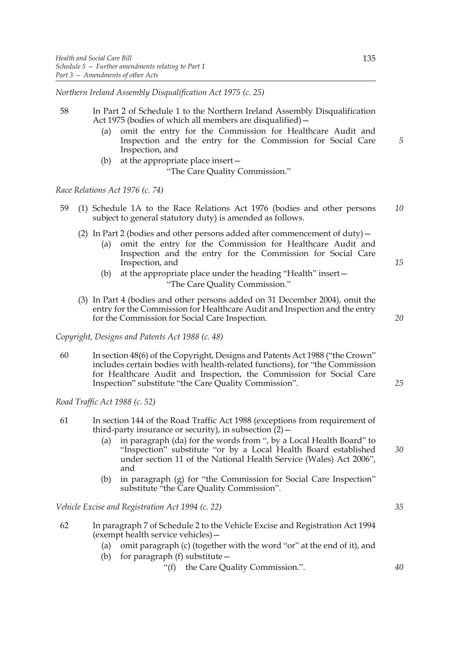*Northern Ireland Assembly Disqualification Act 1975 (c. 25)*

- 58 In Part 2 of Schedule 1 to the Northern Ireland Assembly Disqualification Act 1975 (bodies of which all members are disqualified)—
	- (a) omit the entry for the Commission for Healthcare Audit and Inspection and the entry for the Commission for Social Care Inspection, and
	- (b) at the appropriate place insert—

"The Care Quality Commission."

*Race Relations Act 1976 (c. 74)*

- 59 (1) Schedule 1A to the Race Relations Act 1976 (bodies and other persons subject to general statutory duty) is amended as follows. *10*
	- (2) In Part 2 (bodies and other persons added after commencement of duty)—
		- (a) omit the entry for the Commission for Healthcare Audit and Inspection and the entry for the Commission for Social Care Inspection, and
		- (b) at the appropriate place under the heading "Health" insert— "The Care Quality Commission."
	- (3) In Part 4 (bodies and other persons added on 31 December 2004), omit the entry for the Commission for Healthcare Audit and Inspection and the entry for the Commission for Social Care Inspection.

*Copyright, Designs and Patents Act 1988 (c. 48)*

60 In section 48(6) of the Copyright, Designs and Patents Act 1988 ("the Crown" includes certain bodies with health-related functions), for "the Commission for Healthcare Audit and Inspection, the Commission for Social Care Inspection" substitute "the Care Quality Commission".

*Road Traffic Act 1988 (c. 52)*

- 61 In section 144 of the Road Traffic Act 1988 (exceptions from requirement of third-party insurance or security), in subsection  $(2)$  -
	- (a) in paragraph (da) for the words from ", by a Local Health Board" to "Inspection" substitute "or by a Local Health Board established under section 11 of the National Health Service (Wales) Act 2006", and *30*
	- (b) in paragraph (g) for "the Commission for Social Care Inspection" substitute "the Care Quality Commission".

*Vehicle Excise and Registration Act 1994 (c. 22)*

- 62 In paragraph 7 of Schedule 2 to the Vehicle Excise and Registration Act 1994 (exempt health service vehicles)—
	- (a) omit paragraph (c) (together with the word "or" at the end of it), and
	- (b) for paragraph  $(f)$  substitute  $-$ 
		- "(f) the Care Quality Commission.".

*40*

*15*

*5*

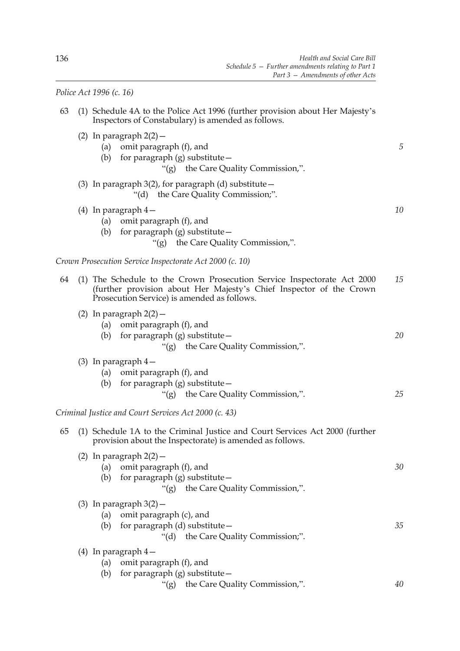*Police Act 1996 (c. 16)*

| 63 | (1) Schedule 4A to the Police Act 1996 (further provision about Her Majesty's<br>Inspectors of Constabulary) is amended as follows.                                                           |    |
|----|-----------------------------------------------------------------------------------------------------------------------------------------------------------------------------------------------|----|
|    | (2) In paragraph $2(2)$ –<br>omit paragraph (f), and<br>(a)<br>(b) for paragraph $(g)$ substitute -<br>"(g) the Care Quality Commission,".                                                    | 5  |
|    | (3) In paragraph $3(2)$ , for paragraph (d) substitute $-$<br>"(d) the Care Quality Commission;".                                                                                             |    |
|    | $(4)$ In paragraph $4-$<br>omit paragraph (f), and<br>(a)<br>(b) for paragraph $(g)$ substitute -<br>"(g) the Care Quality Commission,".                                                      | 10 |
|    | Crown Prosecution Service Inspectorate Act 2000 (c. 10)                                                                                                                                       |    |
| 64 | (1) The Schedule to the Crown Prosecution Service Inspectorate Act 2000<br>(further provision about Her Majesty's Chief Inspector of the Crown<br>Prosecution Service) is amended as follows. | 15 |
|    | (2) In paragraph $2(2)$ -<br>(a) omit paragraph (f), and<br>(b) for paragraph $(g)$ substitute $-$<br>"(g) the Care Quality Commission,".                                                     | 20 |
|    | $(3)$ In paragraph $4-$<br>omit paragraph (f), and<br>(a)<br>for paragraph (g) substitute -<br>(b)<br>"(g) the Care Quality Commission,".                                                     | 25 |
|    | Criminal Justice and Court Services Act 2000 (c. 43)                                                                                                                                          |    |
| 65 | (1) Schedule 1A to the Criminal Justice and Court Services Act 2000 (further<br>provision about the Inspectorate) is amended as follows.                                                      |    |
|    | (2) In paragraph $2(2)$ -<br>omit paragraph (f), and<br>(a)<br>for paragraph $(g)$ substitute $-$<br>(b)<br>"(g) the Care Quality Commission,".                                               | 30 |
|    | (3) In paragraph $3(2)$ -<br>(a) omit paragraph (c), and<br>for paragraph (d) substitute -<br>(b)<br>"(d) the Care Quality Commission;".                                                      | 35 |
|    | $(4)$ In paragraph $4-$<br>omit paragraph (f), and<br>(a)<br>for paragraph $(g)$ substitute $-$<br>(b)<br>"(g) the Care Quality Commission,".                                                 | 40 |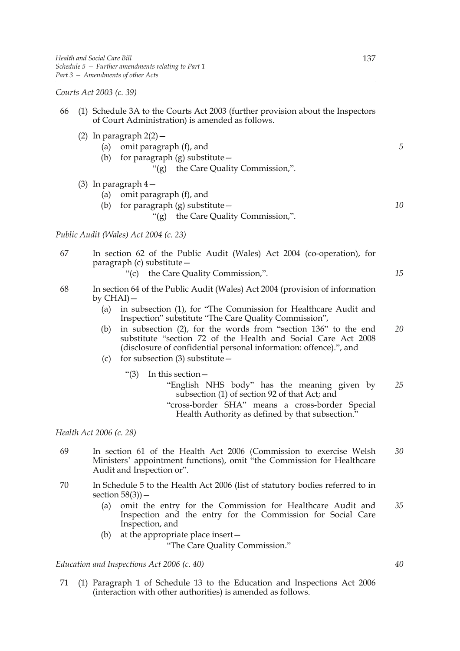*Courts Act 2003 (c. 39)*

- 66 (1) Schedule 3A to the Courts Act 2003 (further provision about the Inspectors of Court Administration) is amended as follows.
	- (2) In paragraph  $2(2)$  -
		- (a) omit paragraph (f), and
		- (b) for paragraph  $(g)$  substitute  $-$ 
			- "(g) the Care Quality Commission,".
	- (3) In paragraph 4—
		- (a) omit paragraph (f), and
		- (b) for paragraph  $(g)$  substitute  $-$ "(g) the Care Quality Commission,". *10*

# *Public Audit (Wales) Act 2004 (c. 23)*

- 67 In section 62 of the Public Audit (Wales) Act 2004 (co-operation), for paragraph (c) substitute—
	- "(c) the Care Quality Commission,".
- 68 In section 64 of the Public Audit (Wales) Act 2004 (provision of information by CHAI)—
	- (a) in subsection (1), for "The Commission for Healthcare Audit and Inspection" substitute "The Care Quality Commission",
	- (b) in subsection (2), for the words from "section 136" to the end substitute "section 72 of the Health and Social Care Act 2008 (disclosure of confidential personal information: offence).", and *20*
	- (c) for subsection (3) substitute  $-$ 
		- "(3) In this section—
			- "English NHS body" has the meaning given by subsection (1) of section 92 of that Act; and "cross-border SHA" means a cross-border Special *25*
				- Health Authority as defined by that subsection."

*Health Act 2006 (c. 28)*

- 69 In section 61 of the Health Act 2006 (Commission to exercise Welsh Ministers' appointment functions), omit "the Commission for Healthcare Audit and Inspection or". *30*
- 70 In Schedule 5 to the Health Act 2006 (list of statutory bodies referred to in section  $58(3)$ ) –
	- (a) omit the entry for the Commission for Healthcare Audit and Inspection and the entry for the Commission for Social Care Inspection, and *35*
	- (b) at the appropriate place insert—

"The Care Quality Commission."

*Education and Inspections Act 2006 (c. 40)*

71 (1) Paragraph 1 of Schedule 13 to the Education and Inspections Act 2006 (interaction with other authorities) is amended as follows.

*5*

*15*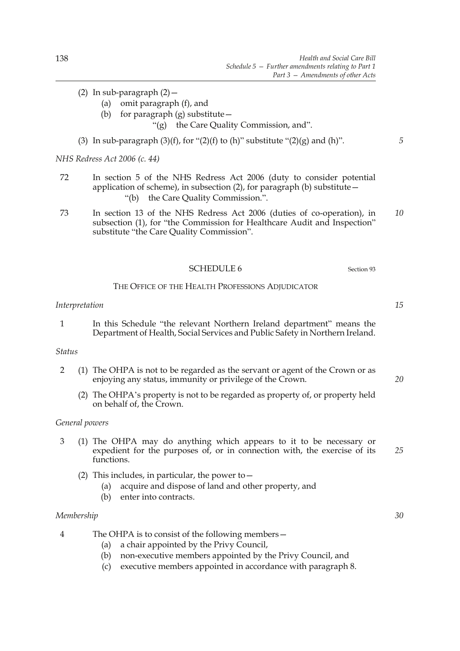- (2) In sub-paragraph  $(2)$  -
	- (a) omit paragraph (f), and
	- (b) for paragraph  $(g)$  substitute  $-$

"(g) the Care Quality Commission, and".

(3) In sub-paragraph  $(3)(f)$ , for " $(2)(f)$  to  $(h)$ " substitute " $(2)(g)$  and  $(h)$ ".

*NHS Redress Act 2006 (c. 44)*

- 72 In section 5 of the NHS Redress Act 2006 (duty to consider potential application of scheme), in subsection (2), for paragraph (b) substitute— "(b) the Care Quality Commission.".
- 73 In section 13 of the NHS Redress Act 2006 (duties of co-operation), in subsection (1), for "the Commission for Healthcare Audit and Inspection" substitute "the Care Quality Commission". *10*

## SCHEDULE 6 Section 93

### THE OFFICE OF THE HEALTH PROFESSIONS ADJUDICATOR

### *Interpretation*

1 In this Schedule "the relevant Northern Ireland department" means the Department of Health, Social Services and Public Safety in Northern Ireland.

# *Status*

- 2 (1) The OHPA is not to be regarded as the servant or agent of the Crown or as enjoying any status, immunity or privilege of the Crown.
	- (2) The OHPA's property is not to be regarded as property of, or property held on behalf of, the Crown.

#### *General powers*

- 3 (1) The OHPA may do anything which appears to it to be necessary or expedient for the purposes of, or in connection with, the exercise of its functions. *25*
	- (2) This includes, in particular, the power to  $-$ 
		- (a) acquire and dispose of land and other property, and
		- (b) enter into contracts.

### *Membership*

- 4 The OHPA is to consist of the following members—
	- (a) a chair appointed by the Privy Council,
	- (b) non-executive members appointed by the Privy Council, and
	- (c) executive members appointed in accordance with paragraph 8.

*5*

*20*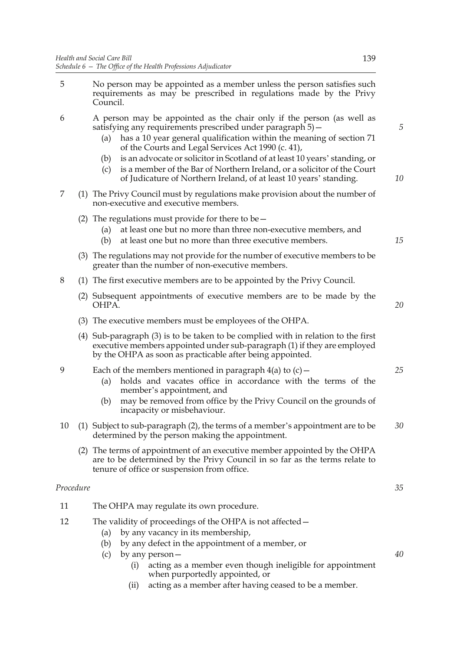5 No person may be appointed as a member unless the person satisfies such requirements as may be prescribed in regulations made by the Privy Council.

6 A person may be appointed as the chair only if the person (as well as satisfying any requirements prescribed under paragraph 5)—

- (a) has a 10 year general qualification within the meaning of section 71 of the Courts and Legal Services Act 1990 (c. 41),
- (b) is an advocate or solicitor in Scotland of at least 10 years' standing, or
- (c) is a member of the Bar of Northern Ireland, or a solicitor of the Court of Judicature of Northern Ireland, of at least 10 years' standing.
- 7 (1) The Privy Council must by regulations make provision about the number of non-executive and executive members.
	- (2) The regulations must provide for there to be  $-$ 
		- (a) at least one but no more than three non-executive members, and
		- (b) at least one but no more than three executive members.
	- (3) The regulations may not provide for the number of executive members to be greater than the number of non-executive members.
- 8 (1) The first executive members are to be appointed by the Privy Council.
	- (2) Subsequent appointments of executive members are to be made by the OHPA.
	- (3) The executive members must be employees of the OHPA.
	- (4) Sub-paragraph (3) is to be taken to be complied with in relation to the first executive members appointed under sub-paragraph (1) if they are employed by the OHPA as soon as practicable after being appointed.
- 9 Each of the members mentioned in paragraph  $4(a)$  to  $(c)$ 
	- (a) holds and vacates office in accordance with the terms of the member's appointment, and
	- (b) may be removed from office by the Privy Council on the grounds of incapacity or misbehaviour.
- 10 (1) Subject to sub-paragraph (2), the terms of a member's appointment are to be determined by the person making the appointment. *30*
	- (2) The terms of appointment of an executive member appointed by the OHPA are to be determined by the Privy Council in so far as the terms relate to tenure of office or suspension from office.

## *Procedure*

- 11 The OHPA may regulate its own procedure.
- 12 The validity of proceedings of the OHPA is not affected—
	- (a) by any vacancy in its membership,
	- (b) by any defect in the appointment of a member, or
	- (c) by any person—
		- (i) acting as a member even though ineligible for appointment when purportedly appointed, or
		- (ii) acting as a member after having ceased to be a member.

*40*

*15*

*20*

*25*

*5*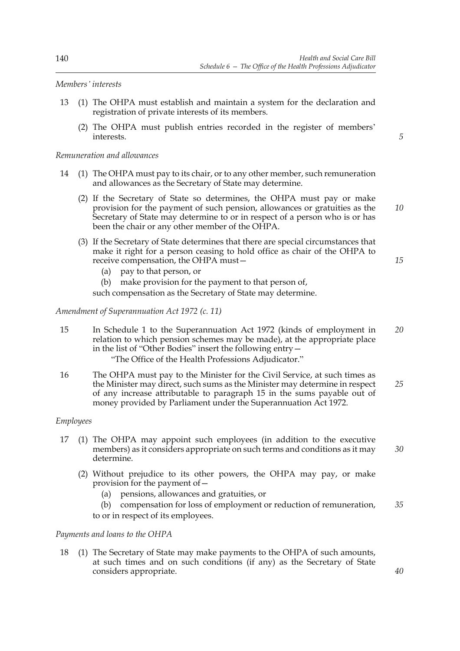*15*

*40*

*Members' interests*

- 13 (1) The OHPA must establish and maintain a system for the declaration and registration of private interests of its members.
	- (2) The OHPA must publish entries recorded in the register of members' interests.

*Remuneration and allowances*

- 14 (1) The OHPA must pay to its chair, or to any other member, such remuneration and allowances as the Secretary of State may determine.
	- (2) If the Secretary of State so determines, the OHPA must pay or make provision for the payment of such pension, allowances or gratuities as the Secretary of State may determine to or in respect of a person who is or has been the chair or any other member of the OHPA. *10*
	- (3) If the Secretary of State determines that there are special circumstances that make it right for a person ceasing to hold office as chair of the OHPA to receive compensation, the OHPA must—
		- (a) pay to that person, or
		- (b) make provision for the payment to that person of,

such compensation as the Secretary of State may determine.

*Amendment of Superannuation Act 1972 (c. 11)*

- 15 In Schedule 1 to the Superannuation Act 1972 (kinds of employment in relation to which pension schemes may be made), at the appropriate place in the list of "Other Bodies" insert the following entry— "The Office of the Health Professions Adjudicator." *20*
- 16 The OHPA must pay to the Minister for the Civil Service, at such times as the Minister may direct, such sums as the Minister may determine in respect of any increase attributable to paragraph 15 in the sums payable out of money provided by Parliament under the Superannuation Act 1972. *25*

# *Employees*

- 17 (1) The OHPA may appoint such employees (in addition to the executive members) as it considers appropriate on such terms and conditions as it may determine. *30*
	- (2) Without prejudice to its other powers, the OHPA may pay, or make provision for the payment of—
		- (a) pensions, allowances and gratuities, or
		- (b) compensation for loss of employment or reduction of remuneration, to or in respect of its employees. *35*

## *Payments and loans to the OHPA*

18 (1) The Secretary of State may make payments to the OHPA of such amounts, at such times and on such conditions (if any) as the Secretary of State considers appropriate.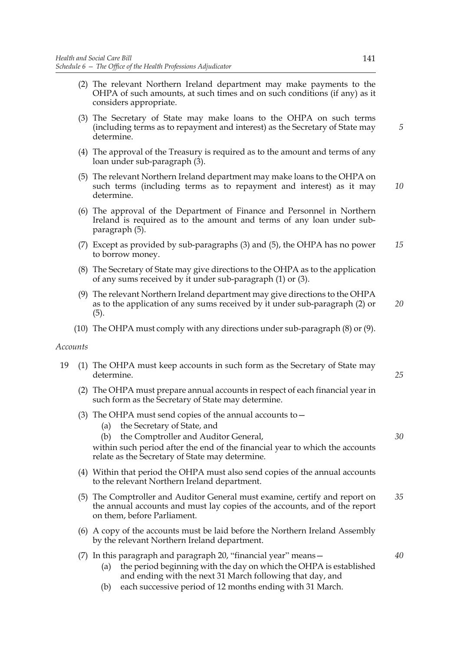- (2) The relevant Northern Ireland department may make payments to the OHPA of such amounts, at such times and on such conditions (if any) as it considers appropriate.
- (3) The Secretary of State may make loans to the OHPA on such terms (including terms as to repayment and interest) as the Secretary of State may determine.
- (4) The approval of the Treasury is required as to the amount and terms of any loan under sub-paragraph (3).
- (5) The relevant Northern Ireland department may make loans to the OHPA on such terms (including terms as to repayment and interest) as it may determine. *10*
- (6) The approval of the Department of Finance and Personnel in Northern Ireland is required as to the amount and terms of any loan under subparagraph (5).
- (7) Except as provided by sub-paragraphs (3) and (5), the OHPA has no power to borrow money. *15*
- (8) The Secretary of State may give directions to the OHPA as to the application of any sums received by it under sub-paragraph (1) or (3).
- (9) The relevant Northern Ireland department may give directions to the OHPA as to the application of any sums received by it under sub-paragraph (2) or (5). *20*
- (10) The OHPA must comply with any directions under sub-paragraph (8) or (9).

## *Accounts*

- 19 (1) The OHPA must keep accounts in such form as the Secretary of State may determine.
	- (2) The OHPA must prepare annual accounts in respect of each financial year in such form as the Secretary of State may determine.
	- (3) The OHPA must send copies of the annual accounts to—
		- (a) the Secretary of State, and
		- (b) the Comptroller and Auditor General,

within such period after the end of the financial year to which the accounts relate as the Secretary of State may determine.

- (4) Within that period the OHPA must also send copies of the annual accounts to the relevant Northern Ireland department.
- (5) The Comptroller and Auditor General must examine, certify and report on the annual accounts and must lay copies of the accounts, and of the report on them, before Parliament. *35*
- (6) A copy of the accounts must be laid before the Northern Ireland Assembly by the relevant Northern Ireland department.

|  |  |  | (7) In this paragraph and paragraph 20, "financial year" means - |
|--|--|--|------------------------------------------------------------------|
|--|--|--|------------------------------------------------------------------|

- (a) the period beginning with the day on which the OHPA is established and ending with the next 31 March following that day, and
- (b) each successive period of 12 months ending with 31 March.

*5*

*30*

*40*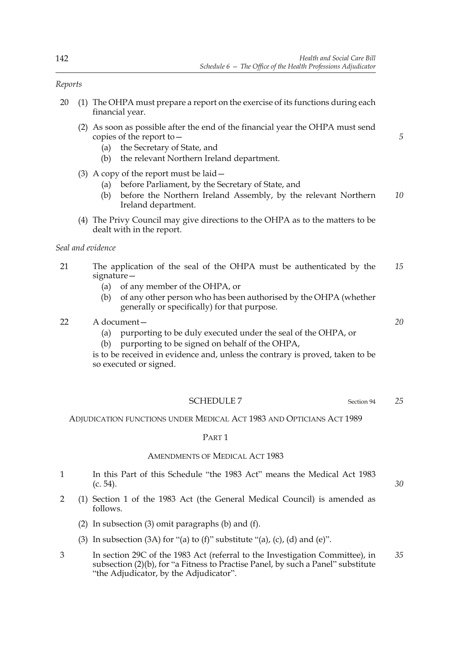*Reports*

- 20 (1) The OHPA must prepare a report on the exercise of its functions during each financial year.
	- (2) As soon as possible after the end of the financial year the OHPA must send copies of the report to—
		- (a) the Secretary of State, and
		- (b) the relevant Northern Ireland department.
	- (3) A copy of the report must be laid—
		- (a) before Parliament, by the Secretary of State, and
		- (b) before the Northern Ireland Assembly, by the relevant Northern Ireland department. *10*
	- (4) The Privy Council may give directions to the OHPA as to the matters to be dealt with in the report.

*Seal and evidence*

- 21 The application of the seal of the OHPA must be authenticated by the signature— *15*
	- (a) of any member of the OHPA, or
	- (b) of any other person who has been authorised by the OHPA (whether generally or specifically) for that purpose.
- 22 A document—
	- (a) purporting to be duly executed under the seal of the OHPA, or
	- (b) purporting to be signed on behalf of the OHPA,

is to be received in evidence and, unless the contrary is proved, taken to be so executed or signed.

SCHEDULE 7 Section 94

ADJUDICATION FUNCTIONS UNDER MEDICAL ACT 1983 AND OPTICIANS ACT 1989

# PART 1

## AMENDMENTS OF MEDICAL ACT 1983

- 1 In this Part of this Schedule "the 1983 Act" means the Medical Act 1983 (c. 54).
- 2 (1) Section 1 of the 1983 Act (the General Medical Council) is amended as follows.
	- (2) In subsection (3) omit paragraphs (b) and (f).
	- (3) In subsection  $(3A)$  for "(a) to  $(f)$ " substitute "(a),  $(c)$ ,  $(d)$  and  $(e)$ ".
- 3 In section 29C of the 1983 Act (referral to the Investigation Committee), in subsection (2)(b), for "a Fitness to Practise Panel, by such a Panel" substitute "the Adjudicator, by the Adjudicator". *35*

*20*

*25*

*5*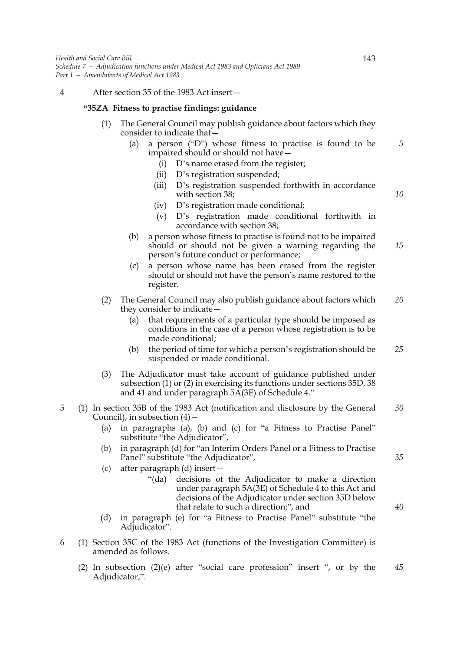# 4 After section 35 of the 1983 Act insert—

## **"35ZA Fitness to practise findings: guidance**

- (1) The General Council may publish guidance about factors which they consider to indicate that—
	- (a) a person ("D") whose fitness to practise is found to be impaired should or should not have— *5*
		- (i) D's name erased from the register;
		- (ii) D's registration suspended;
		- (iii) D's registration suspended forthwith in accordance with section 38;
		- (iv) D's registration made conditional;
		- (v) D's registration made conditional forthwith in accordance with section 38;
	- (b) a person whose fitness to practise is found not to be impaired should or should not be given a warning regarding the person's future conduct or performance;
	- (c) a person whose name has been erased from the register should or should not have the person's name restored to the register.
- (2) The General Council may also publish guidance about factors which they consider to indicate— *20*
	- (a) that requirements of a particular type should be imposed as conditions in the case of a person whose registration is to be made conditional;
	- (b) the period of time for which a person's registration should be suspended or made conditional. *25*
- (3) The Adjudicator must take account of guidance published under subsection (1) or (2) in exercising its functions under sections 35D, 38 and 41 and under paragraph 5A(3E) of Schedule 4."

#### 5 (1) In section 35B of the 1983 Act (notification and disclosure by the General Council), in subsection (4)— *30*

- (a) in paragraphs (a), (b) and (c) for "a Fitness to Practise Panel" substitute "the Adjudicator",
- (b) in paragraph (d) for "an Interim Orders Panel or a Fitness to Practise Panel" substitute "the Adjudicator",
- (c) after paragraph (d) insert—
	- "(da) decisions of the Adjudicator to make a direction under paragraph 5A(3E) of Schedule 4 to this Act and decisions of the Adjudicator under section 35D below that relate to such a direction;", and
- (d) in paragraph (e) for "a Fitness to Practise Panel" substitute "the Adjudicator".
- 6 (1) Section 35C of the 1983 Act (functions of the Investigation Committee) is amended as follows.
	- (2) In subsection (2)(e) after "social care profession" insert ", or by the Adjudicator,". *45*

*10*

*15*

*40*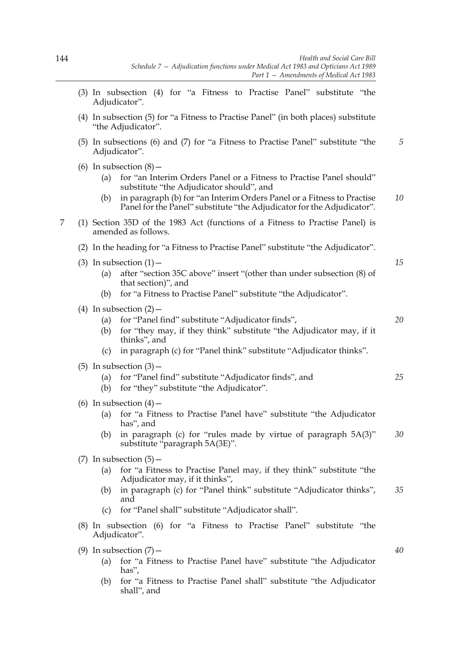- (3) In subsection (4) for "a Fitness to Practise Panel" substitute "the Adjudicator".
- (4) In subsection (5) for "a Fitness to Practise Panel" (in both places) substitute "the Adjudicator".
- (5) In subsections (6) and (7) for "a Fitness to Practise Panel" substitute "the Adjudicator". *5*
- (6) In subsection  $(8)$ 
	- (a) for "an Interim Orders Panel or a Fitness to Practise Panel should" substitute "the Adjudicator should", and
	- (b) in paragraph (b) for "an Interim Orders Panel or a Fitness to Practise Panel for the Panel" substitute "the Adjudicator for the Adjudicator". *10*
- 7 (1) Section 35D of the 1983 Act (functions of a Fitness to Practise Panel) is amended as follows.
	- (2) In the heading for "a Fitness to Practise Panel" substitute "the Adjudicator".
	- (3) In subsection  $(1)$  -
		- (a) after "section 35C above" insert "(other than under subsection (8) of that section)", and
		- (b) for "a Fitness to Practise Panel" substitute "the Adjudicator".
	- (4) In subsection  $(2)$  -
		- (a) for "Panel find" substitute "Adjudicator finds", (b) for "they may, if they think" substitute "the Adjudicator may, if it thinks", and *20*
		- (c) in paragraph (c) for "Panel think" substitute "Adjudicator thinks".
	- $(5)$  In subsection  $(3)$ 
		- (a) for "Panel find" substitute "Adjudicator finds", and *25*
		- (b) for "they" substitute "the Adjudicator".
	- (6) In subsection  $(4)$ 
		- (a) for "a Fitness to Practise Panel have" substitute "the Adjudicator has", and
		- (b) in paragraph (c) for "rules made by virtue of paragraph 5A(3)" substitute "paragraph 5A(3E)". *30*
	- (7) In subsection  $(5)$  -
		- (a) for "a Fitness to Practise Panel may, if they think" substitute "the Adjudicator may, if it thinks",
		- (b) in paragraph (c) for "Panel think" substitute "Adjudicator thinks", and *35*
		- (c) for "Panel shall" substitute "Adjudicator shall".
	- (8) In subsection (6) for "a Fitness to Practise Panel" substitute "the Adjudicator".
	- (9) In subsection  $(7)$ 
		- (a) for "a Fitness to Practise Panel have" substitute "the Adjudicator has",
		- (b) for "a Fitness to Practise Panel shall" substitute "the Adjudicator shall", and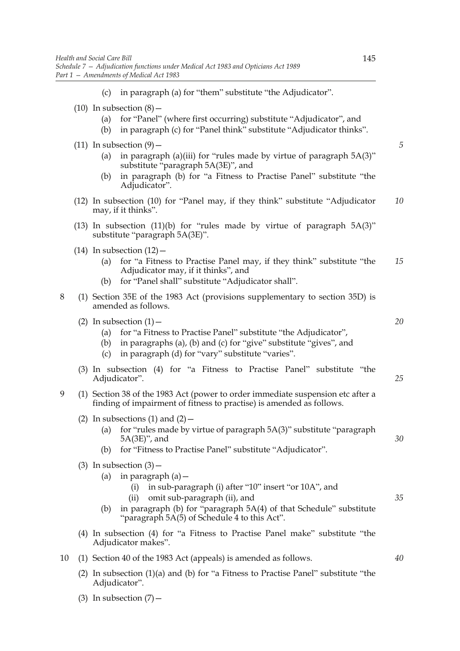- (c) in paragraph (a) for "them" substitute "the Adjudicator".
- (10) In subsection  $(8)$ 
	- (a) for "Panel" (where first occurring) substitute "Adjudicator", and
	- (b) in paragraph (c) for "Panel think" substitute "Adjudicator thinks".
- (11) In subsection  $(9)$ 
	- (a) in paragraph (a)(iii) for "rules made by virtue of paragraph  $5A(3)$ " substitute "paragraph 5A(3E)", and
	- (b) in paragraph (b) for "a Fitness to Practise Panel" substitute "the Adjudicator".
- (12) In subsection (10) for "Panel may, if they think" substitute "Adjudicator may, if it thinks". *10*
- (13) In subsection  $(11)(b)$  for "rules made by virtue of paragraph  $5A(3)$ " substitute "paragraph 5A(3E)".
- (14) In subsection  $(12)$  -
	- (a) for "a Fitness to Practise Panel may, if they think" substitute "the Adjudicator may, if it thinks", and *15*
	- (b) for "Panel shall" substitute "Adjudicator shall".
- 8 (1) Section 35E of the 1983 Act (provisions supplementary to section 35D) is amended as follows.
	- (2) In subsection  $(1)$  -
		- (a) for "a Fitness to Practise Panel" substitute "the Adjudicator",
		- (b) in paragraphs (a), (b) and (c) for "give" substitute "gives", and
		- (c) in paragraph (d) for "vary" substitute "varies".
	- (3) In subsection (4) for "a Fitness to Practise Panel" substitute "the Adjudicator". *25*
- 9 (1) Section 38 of the 1983 Act (power to order immediate suspension etc after a finding of impairment of fitness to practise) is amended as follows.
	- (2) In subsections (1) and  $(2)$  -
		- (a) for "rules made by virtue of paragraph  $5A(3)$ " substitute "paragraph 5A(3E)", and
		- (b) for "Fitness to Practise Panel" substitute "Adjudicator".
	- (3) In subsection  $(3)$ 
		- (a) in paragraph  $(a)$  -
			- (i) in sub-paragraph (i) after "10" insert "or 10A", and
				- (ii) omit sub-paragraph (ii), and
		- (b) in paragraph (b) for "paragraph 5A(4) of that Schedule" substitute "paragraph 5A(5) of Schedule 4 to this Act".
	- (4) In subsection (4) for "a Fitness to Practise Panel make" substitute "the Adjudicator makes".
- 10 (1) Section 40 of the 1983 Act (appeals) is amended as follows.
	- (2) In subsection  $(1)(a)$  and  $(b)$  for "a Fitness to Practise Panel" substitute "the Adjudicator".
	- (3) In subsection  $(7)$  -

*20*

*30*

*35*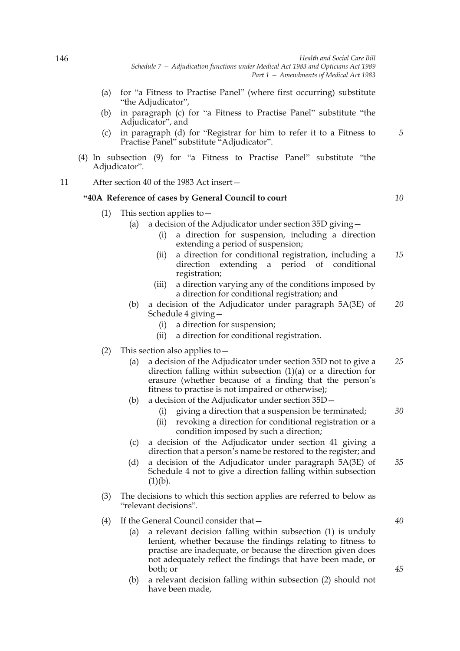- (a) for "a Fitness to Practise Panel" (where first occurring) substitute "the Adjudicator",
- (b) in paragraph (c) for "a Fitness to Practise Panel" substitute "the Adjudicator", and
- (c) in paragraph (d) for "Registrar for him to refer it to a Fitness to Practise Panel" substitute "Adjudicator".
- (4) In subsection (9) for "a Fitness to Practise Panel" substitute "the Adjudicator".
- 11 After section 40 of the 1983 Act insert—

# **"40A Reference of cases by General Council to court**

- (1) This section applies to  $-$ 
	- (a) a decision of the Adjudicator under section 35D giving—
		- (i) a direction for suspension, including a direction extending a period of suspension;
		- (ii) a direction for conditional registration, including a direction extending a period of conditional registration; *15*
		- (iii) a direction varying any of the conditions imposed by a direction for conditional registration; and
		- (b) a decision of the Adjudicator under paragraph 5A(3E) of Schedule 4 giving— *20*
			- (i) a direction for suspension;
			- (ii) a direction for conditional registration.
- (2) This section also applies to  $-$ 
	- (a) a decision of the Adjudicator under section 35D not to give a direction falling within subsection (1)(a) or a direction for erasure (whether because of a finding that the person's fitness to practise is not impaired or otherwise); *25*
	- (b) a decision of the Adjudicator under section 35D—
		- (i) giving a direction that a suspension be terminated;
		- (ii) revoking a direction for conditional registration or a condition imposed by such a direction;
	- (c) a decision of the Adjudicator under section 41 giving a direction that a person's name be restored to the register; and
	- (d) a decision of the Adjudicator under paragraph 5A(3E) of Schedule 4 not to give a direction falling within subsection  $(1)(b).$
- (3) The decisions to which this section applies are referred to below as "relevant decisions".
- (4) If the General Council consider that—
	- (a) a relevant decision falling within subsection (1) is unduly lenient, whether because the findings relating to fitness to practise are inadequate, or because the direction given does not adequately reflect the findings that have been made, or both; or
	- (b) a relevant decision falling within subsection (2) should not have been made,

*10*

*5*

*35*

*30*

*40*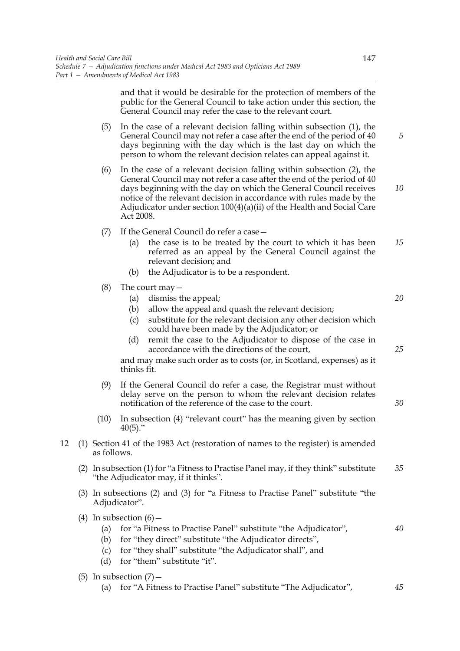and that it would be desirable for the protection of members of the public for the General Council to take action under this section, the General Council may refer the case to the relevant court.

- (5) In the case of a relevant decision falling within subsection (1), the General Council may not refer a case after the end of the period of 40 days beginning with the day which is the last day on which the person to whom the relevant decision relates can appeal against it.
- (6) In the case of a relevant decision falling within subsection (2), the General Council may not refer a case after the end of the period of 40 days beginning with the day on which the General Council receives notice of the relevant decision in accordance with rules made by the Adjudicator under section 100(4)(a)(ii) of the Health and Social Care Act 2008.
- (7) If the General Council do refer a case—
	- (a) the case is to be treated by the court to which it has been referred as an appeal by the General Council against the relevant decision; and *15*
	- (b) the Adjudicator is to be a respondent.
- (8) The court may—
	- (a) dismiss the appeal;
	- (b) allow the appeal and quash the relevant decision;
	- (c) substitute for the relevant decision any other decision which could have been made by the Adjudicator; or
	- (d) remit the case to the Adjudicator to dispose of the case in accordance with the directions of the court,

and may make such order as to costs (or, in Scotland, expenses) as it thinks fit.

- (9) If the General Council do refer a case, the Registrar must without delay serve on the person to whom the relevant decision relates notification of the reference of the case to the court.
- (10) In subsection (4) "relevant court" has the meaning given by section  $40(5)$ ."
- 12 (1) Section 41 of the 1983 Act (restoration of names to the register) is amended as follows.
	- (2) In subsection (1) for "a Fitness to Practise Panel may, if they think" substitute "the Adjudicator may, if it thinks". *35*
	- (3) In subsections (2) and (3) for "a Fitness to Practise Panel" substitute "the Adjudicator".
	- (4) In subsection  $(6)$  –

|  | (a) for "a Fitness to Practise Panel" substitute "the Adjudicator", |  |  |
|--|---------------------------------------------------------------------|--|--|
|--|---------------------------------------------------------------------|--|--|

- (b) for "they direct" substitute "the Adjudicator directs",
- (c) for "they shall" substitute "the Adjudicator shall", and
- (d) for "them" substitute "it".
- (5) In subsection  $(7)$  -
	- (a) for "A Fitness to Practise Panel" substitute "The Adjudicator",

*5*

*10*

*30*

*20*

*25*

*40*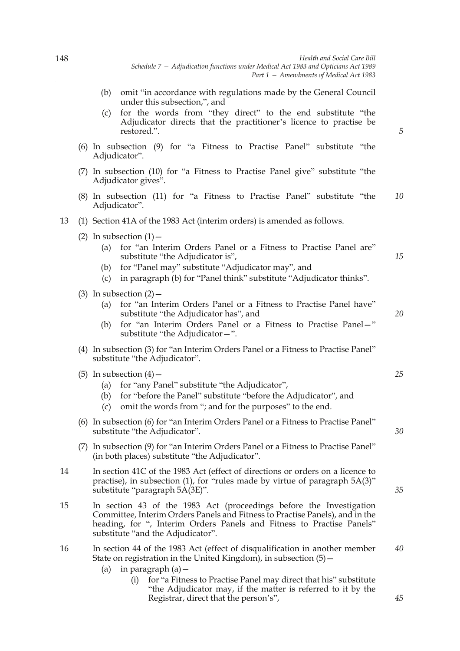- (b) omit "in accordance with regulations made by the General Council under this subsection,", and (c) for the words from "they direct" to the end substitute "the Adjudicator directs that the practitioner's licence to practise be restored.". (6) In subsection (9) for "a Fitness to Practise Panel" substitute "the Adjudicator". (7) In subsection (10) for "a Fitness to Practise Panel give" substitute "the Adjudicator gives". (8) In subsection (11) for "a Fitness to Practise Panel" substitute "the Adjudicator". 13 (1) Section 41A of the 1983 Act (interim orders) is amended as follows. (2) In subsection  $(1)$  – (a) for "an Interim Orders Panel or a Fitness to Practise Panel are" substitute "the Adjudicator is", (b) for "Panel may" substitute "Adjudicator may", and (c) in paragraph (b) for "Panel think" substitute "Adjudicator thinks". (3) In subsection  $(2)$  – (a) for "an Interim Orders Panel or a Fitness to Practise Panel have" substitute "the Adjudicator has", and (b) for "an Interim Orders Panel or a Fitness to Practise Panel—" substitute "the Adjudicator—". (4) In subsection (3) for "an Interim Orders Panel or a Fitness to Practise Panel" substitute "the Adjudicator". (5) In subsection  $(4)$  – (a) for "any Panel" substitute "the Adjudicator", (b) for "before the Panel" substitute "before the Adjudicator", and (c) omit the words from "; and for the purposes" to the end. (6) In subsection (6) for "an Interim Orders Panel or a Fitness to Practise Panel" substitute "the Adjudicator". (7) In subsection (9) for "an Interim Orders Panel or a Fitness to Practise Panel" (in both places) substitute "the Adjudicator". 14 In section 41C of the 1983 Act (effect of directions or orders on a licence to practise), in subsection (1), for "rules made by virtue of paragraph 5A(3)" substitute "paragraph 5A(3E)". 15 In section 43 of the 1983 Act (proceedings before the Investigation Committee, Interim Orders Panels and Fitness to Practise Panels), and in the heading, for ", Interim Orders Panels and Fitness to Practise Panels" substitute "and the Adjudicator". 16 In section 44 of the 1983 Act (effect of disqualification in another member State on registration in the United Kingdom), in subsection  $(5)$  -*5 10 15 20 25 40*
	- (a) in paragraph  $(a)$ 
		- (i) for "a Fitness to Practise Panel may direct that his" substitute "the Adjudicator may, if the matter is referred to it by the Registrar, direct that the person's",

*35*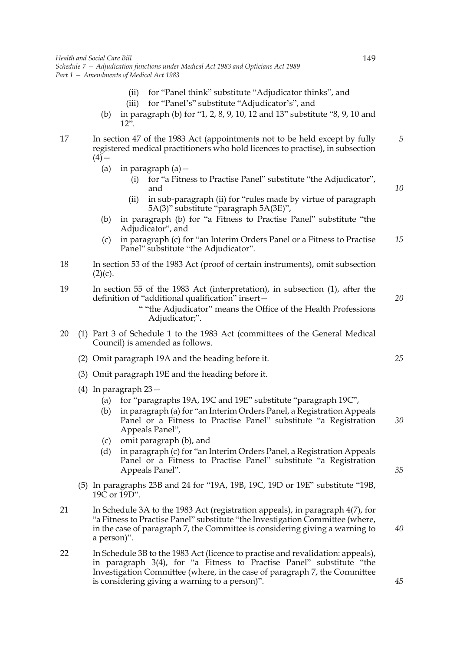- (ii) for "Panel think" substitute "Adjudicator thinks", and
- (iii) for "Panel's" substitute "Adjudicator's", and
- (b) in paragraph (b) for "1, 2, 8, 9, 10, 12 and 13" substitute "8, 9, 10 and  $12^{17}$ .

#### 17 In section 47 of the 1983 Act (appointments not to be held except by fully registered medical practitioners who hold licences to practise), in subsection  $(4)$  — *5*

- (a) in paragraph  $(a)$  -
	- (i) for "a Fitness to Practise Panel" substitute "the Adjudicator", and
	- (ii) in sub-paragraph (ii) for "rules made by virtue of paragraph 5A(3)" substitute "paragraph 5A(3E)",
- (b) in paragraph (b) for "a Fitness to Practise Panel" substitute "the Adjudicator", and
- (c) in paragraph (c) for "an Interim Orders Panel or a Fitness to Practise Panel" substitute "the Adjudicator". *15*
- 18 In section 53 of the 1983 Act (proof of certain instruments), omit subsection  $(2)(c).$
- 19 In section 55 of the 1983 Act (interpretation), in subsection (1), after the definition of "additional qualification" insert—

- 20 (1) Part 3 of Schedule 1 to the 1983 Act (committees of the General Medical Council) is amended as follows.
	- (2) Omit paragraph 19A and the heading before it.
	- (3) Omit paragraph 19E and the heading before it.
	- (4) In paragraph 23—
		- (a) for "paragraphs 19A, 19C and 19E" substitute "paragraph 19C",
		- (b) in paragraph (a) for "an Interim Orders Panel, a Registration Appeals Panel or a Fitness to Practise Panel" substitute "a Registration Appeals Panel", *30*
		- (c) omit paragraph (b), and
		- (d) in paragraph (c) for "an Interim Orders Panel, a Registration Appeals Panel or a Fitness to Practise Panel" substitute "a Registration Appeals Panel".
	- (5) In paragraphs 23B and 24 for "19A, 19B, 19C, 19D or 19E" substitute "19B, 19C or 19D".
- 21 In Schedule 3A to the 1983 Act (registration appeals), in paragraph 4(7), for "a Fitness to Practise Panel" substitute "the Investigation Committee (where, in the case of paragraph 7, the Committee is considering giving a warning to a person)".
- 22 In Schedule 3B to the 1983 Act (licence to practise and revalidation: appeals), in paragraph 3(4), for "a Fitness to Practise Panel" substitute "the Investigation Committee (where, in the case of paragraph 7, the Committee is considering giving a warning to a person)".

*10*

*20*

*25*

*40*

<sup>&</sup>quot; "the Adjudicator" means the Office of the Health Professions Adjudicator;".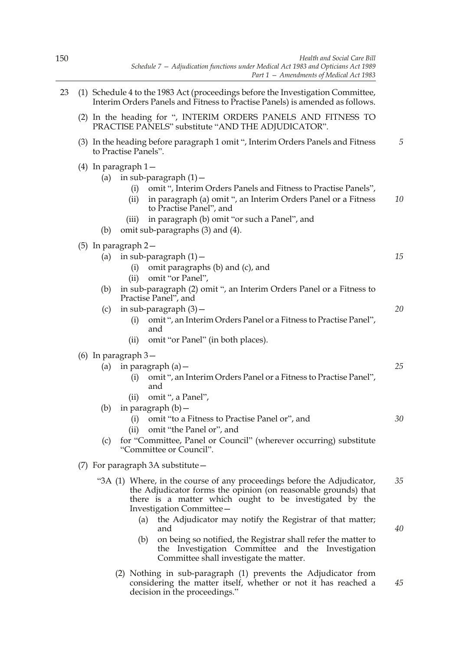- 23 (1) Schedule 4 to the 1983 Act (proceedings before the Investigation Committee, Interim Orders Panels and Fitness to Practise Panels) is amended as follows. (2) In the heading for ", INTERIM ORDERS PANELS AND FITNESS TO PRACTISE PANELS" substitute "AND THE ADJUDICATOR". (3) In the heading before paragraph 1 omit ", Interim Orders Panels and Fitness to Practise Panels". (4) In paragraph 1— (a) in sub-paragraph  $(1)$  -(i) omit ", Interim Orders Panels and Fitness to Practise Panels", (ii) in paragraph (a) omit ", an Interim Orders Panel or a Fitness to Practise Panel", and (iii) in paragraph (b) omit "or such a Panel", and (b) omit sub-paragraphs (3) and (4). (5) In paragraph 2— (a) in sub-paragraph  $(1)$  -(i) omit paragraphs (b) and (c), and (ii) omit "or Panel", (b) in sub-paragraph (2) omit ", an Interim Orders Panel or a Fitness to Practise Panel", and (c) in sub-paragraph  $(3)$  -(i) omit ", an Interim Orders Panel or a Fitness to Practise Panel", and (ii) omit "or Panel" (in both places). (6) In paragraph 3— (a) in paragraph  $(a)$  – (i) omit ", an Interim Orders Panel or a Fitness to Practise Panel", and (ii) omit ", a Panel", (b) in paragraph (b)— (i) omit "to a Fitness to Practise Panel or", and (ii) omit "the Panel or", and (c) for "Committee, Panel or Council" (wherever occurring) substitute "Committee or Council". (7) For paragraph 3A substitute— "3A (1) Where, in the course of any proceedings before the Adjudicator, the Adjudicator forms the opinion (on reasonable grounds) that there is a matter which ought to be investigated by the Investigation Committee— (a) the Adjudicator may notify the Registrar of that matter; and (b) on being so notified, the Registrar shall refer the matter to the Investigation Committee and the Investigation *5 10 15 20 25 30 35 40*
	- (2) Nothing in sub-paragraph (1) prevents the Adjudicator from considering the matter itself, whether or not it has reached a decision in the proceedings." *45*

Committee shall investigate the matter.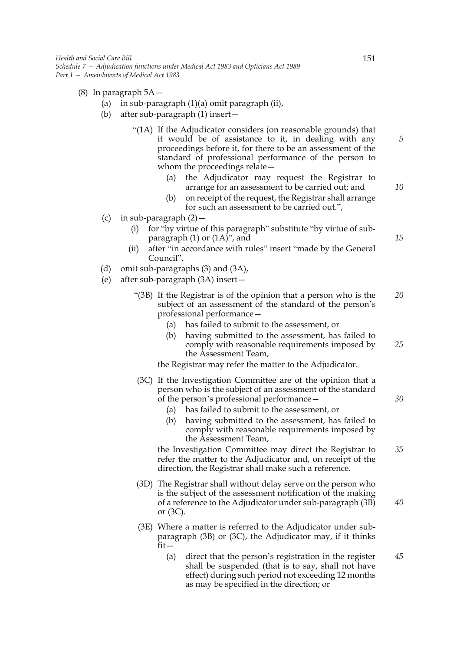- (8) In paragraph 5A—
	- (a) in sub-paragraph (1)(a) omit paragraph (ii),
	- (b) after sub-paragraph (1) insert—
		- "(1A) If the Adjudicator considers (on reasonable grounds) that it would be of assistance to it, in dealing with any proceedings before it, for there to be an assessment of the standard of professional performance of the person to whom the proceedings relate—
			- (a) the Adjudicator may request the Registrar to arrange for an assessment to be carried out; and
			- (b) on receipt of the request, the Registrar shall arrange for such an assessment to be carried out.",
	- (c) in sub-paragraph  $(2)$  -
		- (i) for "by virtue of this paragraph" substitute "by virtue of subparagraph  $(1)$  or  $(1A)$ ", and
		- (ii) after "in accordance with rules" insert "made by the General Council",
	- (d) omit sub-paragraphs (3) and (3A),
	- (e) after sub-paragraph (3A) insert—
		- "(3B) If the Registrar is of the opinion that a person who is the subject of an assessment of the standard of the person's professional performance— *20*
			- (a) has failed to submit to the assessment, or
			- (b) having submitted to the assessment, has failed to comply with reasonable requirements imposed by the Assessment Team, *25*

the Registrar may refer the matter to the Adjudicator.

- (3C) If the Investigation Committee are of the opinion that a person who is the subject of an assessment of the standard of the person's professional performance—
	- (a) has failed to submit to the assessment, or
	- (b) having submitted to the assessment, has failed to comply with reasonable requirements imposed by the Assessment Team,

the Investigation Committee may direct the Registrar to refer the matter to the Adjudicator and, on receipt of the direction, the Registrar shall make such a reference. *35*

- (3D) The Registrar shall without delay serve on the person who is the subject of the assessment notification of the making of a reference to the Adjudicator under sub-paragraph (3B) or (3C). *40*
- (3E) Where a matter is referred to the Adjudicator under subparagraph (3B) or (3C), the Adjudicator may, if it thinks fit—
	- (a) direct that the person's registration in the register shall be suspended (that is to say, shall not have effect) during such period not exceeding 12 months as may be specified in the direction; or *45*

*5*

*10*

*15*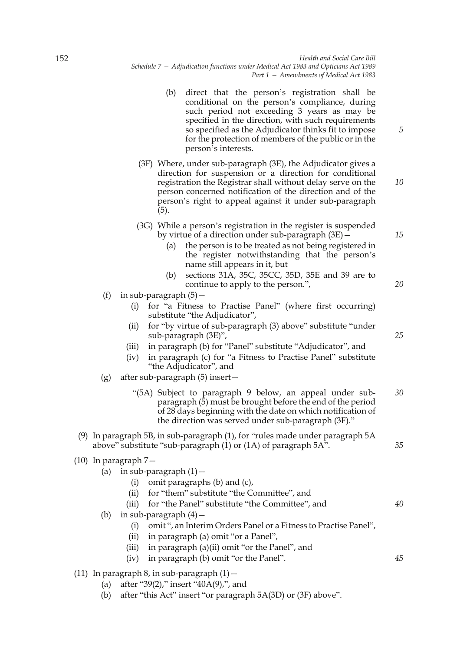| (b)                                             | direct that the person's registration shall be<br>conditional on the person's compliance, during<br>such period not exceeding 3 years as may be<br>specified in the direction, with such requirements<br>so specified as the Adjudicator thinks fit to impose<br>for the protection of members of the public or in the<br>person's interests. | 5  |
|-------------------------------------------------|-----------------------------------------------------------------------------------------------------------------------------------------------------------------------------------------------------------------------------------------------------------------------------------------------------------------------------------------------|----|
| (5).                                            | (3F) Where, under sub-paragraph (3E), the Adjudicator gives a<br>direction for suspension or a direction for conditional<br>registration the Registrar shall without delay serve on the<br>person concerned notification of the direction and of the<br>person's right to appeal against it under sub-paragraph                               | 10 |
| (a)                                             | (3G) While a person's registration in the register is suspended<br>by virtue of a direction under sub-paragraph $(3E)$ –<br>the person is to be treated as not being registered in<br>the register notwithstanding that the person's<br>name still appears in it, but                                                                         | 15 |
| (b)<br>(f)<br>in sub-paragraph $(5)$ —          | sections 31A, 35C, 35CC, 35D, 35E and 39 are to<br>continue to apply to the person.",                                                                                                                                                                                                                                                         | 20 |
| (i)                                             | for "a Fitness to Practise Panel" (where first occurring)<br>substitute "the Adjudicator",                                                                                                                                                                                                                                                    |    |
| (ii)<br>(iii)                                   | for "by virtue of sub-paragraph (3) above" substitute "under<br>sub-paragraph (3E)",<br>in paragraph (b) for "Panel" substitute "Adjudicator", and                                                                                                                                                                                            | 25 |
| (iv)<br>after sub-paragraph (5) insert –<br>(g) | in paragraph (c) for "a Fitness to Practise Panel" substitute<br>"the Adjudicator", and                                                                                                                                                                                                                                                       |    |
|                                                 | "(5A) Subject to paragraph 9 below, an appeal under sub-<br>paragraph (5) must be brought before the end of the period<br>of 28 days beginning with the date on which notification of<br>the direction was served under sub-paragraph (3F)."                                                                                                  | 30 |
|                                                 | (9) In paragraph 5B, in sub-paragraph (1), for "rules made under paragraph 5A<br>above" substitute "sub-paragraph (1) or (1A) of paragraph 5A".                                                                                                                                                                                               | 35 |
| $(10)$ In paragraph $7-$                        |                                                                                                                                                                                                                                                                                                                                               |    |
| in sub-paragraph $(1)$ -<br>(a)<br>(iii)        | (i) omit paragraphs $(b)$ and $(c)$ ,<br>(ii) for "them" substitute "the Committee", and<br>for "the Panel" substitute "the Committee", and                                                                                                                                                                                                   | 40 |
| in sub-paragraph $(4)$ –<br>(b)<br>(i)          | omit", an Interim Orders Panel or a Fitness to Practise Panel",<br>(ii) in paragraph (a) omit "or a Panel",                                                                                                                                                                                                                                   |    |
| (iv)                                            | (iii) in paragraph (a)(ii) omit "or the Panel", and<br>in paragraph (b) omit "or the Panel".                                                                                                                                                                                                                                                  | 45 |
| (11) In paragraph 8, in sub-paragraph $(1)$ –   |                                                                                                                                                                                                                                                                                                                                               |    |

- (a) after "39(2)," insert "40A(9),", and
- (b) after "this Act" insert "or paragraph 5A(3D) or (3F) above".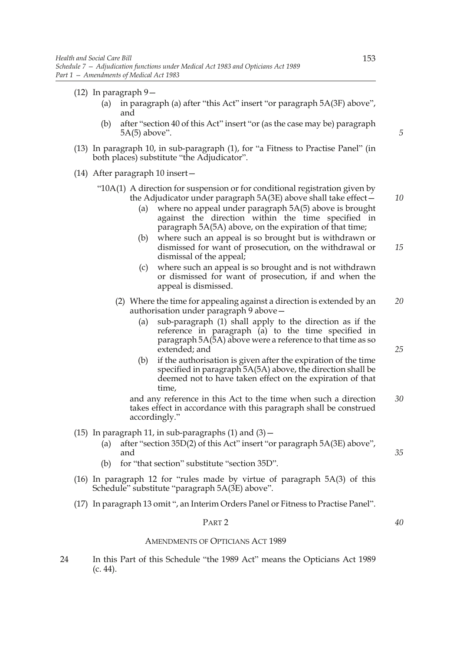- (12) In paragraph 9—
	- (a) in paragraph (a) after "this Act" insert "or paragraph 5A(3F) above", and
	- (b) after "section 40 of this Act" insert "or (as the case may be) paragraph 5A(5) above".
- (13) In paragraph 10, in sub-paragraph (1), for "a Fitness to Practise Panel" (in both places) substitute "the Adjudicator".
- (14) After paragraph 10 insert—
	- " $10A(1)$  A direction for suspension or for conditional registration given by the Adjudicator under paragraph 5A(3E) above shall take effect—
		- (a) where no appeal under paragraph 5A(5) above is brought against the direction within the time specified in paragraph 5A(5A) above, on the expiration of that time;
		- (b) where such an appeal is so brought but is withdrawn or dismissed for want of prosecution, on the withdrawal or dismissal of the appeal; *15*
		- (c) where such an appeal is so brought and is not withdrawn or dismissed for want of prosecution, if and when the appeal is dismissed.
		- (2) Where the time for appealing against a direction is extended by an authorisation under paragraph 9 above— *20*
			- (a) sub-paragraph (1) shall apply to the direction as if the reference in paragraph (a) to the time specified in paragraph 5A(5A) above were a reference to that time as so extended; and
			- (b) if the authorisation is given after the expiration of the time specified in paragraph 5A(5A) above, the direction shall be deemed not to have taken effect on the expiration of that time,

and any reference in this Act to the time when such a direction takes effect in accordance with this paragraph shall be construed accordingly." *30*

- (15) In paragraph 11, in sub-paragraphs  $(1)$  and  $(3)$  -
	- (a) after "section 35D(2) of this Act" insert "or paragraph 5A(3E) above", and
	- (b) for "that section" substitute "section 35D".
- (16) In paragraph 12 for "rules made by virtue of paragraph 5A(3) of this Schedule" substitute "paragraph 5A(3E) above".
- (17) In paragraph 13 omit ", an Interim Orders Panel or Fitness to Practise Panel".

#### PART 2

### AMENDMENTS OF OPTICIANS ACT 1989

24 In this Part of this Schedule "the 1989 Act" means the Opticians Act 1989  $(c. 44)$ .

*5*

*10*

*25*

*35*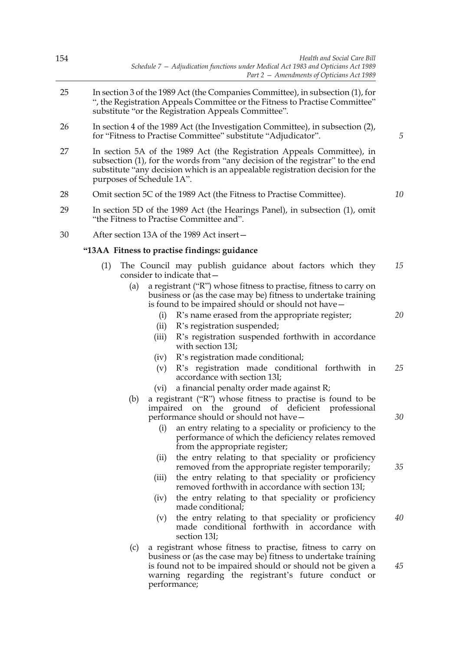- 25 In section 3 of the 1989 Act (the Companies Committee), in subsection (1), for ", the Registration Appeals Committee or the Fitness to Practise Committee" substitute "or the Registration Appeals Committee".
- 26 In section 4 of the 1989 Act (the Investigation Committee), in subsection (2), for "Fitness to Practise Committee" substitute "Adjudicator".
- 27 In section 5A of the 1989 Act (the Registration Appeals Committee), in subsection (1), for the words from "any decision of the registrar" to the end substitute "any decision which is an appealable registration decision for the purposes of Schedule 1A".
- 28 Omit section 5C of the 1989 Act (the Fitness to Practise Committee).
- 29 In section 5D of the 1989 Act (the Hearings Panel), in subsection (1), omit "the Fitness to Practise Committee and".
- 30 After section 13A of the 1989 Act insert—

# **"13AA Fitness to practise findings: guidance**

- (1) The Council may publish guidance about factors which they consider to indicate that -*15*
	- (a) a registrant ("R") whose fitness to practise, fitness to carry on business or (as the case may be) fitness to undertake training is found to be impaired should or should not have—
		- (i) R's name erased from the appropriate register;
		- (ii) R's registration suspended;
		- (iii) R's registration suspended forthwith in accordance with section 13I;
		- (iv) R's registration made conditional;
		- (v) R's registration made conditional forthwith in accordance with section 13I; *25*
		- (vi) a financial penalty order made against R;
	- (b) a registrant ("R") whose fitness to practise is found to be impaired on the ground of deficient professional performance should or should not have—
		- (i) an entry relating to a speciality or proficiency to the performance of which the deficiency relates removed from the appropriate register;
		- (ii) the entry relating to that speciality or proficiency removed from the appropriate register temporarily;
		- (iii) the entry relating to that speciality or proficiency removed forthwith in accordance with section 13I;
		- (iv) the entry relating to that speciality or proficiency made conditional;
		- (v) the entry relating to that speciality or proficiency made conditional forthwith in accordance with section 13I; *40*
	- (c) a registrant whose fitness to practise, fitness to carry on business or (as the case may be) fitness to undertake training is found not to be impaired should or should not be given a warning regarding the registrant's future conduct or performance;

*10*

*5*

*20*

*30*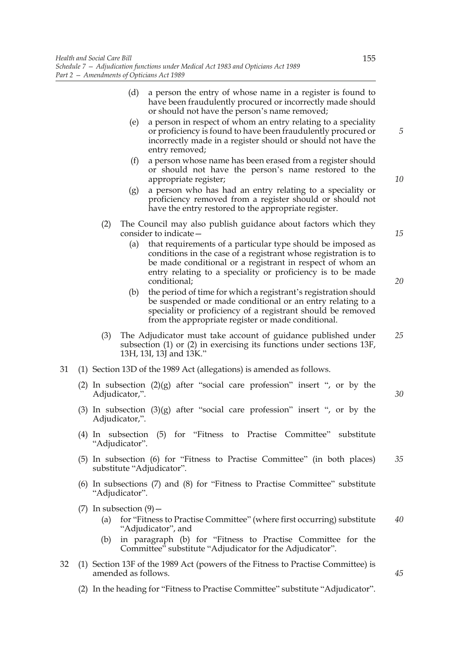|    | (d)<br>a person the entry of whose name in a register is found to<br>have been fraudulently procured or incorrectly made should<br>or should not have the person's name removed;                                                                                                  |     |    |
|----|-----------------------------------------------------------------------------------------------------------------------------------------------------------------------------------------------------------------------------------------------------------------------------------|-----|----|
| 5  | a person in respect of whom an entry relating to a speciality<br>(e)<br>or proficiency is found to have been fraudulently procured or<br>incorrectly made in a register should or should not have the<br>entry removed;                                                           |     |    |
| 10 | (f)<br>a person whose name has been erased from a register should<br>or should not have the person's name restored to the<br>appropriate register;                                                                                                                                |     |    |
|    | a person who has had an entry relating to a speciality or<br>(g)<br>proficiency removed from a register should or should not<br>have the entry restored to the appropriate register.                                                                                              |     |    |
| 15 | The Council may also publish guidance about factors which they<br>consider to indicate -                                                                                                                                                                                          | (2) |    |
| 20 | that requirements of a particular type should be imposed as<br>(a)<br>conditions in the case of a registrant whose registration is to<br>be made conditional or a registrant in respect of whom an<br>entry relating to a speciality or proficiency is to be made<br>conditional; |     |    |
|    | the period of time for which a registrant's registration should<br>(b)<br>be suspended or made conditional or an entry relating to a<br>speciality or proficiency of a registrant should be removed<br>from the appropriate register or made conditional.                         |     |    |
| 25 | The Adjudicator must take account of guidance published under<br>subsection $(1)$ or $(2)$ in exercising its functions under sections 13F,<br>13H, 13I, 13J and 13K."                                                                                                             | (3) |    |
|    | (1) Section 13D of the 1989 Act (allegations) is amended as follows.                                                                                                                                                                                                              |     | 31 |
| 30 | (2) In subsection $(2)(g)$ after "social care profession" insert ", or by the<br>Adjudicator,".                                                                                                                                                                                   |     |    |
|    | (3) In subsection $(3)(g)$ after "social care profession" insert ", or by the<br>Adjudicator,".                                                                                                                                                                                   |     |    |
|    | (4) In subsection (5) for "Fitness to Practise Committee" substitute<br>"Adjudicator".                                                                                                                                                                                            |     |    |
| 35 | (5) In subsection (6) for "Fitness to Practise Committee" (in both places)<br>substitute "Adjudicator".                                                                                                                                                                           |     |    |
|    | (6) In subsections (7) and (8) for "Fitness to Practise Committee" substitute<br>"Adjudicator".                                                                                                                                                                                   |     |    |
|    |                                                                                                                                                                                                                                                                                   |     |    |

- (7) In subsection  $(9)$ 
	- (a) for "Fitness to Practise Committee" (where first occurring) substitute "Adjudicator", and *40*
	- (b) in paragraph (b) for "Fitness to Practise Committee for the Committee" substitute "Adjudicator for the Adjudicator".
- 32 (1) Section 13F of the 1989 Act (powers of the Fitness to Practise Committee) is amended as follows.
	- (2) In the heading for "Fitness to Practise Committee" substitute "Adjudicator".

*30*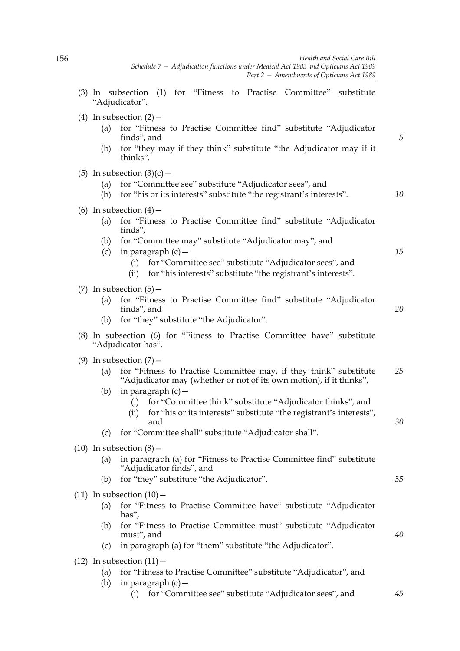- (3) In subsection (1) for "Fitness to Practise Committee" substitute "Adjudicator". (4) In subsection  $(2)$  – (a) for "Fitness to Practise Committee find" substitute "Adjudicator finds", and (b) for "they may if they think" substitute "the Adjudicator may if it thinks". (5) In subsection  $(3)(c)$  – (a) for "Committee see" substitute "Adjudicator sees", and (b) for "his or its interests" substitute "the registrant's interests". (6) In subsection  $(4)$  – (a) for "Fitness to Practise Committee find" substitute "Adjudicator finds", (b) for "Committee may" substitute "Adjudicator may", and (c) in paragraph  $(c)$  -(i) for "Committee see" substitute "Adjudicator sees", and (ii) for "his interests" substitute "the registrant's interests". (7) In subsection  $(5)$  -(a) for "Fitness to Practise Committee find" substitute "Adjudicator finds", and (b) for "they" substitute "the Adjudicator". (8) In subsection (6) for "Fitness to Practise Committee have" substitute "Adjudicator has". (9) In subsection  $(7)$  -(a) for "Fitness to Practise Committee may, if they think" substitute "Adjudicator may (whether or not of its own motion), if it thinks", (b) in paragraph  $(c)$  -(i) for "Committee think" substitute "Adjudicator thinks", and (ii) for "his or its interests" substitute "the registrant's interests", and (c) for "Committee shall" substitute "Adjudicator shall". (10) In subsection  $(8)$  – (a) in paragraph (a) for "Fitness to Practise Committee find" substitute "Adjudicator finds", and (b) for "they" substitute "the Adjudicator". (11) In subsection  $(10)$  -(a) for "Fitness to Practise Committee have" substitute "Adjudicator has", (b) for "Fitness to Practise Committee must" substitute "Adjudicator must", and (c) in paragraph (a) for "them" substitute "the Adjudicator". (12) In subsection  $(11)$  -(a) for "Fitness to Practise Committee" substitute "Adjudicator", and (b) in paragraph  $(c)$  – *5 10 15 20 25 30 35 40*
	- (i) for "Committee see" substitute "Adjudicator sees", and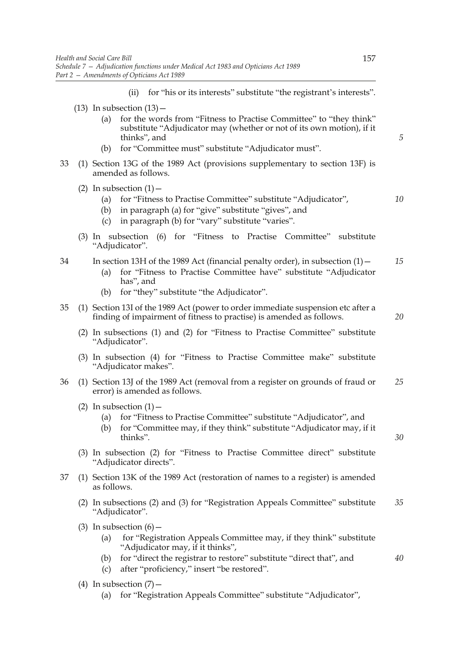(ii) for "his or its interests" substitute "the registrant's interests".

- (13) In subsection  $(13)$ 
	- (a) for the words from "Fitness to Practise Committee" to "they think" substitute "Adjudicator may (whether or not of its own motion), if it thinks", and
	- (b) for "Committee must" substitute "Adjudicator must".
- 33 (1) Section 13G of the 1989 Act (provisions supplementary to section 13F) is amended as follows.
	- (2) In subsection  $(1)$ 
		- (a) for "Fitness to Practise Committee" substitute "Adjudicator", *10*
		- (b) in paragraph (a) for "give" substitute "gives", and
		- (c) in paragraph (b) for "vary" substitute "varies".
	- (3) In subsection (6) for "Fitness to Practise Committee" substitute "Adjudicator".
- 34 In section 13H of the 1989 Act (financial penalty order), in subsection (1)— *15*
	- (a) for "Fitness to Practise Committee have" substitute "Adjudicator has", and
	- (b) for "they" substitute "the Adjudicator".
- 35 (1) Section 13I of the 1989 Act (power to order immediate suspension etc after a finding of impairment of fitness to practise) is amended as follows.
	- (2) In subsections (1) and (2) for "Fitness to Practise Committee" substitute "Adjudicator".
	- (3) In subsection (4) for "Fitness to Practise Committee make" substitute "Adjudicator makes".
- 36 (1) Section 13J of the 1989 Act (removal from a register on grounds of fraud or error) is amended as follows. *25*
	- (2) In subsection  $(1)$  -
		- (a) for "Fitness to Practise Committee" substitute "Adjudicator", and
		- (b) for "Committee may, if they think" substitute "Adjudicator may, if it thinks".
	- (3) In subsection (2) for "Fitness to Practise Committee direct" substitute "Adjudicator directs".
- 37 (1) Section 13K of the 1989 Act (restoration of names to a register) is amended as follows.
	- (2) In subsections (2) and (3) for "Registration Appeals Committee" substitute "Adjudicator". *35*
	- (3) In subsection  $(6)$ 
		- (a) for "Registration Appeals Committee may, if they think" substitute "Adjudicator may, if it thinks",
		- (b) for "direct the registrar to restore" substitute "direct that", and
		- (c) after "proficiency," insert "be restored".
	- (4) In subsection  $(7)$ 
		- (a) for "Registration Appeals Committee" substitute "Adjudicator",

*5*

*20*

*30*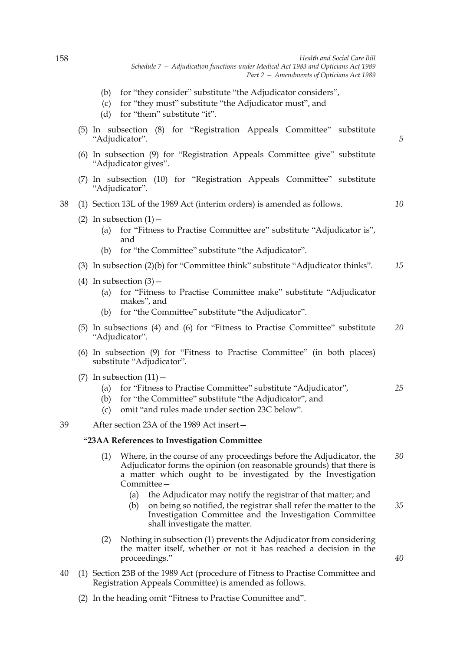*10*

*40*

- (b) for "they consider" substitute "the Adjudicator considers",
- (c) for "they must" substitute "the Adjudicator must", and
- (d) for "them" substitute "it".
- (5) In subsection (8) for "Registration Appeals Committee" substitute "Adjudicator".
- (6) In subsection (9) for "Registration Appeals Committee give" substitute "Adjudicator gives".
- (7) In subsection (10) for "Registration Appeals Committee" substitute "Adjudicator".
- 38 (1) Section 13L of the 1989 Act (interim orders) is amended as follows.
	- (2) In subsection  $(1)$ 
		- (a) for "Fitness to Practise Committee are" substitute "Adjudicator is", and
		- (b) for "the Committee" substitute "the Adjudicator".
	- (3) In subsection (2)(b) for "Committee think" substitute "Adjudicator thinks". *15*
	- (4) In subsection  $(3)$ 
		- (a) for "Fitness to Practise Committee make" substitute "Adjudicator makes", and
		- (b) for "the Committee" substitute "the Adjudicator".
	- (5) In subsections (4) and (6) for "Fitness to Practise Committee" substitute "Adjudicator". *20*
	- (6) In subsection (9) for "Fitness to Practise Committee" (in both places) substitute "Adjudicator".
	- (7) In subsection  $(11)$  -
		- (a) for "Fitness to Practise Committee" substitute "Adjudicator", *25*
		- (b) for "the Committee" substitute "the Adjudicator", and
		- (c) omit "and rules made under section 23C below".

# 39 After section 23A of the 1989 Act insert—

#### **"23AA References to Investigation Committee**

- (1) Where, in the course of any proceedings before the Adjudicator, the Adjudicator forms the opinion (on reasonable grounds) that there is a matter which ought to be investigated by the Investigation Committee— *30*
	- (a) the Adjudicator may notify the registrar of that matter; and
	- (b) on being so notified, the registrar shall refer the matter to the Investigation Committee and the Investigation Committee shall investigate the matter. *35*
- (2) Nothing in subsection (1) prevents the Adjudicator from considering the matter itself, whether or not it has reached a decision in the proceedings."
- 40 (1) Section 23B of the 1989 Act (procedure of Fitness to Practise Committee and Registration Appeals Committee) is amended as follows.
	- (2) In the heading omit "Fitness to Practise Committee and".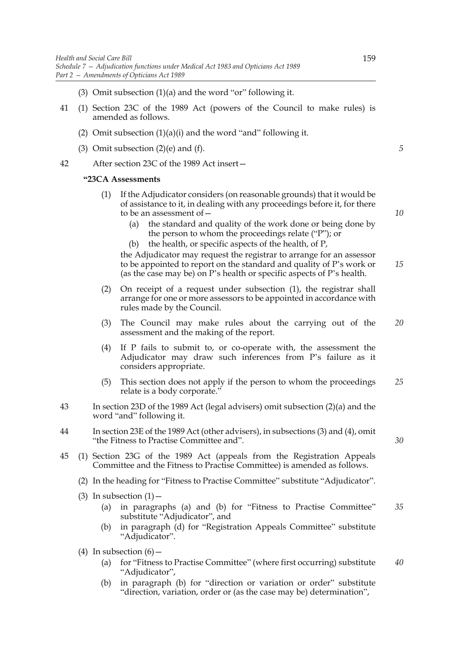- (3) Omit subsection  $(1)(a)$  and the word "or" following it.
- 41 (1) Section 23C of the 1989 Act (powers of the Council to make rules) is amended as follows.
	- (2) Omit subsection  $(1)(a)(i)$  and the word "and" following it.
	- (3) Omit subsection  $(2)(e)$  and  $(f)$ .
- 42 After section 23C of the 1989 Act insert—

## **"23CA Assessments**

- (1) If the Adjudicator considers (on reasonable grounds) that it would be of assistance to it, in dealing with any proceedings before it, for there to be an assessment of—
	- (a) the standard and quality of the work done or being done by the person to whom the proceedings relate ("P"); or
	- (b) the health, or specific aspects of the health, of P,

the Adjudicator may request the registrar to arrange for an assessor to be appointed to report on the standard and quality of P's work or (as the case may be) on P's health or specific aspects of P's health. *15*

- (2) On receipt of a request under subsection (1), the registrar shall arrange for one or more assessors to be appointed in accordance with rules made by the Council.
- (3) The Council may make rules about the carrying out of the assessment and the making of the report. *20*
- (4) If P fails to submit to, or co-operate with, the assessment the Adjudicator may draw such inferences from P's failure as it considers appropriate.
- (5) This section does not apply if the person to whom the proceedings relate is a body corporate." *25*
- 43 In section 23D of the 1989 Act (legal advisers) omit subsection (2)(a) and the word "and" following it.
- 44 In section 23E of the 1989 Act (other advisers), in subsections (3) and (4), omit "the Fitness to Practise Committee and".
- 45 (1) Section 23G of the 1989 Act (appeals from the Registration Appeals Committee and the Fitness to Practise Committee) is amended as follows.
	- (2) In the heading for "Fitness to Practise Committee" substitute "Adjudicator".
	- (3) In subsection  $(1)$ 
		- (a) in paragraphs (a) and (b) for "Fitness to Practise Committee" substitute "Adjudicator", and *35*
		- (b) in paragraph (d) for "Registration Appeals Committee" substitute "Adjudicator".
	- (4) In subsection  $(6)$ 
		- (a) for "Fitness to Practise Committee" (where first occurring) substitute "Adjudicator", *40*
		- (b) in paragraph (b) for "direction or variation or order" substitute "direction, variation, order or (as the case may be) determination",

*5*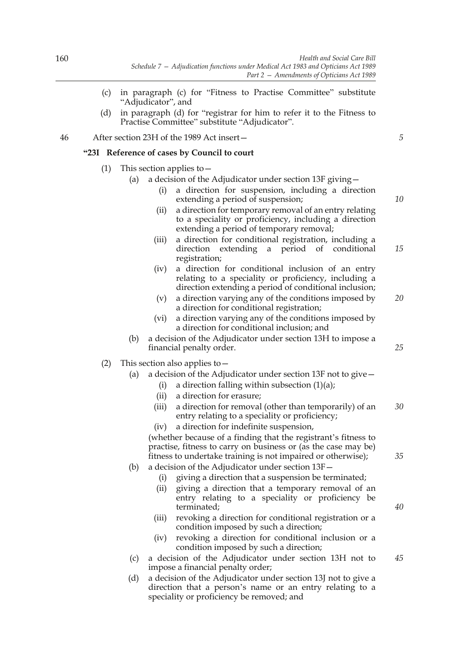- (c) in paragraph (c) for "Fitness to Practise Committee" substitute "Adjudicator", and
- (d) in paragraph (d) for "registrar for him to refer it to the Fitness to Practise Committee" substitute "Adjudicator".

46 After section 23H of the 1989 Act insert—

# **"23I Reference of cases by Council to court**

- (1) This section applies to—
	- (a) a decision of the Adjudicator under section 13F giving—
		- (i) a direction for suspension, including a direction extending a period of suspension;
		- (ii) a direction for temporary removal of an entry relating to a speciality or proficiency, including a direction extending a period of temporary removal;
		- (iii) a direction for conditional registration, including a direction extending a period of conditional registration; *15*
		- (iv) a direction for conditional inclusion of an entry relating to a speciality or proficiency, including a direction extending a period of conditional inclusion;
		- (v) a direction varying any of the conditions imposed by a direction for conditional registration; *20*
		- (vi) a direction varying any of the conditions imposed by a direction for conditional inclusion; and
	- (b) a decision of the Adjudicator under section 13H to impose a financial penalty order.
- (2) This section also applies to  $-$ 
	- (a) a decision of the Adjudicator under section 13F not to give
		- a direction falling within subsection  $(1)(a)$ ;
		- (ii) a direction for erasure;
		- (iii) a direction for removal (other than temporarily) of an entry relating to a speciality or proficiency; *30*
		- (iv) a direction for indefinite suspension,
		- (whether because of a finding that the registrant's fitness to practise, fitness to carry on business or (as the case may be) fitness to undertake training is not impaired or otherwise);
	- (b) a decision of the Adjudicator under section 13F—
		- (i) giving a direction that a suspension be terminated;
		- (ii) giving a direction that a temporary removal of an entry relating to a speciality or proficiency be terminated;
		- (iii) revoking a direction for conditional registration or a condition imposed by such a direction;
		- (iv) revoking a direction for conditional inclusion or a condition imposed by such a direction;
	- (c) a decision of the Adjudicator under section 13H not to impose a financial penalty order;
	- (d) a decision of the Adjudicator under section 13J not to give a direction that a person's name or an entry relating to a speciality or proficiency be removed; and

*10*

*25*

*5*

*40*

*45*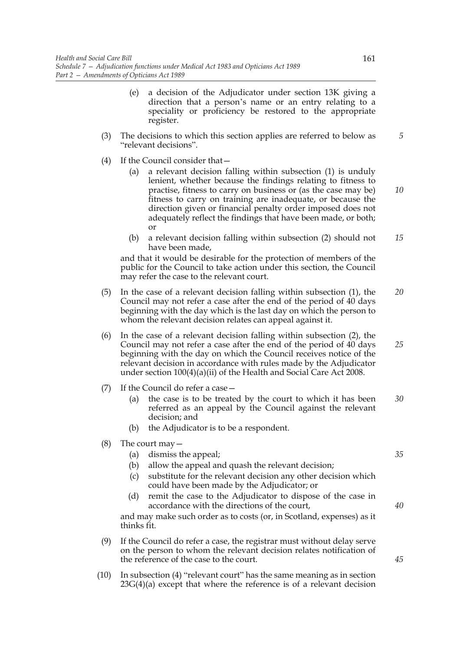- (e) a decision of the Adjudicator under section 13K giving a direction that a person's name or an entry relating to a speciality or proficiency be restored to the appropriate register.
- (3) The decisions to which this section applies are referred to below as "relevant decisions".
- (4) If the Council consider that—
	- (a) a relevant decision falling within subsection (1) is unduly lenient, whether because the findings relating to fitness to practise, fitness to carry on business or (as the case may be) fitness to carry on training are inadequate, or because the direction given or financial penalty order imposed does not adequately reflect the findings that have been made, or both; or
	- (b) a relevant decision falling within subsection (2) should not have been made, *15*

and that it would be desirable for the protection of members of the public for the Council to take action under this section, the Council may refer the case to the relevant court.

- (5) In the case of a relevant decision falling within subsection (1), the Council may not refer a case after the end of the period of 40 days beginning with the day which is the last day on which the person to whom the relevant decision relates can appeal against it. *20*
- (6) In the case of a relevant decision falling within subsection (2), the Council may not refer a case after the end of the period of 40 days beginning with the day on which the Council receives notice of the relevant decision in accordance with rules made by the Adjudicator under section 100(4)(a)(ii) of the Health and Social Care Act 2008. *25*
- (7) If the Council do refer a case—
	- (a) the case is to be treated by the court to which it has been referred as an appeal by the Council against the relevant decision; and *30*
	- (b) the Adjudicator is to be a respondent.
- (8) The court may—
	- (a) dismiss the appeal;
	- (b) allow the appeal and quash the relevant decision;
	- (c) substitute for the relevant decision any other decision which could have been made by the Adjudicator; or
	- (d) remit the case to the Adjudicator to dispose of the case in accordance with the directions of the court,

and may make such order as to costs (or, in Scotland, expenses) as it thinks fit.

- (9) If the Council do refer a case, the registrar must without delay serve on the person to whom the relevant decision relates notification of the reference of the case to the court.
- (10) In subsection (4) "relevant court" has the same meaning as in section  $23G(4)(a)$  except that where the reference is of a relevant decision

*5*

*10*

*40*

*35*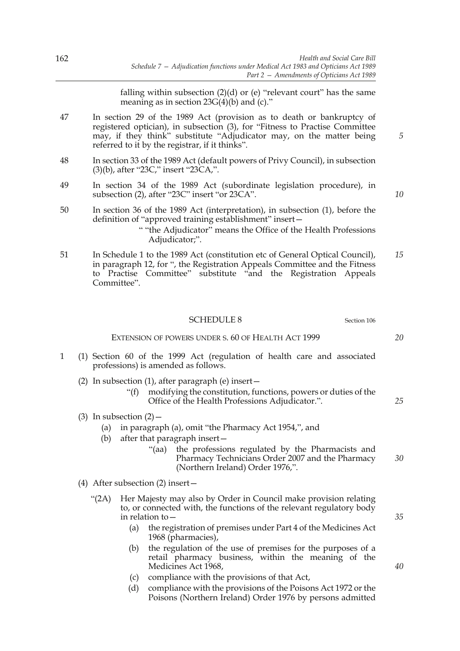falling within subsection  $(2)(d)$  or  $(e)$  "relevant court" has the same meaning as in section  $23G(4)(b)$  and (c)."

- 47 In section 29 of the 1989 Act (provision as to death or bankruptcy of registered optician), in subsection (3), for "Fitness to Practise Committee may, if they think" substitute "Adjudicator may, on the matter being referred to it by the registrar, if it thinks".
- 48 In section 33 of the 1989 Act (default powers of Privy Council), in subsection (3)(b), after "23C," insert "23CA,".
- 49 In section 34 of the 1989 Act (subordinate legislation procedure), in subsection (2), after "23C" insert "or 23CA".
- 50 In section 36 of the 1989 Act (interpretation), in subsection (1), before the definition of "approved training establishment" insert—
	- " "the Adjudicator" means the Office of the Health Professions Adjudicator;".
- 51 In Schedule 1 to the 1989 Act (constitution etc of General Optical Council), in paragraph 12, for ", the Registration Appeals Committee and the Fitness to Practise Committee" substitute "and the Registration Appeals Committee". *15*

# SCHEDULE 8 Section 106

# EXTENSION OF POWERS UNDER S. 60 OF HEALTH ACT 1999

- 1 (1) Section 60 of the 1999 Act (regulation of health care and associated professions) is amended as follows.
	- (2) In subsection (1), after paragraph (e) insert—
		- "(f) modifying the constitution, functions, powers or duties of the Office of the Health Professions Adjudicator.".
	- (3) In subsection  $(2)$ 
		- (a) in paragraph (a), omit "the Pharmacy Act 1954,", and
		- (b) after that paragraph insert—
			- "(aa) the professions regulated by the Pharmacists and Pharmacy Technicians Order 2007 and the Pharmacy (Northern Ireland) Order 1976,".
	- (4) After subsection (2) insert—
		- "(2A) Her Majesty may also by Order in Council make provision relating to, or connected with, the functions of the relevant regulatory body in relation to—
			- (a) the registration of premises under Part 4 of the Medicines Act 1968 (pharmacies),
			- (b) the regulation of the use of premises for the purposes of a retail pharmacy business, within the meaning of the Medicines Act 1968,
			- (c) compliance with the provisions of that Act,
			- (d) compliance with the provisions of the Poisons Act 1972 or the Poisons (Northern Ireland) Order 1976 by persons admitted

*10*

*5*

- *20*
- *25*

*30*

*35*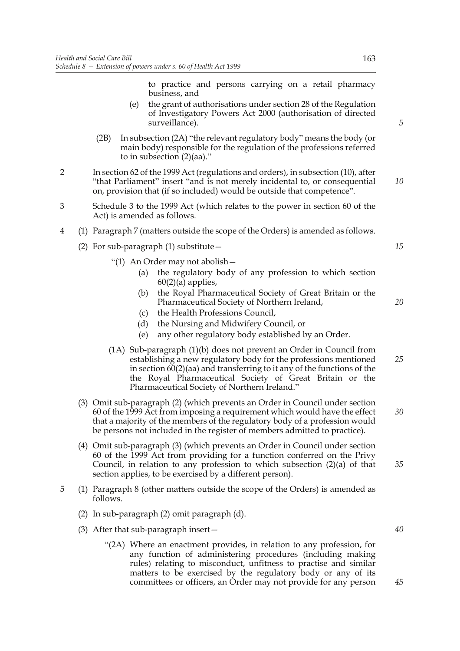to practice and persons carrying on a retail pharmacy business, and

- (e) the grant of authorisations under section 28 of the Regulation of Investigatory Powers Act 2000 (authorisation of directed surveillance).
- (2B) In subsection (2A) "the relevant regulatory body" means the body (or main body) responsible for the regulation of the professions referred to in subsection (2)(aa)."
- 2 In section 62 of the 1999 Act (regulations and orders), in subsection (10), after "that Parliament" insert "and is not merely incidental to, or consequential on, provision that (if so included) would be outside that competence". *10*
- 3 Schedule 3 to the 1999 Act (which relates to the power in section 60 of the Act) is amended as follows.
- 4 (1) Paragraph 7 (matters outside the scope of the Orders) is amended as follows.
	- (2) For sub-paragraph  $(1)$  substitute  $-$ 
		- "(1) An Order may not abolish—
			- (a) the regulatory body of any profession to which section  $60(2)(a)$  applies,
			- (b) the Royal Pharmaceutical Society of Great Britain or the Pharmaceutical Society of Northern Ireland,
			- (c) the Health Professions Council,
			- (d) the Nursing and Midwifery Council, or
			- (e) any other regulatory body established by an Order.
		- (1A) Sub-paragraph (1)(b) does not prevent an Order in Council from establishing a new regulatory body for the professions mentioned in section 60(2)(aa) and transferring to it any of the functions of the the Royal Pharmaceutical Society of Great Britain or the Pharmaceutical Society of Northern Ireland." *25*
	- (3) Omit sub-paragraph (2) (which prevents an Order in Council under section 60 of the 1999 Act from imposing a requirement which would have the effect that a majority of the members of the regulatory body of a profession would be persons not included in the register of members admitted to practice). *30*
	- (4) Omit sub-paragraph (3) (which prevents an Order in Council under section 60 of the 1999 Act from providing for a function conferred on the Privy Council, in relation to any profession to which subsection (2)(a) of that section applies, to be exercised by a different person).
- 5 (1) Paragraph 8 (other matters outside the scope of the Orders) is amended as follows.
	- (2) In sub-paragraph (2) omit paragraph (d).
	- (3) After that sub-paragraph insert—
		- "(2A) Where an enactment provides, in relation to any profession, for any function of administering procedures (including making rules) relating to misconduct, unfitness to practise and similar matters to be exercised by the regulatory body or any of its committees or officers, an Order may not provide for any person

*5*

*15*

*20*

*40*

*45*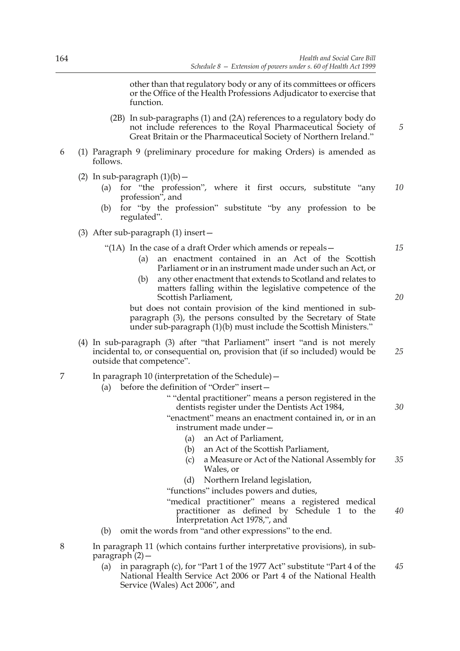other than that regulatory body or any of its committees or officers or the Office of the Health Professions Adjudicator to exercise that function.

- (2B) In sub-paragraphs (1) and (2A) references to a regulatory body do not include references to the Royal Pharmaceutical Society of Great Britain or the Pharmaceutical Society of Northern Ireland."
- 6 (1) Paragraph 9 (preliminary procedure for making Orders) is amended as follows.
	- (2) In sub-paragraph  $(1)(b)$  -
		- (a) for "the profession", where it first occurs, substitute "any profession", and *10*
		- (b) for "by the profession" substitute "by any profession to be regulated".
	- (3) After sub-paragraph (1) insert—

"(1A) In the case of a draft Order which amends or repeals—

- (a) an enactment contained in an Act of the Scottish Parliament or in an instrument made under such an Act, or
- (b) any other enactment that extends to Scotland and relates to matters falling within the legislative competence of the Scottish Parliament,

but does not contain provision of the kind mentioned in subparagraph (3), the persons consulted by the Secretary of State under sub-paragraph (1)(b) must include the Scottish Ministers."

- (4) In sub-paragraph (3) after "that Parliament" insert "and is not merely incidental to, or consequential on, provision that (if so included) would be outside that competence". *25*
- 7 In paragraph 10 (interpretation of the Schedule)—
	- (a) before the definition of "Order" insert—
		- " "dental practitioner" means a person registered in the dentists register under the Dentists Act 1984,
		- "enactment" means an enactment contained in, or in an instrument made under—
			- (a) an Act of Parliament,
			- (b) an Act of the Scottish Parliament,
			- (c) a Measure or Act of the National Assembly for Wales, or *35*
			- (d) Northern Ireland legislation,

"functions" includes powers and duties,

"medical practitioner" means a registered medical practitioner as defined by Schedule 1 to the Interpretation Act 1978,", and *40*

- (b) omit the words from "and other expressions" to the end.
- 8 In paragraph 11 (which contains further interpretative provisions), in subparagraph (2)—
	- (a) in paragraph (c), for "Part 1 of the 1977 Act" substitute "Part 4 of the National Health Service Act 2006 or Part 4 of the National Health Service (Wales) Act 2006", and *45*

*15*

*20*

*30*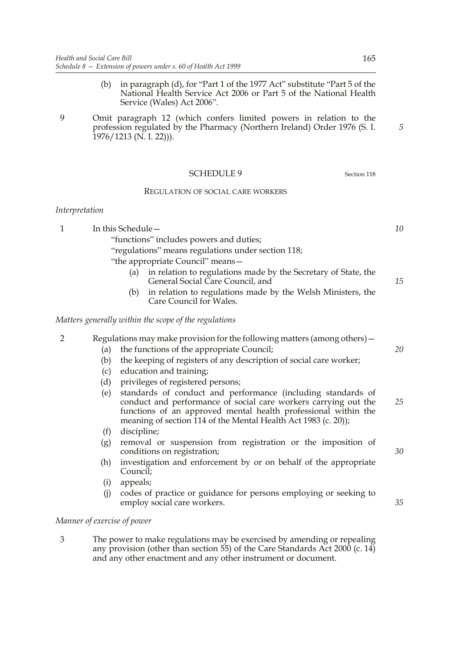- (b) in paragraph (d), for "Part 1 of the 1977 Act" substitute "Part 5 of the National Health Service Act 2006 or Part 5 of the National Health Service (Wales) Act 2006".
- 9 Omit paragraph 12 (which confers limited powers in relation to the profession regulated by the Pharmacy (Northern Ireland) Order 1976 (S. I. 1976/1213 (N. I. 22))).

# SCHEDULE 9 Section 118

# REGULATION OF SOCIAL CARE WORKERS

# *Interpretation*

1 In this Schedule—

"functions" includes powers and duties; "regulations" means regulations under section 118; "the appropriate Council" means— (a) in relation to regulations made by the Secretary of State, the General Social Care Council, and (b) in relation to regulations made by the Welsh Ministers, the Care Council for Wales. *Matters generally within the scope of the regulations* 2 Regulations may make provision for the following matters (among others)— (a) the functions of the appropriate Council; (b) the keeping of registers of any description of social care worker; (c) education and training; (d) privileges of registered persons; (e) standards of conduct and performance (including standards of conduct and performance of social care workers carrying out the functions of an approved mental health professional within the meaning of section 114 of the Mental Health Act 1983 (c. 20)); (f) discipline; (g) removal or suspension from registration or the imposition of conditions on registration; (h) investigation and enforcement by or on behalf of the appropriate Council; (i) appeals; (j) codes of practice or guidance for persons employing or seeking to employ social care workers. *15 25 30 35*

## *Manner of exercise of power*

3 The power to make regulations may be exercised by amending or repealing any provision (other than section 55) of the Care Standards Act 2000 (c. 14) and any other enactment and any other instrument or document.

*5*

*10*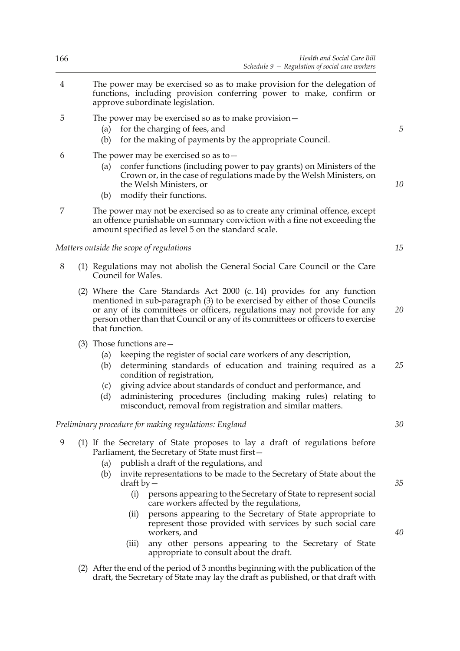- 4 The power may be exercised so as to make provision for the delegation of functions, including provision conferring power to make, confirm or approve subordinate legislation.
- 5 The power may be exercised so as to make provision—
	- (a) for the charging of fees, and
	- (b) for the making of payments by the appropriate Council.
- 6 The power may be exercised so as to—
	- (a) confer functions (including power to pay grants) on Ministers of the Crown or, in the case of regulations made by the Welsh Ministers, on the Welsh Ministers, or
	- (b) modify their functions.
- 7 The power may not be exercised so as to create any criminal offence, except an offence punishable on summary conviction with a fine not exceeding the amount specified as level 5 on the standard scale.

# *Matters outside the scope of regulations*

- 8 (1) Regulations may not abolish the General Social Care Council or the Care Council for Wales.
	- (2) Where the Care Standards Act 2000 (c. 14) provides for any function mentioned in sub-paragraph (3) to be exercised by either of those Councils or any of its committees or officers, regulations may not provide for any person other than that Council or any of its committees or officers to exercise that function.
	- (3) Those functions are—
		- (a) keeping the register of social care workers of any description,
		- (b) determining standards of education and training required as a condition of registration, *25*
		- (c) giving advice about standards of conduct and performance, and
		- (d) administering procedures (including making rules) relating to misconduct, removal from registration and similar matters.

# *Preliminary procedure for making regulations: England*

- 9 (1) If the Secretary of State proposes to lay a draft of regulations before Parliament, the Secretary of State must first-
	- (a) publish a draft of the regulations, and
	- (b) invite representations to be made to the Secretary of State about the draft by—
		- (i) persons appearing to the Secretary of State to represent social care workers affected by the regulations,
		- (ii) persons appearing to the Secretary of State appropriate to represent those provided with services by such social care workers, and
		- (iii) any other persons appearing to the Secretary of State appropriate to consult about the draft.
	- (2) After the end of the period of 3 months beginning with the publication of the draft, the Secretary of State may lay the draft as published, or that draft with

*5*

*10*

*15*

*20*

*30*

*40*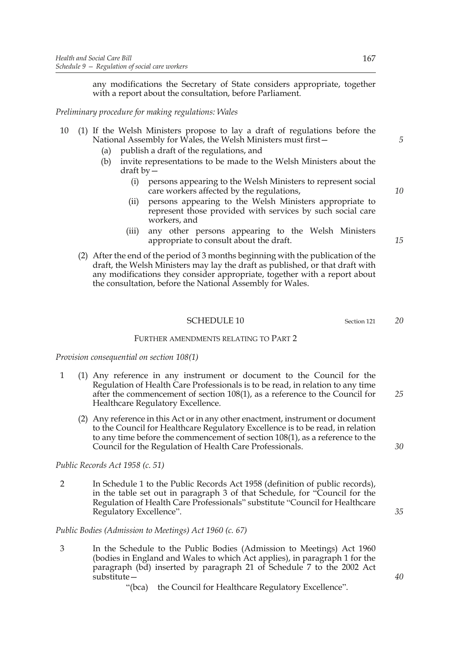any modifications the Secretary of State considers appropriate, together with a report about the consultation, before Parliament.

*Preliminary procedure for making regulations: Wales*

- 10 (1) If the Welsh Ministers propose to lay a draft of regulations before the National Assembly for Wales, the Welsh Ministers must first—
	- (a) publish a draft of the regulations, and
	- (b) invite representations to be made to the Welsh Ministers about the draft by—
		- (i) persons appearing to the Welsh Ministers to represent social care workers affected by the regulations,
		- (ii) persons appearing to the Welsh Ministers appropriate to represent those provided with services by such social care workers, and
		- (iii) any other persons appearing to the Welsh Ministers appropriate to consult about the draft.
	- (2) After the end of the period of 3 months beginning with the publication of the draft, the Welsh Ministers may lay the draft as published, or that draft with any modifications they consider appropriate, together with a report about the consultation, before the National Assembly for Wales.

# SCHEDULE 10 Section 121

# FURTHER AMENDMENTS RELATING TO PART 2

*Provision consequential on section 108(1)*

- 1 (1) Any reference in any instrument or document to the Council for the Regulation of Health Care Professionals is to be read, in relation to any time after the commencement of section 108(1), as a reference to the Council for Healthcare Regulatory Excellence. *25*
	- (2) Any reference in this Act or in any other enactment, instrument or document to the Council for Healthcare Regulatory Excellence is to be read, in relation to any time before the commencement of section 108(1), as a reference to the Council for the Regulation of Health Care Professionals.

*Public Records Act 1958 (c. 51)*

2 In Schedule 1 to the Public Records Act 1958 (definition of public records), in the table set out in paragraph 3 of that Schedule, for "Council for the Regulation of Health Care Professionals" substitute "Council for Healthcare Regulatory Excellence".

*Public Bodies (Admission to Meetings) Act 1960 (c. 67)*

3 In the Schedule to the Public Bodies (Admission to Meetings) Act 1960 (bodies in England and Wales to which Act applies), in paragraph 1 for the paragraph (bd) inserted by paragraph 21 of Schedule 7 to the 2002 Act substitute—

"(bca) the Council for Healthcare Regulatory Excellence".

*40*

*35*

*20*

*5*

*10*

*15*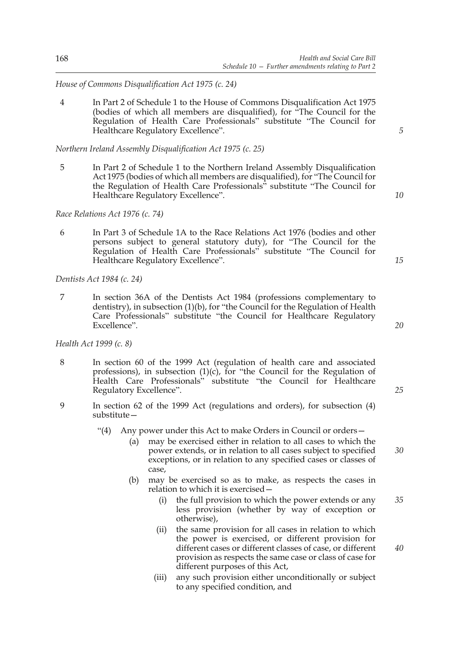*House of Commons Disqualification Act 1975 (c. 24)*

4 In Part 2 of Schedule 1 to the House of Commons Disqualification Act 1975 (bodies of which all members are disqualified), for "The Council for the Regulation of Health Care Professionals" substitute "The Council for Healthcare Regulatory Excellence".

*Northern Ireland Assembly Disqualification Act 1975 (c. 25)*

5 In Part 2 of Schedule 1 to the Northern Ireland Assembly Disqualification Act 1975 (bodies of which all members are disqualified), for "The Council for the Regulation of Health Care Professionals" substitute "The Council for Healthcare Regulatory Excellence".

*Race Relations Act 1976 (c. 74)*

6 In Part 3 of Schedule 1A to the Race Relations Act 1976 (bodies and other persons subject to general statutory duty), for "The Council for the Regulation of Health Care Professionals" substitute "The Council for Healthcare Regulatory Excellence".

*Dentists Act 1984 (c. 24)*

7 In section 36A of the Dentists Act 1984 (professions complementary to dentistry), in subsection (1)(b), for "the Council for the Regulation of Health Care Professionals" substitute "the Council for Healthcare Regulatory Excellence".

*Health Act 1999 (c. 8)*

- 8 In section 60 of the 1999 Act (regulation of health care and associated professions), in subsection  $(1)(c)$ , for "the Council for the Regulation of Health Care Professionals" substitute "the Council for Healthcare Regulatory Excellence".
- 9 In section 62 of the 1999 Act (regulations and orders), for subsection (4) substitute—

"(4) Any power under this Act to make Orders in Council or orders—

- (a) may be exercised either in relation to all cases to which the power extends, or in relation to all cases subject to specified exceptions, or in relation to any specified cases or classes of case, *30*
- (b) may be exercised so as to make, as respects the cases in relation to which it is exercised—
	- (i) the full provision to which the power extends or any less provision (whether by way of exception or otherwise), *35*
	- (ii) the same provision for all cases in relation to which the power is exercised, or different provision for different cases or different classes of case, or different provision as respects the same case or class of case for different purposes of this Act, *40*
	- (iii) any such provision either unconditionally or subject to any specified condition, and

*5*

*15*

*10*

*20*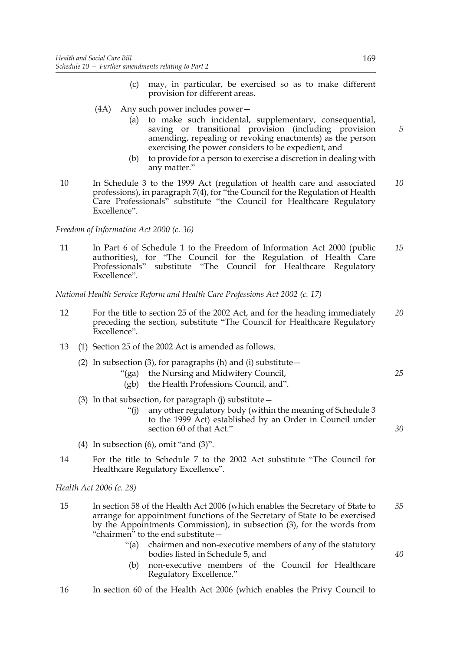- (c) may, in particular, be exercised so as to make different provision for different areas.
- (4A) Any such power includes power—
	- (a) to make such incidental, supplementary, consequential, saving or transitional provision (including provision amending, repealing or revoking enactments) as the person exercising the power considers to be expedient, and
	- (b) to provide for a person to exercise a discretion in dealing with any matter."
- 10 In Schedule 3 to the 1999 Act (regulation of health care and associated professions), in paragraph 7(4), for "the Council for the Regulation of Health Care Professionals" substitute "the Council for Healthcare Regulatory Excellence". *10*

*Freedom of Information Act 2000 (c. 36)*

11 In Part 6 of Schedule 1 to the Freedom of Information Act 2000 (public authorities), for "The Council for the Regulation of Health Care Professionals" substitute "The Council for Healthcare Regulatory Excellence". *15*

*National Health Service Reform and Health Care Professions Act 2002 (c. 17)*

- 12 For the title to section 25 of the 2002 Act, and for the heading immediately preceding the section, substitute "The Council for Healthcare Regulatory Excellence". *20*
- 13 (1) Section 25 of the 2002 Act is amended as follows.
	- (2) In subsection (3), for paragraphs (h) and (i) substitute  $-$ 
		- "(ga) the Nursing and Midwifery Council,
		- (gb) the Health Professions Council, and".
	- (3) In that subsection, for paragraph (j) substitute $-$ 
		- "(j) any other regulatory body (within the meaning of Schedule 3 to the 1999 Act) established by an Order in Council under section 60 of that Act."
	- (4) In subsection  $(6)$ , omit "and  $(3)$ ".
- 14 For the title to Schedule 7 to the 2002 Act substitute "The Council for Healthcare Regulatory Excellence".

*Health Act 2006 (c. 28)*

- 15 In section 58 of the Health Act 2006 (which enables the Secretary of State to arrange for appointment functions of the Secretary of State to be exercised by the Appointments Commission), in subsection (3), for the words from "chairmen" to the end substitute— *35*
	- "(a) chairmen and non-executive members of any of the statutory bodies listed in Schedule 5, and
	- (b) non-executive members of the Council for Healthcare Regulatory Excellence."
- 16 In section 60 of the Health Act 2006 (which enables the Privy Council to

*5*

*40*

*25*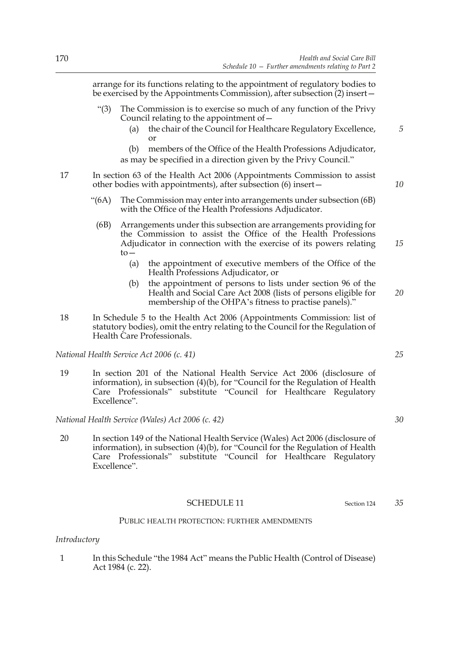arrange for its functions relating to the appointment of regulatory bodies to be exercised by the Appointments Commission), after subsection (2) insert—

- "(3) The Commission is to exercise so much of any function of the Privy Council relating to the appointment of—
	- (a) the chair of the Council for Healthcare Regulatory Excellence, or
	- (b) members of the Office of the Health Professions Adjudicator,
	- as may be specified in a direction given by the Privy Council."
- 17 In section 63 of the Health Act 2006 (Appointments Commission to assist other bodies with appointments), after subsection (6) insert—
	- "(6A) The Commission may enter into arrangements under subsection (6B) with the Office of the Health Professions Adjudicator.
		- (6B) Arrangements under this subsection are arrangements providing for the Commission to assist the Office of the Health Professions Adjudicator in connection with the exercise of its powers relating  $to-$ 
			- (a) the appointment of executive members of the Office of the Health Professions Adjudicator, or
			- (b) the appointment of persons to lists under section 96 of the Health and Social Care Act 2008 (lists of persons eligible for membership of the OHPA's fitness to practise panels)." *20*
- 18 In Schedule 5 to the Health Act 2006 (Appointments Commission: list of statutory bodies), omit the entry relating to the Council for the Regulation of Health Care Professionals.

*National Health Service Act 2006 (c. 41)*

19 In section 201 of the National Health Service Act 2006 (disclosure of information), in subsection (4)(b), for "Council for the Regulation of Health Care Professionals" substitute "Council for Healthcare Regulatory Excellence".

*National Health Service (Wales) Act 2006 (c. 42)*

20 In section 149 of the National Health Service (Wales) Act 2006 (disclosure of information), in subsection (4)(b), for "Council for the Regulation of Health Care Professionals" substitute "Council for Healthcare Regulatory Excellence".

## SCHEDULE 11 Section 124

### PUBLIC HEALTH PROTECTION: FURTHER AMENDMENTS

#### *Introductory*

1 In this Schedule "the 1984 Act" means the Public Health (Control of Disease) Act 1984 (c. 22).

*25*

*5*

*10*

*15*

*30*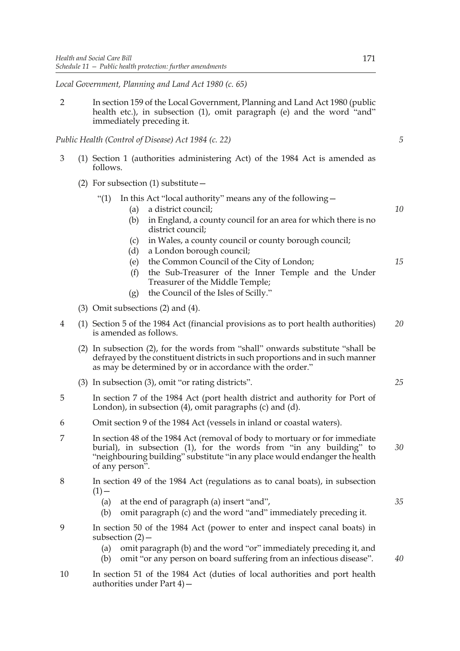*Local Government, Planning and Land Act 1980 (c. 65)*

2 In section 159 of the Local Government, Planning and Land Act 1980 (public health etc.), in subsection (1), omit paragraph (e) and the word "and" immediately preceding it.

*Public Health (Control of Disease) Act 1984 (c. 22)*

- 3 (1) Section 1 (authorities administering Act) of the 1984 Act is amended as follows.
	- (2) For subsection (1) substitute  $-$ 
		- "(1) In this Act "local authority" means any of the following—
			- (a) a district council;
			- (b) in England, a county council for an area for which there is no district council;
			- (c) in Wales, a county council or county borough council;
			- (d) a London borough council;
			- (e) the Common Council of the City of London; *15*
			- (f) the Sub-Treasurer of the Inner Temple and the Under Treasurer of the Middle Temple;
			- (g) the Council of the Isles of Scilly."

(3) Omit subsections (2) and (4).

- 4 (1) Section 5 of the 1984 Act (financial provisions as to port health authorities) is amended as follows. *20*
	- (2) In subsection (2), for the words from "shall" onwards substitute "shall be defrayed by the constituent districts in such proportions and in such manner as may be determined by or in accordance with the order."
	- (3) In subsection (3), omit "or rating districts".
- 5 In section 7 of the 1984 Act (port health district and authority for Port of London), in subsection (4), omit paragraphs (c) and (d).
- 6 Omit section 9 of the 1984 Act (vessels in inland or coastal waters).
- 7 In section 48 of the 1984 Act (removal of body to mortuary or for immediate burial), in subsection (1), for the words from "in any building" to "neighbouring building" substitute "in any place would endanger the health of any person". *30*
- 8 In section 49 of the 1984 Act (regulations as to canal boats), in subsection  $(1)$  —
	- (a) at the end of paragraph (a) insert "and",
	- (b) omit paragraph (c) and the word "and" immediately preceding it.
- 9 In section 50 of the 1984 Act (power to enter and inspect canal boats) in subsection (2)—
	- (a) omit paragraph (b) and the word "or" immediately preceding it, and
	- (b) omit "or any person on board suffering from an infectious disease".
- 10 In section 51 of the 1984 Act (duties of local authorities and port health authorities under Part 4)—

*5*

*10*

*40*

*35*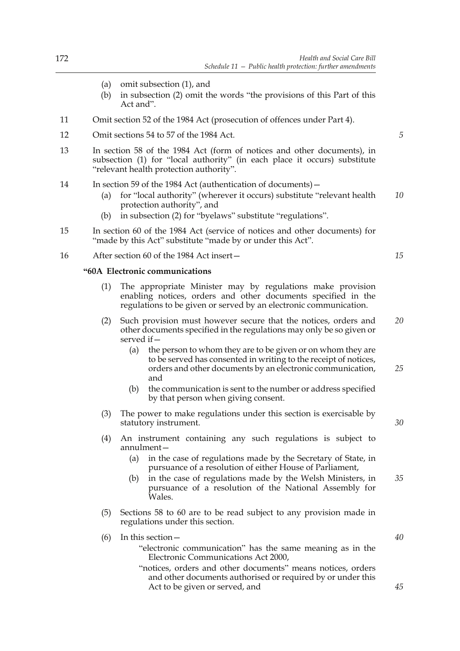- (a) omit subsection (1), and
- (b) in subsection (2) omit the words "the provisions of this Part of this Act and".
- 11 Omit section 52 of the 1984 Act (prosecution of offences under Part 4).
- 12 Omit sections 54 to 57 of the 1984 Act.
- 13 In section 58 of the 1984 Act (form of notices and other documents), in subsection (1) for "local authority" (in each place it occurs) substitute "relevant health protection authority".

# 14 In section 59 of the 1984 Act (authentication of documents)—

- (a) for "local authority" (wherever it occurs) substitute "relevant health protection authority", and *10*
- (b) in subsection (2) for "byelaws" substitute "regulations".
- 15 In section 60 of the 1984 Act (service of notices and other documents) for "made by this Act" substitute "made by or under this Act".

### 16 After section 60 of the 1984 Act insert—

# **"60A Electronic communications**

- (1) The appropriate Minister may by regulations make provision enabling notices, orders and other documents specified in the regulations to be given or served by an electronic communication.
- (2) Such provision must however secure that the notices, orders and other documents specified in the regulations may only be so given or served if— *20*
	- (a) the person to whom they are to be given or on whom they are to be served has consented in writing to the receipt of notices, orders and other documents by an electronic communication, and *25*
	- (b) the communication is sent to the number or address specified by that person when giving consent.
- (3) The power to make regulations under this section is exercisable by statutory instrument.
- (4) An instrument containing any such regulations is subject to annulment—
	- (a) in the case of regulations made by the Secretary of State, in pursuance of a resolution of either House of Parliament,
	- (b) in the case of regulations made by the Welsh Ministers, in pursuance of a resolution of the National Assembly for Wales. *35*
- (5) Sections 58 to 60 are to be read subject to any provision made in regulations under this section.
- (6) In this section— "electronic communication" has the same meaning as in the Electronic Communications Act 2000,
	- "notices, orders and other documents" means notices, orders and other documents authorised or required by or under this Act to be given or served, and

*40*

*30*

*15*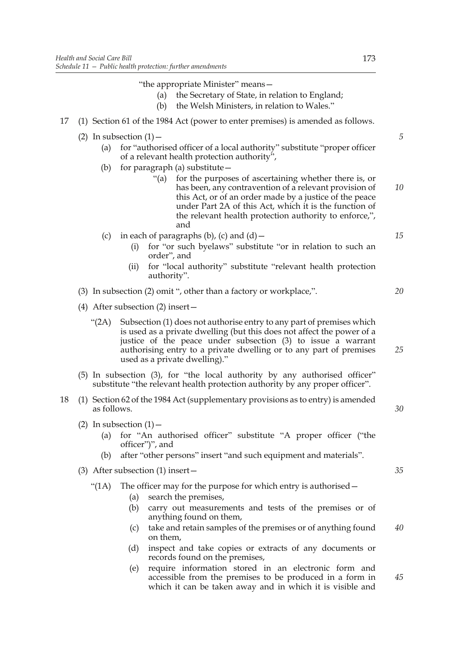"the appropriate Minister" means—

- (a) the Secretary of State, in relation to England;
- (b) the Welsh Ministers, in relation to Wales."
- 17 (1) Section 61 of the 1984 Act (power to enter premises) is amended as follows.
	- (2) In subsection  $(1)$ 
		- (a) for "authorised officer of a local authority" substitute "proper officer of a relevant health protection authority",
		- (b) for paragraph (a) substitute—
			- "(a) for the purposes of ascertaining whether there is, or has been, any contravention of a relevant provision of this Act, or of an order made by a justice of the peace under Part 2A of this Act, which it is the function of the relevant health protection authority to enforce,", and *10*
		- (c) in each of paragraphs (b), (c) and  $(d)$ 
			- (i) for "or such byelaws" substitute "or in relation to such an order", and
			- (ii) for "local authority" substitute "relevant health protection authority".
	- (3) In subsection (2) omit ", other than a factory or workplace,".
	- (4) After subsection (2) insert—
		- "(2A) Subsection (1) does not authorise entry to any part of premises which is used as a private dwelling (but this does not affect the power of a justice of the peace under subsection (3) to issue a warrant authorising entry to a private dwelling or to any part of premises used as a private dwelling)."
	- (5) In subsection (3), for "the local authority by any authorised officer" substitute "the relevant health protection authority by any proper officer".
- 18 (1) Section 62 of the 1984 Act (supplementary provisions as to entry) is amended as follows.
	- (2) In subsection  $(1)$ 
		- (a) for "An authorised officer" substitute "A proper officer ("the officer")", and
		- (b) after "other persons" insert "and such equipment and materials".
	- (3) After subsection (1) insert—

"(1A) The officer may for the purpose for which entry is authorised  $-$ 

- (a) search the premises,
- (b) carry out measurements and tests of the premises or of anything found on them,
- (c) take and retain samples of the premises or of anything found on them, *40*
- (d) inspect and take copies or extracts of any documents or records found on the premises,
- (e) require information stored in an electronic form and accessible from the premises to be produced in a form in which it can be taken away and in which it is visible and *45*

*5*

*15*

*20*

*25*

*35*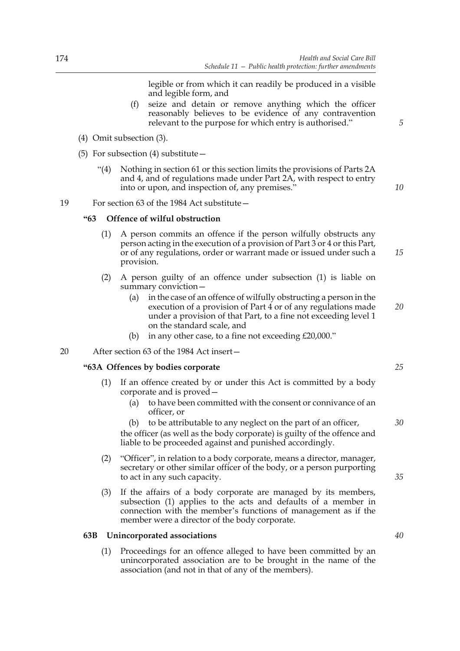legible or from which it can readily be produced in a visible and legible form, and

- (f) seize and detain or remove anything which the officer reasonably believes to be evidence of any contravention relevant to the purpose for which entry is authorised."
- (4) Omit subsection (3).
- (5) For subsection (4) substitute  $-$ 
	- "(4) Nothing in section 61 or this section limits the provisions of Parts 2A and 4, and of regulations made under Part 2A, with respect to entry into or upon, and inspection of, any premises."
- 19 For section 63 of the 1984 Act substitute—

#### **"63 Offence of wilful obstruction**

- (1) A person commits an offence if the person wilfully obstructs any person acting in the execution of a provision of Part 3 or 4 or this Part, or of any regulations, order or warrant made or issued under such a provision. *15*
- (2) A person guilty of an offence under subsection (1) is liable on summary conviction—
	- (a) in the case of an offence of wilfully obstructing a person in the execution of a provision of Part 4 or of any regulations made under a provision of that Part, to a fine not exceeding level 1 on the standard scale, and *20*
	- (b) in any other case, to a fine not exceeding £20,000."
- 20 After section 63 of the 1984 Act insert—

## **"63A Offences by bodies corporate**

- (1) If an offence created by or under this Act is committed by a body corporate and is proved—
	- (a) to have been committed with the consent or connivance of an officer, or
	- (b) to be attributable to any neglect on the part of an officer, the officer (as well as the body corporate) is guilty of the offence and liable to be proceeded against and punished accordingly.
- (2) "Officer", in relation to a body corporate, means a director, manager, secretary or other similar officer of the body, or a person purporting to act in any such capacity.
- (3) If the affairs of a body corporate are managed by its members, subsection (1) applies to the acts and defaults of a member in connection with the member's functions of management as if the member were a director of the body corporate.

#### **63B Unincorporated associations**

(1) Proceedings for an offence alleged to have been committed by an unincorporated association are to be brought in the name of the association (and not in that of any of the members).

*25*

*5*

*10*

*30*

*35*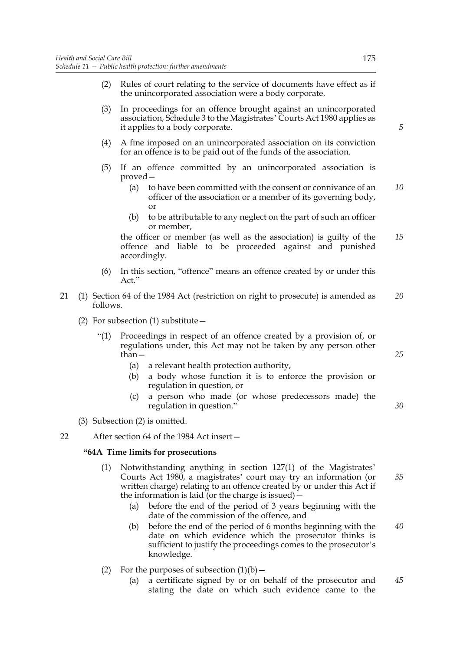- (2) Rules of court relating to the service of documents have effect as if the unincorporated association were a body corporate.
- (3) In proceedings for an offence brought against an unincorporated association, Schedule 3 to the Magistrates' Courts Act 1980 applies as it applies to a body corporate.
- (4) A fine imposed on an unincorporated association on its conviction for an offence is to be paid out of the funds of the association.
- (5) If an offence committed by an unincorporated association is proved—
	- (a) to have been committed with the consent or connivance of an officer of the association or a member of its governing body, or *10*
	- (b) to be attributable to any neglect on the part of such an officer or member,

the officer or member (as well as the association) is guilty of the offence and liable to be proceeded against and punished accordingly. *15*

- (6) In this section, "offence" means an offence created by or under this Act."
- 21 (1) Section 64 of the 1984 Act (restriction on right to prosecute) is amended as follows. *20*
	- (2) For subsection  $(1)$  substitute  $-$ 
		- Proceedings in respect of an offence created by a provision of, or regulations under, this Act may not be taken by any person other than—
			- (a) a relevant health protection authority,
			- (b) a body whose function it is to enforce the provision or regulation in question, or
			- (c) a person who made (or whose predecessors made) the regulation in question."
	- (3) Subsection (2) is omitted.
- 22 After section 64 of the 1984 Act insert—

# **"64A Time limits for prosecutions**

- (1) Notwithstanding anything in section 127(1) of the Magistrates' Courts Act 1980, a magistrates' court may try an information (or written charge) relating to an offence created by or under this Act if the information is laid (or the charge is issued)  $-$ *35*
	- (a) before the end of the period of 3 years beginning with the date of the commission of the offence, and
	- (b) before the end of the period of 6 months beginning with the date on which evidence which the prosecutor thinks is sufficient to justify the proceedings comes to the prosecutor's knowledge. *40*
- (2) For the purposes of subsection  $(1)(b)$ 
	- (a) a certificate signed by or on behalf of the prosecutor and stating the date on which such evidence came to the *45*

*5*

*25*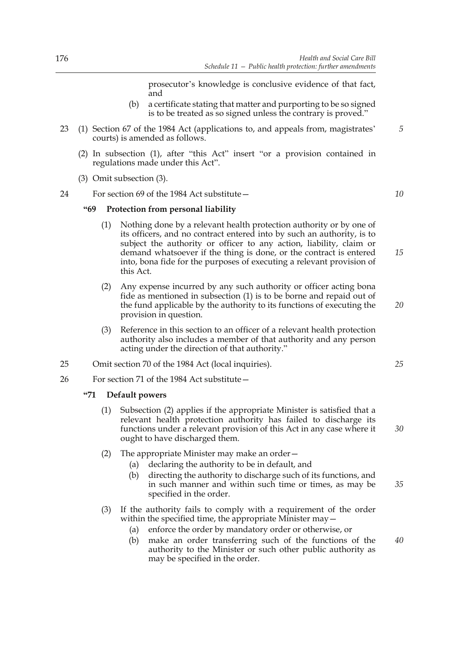prosecutor's knowledge is conclusive evidence of that fact, and

- (b) a certificate stating that matter and purporting to be so signed is to be treated as so signed unless the contrary is proved."
- 23 (1) Section 67 of the 1984 Act (applications to, and appeals from, magistrates' courts) is amended as follows.
	- (2) In subsection (1), after "this Act" insert "or a provision contained in regulations made under this Act".
	- (3) Omit subsection (3).
- 24 For section 69 of the 1984 Act substitute—

#### **"69 Protection from personal liability**

- (1) Nothing done by a relevant health protection authority or by one of its officers, and no contract entered into by such an authority, is to subject the authority or officer to any action, liability, claim or demand whatsoever if the thing is done, or the contract is entered into, bona fide for the purposes of executing a relevant provision of this Act. *15*
- (2) Any expense incurred by any such authority or officer acting bona fide as mentioned in subsection (1) is to be borne and repaid out of the fund applicable by the authority to its functions of executing the provision in question.
- (3) Reference in this section to an officer of a relevant health protection authority also includes a member of that authority and any person acting under the direction of that authority."
- 25 Omit section 70 of the 1984 Act (local inquiries).
- 26 For section 71 of the 1984 Act substitute—

#### **"71 Default powers**

- (1) Subsection (2) applies if the appropriate Minister is satisfied that a relevant health protection authority has failed to discharge its functions under a relevant provision of this Act in any case where it ought to have discharged them.
- (2) The appropriate Minister may make an order—
	- (a) declaring the authority to be in default, and
	- (b) directing the authority to discharge such of its functions, and in such manner and within such time or times, as may be specified in the order. *35*
- (3) If the authority fails to comply with a requirement of the order within the specified time, the appropriate Minister may—
	- (a) enforce the order by mandatory order or otherwise, or
	- (b) make an order transferring such of the functions of the authority to the Minister or such other public authority as may be specified in the order.

*10*

*5*

*20*

*25*

*40*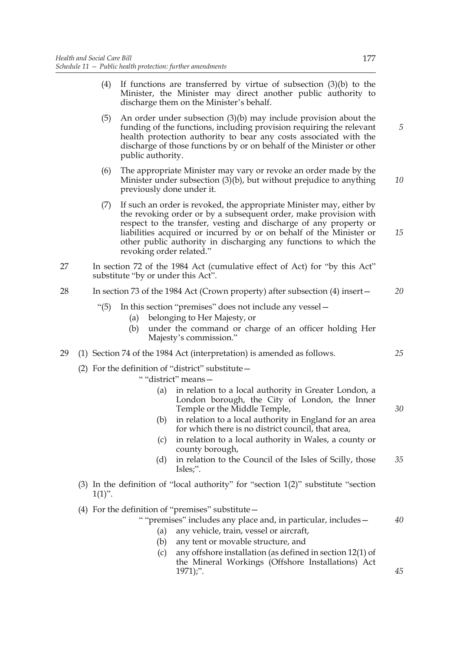- (4) If functions are transferred by virtue of subsection (3)(b) to the Minister, the Minister may direct another public authority to discharge them on the Minister's behalf.
- (5) An order under subsection (3)(b) may include provision about the funding of the functions, including provision requiring the relevant health protection authority to bear any costs associated with the discharge of those functions by or on behalf of the Minister or other public authority.
- (6) The appropriate Minister may vary or revoke an order made by the Minister under subsection (3)(b), but without prejudice to anything previously done under it. *10*
- (7) If such an order is revoked, the appropriate Minister may, either by the revoking order or by a subsequent order, make provision with respect to the transfer, vesting and discharge of any property or liabilities acquired or incurred by or on behalf of the Minister or other public authority in discharging any functions to which the revoking order related."
- 27 In section 72 of the 1984 Act (cumulative effect of Act) for "by this Act" substitute "by or under this Act".

#### 28 In section 73 of the 1984 Act (Crown property) after subsection (4) insert— *20*

- "(5) In this section "premises" does not include any vessel—
	- (a) belonging to Her Majesty, or
	- (b) under the command or charge of an officer holding Her Majesty's commission."

# 29 (1) Section 74 of the 1984 Act (interpretation) is amended as follows.

(2) For the definition of "district" substitute—

" "district" means—

- (a) in relation to a local authority in Greater London, a London borough, the City of London, the Inner Temple or the Middle Temple,
- (b) in relation to a local authority in England for an area for which there is no district council, that area,
- (c) in relation to a local authority in Wales, a county or county borough,
- (d) in relation to the Council of the Isles of Scilly, those Isles;". *35*
- (3) In the definition of "local authority" for "section 1(2)" substitute "section  $1(1)$ ".
- (4) For the definition of "premises" substitute—

" "premises" includes any place and, in particular, includes— *40*

- (a) any vehicle, train, vessel or aircraft,
- (b) any tent or movable structure, and
- (c) any offshore installation (as defined in section 12(1) of the Mineral Workings (Offshore Installations) Act 1971);".

*5*

*15*

*30*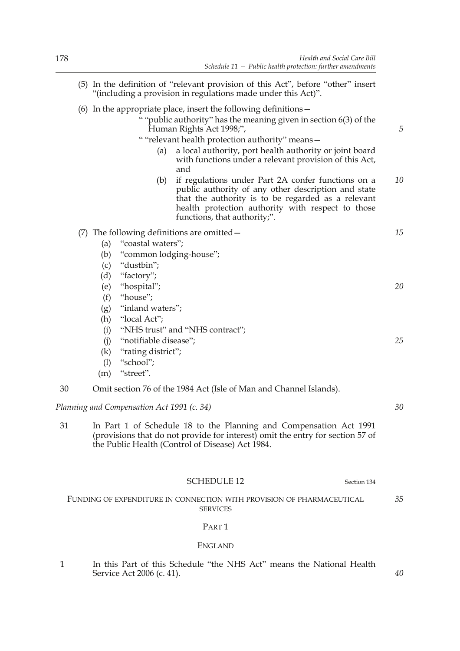- (5) In the definition of "relevant provision of this Act", before "other" insert "(including a provision in regulations made under this Act)". (6) In the appropriate place, insert the following definitions— " "public authority" has the meaning given in section 6(3) of the Human Rights Act 1998;", " "relevant health protection authority" means— (a) a local authority, port health authority or joint board with functions under a relevant provision of this Act, and (b) if regulations under Part 2A confer functions on a public authority of any other description and state that the authority is to be regarded as a relevant health protection authority with respect to those functions, that authority;". (7) The following definitions are omitted— (a) "coastal waters"; (b) "common lodging-house"; (c) "dustbin"; (d) "factory"; (e) "hospital"; (f) "house"; (g) "inland waters"; (h) "local Act"; *5 10 15 20*
	- (i) "NHS trust" and "NHS contract";
	- (j) "notifiable disease";
	- (k) "rating district";
	- (l) "school";
	- (m) "street".
- 30 Omit section 76 of the 1984 Act (Isle of Man and Channel Islands).

*Planning and Compensation Act 1991 (c. 34)*

31 In Part 1 of Schedule 18 to the Planning and Compensation Act 1991 (provisions that do not provide for interest) omit the entry for section 57 of the Public Health (Control of Disease) Act 1984.

#### SCHEDULE 12 Section 134

#### FUNDING OF EXPENDITURE IN CONNECTION WITH PROVISION OF PHARMACEUTICAL **SERVICES** *35*

#### PART 1

#### ENGLAND

1 In this Part of this Schedule "the NHS Act" means the National Health Service Act 2006 (c. 41).

*30*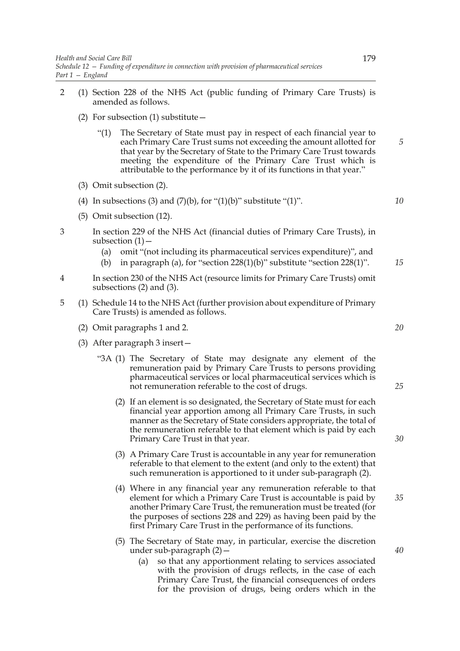- 2 (1) Section 228 of the NHS Act (public funding of Primary Care Trusts) is amended as follows.
	- (2) For subsection  $(1)$  substitute  $-$ 
		- "(1) The Secretary of State must pay in respect of each financial year to each Primary Care Trust sums not exceeding the amount allotted for that year by the Secretary of State to the Primary Care Trust towards meeting the expenditure of the Primary Care Trust which is attributable to the performance by it of its functions in that year."
	- (3) Omit subsection (2).
	- (4) In subsections (3) and  $(7)(b)$ , for " $(1)(b)$ " substitute " $(1)$ ".
	- (5) Omit subsection (12).
- 3 In section 229 of the NHS Act (financial duties of Primary Care Trusts), in subsection  $(1)$  –
	- (a) omit "(not including its pharmaceutical services expenditure)", and
	- (b) in paragraph (a), for "section  $228(1)(b)$ " substitute "section  $228(1)$ ".
- 4 In section 230 of the NHS Act (resource limits for Primary Care Trusts) omit subsections (2) and (3).
- 5 (1) Schedule 14 to the NHS Act (further provision about expenditure of Primary Care Trusts) is amended as follows.
	- (2) Omit paragraphs 1 and 2.
	- (3) After paragraph 3 insert—
		- "3A (1) The Secretary of State may designate any element of the remuneration paid by Primary Care Trusts to persons providing pharmaceutical services or local pharmaceutical services which is not remuneration referable to the cost of drugs.
			- (2) If an element is so designated, the Secretary of State must for each financial year apportion among all Primary Care Trusts, in such manner as the Secretary of State considers appropriate, the total of the remuneration referable to that element which is paid by each Primary Care Trust in that year.
			- (3) A Primary Care Trust is accountable in any year for remuneration referable to that element to the extent (and only to the extent) that such remuneration is apportioned to it under sub-paragraph (2).
			- (4) Where in any financial year any remuneration referable to that element for which a Primary Care Trust is accountable is paid by another Primary Care Trust, the remuneration must be treated (for the purposes of sections 228 and 229) as having been paid by the first Primary Care Trust in the performance of its functions.
			- (5) The Secretary of State may, in particular, exercise the discretion under sub-paragraph (2)—
				- (a) so that any apportionment relating to services associated with the provision of drugs reflects, in the case of each Primary Care Trust, the financial consequences of orders for the provision of drugs, being orders which in the

179

*10*

*5*

*20*

*15*

*25*

*30*

*35*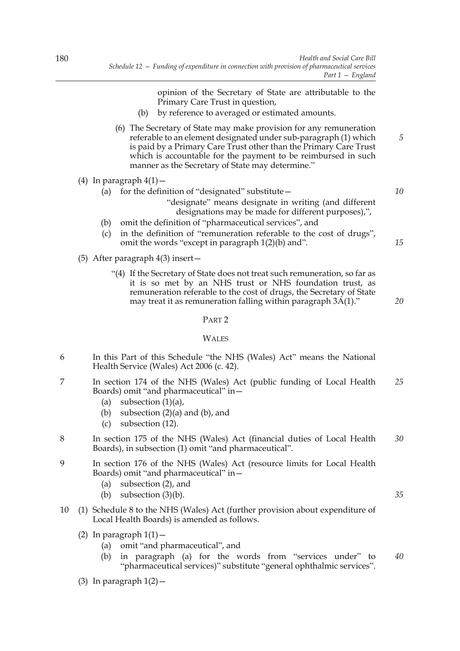opinion of the Secretary of State are attributable to the Primary Care Trust in question,

- (b) by reference to averaged or estimated amounts.
- (6) The Secretary of State may make provision for any remuneration referable to an element designated under sub-paragraph (1) which is paid by a Primary Care Trust other than the Primary Care Trust which is accountable for the payment to be reimbursed in such manner as the Secretary of State may determine." *5*
- (4) In paragraph  $4(1)$  -
	- (a) for the definition of "designated" substitute— "designate" means designate in writing (and different *10*
		- designations may be made for different purposes),",
	- (b) omit the definition of "pharmaceutical services", and
	- (c) in the definition of "remuneration referable to the cost of drugs", omit the words "except in paragraph 1(2)(b) and".
- (5) After paragraph 4(3) insert—
	- "(4) If the Secretary of State does not treat such remuneration, so far as it is so met by an NHS trust or NHS foundation trust, as remuneration referable to the cost of drugs, the Secretary of State may treat it as remuneration falling within paragraph 3A(1)."

#### *20*

*15*

# PART 2

# **WALES**

- 6 In this Part of this Schedule "the NHS (Wales) Act" means the National Health Service (Wales) Act 2006 (c. 42).
- 7 In section 174 of the NHS (Wales) Act (public funding of Local Health Boards) omit "and pharmaceutical" in— *25*
	- (a) subsection  $(1)(a)$ ,
	- (b) subsection  $(2)(a)$  and  $(b)$ , and
	- (c) subsection (12).

#### 8 In section 175 of the NHS (Wales) Act (financial duties of Local Health Boards), in subsection (1) omit "and pharmaceutical". *30*

- 9 In section 176 of the NHS (Wales) Act (resource limits for Local Health Boards) omit "and pharmaceutical" in—
	- (a) subsection (2), and
	- (b) subsection  $(3)(b)$ .
- 10 (1) Schedule 8 to the NHS (Wales) Act (further provision about expenditure of Local Health Boards) is amended as follows.
	- (2) In paragraph  $1(1)$  -
		- (a) omit "and pharmaceutical", and
		- (b) in paragraph (a) for the words from "services under" to "pharmaceutical services)" substitute "general ophthalmic services". *40*
	- (3) In paragraph  $1(2)$  -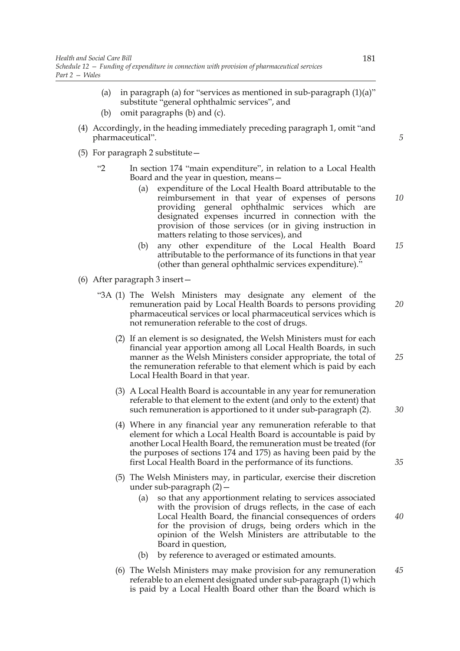- (a) in paragraph (a) for "services as mentioned in sub-paragraph (1)(a)" substitute "general ophthalmic services", and
- (b) omit paragraphs (b) and (c).
- (4) Accordingly, in the heading immediately preceding paragraph 1, omit "and pharmaceutical".
- (5) For paragraph 2 substitute—
	- "2 In section 174 "main expenditure", in relation to a Local Health Board and the year in question, means—
		- (a) expenditure of the Local Health Board attributable to the reimbursement in that year of expenses of persons providing general ophthalmic services which are designated expenses incurred in connection with the provision of those services (or in giving instruction in matters relating to those services), and
		- (b) any other expenditure of the Local Health Board attributable to the performance of its functions in that year (other than general ophthalmic services expenditure)." *15*
- (6) After paragraph 3 insert—
	- "3A (1) The Welsh Ministers may designate any element of the remuneration paid by Local Health Boards to persons providing pharmaceutical services or local pharmaceutical services which is not remuneration referable to the cost of drugs. *20*
		- (2) If an element is so designated, the Welsh Ministers must for each financial year apportion among all Local Health Boards, in such manner as the Welsh Ministers consider appropriate, the total of the remuneration referable to that element which is paid by each Local Health Board in that year.
		- (3) A Local Health Board is accountable in any year for remuneration referable to that element to the extent (and only to the extent) that such remuneration is apportioned to it under sub-paragraph (2).
		- (4) Where in any financial year any remuneration referable to that element for which a Local Health Board is accountable is paid by another Local Health Board, the remuneration must be treated (for the purposes of sections 174 and 175) as having been paid by the first Local Health Board in the performance of its functions.
		- (5) The Welsh Ministers may, in particular, exercise their discretion under sub-paragraph (2)—
			- (a) so that any apportionment relating to services associated with the provision of drugs reflects, in the case of each Local Health Board, the financial consequences of orders for the provision of drugs, being orders which in the opinion of the Welsh Ministers are attributable to the Board in question,
			- (b) by reference to averaged or estimated amounts.
		- (6) The Welsh Ministers may make provision for any remuneration referable to an element designated under sub-paragraph (1) which is paid by a Local Health Board other than the Board which is *45*

*5*

*10*

*25*

*30*

*35*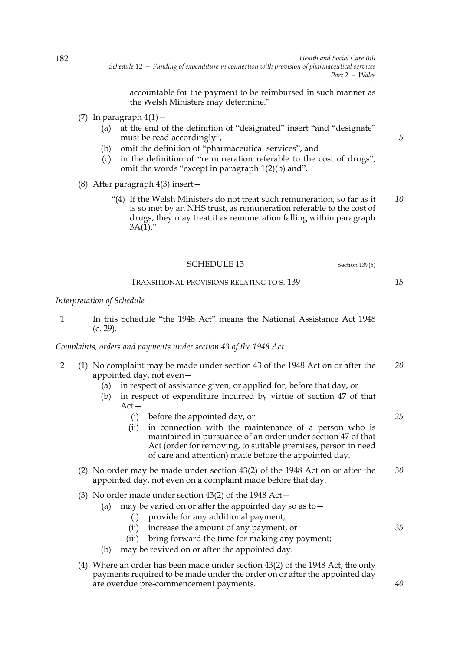accountable for the payment to be reimbursed in such manner as the Welsh Ministers may determine."

- (7) In paragraph  $4(1)$  -
	- (a) at the end of the definition of "designated" insert "and "designate" must be read accordingly",
	- (b) omit the definition of "pharmaceutical services", and
	- (c) in the definition of "remuneration referable to the cost of drugs", omit the words "except in paragraph 1(2)(b) and".
- (8) After paragraph 4(3) insert—
	- "(4) If the Welsh Ministers do not treat such remuneration, so far as it is so met by an NHS trust, as remuneration referable to the cost of drugs, they may treat it as remuneration falling within paragraph  $3A(1)$ ." *10*

| <b>SCHEDULE 13</b> | Section 139(6) |
|--------------------|----------------|
|--------------------|----------------|

#### TRANSITIONAL PROVISIONS RELATING TO S. 139

*15*

*25*

*5*

# *Interpretation of Schedule*

1 In this Schedule "the 1948 Act" means the National Assistance Act 1948 (c. 29).

*Complaints, orders and payments under section 43 of the 1948 Act*

- 2 (1) No complaint may be made under section 43 of the 1948 Act on or after the appointed day, not even— *20*
	- (a) in respect of assistance given, or applied for, before that day, or
	- (b) in respect of expenditure incurred by virtue of section 47 of that Act—
		- (i) before the appointed day, or
		- (ii) in connection with the maintenance of a person who is maintained in pursuance of an order under section 47 of that Act (order for removing, to suitable premises, person in need of care and attention) made before the appointed day.
	- (2) No order may be made under section 43(2) of the 1948 Act on or after the appointed day, not even on a complaint made before that day. *30*
	- (3) No order made under section 43(2) of the 1948 Act—
		- (a) may be varied on or after the appointed day so as to  $-$ 
			- (i) provide for any additional payment,
			- (ii) increase the amount of any payment, or
			- (iii) bring forward the time for making any payment;
		- (b) may be revived on or after the appointed day.
	- (4) Where an order has been made under section 43(2) of the 1948 Act, the only payments required to be made under the order on or after the appointed day are overdue pre-commencement payments.

*40*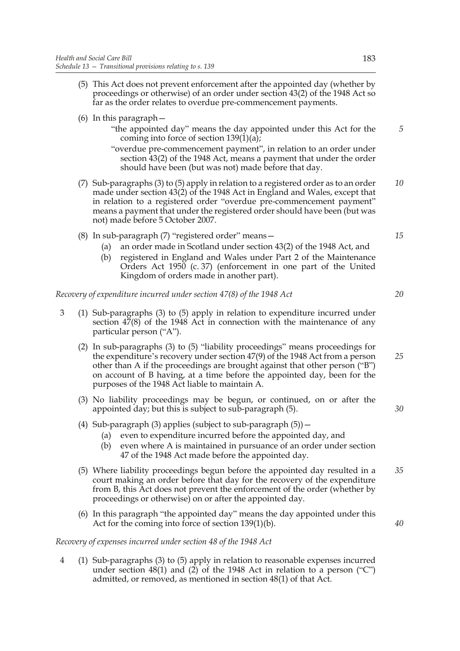- (5) This Act does not prevent enforcement after the appointed day (whether by proceedings or otherwise) of an order under section 43(2) of the 1948 Act so far as the order relates to overdue pre-commencement payments.
- (6) In this paragraph—
	- "the appointed day" means the day appointed under this Act for the coming into force of section  $139(1)(a)$ ;
	- "overdue pre-commencement payment", in relation to an order under section 43(2) of the 1948 Act, means a payment that under the order should have been (but was not) made before that day.
- (7) Sub-paragraphs (3) to (5) apply in relation to a registered order as to an order made under section 43(2) of the 1948 Act in England and Wales, except that in relation to a registered order "overdue pre-commencement payment" means a payment that under the registered order should have been (but was not) made before 5 October 2007. *10*
- (8) In sub-paragraph (7) "registered order" means—
	- (a) an order made in Scotland under section 43(2) of the 1948 Act, and
	- (b) registered in England and Wales under Part 2 of the Maintenance Orders Act 1950 (c. 37) (enforcement in one part of the United Kingdom of orders made in another part).

*Recovery of expenditure incurred under section 47(8) of the 1948 Act*

- 3 (1) Sub-paragraphs (3) to (5) apply in relation to expenditure incurred under section 47(8) of the 1948 Act in connection with the maintenance of any particular person ("A").
	- (2) In sub-paragraphs (3) to (5) "liability proceedings" means proceedings for the expenditure's recovery under section 47(9) of the 1948 Act from a person other than A if the proceedings are brought against that other person ("B") on account of B having, at a time before the appointed day, been for the purposes of the 1948 Act liable to maintain A. *25*
	- (3) No liability proceedings may be begun, or continued, on or after the appointed day; but this is subject to sub-paragraph (5).
	- (4) Sub-paragraph (3) applies (subject to sub-paragraph  $(5)$ )
		- (a) even to expenditure incurred before the appointed day, and
		- (b) even where A is maintained in pursuance of an order under section 47 of the 1948 Act made before the appointed day.
	- (5) Where liability proceedings begun before the appointed day resulted in a court making an order before that day for the recovery of the expenditure from B, this Act does not prevent the enforcement of the order (whether by proceedings or otherwise) on or after the appointed day. *35*
	- (6) In this paragraph "the appointed day" means the day appointed under this Act for the coming into force of section 139(1)(b).

*Recovery of expenses incurred under section 48 of the 1948 Act*

4 (1) Sub-paragraphs (3) to (5) apply in relation to reasonable expenses incurred under section 48(1) and  $(2)$  of the 1948 Act in relation to a person ("C") admitted, or removed, as mentioned in section 48(1) of that Act.

*15*

*5*

*20*

*30*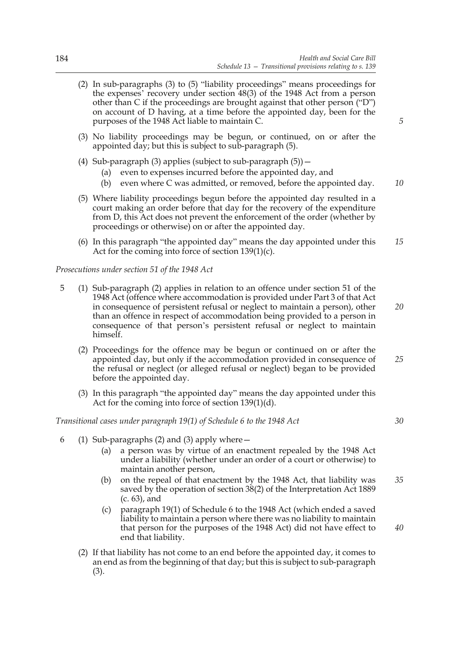- (2) In sub-paragraphs (3) to (5) "liability proceedings" means proceedings for the expenses' recovery under section 48(3) of the 1948 Act from a person other than C if the proceedings are brought against that other person ("D") on account of D having, at a time before the appointed day, been for the purposes of the 1948 Act liable to maintain C.
- (3) No liability proceedings may be begun, or continued, on or after the appointed day; but this is subject to sub-paragraph (5).
- (4) Sub-paragraph (3) applies (subject to sub-paragraph  $(5)$ )
	- (a) even to expenses incurred before the appointed day, and
	- (b) even where C was admitted, or removed, before the appointed day. *10*
- (5) Where liability proceedings begun before the appointed day resulted in a court making an order before that day for the recovery of the expenditure from D, this Act does not prevent the enforcement of the order (whether by proceedings or otherwise) on or after the appointed day.
- (6) In this paragraph "the appointed day" means the day appointed under this Act for the coming into force of section 139(1)(c). *15*

#### *Prosecutions under section 51 of the 1948 Act*

- 5 (1) Sub-paragraph (2) applies in relation to an offence under section 51 of the 1948 Act (offence where accommodation is provided under Part 3 of that Act in consequence of persistent refusal or neglect to maintain a person), other than an offence in respect of accommodation being provided to a person in consequence of that person's persistent refusal or neglect to maintain himself.
	- (2) Proceedings for the offence may be begun or continued on or after the appointed day, but only if the accommodation provided in consequence of the refusal or neglect (or alleged refusal or neglect) began to be provided before the appointed day. *25*
	- (3) In this paragraph "the appointed day" means the day appointed under this Act for the coming into force of section 139(1)(d).

#### *Transitional cases under paragraph 19(1) of Schedule 6 to the 1948 Act*

- 6 (1) Sub-paragraphs (2) and (3) apply where  $-$ 
	- (a) a person was by virtue of an enactment repealed by the 1948 Act under a liability (whether under an order of a court or otherwise) to maintain another person,
	- (b) on the repeal of that enactment by the 1948 Act, that liability was saved by the operation of section 38(2) of the Interpretation Act 1889 (c. 63), and *35*
	- (c) paragraph 19(1) of Schedule 6 to the 1948 Act (which ended a saved liability to maintain a person where there was no liability to maintain that person for the purposes of the 1948 Act) did not have effect to end that liability.
	- (2) If that liability has not come to an end before the appointed day, it comes to an end as from the beginning of that day; but this is subject to sub-paragraph (3).

*5*

*20*

*30*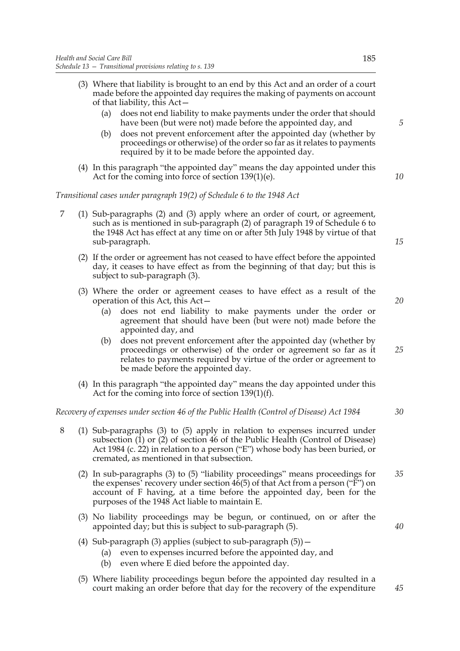- (3) Where that liability is brought to an end by this Act and an order of a court made before the appointed day requires the making of payments on account of that liability, this Act—
	- (a) does not end liability to make payments under the order that should have been (but were not) made before the appointed day, and
	- (b) does not prevent enforcement after the appointed day (whether by proceedings or otherwise) of the order so far as it relates to payments required by it to be made before the appointed day.
- (4) In this paragraph "the appointed day" means the day appointed under this Act for the coming into force of section 139(1)(e).

*Transitional cases under paragraph 19(2) of Schedule 6 to the 1948 Act*

- 7 (1) Sub-paragraphs (2) and (3) apply where an order of court, or agreement, such as is mentioned in sub-paragraph (2) of paragraph 19 of Schedule 6 to the 1948 Act has effect at any time on or after 5th July 1948 by virtue of that sub-paragraph.
	- (2) If the order or agreement has not ceased to have effect before the appointed day, it ceases to have effect as from the beginning of that day; but this is subject to sub-paragraph (3).
	- (3) Where the order or agreement ceases to have effect as a result of the operation of this Act, this Act—
		- (a) does not end liability to make payments under the order or agreement that should have been (but were not) made before the appointed day, and
		- (b) does not prevent enforcement after the appointed day (whether by proceedings or otherwise) of the order or agreement so far as it relates to payments required by virtue of the order or agreement to be made before the appointed day.
	- (4) In this paragraph "the appointed day" means the day appointed under this Act for the coming into force of section 139(1)(f).

*Recovery of expenses under section 46 of the Public Health (Control of Disease) Act 1984*

- 8 (1) Sub-paragraphs (3) to (5) apply in relation to expenses incurred under subsection (1) or (2) of section 46 of the Public Health (Control of Disease) Act 1984 (c. 22) in relation to a person ("E") whose body has been buried, or cremated, as mentioned in that subsection.
	- (2) In sub-paragraphs (3) to (5) "liability proceedings" means proceedings for the expenses' recovery under section 46(5) of that Act from a person ("F") on account of F having, at a time before the appointed day, been for the purposes of the 1948 Act liable to maintain E. *35*
	- (3) No liability proceedings may be begun, or continued, on or after the appointed day; but this is subject to sub-paragraph (5).
	- (4) Sub-paragraph (3) applies (subject to sub-paragraph  $(5)$ )
		- (a) even to expenses incurred before the appointed day, and
		- (b) even where E died before the appointed day.
	- (5) Where liability proceedings begun before the appointed day resulted in a court making an order before that day for the recovery of the expenditure *45*

*10*

*5*

*15*

*20*

*25*

*30*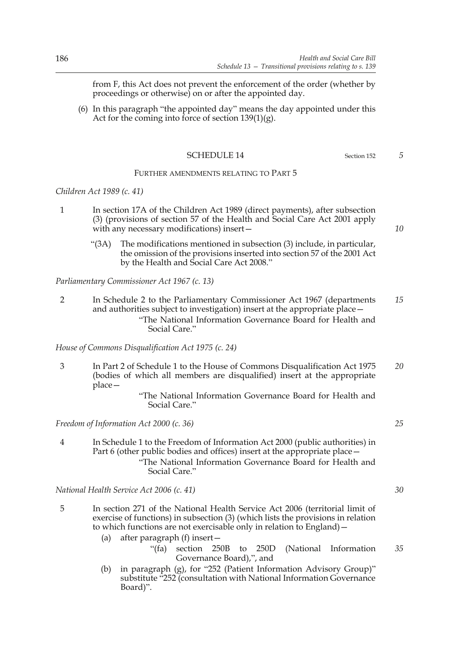from F, this Act does not prevent the enforcement of the order (whether by proceedings or otherwise) on or after the appointed day.

(6) In this paragraph "the appointed day" means the day appointed under this Act for the coming into force of section 139(1)(g).

#### SCHEDULE 14 Section 152

#### FURTHER AMENDMENTS RELATING TO PART 5

*Children Act 1989 (c. 41)*

- 1 In section 17A of the Children Act 1989 (direct payments), after subsection (3) (provisions of section 57 of the Health and Social Care Act 2001 apply with any necessary modifications) insert-
	- "(3A) The modifications mentioned in subsection (3) include, in particular, the omission of the provisions inserted into section 57 of the 2001 Act by the Health and Social Care Act 2008."

*Parliamentary Commissioner Act 1967 (c. 13)*

2 In Schedule 2 to the Parliamentary Commissioner Act 1967 (departments and authorities subject to investigation) insert at the appropriate place— "The National Information Governance Board for Health and Social Care." *15*

*House of Commons Disqualification Act 1975 (c. 24)*

3 In Part 2 of Schedule 1 to the House of Commons Disqualification Act 1975 (bodies of which all members are disqualified) insert at the appropriate place— *20*

> "The National Information Governance Board for Health and Social Care."

*Freedom of Information Act 2000 (c. 36)*

4 In Schedule 1 to the Freedom of Information Act 2000 (public authorities) in Part 6 (other public bodies and offices) insert at the appropriate place— "The National Information Governance Board for Health and Social Care."

*National Health Service Act 2006 (c. 41)*

- 5 In section 271 of the National Health Service Act 2006 (territorial limit of exercise of functions) in subsection (3) (which lists the provisions in relation to which functions are not exercisable only in relation to England)—
	- (a) after paragraph (f) insert—
		- "(fa) section 250B to 250D (National Information Governance Board),", and *35*
	- (b) in paragraph (g), for "252 (Patient Information Advisory Group)" substitute "252 (consultation with National Information Governance Board)".

*10*

*5*

*25*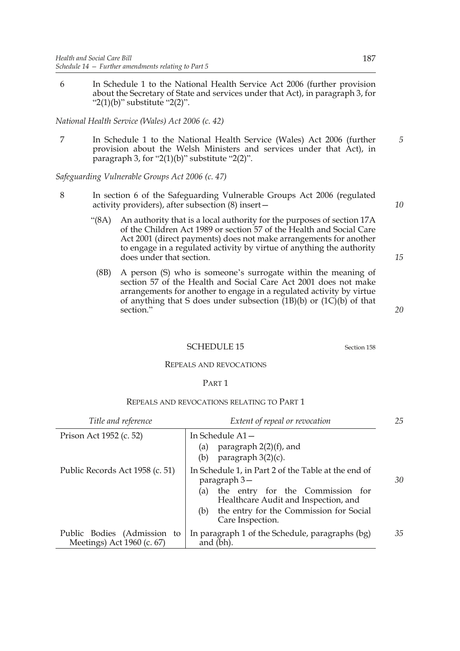6 In Schedule 1 to the National Health Service Act 2006 (further provision about the Secretary of State and services under that Act), in paragraph 3, for " $2(1)(b)$ " substitute " $2(2)$ ".

*National Health Service (Wales) Act 2006 (c. 42)*

7 In Schedule 1 to the National Health Service (Wales) Act 2006 (further provision about the Welsh Ministers and services under that Act), in paragraph 3, for "2(1)(b)" substitute "2(2)". *5*

*Safeguarding Vulnerable Groups Act 2006 (c. 47)*

- 8 In section 6 of the Safeguarding Vulnerable Groups Act 2006 (regulated activity providers), after subsection (8) insert—
	- "(8A) An authority that is a local authority for the purposes of section 17A of the Children Act 1989 or section 57 of the Health and Social Care Act 2001 (direct payments) does not make arrangements for another to engage in a regulated activity by virtue of anything the authority does under that section.
		- (8B) A person (S) who is someone's surrogate within the meaning of section 57 of the Health and Social Care Act 2001 does not make arrangements for another to engage in a regulated activity by virtue of anything that S does under subsection  $(1B)(b)$  or  $(1C)(b)$  of that section."

SCHEDULE 15 Section 158

REPEALS AND REVOCATIONS

# PART 1

# REPEALS AND REVOCATIONS RELATING TO PART 1

| Title and reference                                       | Extent of repeal or revocation                                                                                                                                                                                               |     |  |
|-----------------------------------------------------------|------------------------------------------------------------------------------------------------------------------------------------------------------------------------------------------------------------------------------|-----|--|
| Prison Act 1952 (c. 52)                                   | In Schedule A1-<br>paragraph $2(2)(f)$ , and<br>(a)<br>paragraph 3(2)(c).<br>(b)                                                                                                                                             |     |  |
| Public Records Act 1958 (c. 51)                           | In Schedule 1, in Part 2 of the Table at the end of<br>paragraph 3-<br>the entry for the Commission for<br>(a)<br>Healthcare Audit and Inspection, and<br>the entry for the Commission for Social<br>(b)<br>Care Inspection. | 30. |  |
| Public Bodies (Admission to<br>Meetings) Act 1960 (c. 67) | In paragraph 1 of the Schedule, paragraphs (bg)<br>and (bh).                                                                                                                                                                 | 35  |  |

*10*

*15*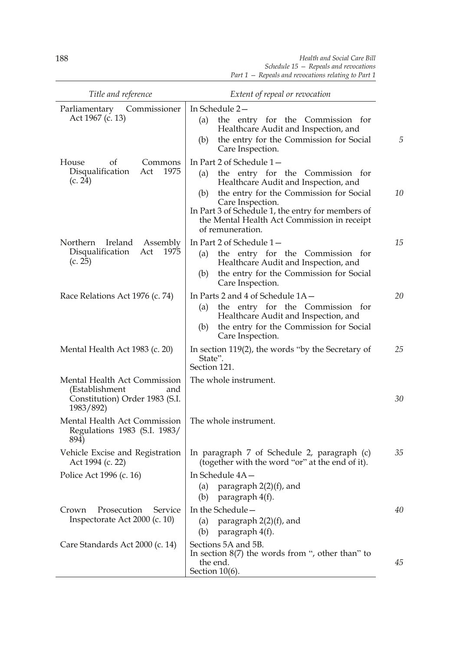| Title and reference                                                                                  | Extent of repeal or revocation                                                                                                                                                                                                                                                                                                |    |  |
|------------------------------------------------------------------------------------------------------|-------------------------------------------------------------------------------------------------------------------------------------------------------------------------------------------------------------------------------------------------------------------------------------------------------------------------------|----|--|
| Commissioner<br>Parliamentary<br>Act 1967 (c. 13)                                                    | In Schedule 2-<br>the entry for the Commission for<br>(a)<br>Healthcare Audit and Inspection, and<br>the entry for the Commission for Social<br>(b)                                                                                                                                                                           | 5  |  |
| House<br>of<br>Commons<br>Disqualification<br>1975<br>Act<br>(c. 24)                                 | Care Inspection.<br>In Part 2 of Schedule 1-<br>the entry for the Commission for<br>(a)<br>Healthcare Audit and Inspection, and<br>the entry for the Commission for Social<br>(b)<br>Care Inspection.<br>In Part 3 of Schedule 1, the entry for members of<br>the Mental Health Act Commission in receipt<br>of remuneration. | 10 |  |
| Northern<br>Ireland<br>Assembly<br>Disqualification<br>1975<br>Act<br>(c. 25)                        | In Part 2 of Schedule 1-<br>the entry for the Commission for<br>(a)<br>Healthcare Audit and Inspection, and<br>the entry for the Commission for Social<br>(b)<br>Care Inspection.                                                                                                                                             | 15 |  |
| Race Relations Act 1976 (c. 74)                                                                      | In Parts 2 and 4 of Schedule 1A-<br>the entry for the Commission for<br>(a)<br>Healthcare Audit and Inspection, and<br>the entry for the Commission for Social<br>(b)<br>Care Inspection.                                                                                                                                     | 20 |  |
| Mental Health Act 1983 (c. 20)                                                                       | In section $119(2)$ , the words "by the Secretary of<br>State".<br>Section 121.                                                                                                                                                                                                                                               |    |  |
| Mental Health Act Commission<br>(Establishment<br>and<br>Constitution) Order 1983 (S.I.<br>1983/892) | The whole instrument.                                                                                                                                                                                                                                                                                                         | 30 |  |
| Mental Health Act Commission<br>Regulations 1983 (S.I. 1983/<br>894)                                 | The whole instrument.                                                                                                                                                                                                                                                                                                         |    |  |
| Vehicle Excise and Registration<br>Act 1994 (c. 22)                                                  | In paragraph 7 of Schedule 2, paragraph (c)<br>(together with the word "or" at the end of it).                                                                                                                                                                                                                                | 35 |  |
| Police Act 1996 (c. 16)<br>Prosecution<br>Crown<br>Service                                           | In Schedule 4A-<br>paragraph $2(2)(f)$ , and<br>(a)<br>paragraph 4(f).<br>(b)<br>In the Schedule-                                                                                                                                                                                                                             | 40 |  |
| Inspectorate Act 2000 (c. 10)                                                                        | paragraph $2(2)(f)$ , and<br>(a)<br>paragraph 4(f).<br>(b)                                                                                                                                                                                                                                                                    |    |  |
| Care Standards Act 2000 (c. 14)                                                                      | Sections 5A and 5B.<br>In section $8(7)$ the words from ", other than" to<br>the end.<br>Section $10(6)$ .                                                                                                                                                                                                                    | 45 |  |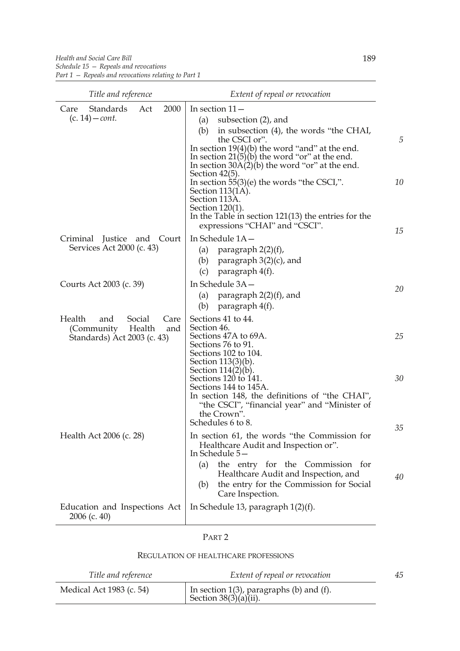*Health and Social Care Bill Schedule 15 — Repeals and revocations Part 1 — Repeals and revocations relating to Part 1*

| Title and reference                                                                            | Extent of repeal or revocation                                                                                                                                                                                                                                                                                                                                                                                                                                                                     |               |  |
|------------------------------------------------------------------------------------------------|----------------------------------------------------------------------------------------------------------------------------------------------------------------------------------------------------------------------------------------------------------------------------------------------------------------------------------------------------------------------------------------------------------------------------------------------------------------------------------------------------|---------------|--|
| Standards<br>2000<br>Care<br>Act<br>$(c. 14) - cont.$                                          | In section $11-$<br>subsection (2), and<br>(a)<br>in subsection (4), the words "the CHAI,<br>(b)<br>the CSCI or".<br>In section $19(4)(b)$ the word "and" at the end.<br>In section $21(5)(b)$ the word "or" at the end.<br>In section $30A(2)(b)$ the word "or" at the end.<br>Section 42(5).<br>In section $55(3)$ (e) the words "the CSCI,".<br>Section 113(1A).<br>Section 113A.<br>Section 120(1).<br>In the Table in section $121(13)$ the entries for the<br>expressions "CHAI" and "CSCI". | 5<br>10<br>15 |  |
| Criminal Justice and Court<br>Services Act 2000 (c. 43)                                        | In Schedule 1A-<br>(a)<br>paragraph 2(2)(f),<br>(b) paragraph $3(2)(c)$ , and<br>paragraph 4(f).<br>(c)                                                                                                                                                                                                                                                                                                                                                                                            |               |  |
| Courts Act 2003 (c. 39)                                                                        | In Schedule 3A-<br>paragraph 2(2)(f), and<br>(a)<br>paragraph 4(f).<br>(b)                                                                                                                                                                                                                                                                                                                                                                                                                         | 20            |  |
| Health<br>Social<br>Care<br>and<br>Health<br>(Community)<br>and<br>Standards) Act 2003 (c. 43) | Sections 41 to 44.<br>Section 46.<br>Sections 47A to 69A.<br>Sections 76 to 91.<br>Sections 102 to 104.<br>Section 113(3)(b).<br>Section $114(2)(b)$ .                                                                                                                                                                                                                                                                                                                                             | 25            |  |
|                                                                                                | Sections 120 to 141.<br>Sections 144 to 145A.<br>In section 148, the definitions of "the CHAI",<br>"the CSCI", "financial year" and "Minister of<br>the Crown".<br>Schedules 6 to 8.                                                                                                                                                                                                                                                                                                               | 30            |  |
| Health Act 2006 (c. 28)                                                                        | In section 61, the words "the Commission for<br>Healthcare Audit and Inspection or".<br>In Schedule 5-<br>the entry for the Commission for<br>(a)<br>Healthcare Audit and Inspection, and<br>the entry for the Commission for Social<br>(b)<br>Care Inspection.                                                                                                                                                                                                                                    | 35<br>40      |  |
| Education and Inspections Act<br>$2006$ (c. 40)                                                | In Schedule 13, paragraph $1(2)(f)$ .                                                                                                                                                                                                                                                                                                                                                                                                                                                              |               |  |

# PART 2

## REGULATION OF HEALTHCARE PROFESSIONS

| Title and reference      | Extent of repeal or revocation                                    | 45 |
|--------------------------|-------------------------------------------------------------------|----|
| Medical Act 1983 (c. 54) | In section 1(3), paragraphs (b) and (f).<br>Section 38(3)(a)(ii). |    |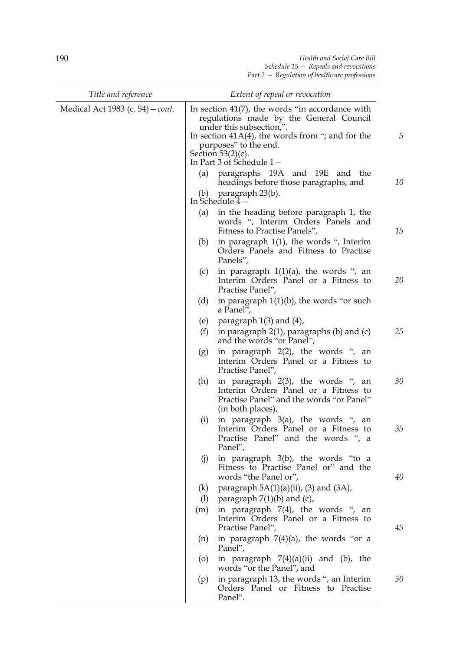| Title and reference                      | Extent of repeal or revocation |                                                                                                                                                                                                                                   |  |
|------------------------------------------|--------------------------------|-----------------------------------------------------------------------------------------------------------------------------------------------------------------------------------------------------------------------------------|--|
| Medical Act 1983 (c. 54) – <i>cont</i> . |                                | In section $41(7)$ , the words "in accordance with<br>regulations made by the General Council<br>under this subsection,".<br>In section $41A(4)$ , the words from "; and for the<br>purposes" to the end.<br>Section $53(2)(c)$ . |  |
|                                          | (a)                            | In Part 3 of Schedule 1-<br>paragraphs 19A and 19E and the                                                                                                                                                                        |  |
|                                          | (b)                            | headings before those paragraphs, and<br>paragraph 23(b).<br>In Schedule $4-$                                                                                                                                                     |  |
|                                          | (a)                            | in the heading before paragraph 1, the<br>words ", Interim Orders Panels and<br>Fitness to Practise Panels",                                                                                                                      |  |
|                                          | (b)                            | in paragraph $1(1)$ , the words ", Interim<br>Orders Panels and Fitness to Practise<br>Panels",                                                                                                                                   |  |
|                                          | (c)                            | in paragraph $1(1)(a)$ , the words ", an<br>Interim Orders Panel or a Fitness to<br>Practise Panel",                                                                                                                              |  |
|                                          | (d)                            | in paragraph $1(1)(b)$ , the words "or such<br>a Panel",                                                                                                                                                                          |  |
|                                          | (e)                            | paragraph $1(3)$ and $(4)$ ,                                                                                                                                                                                                      |  |
|                                          | (f)                            | in paragraph $2(1)$ , paragraphs (b) and (c)<br>and the words "or Panel",                                                                                                                                                         |  |
|                                          | (g)                            | in paragraph 2(2), the words ", an<br>Interim Orders Panel or a Fitness to<br>Practise Panel",                                                                                                                                    |  |
|                                          | (h)                            | in paragraph 2(3), the words ", an<br>Interim Orders Panel or a Fitness to<br>Practise Panel" and the words "or Panel"<br>(in both places),                                                                                       |  |
|                                          | (i)                            | in paragraph 3(a), the words ", an<br>Interim Orders Panel or a Fitness to<br>Practise Panel" and the words ", a<br>Panel",                                                                                                       |  |
|                                          | (j)                            | in paragraph 3(b), the words "to a<br>Fitness to Practise Panel or" and the<br>words "the Panel or",                                                                                                                              |  |
|                                          | (k)                            | paragraph $5A(1)(a)(ii)$ , (3) and (3A),                                                                                                                                                                                          |  |
|                                          | (1)                            | paragraph $7(1)(b)$ and (c),                                                                                                                                                                                                      |  |
|                                          | (m)                            | in paragraph $7(4)$ , the words ", an<br>Interim Orders Panel or a Fitness to<br>Practise Panel",                                                                                                                                 |  |
|                                          | (n)                            | in paragraph $7(4)(a)$ , the words "or a<br>Panel",                                                                                                                                                                               |  |
|                                          | $\left( 0 \right)$             | in paragraph $7(4)(a)(ii)$ and (b), the<br>words "or the Panel", and                                                                                                                                                              |  |
|                                          | (p)                            | in paragraph 13, the words ", an Interim<br>Orders Panel or Fitness to Practise<br>Panel".                                                                                                                                        |  |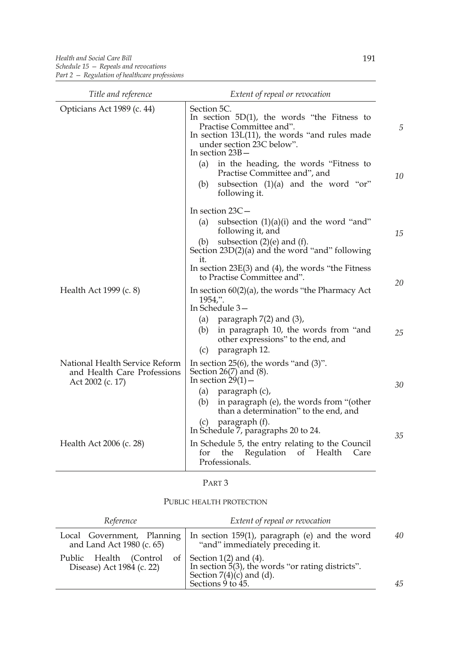| Title and reference                                                               | Extent of repeal or revocation                                                                                                                                                                                                                                                                                                                 |    |  |
|-----------------------------------------------------------------------------------|------------------------------------------------------------------------------------------------------------------------------------------------------------------------------------------------------------------------------------------------------------------------------------------------------------------------------------------------|----|--|
| Opticians Act 1989 (c. 44)                                                        | Section 5C.<br>In section $5D(1)$ , the words "the Fitness to<br>Practise Committee and".<br>In section $13L(11)$ , the words "and rules made<br>under section 23C below".<br>In section 23B-<br>in the heading, the words "Fitness to<br>(a)<br>Practise Committee and", and<br>subsection $(1)(a)$ and the word "or"<br>(b)<br>following it. |    |  |
|                                                                                   | In section 23C-<br>subsection $(1)(a)(i)$ and the word "and"<br>(a)<br>following it, and<br>subsection $(2)(e)$ and $(f)$ .<br>(b)<br>Section $23D(2)(a)$ and the word "and" following<br>it.<br>In section $23E(3)$ and (4), the words "the Fitness"                                                                                          | 15 |  |
| Health Act 1999 (c. 8)                                                            | to Practise Committee and".<br>In section $60(2)(a)$ , the words "the Pharmacy Act"<br>1954,".<br>In Schedule 3-                                                                                                                                                                                                                               | 20 |  |
|                                                                                   | (a) paragraph $7(2)$ and $(3)$ ,<br>in paragraph 10, the words from "and<br>(b)<br>other expressions" to the end, and<br>paragraph 12.<br>(c)                                                                                                                                                                                                  | 25 |  |
| National Health Service Reform<br>and Health Care Professions<br>Act 2002 (c. 17) | In section $25(6)$ , the words "and $(3)$ ".<br>Section $26(7)$ and $(8)$ .<br>In section $29(1)$ –<br>(a)<br>paragraph (c),<br>in paragraph (e), the words from "(other<br>(b)<br>than a determination" to the end, and                                                                                                                       | 30 |  |
| Health Act 2006 (c. 28)                                                           | (c)<br>paragraph (f).<br>In Schedule 7, paragraphs 20 to 24.<br>In Schedule 5, the entry relating to the Council<br>Regulation<br>for<br>the<br>Health<br>of<br>Care<br>Professionals.                                                                                                                                                         | 35 |  |

# PART 3

## PUBLIC HEALTH PROTECTION

| Reference                                               | Extent of repeal or revocation                                                                                                           |    |
|---------------------------------------------------------|------------------------------------------------------------------------------------------------------------------------------------------|----|
| Local Government, Planning<br>and Land Act 1980 (c. 65) | In section $159(1)$ , paragraph (e) and the word<br>"and" immediately preceding it.                                                      | 40 |
| Public Health (Control<br>Disease) Act 1984 (c. 22)     | of Section 1(2) and (4).<br>In section 5(3), the words "or rating districts".<br>Section $7(4)(c)$ and (d).<br>Sections $\hat{9}$ to 45. | 45 |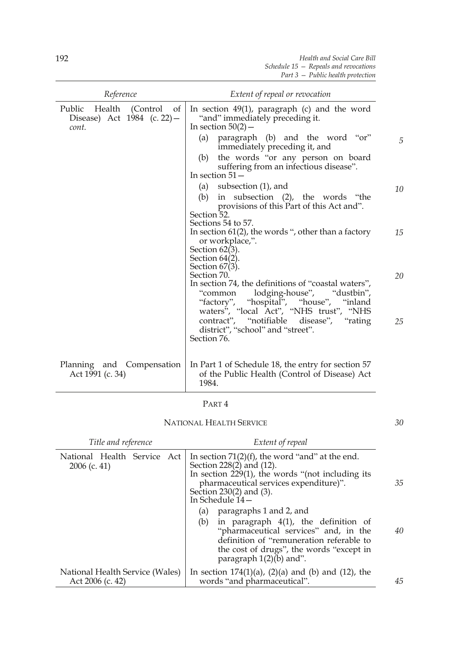| Reference                                                         | Extent of repeal or revocation                                                                                                                                                                           |    |
|-------------------------------------------------------------------|----------------------------------------------------------------------------------------------------------------------------------------------------------------------------------------------------------|----|
| Public Health (Control of<br>Disease) Act 1984 (c. 22) -<br>cont. | In section $49(1)$ , paragraph (c) and the word<br>"and" immediately preceding it.<br>In section $50(2)$ –                                                                                               |    |
|                                                                   | paragraph (b) and the word "or"<br>(a)<br>immediately preceding it, and                                                                                                                                  | 5  |
|                                                                   | the words "or any person on board<br>(b)<br>suffering from an infectious disease".<br>In section $51-$                                                                                                   |    |
|                                                                   | (a) subsection $(1)$ , and                                                                                                                                                                               | 10 |
|                                                                   | in subsection (2), the words "the<br>(b)<br>provisions of this Part of this Act and".<br>Section 52.                                                                                                     |    |
|                                                                   | Sections 54 to 57.<br>In section $61(2)$ , the words ", other than a factory<br>or workplace,".<br>Section $62(3)$ .<br>Section $64(2)$ .                                                                | 15 |
|                                                                   | Section $67(3)$ .<br>Section 70.<br>In section 74, the definitions of "coastal waters",<br>lodging-house",<br>"dustbin",<br>"common                                                                      | 20 |
|                                                                   | "factory", "hospital", "house", "inland<br>waters", "local Act", "NHS trust", "NHS<br>"notifiable<br>contract",<br>disease",<br>erating <sup>*</sup><br>district", "school" and "street".<br>Section 76. | 25 |
| Planning and Compensation<br>Act 1991 (c. 34)                     | In Part 1 of Schedule 18, the entry for section 57<br>of the Public Health (Control of Disease) Act<br>1984.                                                                                             |    |

# PART 4

# NATIONAL HEALTH SERVICE

| Title and reference                                 | Extent of repeal                                                                                                                                                                                                                               |    |
|-----------------------------------------------------|------------------------------------------------------------------------------------------------------------------------------------------------------------------------------------------------------------------------------------------------|----|
| National Health Service<br>Act<br>$2006$ (c. 41)    | In section $71(2)(f)$ , the word "and" at the end.<br>Section 228(2) and (12).<br>In section $229(1)$ , the words "(not including its<br>pharmaceutical services expenditure)".<br>Section 230(2) and (3).<br>In Schedule 14-                  | 35 |
|                                                     | paragraphs 1 and 2, and<br>(a)<br>in paragraph $4(1)$ , the definition of<br>(b)<br>"pharmaceutical services" and, in the<br>definition of "remuneration referable to<br>the cost of drugs", the words "except in<br>paragraph $1(2)(b)$ and". | 40 |
| National Health Service (Wales)<br>Act 2006 (c. 42) | In section $174(1)(a)$ , $(2)(a)$ and $(b)$ and $(12)$ , the<br>words "and pharmaceutical".                                                                                                                                                    | 45 |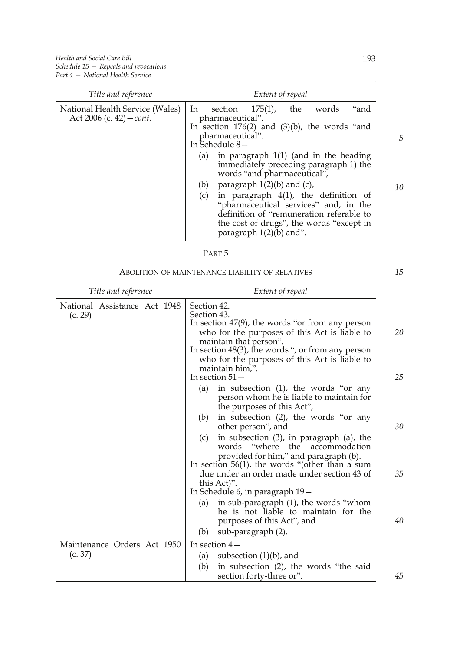| Title and reference                                                | Extent of repeal                                                                                                                                     |                                                                                                                                                                                                                                          |       |                    |
|--------------------------------------------------------------------|------------------------------------------------------------------------------------------------------------------------------------------------------|------------------------------------------------------------------------------------------------------------------------------------------------------------------------------------------------------------------------------------------|-------|--------------------|
| National Health Service (Wales)<br>Act 2006 (c. 42) – <i>cont.</i> | In<br>section<br>pharmaceutical".<br>In section $176(2)$ and $(3)(b)$ , the words "and<br>pharmaceutical".<br>In $\overline{\text{S}}$ chedule 8 $-$ | $175(1)$ ,<br>the                                                                                                                                                                                                                        | words | "and<br>$\sqrt{2}$ |
|                                                                    | (a)                                                                                                                                                  | in paragraph $1(1)$ (and in the heading<br>immediately preceding paragraph 1) the<br>words "and pharmaceutical",                                                                                                                         |       |                    |
|                                                                    | (b)<br>(c)                                                                                                                                           | paragraph $1(2)(b)$ and $(c)$ ,<br>in paragraph $4(1)$ , the definition of<br>"pharmaceutical services" and, in the<br>definition of "remuneration referable to<br>the cost of drugs", the words "except in<br>paragraph $1(2)(b)$ and". |       | 10                 |

PART 5

# ABOLITION OF MAINTENANCE LIABILITY OF RELATIVES

| Title and reference                     | Extent of repeal                                                                                                                                                                                                                                                                        |    |
|-----------------------------------------|-----------------------------------------------------------------------------------------------------------------------------------------------------------------------------------------------------------------------------------------------------------------------------------------|----|
| National Assistance Act 1948<br>(c. 29) | Section 42.<br>Section 43.<br>In section $47(9)$ , the words "or from any person<br>who for the purposes of this Act is liable to<br>maintain that person".<br>In section $48(3)$ , the words ", or from any person<br>who for the purposes of this Act is liable to<br>maintain him,". |    |
|                                         | In section $51-$<br>in subsection $(1)$ , the words "or any<br>(a)<br>person whom he is liable to maintain for<br>the purposes of this Act",                                                                                                                                            | 25 |
|                                         | in subsection $(2)$ , the words "or any<br>(b)<br>other person", and                                                                                                                                                                                                                    | 30 |
|                                         | in subsection $(3)$ , in paragraph $(a)$ , the<br>(c)<br>words<br>"where"<br>the<br>accommodation<br>provided for him," and paragraph (b).<br>In section $56(1)$ , the words "(other than a sum                                                                                         |    |
|                                         | due under an order made under section 43 of<br>this Act)".<br>In Schedule 6, in paragraph 19-                                                                                                                                                                                           | 35 |
|                                         | in sub-paragraph (1), the words "whom<br>(a)<br>he is not liable to maintain for the<br>purposes of this Act", and<br>sub-paragraph (2).<br>(b)                                                                                                                                         | 40 |
| Maintenance Orders Act 1950             | In section $4-$                                                                                                                                                                                                                                                                         |    |
| (c. 37)                                 | subsection $(1)(b)$ , and<br>(a)                                                                                                                                                                                                                                                        |    |
|                                         | (b)<br>in subsection (2), the words "the said<br>section forty-three or".                                                                                                                                                                                                               | 45 |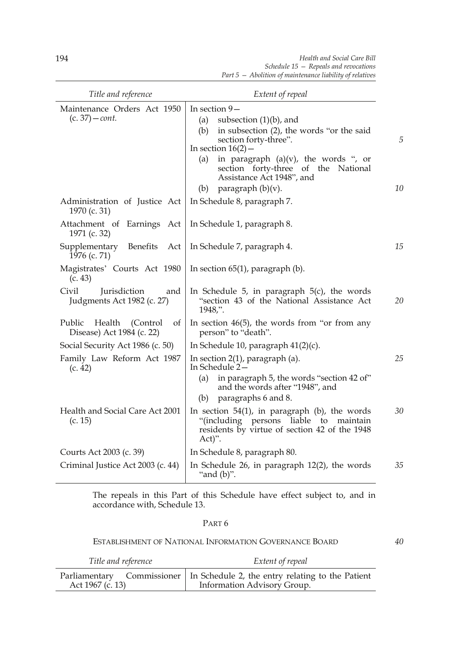| Title and reference                                              | Extent of repeal                                                                                                                                                                                                                                                                                              |         |
|------------------------------------------------------------------|---------------------------------------------------------------------------------------------------------------------------------------------------------------------------------------------------------------------------------------------------------------------------------------------------------------|---------|
| Maintenance Orders Act 1950<br>$(c. 37) - cont.$                 | In section $9-$<br>subsection $(1)(b)$ , and<br>(a)<br>in subsection (2), the words "or the said<br>(b)<br>section forty-three".<br>In section $16(2)$ –<br>in paragraph $(a)(v)$ , the words ", or<br>(a)<br>section forty-three of the National<br>Assistance Act 1948", and<br>paragraph $(b)(v)$ .<br>(b) | 5<br>10 |
| Administration of Justice Act<br>1970 (c. 31)                    | In Schedule 8, paragraph 7.                                                                                                                                                                                                                                                                                   |         |
| Attachment of Earnings Act<br>1971 (c. 32)                       | In Schedule 1, paragraph 8.                                                                                                                                                                                                                                                                                   |         |
| <b>Benefits</b><br>Supplementary<br>Act<br>1976 (c. 71)          | In Schedule 7, paragraph 4.                                                                                                                                                                                                                                                                                   | 15      |
| Magistrates' Courts Act 1980<br>(c. 43)                          | In section $65(1)$ , paragraph (b).                                                                                                                                                                                                                                                                           |         |
| Civil<br>Jurisdiction<br>and<br>Judgments Act 1982 (c. 27)       | In Schedule 5, in paragraph $5(c)$ , the words<br>"section 43 of the National Assistance Act<br>1948,".                                                                                                                                                                                                       | 20      |
| Public<br>Health<br>of<br>(Control)<br>Disease) Act 1984 (c. 22) | In section $46(5)$ , the words from "or from any<br>person" to "death".                                                                                                                                                                                                                                       |         |
| Social Security Act 1986 (c. 50)                                 | In Schedule 10, paragraph $41(2)(c)$ .                                                                                                                                                                                                                                                                        |         |
| Family Law Reform Act 1987<br>(c. 42)                            | In section $2(1)$ , paragraph (a).<br>In Schedule 2–<br>in paragraph 5, the words "section 42 of"<br>(a)<br>and the words after "1948", and                                                                                                                                                                   | 25      |
| Health and Social Care Act 2001<br>(c. 15)                       | paragraphs 6 and 8.<br>(b)<br>In section $54(1)$ , in paragraph (b), the words<br>"(including persons liable to maintain<br>residents by virtue of section 42 of the 1948<br>$Act)$ ".                                                                                                                        | 30      |
| Courts Act 2003 (c. 39)                                          | In Schedule 8, paragraph 80.                                                                                                                                                                                                                                                                                  |         |
| Criminal Justice Act 2003 (c. 44)                                | In Schedule 26, in paragraph $12(2)$ , the words<br>"and $(b)$ ".                                                                                                                                                                                                                                             | 35      |

The repeals in this Part of this Schedule have effect subject to, and in accordance with, Schedule 13.

*40*

# PART 6

ESTABLISHMENT OF NATIONAL INFORMATION GOVERNANCE BOARD

| Title and reference | Extent of repeal                                                                                             |
|---------------------|--------------------------------------------------------------------------------------------------------------|
| Act 1967 (c. 13)    | Parliamentary Commissioner   In Schedule 2, the entry relating to the Patient<br>Information Advisory Group. |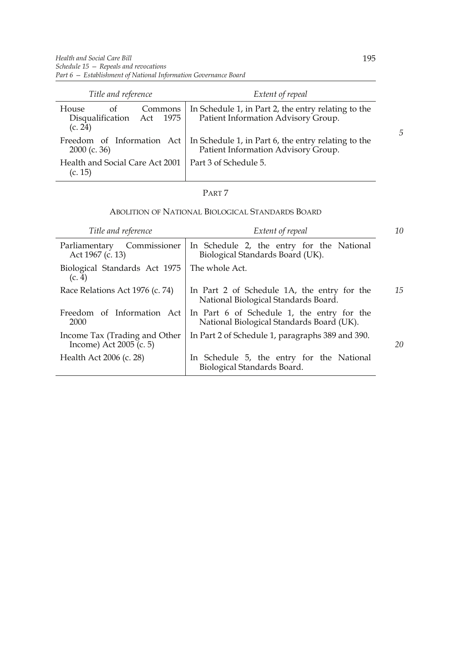| Title and reference                                                | Extent of repeal                                                                                                        |
|--------------------------------------------------------------------|-------------------------------------------------------------------------------------------------------------------------|
| House<br>Commons<br>Ωt<br>Disqualification Act 1975<br>(c. 24)     | In Schedule 1, in Part 2, the entry relating to the<br>Patient Information Advisory Group.                              |
| $2000$ (c. 36)                                                     | Freedom of Information Act   In Schedule 1, in Part 6, the entry relating to the<br>Patient Information Advisory Group. |
| Health and Social Care Act 2001   Part 3 of Schedule 5.<br>(c. 15) |                                                                                                                         |

|--|--|

ABOLITION OF NATIONAL BIOLOGICAL STANDARDS BOARD

| Title and reference                                      | Extent of repeal                                                                        | 10 |
|----------------------------------------------------------|-----------------------------------------------------------------------------------------|----|
| Commissioner<br>Parliamentary<br>Act 1967 (c. 13)        | In Schedule 2, the entry for the National<br>Biological Standards Board (UK).           |    |
| Biological Standards Act 1975<br>(c. 4)                  | The whole Act.                                                                          |    |
| Race Relations Act 1976 (c. 74)                          | In Part 2 of Schedule 1A, the entry for the<br>National Biological Standards Board.     | 15 |
| Freedom of Information Act<br>2000                       | In Part 6 of Schedule 1, the entry for the<br>National Biological Standards Board (UK). |    |
| Income Tax (Trading and Other<br>Income) Act 2005 (c. 5) | In Part 2 of Schedule 1, paragraphs 389 and 390.                                        | 20 |
| Health Act 2006 (c. 28)                                  | In Schedule 5, the entry for the National<br>Biological Standards Board.                |    |
|                                                          |                                                                                         |    |